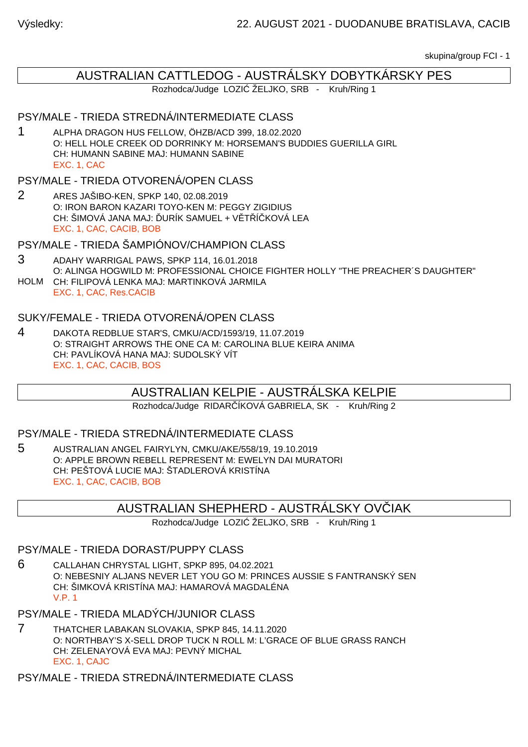skupina/group FCI - 1

# AUSTRALIAN CATTLEDOG - AUSTRÁLSKY DOBYTKÁRSKY PES

Rozhodca/Judge LOZI ŽELJKO, SRB - Kruh/Ring 1

# PSY/MALE - TRIEDA STREDNÁ/INTERMEDIATE CLASS

1 ALPHA DRAGON HUS FELLOW, ÖHZB/ACD 399, 18.02.2020 O: HELL HOLE CREEK OD DORRINKY M: HORSEMAN'S BUDDIES GUERILLA GIRL CH: HUMANN SABINE MAJ: HUMANN SABINE EXC. 1, CAC

# PSY/MALE - TRIEDA OTVORENÁ/OPEN CLASS

2 ARES JAŠIBO-KEN, SPKP 140, 02.08.2019 O: IRON BARON KAZARI TOYO-KEN M: PEGGY ZIGIDIUS CH: ŠIMOVÁ JANA MAJ: URÍK SAMUEL + V T Í KOVÁ LEA EXC. 1, CAC, CACIB, BOB

PSY/MALE - TRIEDA ŠAMPIÓNOV/CHAMPION CLASS

- 3 ADAHY WARRIGAL PAWS, SPKP 114, 16.01.2018 O: ALINGA HOGWILD M: PROFESSIONAL CHOICE FIGHTER HOLLY "THE PREACHER´S DAUGHTER"
- HOLM CH: FILIPOVÁ LENKA MAJ: MARTINKOVÁ JARMILA EXC. 1, CAC, Res.CACIB

## SUKY/FEMALE - TRIEDA OTVORENÁ/OPEN CLASS

4 DAKOTA REDBLUE STAR'S, CMKU/ACD/1593/19, 11.07.2019 O: STRAIGHT ARROWS THE ONE CA M: CAROLINA BLUE KEIRA ANIMA CH: PAVLÍKOVÁ HANA MAJ: SUDOLSKÝ VÍT EXC. 1, CAC, CACIB, BOS

# AUSTRALIAN KELPIE - AUSTRÁLSKA KELPIE

Rozhodca/Judge RIDAR ÍKOVÁ GABRIELA, SK - Kruh/Ring 2

#### PSY/MALE - TRIEDA STREDNÁ/INTERMEDIATE CLASS

5 AUSTRALIAN ANGEL FAIRYLYN, CMKU/AKE/558/19, 19.10.2019 O: APPLE BROWN REBELL REPRESENT M: EWELYN DAI MURATORI CH: PEŠTOVÁ LUCIE MAJ: ŠTADLEROVÁ KRISTÍNA EXC. 1, CAC, CACIB, BOB

# AUSTRALIAN SHEPHERD - AUSTRALSKY OVÍJAK

Rozhodca/Judge LOZI ŽELJKO, SRB - Kruh/Ring 1

#### PSY/MALE - TRIEDA DORAST/PUPPY CLASS

6 CALLAHAN CHRYSTAL LIGHT, SPKP 895, 04.02.2021 O: NEBESNIY ALJANS NEVER LET YOU GO M: PRINCES AUSSIE S FANTRANSKÝ SEN CH: ŠIMKOVÁ KRISTÍNA MAJ: HAMAROVÁ MAGDALÉNA V.P. 1

PSY/MALE - TRIEDA MLADÝCH/JUNIOR CLASS

7 THATCHER LABAKAN SLOVAKIA, SPKP 845, 14.11.2020 O: NORTHBAY'S X-SELL DROP TUCK N ROLL M: L'GRACE OF BLUE GRASS RANCH CH: ZELENAYOVÁ EVA MAJ: PEVNÝ MICHAL EXC. 1, CAJC

PSY/MALE - TRIEDA STREDNÁ/INTERMEDIATE CLASS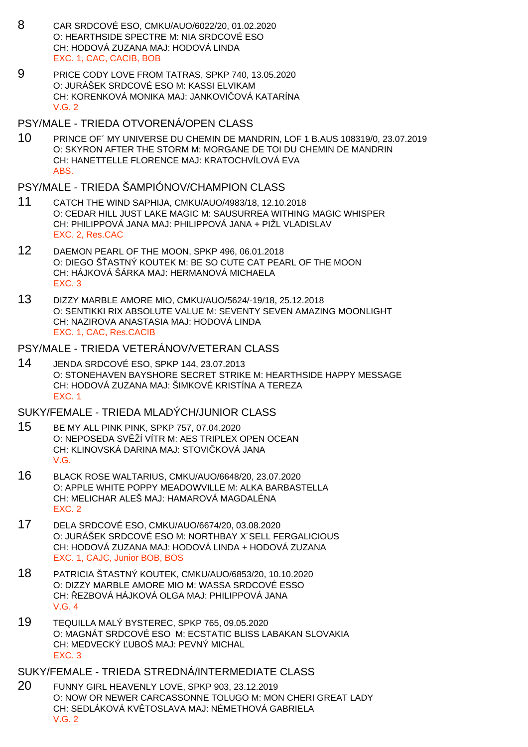- 8 CAR SRDCOVÉ ESO, CMKU/AUO/6022/20, 01.02.2020 O: HEARTHSIDE SPECTRE M: NIA SRDCOVÉ ESO CH: HODOVÁ ZUZANA MAJ: HODOVÁ LINDA EXC. 1, CAC, CACIB, BOB
- 9 PRICE CODY LOVE FROM TATRAS, SPKP 740, 13.05.2020 O: JURÁŠEK SRDCOVÉ ESO M: KASSI ELVIKAM CH: KORENKOVÁ MONIKA MAJ: JANKOVI OVÁ KATARÍNA V.G. 2

#### PSY/MALE - TRIEDA OTVORENÁ/OPEN CLASS

10 PRINCE OF´ MY UNIVERSE DU CHEMIN DE MANDRIN, LOF 1 B.AUS 108319/0, 23.07.2019 O: SKYRON AFTER THE STORM M: MORGANE DE TOI DU CHEMIN DE MANDRIN CH: HANETTELLE FLORENCE MAJ: KRATOCHVÍLOVÁ EVA ABS.

## PSY/MALE - TRIEDA ŠAMPIÓNOV/CHAMPION CLASS

- 11 CATCH THE WIND SAPHIJA, CMKU/AUO/4983/18, 12.10.2018 O: CEDAR HILL JUST LAKE MAGIC M: SAUSURREA WITHING MAGIC WHISPER CH: PHILIPPOVÁ JANA MAJ: PHILIPPOVÁ JANA + PIŽL VLADISLAV EXC. 2, Res.CAC
- 12 DAEMON PEARL OF THE MOON, SPKP 496, 06.01.2018 O: DIEGO ŠASTNÝ KOUTEK M: BE SO CUTE CAT PEARL OF THE MOON CH: HÁJKOVÁ ŠÁRKA MAJ: HERMANOVÁ MICHAELA EXC. 3
- 13 DIZZY MARBLE AMORE MIO, CMKU/AUO/5624/-19/18, 25.12.2018 O: SENTIKKI RIX ABSOLUTE VALUE M: SEVENTY SEVEN AMAZING MOONLIGHT CH: NAZIROVA ANASTASIA MAJ: HODOVÁ LINDA EXC. 1, CAC, Res.CACIB

#### PSY/MALE - TRIEDA VETERÁNOV/VETERAN CLASS

14 JENDA SRDCOVÉ ESO, SPKP 144, 23.07.2013 O: STONEHAVEN BAYSHORE SECRET STRIKE M: HEARTHSIDE HAPPY MESSAGE CH: HODOVÁ ZUZANA MAJ: ŠIMKOVÉ KRISTÍNA A TEREZA EXC. 1

## SUKY/FEMALE - TRIEDA MLADÝCH/JUNIOR CLASS

- 15 BE MY ALL PINK PINK, SPKP 757, 07.04.2020 O: NEPOSEDA SV ŽÍ VÍTR M: AES TRIPLEX OPEN OCEAN CH: KLINOVSKÁ DARINA MAJ: STOVI KOVÁ JANA V.G.
- 16 BLACK ROSE WALTARIUS, CMKU/AUO/6648/20, 23.07.2020 O: APPLE WHITE POPPY MEADOWVILLE M: ALKA BARBASTELLA CH: MELICHAR ALEŠ MAJ: HAMAROVÁ MAGDALÉNA EXC. 2
- 17 DELA SRDCOVÉ ESO, CMKU/AUO/6674/20, 03.08.2020 O: JURÁŠEK SRDCOVÉ ESO M: NORTHBAY X´SELL FERGALICIOUS CH: HODOVÁ ZUZANA MAJ: HODOVÁ LINDA + HODOVÁ ZUZANA EXC. 1, CAJC, Junior BOB, BOS
- 18 PATRICIA ŠTASTNÝ KOUTEK, CMKU/AUO/6853/20, 10.10.2020 O: DIZZY MARBLE AMORE MIO M: WASSA SRDCOVÉ ESSO CH: EZBOVÁ HÁJKOVÁ OLGA MAJ: PHILIPPOVÁ JANA V.G. 4
- 19 TEQUILLA MALÝ BYSTEREC, SPKP 765, 09.05.2020 O: MAGNÁT SRDCOVÉ ESO M: ECSTATIC BLISS LABAKAN SLOVAKIA CH: MEDVECKÝ UBOŠ MAJ: PEVNÝ MICHAL EXC. 3

#### SUKY/FEMALE - TRIEDA STREDNÁ/INTERMEDIATE CLASS

20 FUNNY GIRL HEAVENLY LOVE, SPKP 903, 23.12.2019 O: NOW OR NEWER CARCASSONNE TOLUGO M: MON CHERI GREAT LADY CH: SEDLÁKOVÁ KV TOSLAVA MAJ: NÉMETHOVÁ GABRIELA V.G. 2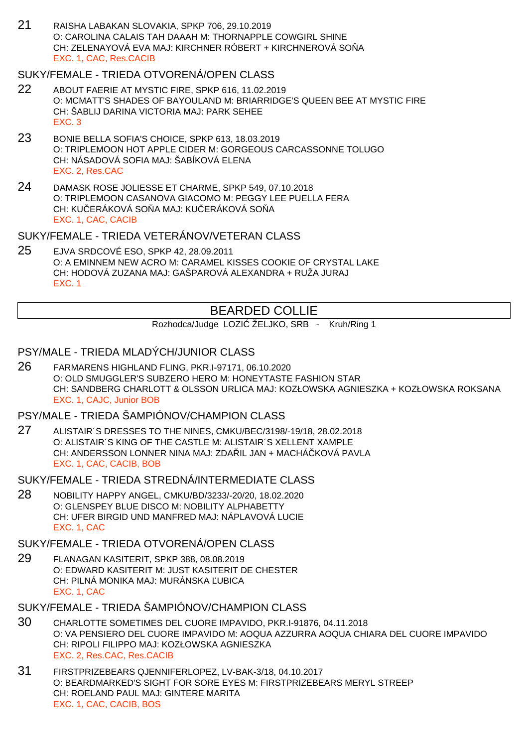21 RAISHA LABAKAN SLOVAKIA, SPKP 706, 29.10.2019 O: CAROLINA CALAIS TAH DAAAH M: THORNAPPLE COWGIRL SHINE CH: ZELENAYOVÁ EVA MAJ: KIRCHNER RÓBERT + KIRCHNEROVÁ SO Å EXC. 1, CAC, Res.CACIB

### SUKY/FEMALE - TRIEDA OTVORENÁ/OPEN CLASS

- 22 ABOUT FAERIE AT MYSTIC FIRE, SPKP 616, 11.02.2019 O: MCMATT'S SHADES OF BAYOULAND M: BRIARRIDGE'S QUEEN BEE AT MYSTIC FIRE CH: ŠABLIJ DARINA VICTORIA MAJ: PARK SEHEE EXC. 3
- 23 BONIE BELLA SOFIA'S CHOICE, SPKP 613, 18.03.2019 O: TRIPLEMOON HOT APPLE CIDER M: GORGEOUS CARCASSONNE TOLUGO CH: NÁSADOVÁ SOFIA MAJ: ŠABÍKOVÁ ELENA EXC. 2, Res.CAC
- 24 DAMASK ROSE JOLIESSE ET CHARME, SPKP 549, 07.10.2018 O: TRIPLEMOON CASANOVA GIACOMO M: PEGGY LEE PUELLA FERA CH: KU ERÁKOVÁ SO A MAJ: KU ERÁKOVÁ SO A EXC. 1, CAC, CACIB

## SUKY/FEMALE - TRIEDA VETERÁNOV/VETERAN CLASS

25 EJVA SRDCOVÉ ESO, SPKP 42, 28.09.2011 O: A EMINNEM NEW ACRO M: CARAMEL KISSES COOKIE OF CRYSTAL LAKE CH: HODOVÁ ZUZANA MAJ: GAŠPAROVÁ ALEXANDRA + RUŽA JURAJ EXC. 1

# BEARDED COLLIE

Rozhodca/Judge LOZI ŽELJKO, SRB - Kruh/Ring 1

## PSY/MALE - TRIEDA MLADÝCH/JUNIOR CLASS

26 FARMARENS HIGHLAND FLING, PKR.I-97171, 06.10.2020 O: OLD SMUGGLER'S SUBZERO HERO M: HONEYTASTE FASHION STAR CH: SANDBERG CHARLOTT & OLSSON URLICA MAJ: KOZŁOWSKA AGNIESZKA + KOZŁOWSKA ROKSANA EXC. 1, CAJC, Junior BOB

# PSY/MALE - TRIEDA ŠAMPIÓNOV/CHAMPION CLASS

27 ALISTAIR´S DRESSES TO THE NINES, CMKU/BEC/3198/-19/18, 28.02.2018 O: ALISTAIR´S KING OF THE CASTLE M: ALISTAIR´S XELLENT XAMPLE CH: ANDERSSON LONNER NINA MAJ: ZDA IL JAN + MACHÁ KOVÁ PAVLA EXC. 1, CAC, CACIB, BOB

SUKY/FEMALE - TRIEDA STREDNÁ/INTERMEDIATE CLASS

28 NOBILITY HAPPY ANGEL, CMKU/BD/3233/-20/20, 18.02.2020 O: GLENSPEY BLUE DISCO M: NOBILITY ALPHABETTY CH: UFER BIRGID UND MANFRED MAJ: NÁPLAVOVÁ LUCIE EXC. 1, CAC

# SUKY/FEMALE - TRIEDA OTVORENÁ/OPEN CLASS

- 29 FLANAGAN KASITERIT, SPKP 388, 08.08.2019 O: EDWARD KASITERIT M: JUST KASITERIT DE CHESTER CH: PILNÁ MONIKA MAJ: MURÁNSKA UBICA EXC. 1, CAC
- SUKY/FEMALE TRIEDA ŠAMPIÓNOV/CHAMPION CLASS
- 30 CHARLOTTE SOMETIMES DEL CUORE IMPAVIDO, PKR.I-91876, 04.11.2018 O: VA PENSIERO DEL CUORE IMPAVIDO M: AOQUA AZZURRA AOQUA CHIARA DEL CUORE IMPAVIDO CH: RIPOLI FILIPPO MAJ: KOZŁOWSKA AGNIESZKA EXC. 2, Res.CAC, Res.CACIB
- 31 FIRSTPRIZEBEARS QJENNIFERLOPEZ, LV-BAK-3/18, 04.10.2017 O: BEARDMARKED'S SIGHT FOR SORE EYES M: FIRSTPRIZEBEARS MERYL STREEP CH: ROELAND PAUL MAJ: GINTERE MARITA EXC. 1, CAC, CACIB, BOS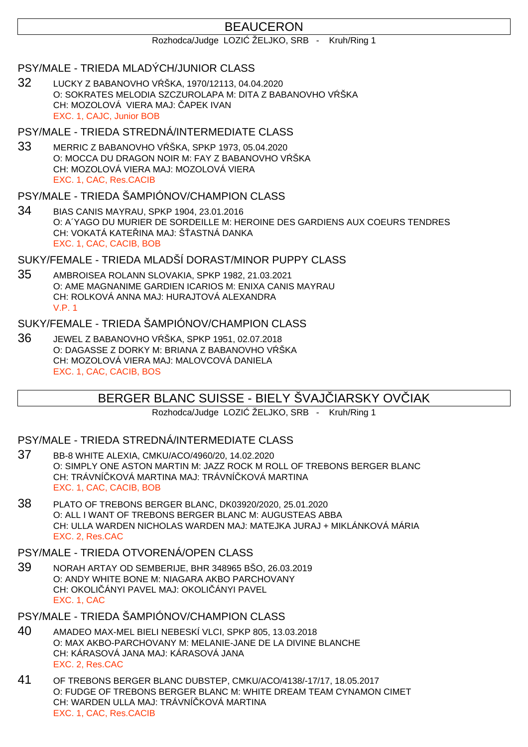# BEAUCERON

Rozhodca/Judge LOZI ŽELJKO, SRB - Kruh/Ring 1

#### PSY/MALE - TRIEDA MLADÝCH/JUNIOR CLASS

32 LUCKY Z BABANOVHO V ŠKA, 1970/12113, 04.04.2020 O: SOKRATES MELODIA SZCZUROLAPA M: DITA Z BABANOVHO V ŠKA CH: MOZOLOVÁ VIERA MAJ: APEK IVAN EXC. 1, CAJC, Junior BOB

#### PSY/MALE - TRIEDA STREDNÁ/INTERMEDIATE CLASS

33 MERRIC Z BABANOVHO V ŠKA, SPKP 1973, 05.04.2020 O: MOCCA DU DRAGON NOIR M: FAY Z BABANOVHO V ŠKA CH: MOZOLOVÁ VIERA MAJ: MOZOLOVÁ VIERA EXC. 1, CAC, Res.CACIB

## PSY/MALE - TRIEDA ŠAMPIÓNOV/CHAMPION CLASS

34 BIAS CANIS MAYRAU, SPKP 1904, 23.01.2016 O: A´YAGO DU MURIER DE SORDEILLE M: HEROINE DES GARDIENS AUX COEURS TENDRES CH: VOKATÁ KATE INA MAJ: ŠASTNÁ DANKA EXC. 1, CAC, CACIB, BOB

## SUKY/FEMALE - TRIEDA MLADŠÍ DORAST/MINOR PUPPY CLASS

35 AMBROISEA ROLANN SLOVAKIA, SPKP 1982, 21.03.2021 O: AME MAGNANIME GARDIEN ICARIOS M: ENIXA CANIS MAYRAU CH: ROLKOVÁ ANNA MAJ: HURAJTOVÁ ALEXANDRA V.P. 1

# SUKY/FEMALE - TRIEDA ŠAMPIÓNOV/CHAMPION CLASS

36 JEWEL Z BABANOVHO V ŠKA, SPKP 1951, 02.07.2018 O: DAGASSE Z DORKY M: BRIANA Z BABANOVHO V ŠKA CH: MOZOLOVÁ VIERA MAJ: MALOVCOVÁ DANIELA EXC. 1, CAC, CACIB, BOS

# BERGER BLANC SUISSE - BIELY ŠVAJ IARSKY OVIJAK

Rozhodca/Judge LOZI ŽELJKO, SRB - Kruh/Ring 1

#### PSY/MALE - TRIEDA STREDNÁ/INTERMEDIATE CLASS

- 37 BB-8 WHITE ALEXIA, CMKU/ACO/4960/20, 14.02.2020 O: SIMPLY ONE ASTON MARTIN M: JAZZ ROCK M ROLL OF TREBONS BERGER BLANC CH: TRÁVNÍ KOVÁ MARTINA MAJ: TRÁVNÍ KOVÁ MARTINA EXC. 1, CAC, CACIB, BOB
- 38 PLATO OF TREBONS BERGER BLANC, DK03920/2020, 25.01.2020 O: ALL I WANT OF TREBONS BERGER BLANC M: AUGUSTEAS ABBA CH: ULLA WARDEN NICHOLAS WARDEN MAJ: MATEJKA JURAJ + MIKLÁNKOVÁ MÁRIA EXC. 2, Res.CAC

# PSY/MALE - TRIEDA OTVORENÁ/OPEN CLASS

39 NORAH ARTAY OD SEMBERIJE, BHR 348965 BŠO, 26.03.2019 O: ANDY WHITE BONE M: NIAGARA AKBO PARCHOVANY CH: OKOLI ÁNYI PAVEL MAJ: OKOLI ÁNYI PAVEL EXC. 1, CAC

# PSY/MALE - TRIEDA ŠAMPIÓNOV/CHAMPION CLASS

- 40 AMADEO MAX-MEL BIELI NEBESKÍ VLCI, SPKP 805, 13.03.2018 O: MAX AKBO-PARCHOVANY M: MELANIE-JANE DE LA DIVINE BLANCHE CH: KÁRASOVÁ JANA MAJ: KÁRASOVÁ JANA EXC. 2, Res.CAC
- 41 OF TREBONS BERGER BLANC DUBSTEP, CMKU/ACO/4138/-17/17, 18.05.2017 O: FUDGE OF TREBONS BERGER BLANC M: WHITE DREAM TEAM CYNAMON CIMET CH: WARDEN ULLA MAJ: TRÁVNÍ KOVÁ MARTINA EXC. 1, CAC, Res.CACIB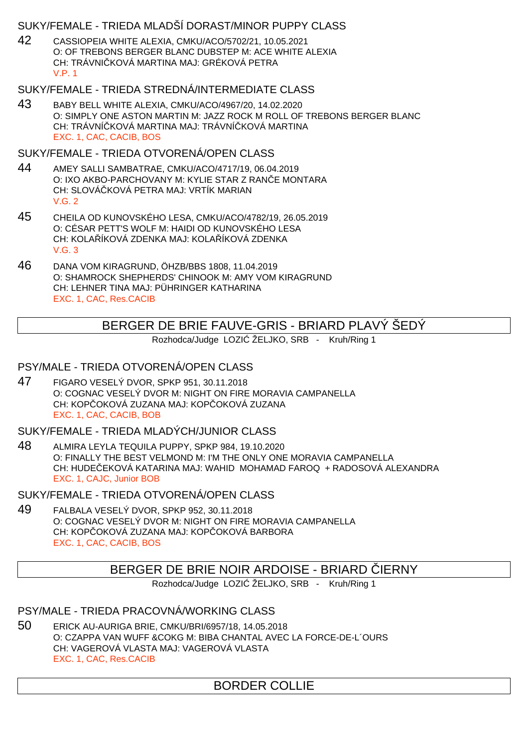## SUKY/FEMALE - TRIEDA MLADŠÍ DORAST/MINOR PUPPY CLASS

42 CASSIOPEIA WHITE ALEXIA, CMKU/ACO/5702/21, 10.05.2021 O: OF TREBONS BERGER BLANC DUBSTEP M: ACE WHITE ALEXIA CH: TRÁVNI KOVÁ MARTINA MAJ: GRÉKOVÁ PETRA V.P. 1

# SUKY/FEMALE - TRIEDA STREDNÁ/INTERMEDIATE CLASS

43 BABY BELL WHITE ALEXIA, CMKU/ACO/4967/20, 14.02.2020 O: SIMPLY ONE ASTON MARTIN M: JAZZ ROCK M ROLL OF TREBONS BERGER BLANC CH: TRÁVNÍ KOVÁ MARTINA MAJ: TRÁVNÍ KOVÁ MARTINA EXC. 1, CAC, CACIB, BOS

SUKY/FEMALE - TRIEDA OTVORENÁ/OPEN CLASS

- 44 AMEY SALLI SAMBATRAE, CMKU/ACO/4717/19, 06.04.2019 O: IXO AKBO-PARCHOVANY M: KYLIE STAR Z RANE MONTARA CH: SLOVÁ KOVÁ PETRA MAJ: VRTÍK MARIAN V.G. 2
- 45 CHEILA OD KUNOVSKÉHO LESA, CMKU/ACO/4782/19, 26.05.2019 O: CÉSAR PETT'S WOLF M: HAIDI OD KUNOVSKÉHO LESA CH: KOLA ÍKOVÁ ZDENKA MAJ: KOLA ÍKOVÁ ZDENKA  $V$  G  $3$
- 46 DANA VOM KIRAGRUND, ÖHZB/BBS 1808, 11.04.2019 O: SHAMROCK SHEPHERDS' CHINOOK M: AMY VOM KIRAGRUND CH: LEHNER TINA MAJ: PÜHRINGER KATHARINA EXC. 1, CAC, Res.CACIB

# BERGER DE BRIE FAUVE-GRIS - BRIARD PLAVÝ ŠEDÝ

Rozhodca/Judge LOZI ŽELJKO, SRB - Kruh/Ring 1

# PSY/MALE - TRIEDA OTVORENÁ/OPEN CLASS

47 FIGARO VESELÝ DVOR, SPKP 951, 30.11.2018 O: COGNAC VESELÝ DVOR M: NIGHT ON FIRE MORAVIA CAMPANELLA CH: KOPÓCKOVÁ ZUZANA MAJ: KOPÓCKOVÁ ZUZANA EXC. 1, CAC, CACIB, BOB

SUKY/FEMALE - TRIEDA MLADÝCH/JUNIOR CLASS

48 ALMIRA LEYLA TEQUILA PUPPY, SPKP 984, 19.10.2020 O: FINALLY THE BEST VELMOND M: I'M THE ONLY ONE MORAVIA CAMPANELLA CH: HUDEČEKOVÁ KATARINA MAJ: WAHID MOHAMAD FAROQ + RADOSOVÁ ALEXANDRA EXC. 1, CAJC, Junior BOB

SUKY/FEMALE - TRIEDA OTVORENÁ/OPEN CLASS

49 FALBALA VESELÝ DVOR, SPKP 952, 30.11.2018 O: COGNAC VESELÝ DVOR M: NIGHT ON FIRE MORAVIA CAMPANELLA CH: KOP OKOVÁ ZUZANA MAJ: KOP OKOVÁ BARBORA EXC. 1, CAC, CACIB, BOS

# BERGER DE BRIE NOIR ARDOISE - BRIARD LERNY

Rozhodca/Judge LOZI ŽELJKO, SRB - Kruh/Ring 1

PSY/MALE - TRIEDA PRACOVNÁ/WORKING CLASS

50 ERICK AU-AURIGA BRIE, CMKU/BRI/6957/18, 14.05.2018 O: CZAPPA VAN WUFF &COKG M: BIBA CHANTAL AVEC LA FORCE-DE-L´OURS CH: VAGEROVÁ VLASTA MAJ: VAGEROVÁ VLASTA EXC. 1, CAC, Res.CACIB

# BORDER COLLIE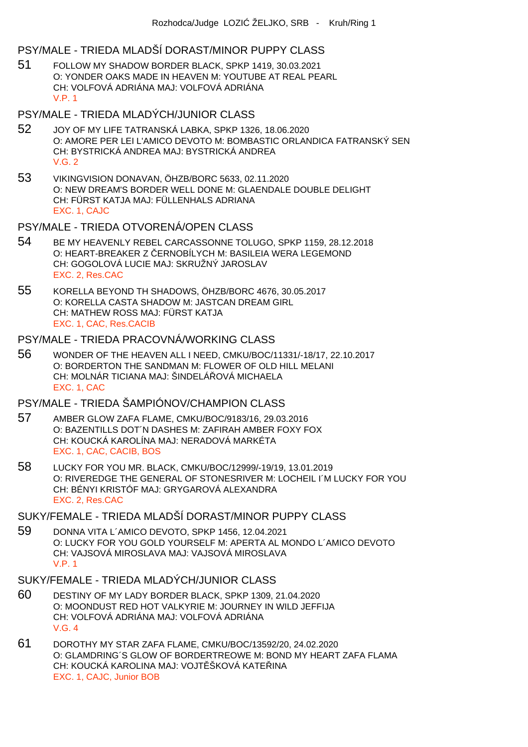#### PSY/MALE - TRIEDA MLADŠÍ DORAST/MINOR PUPPY CLASS

- 51 FOLLOW MY SHADOW BORDER BLACK, SPKP 1419, 30.03.2021 O: YONDER OAKS MADE IN HEAVEN M: YOUTUBE AT REAL PEARL CH: VOLFOVÁ ADRIÁNA MAJ: VOLFOVÁ ADRIÁNA V.P. 1
- PSY/MALE TRIEDA MLADÝCH/JUNIOR CLASS
- 52 JOY OF MY LIFE TATRANSKÁ LABKA, SPKP 1326, 18.06.2020 O: AMORE PER LEI L'AMICO DEVOTO M: BOMBASTIC ORLANDICA FATRANSKÝ SEN CH: BYSTRICKÁ ANDREA MAJ: BYSTRICKÁ ANDREA  $V$  G  $2$
- 53 VIKINGVISION DONAVAN, ÖHZB/BORC 5633, 02.11.2020 O: NEW DREAM'S BORDER WELL DONE M: GLAENDALE DOUBLE DELIGHT CH: FÜRST KATJA MAJ: FÜLLENHALS ADRIANA EXC. 1, CAJC

#### PSY/MALE - TRIEDA OTVORENÁ/OPEN CLASS

- 54 BE MY HEAVENLY REBEL CARCASSONNE TOLUGO, SPKP 1159, 28.12.2018 O: HEART-BREAKER Z ERNOBÍLYCH M: BASILEIA WERA LEGEMOND CH: GOGOLOVÁ LUCIE MAJ: SKRUŽNÝ JAROSLAV EXC. 2, Res.CAC
- 55 KORELLA BEYOND TH SHADOWS, ÖHZB/BORC 4676, 30.05.2017 O: KORELLA CASTA SHADOW M: JASTCAN DREAM GIRL CH: MATHEW ROSS MAJ: FÜRST KATJA EXC. 1, CAC, Res.CACIB

#### PSY/MALE - TRIEDA PRACOVNÁ/WORKING CLASS

56 WONDER OF THE HEAVEN ALL I NEED, CMKU/BOC/11331/-18/17, 22.10.2017 O: BORDERTON THE SANDMAN M: FLOWER OF OLD HILL MELANI CH: MOLNÁR TICIANA MAJ: ŠINDELÁ QVÁ MICHAELA EXC. 1, CAC

# PSY/MALE - TRIEDA ŠAMPIÓNOV/CHAMPION CLASS

- 57 AMBER GLOW ZAFA FLAME, CMKU/BOC/9183/16, 29.03.2016 O: BAZENTILLS DOT´N DASHES M: ZAFIRAH AMBER FOXY FOX CH: KOUCKÁ KAROLÍNA MAJ: NERADOVÁ MARKÉTA EXC. 1, CAC, CACIB, BOS
- 58 LUCKY FOR YOU MR. BLACK, CMKU/BOC/12999/-19/19, 13.01.2019 O: RIVEREDGE THE GENERAL OF STONESRIVER M: LOCHEIL I´M LUCKY FOR YOU CH: BÉNYI KRISTÓF MAJ: GRYGAROVÁ ALEXANDRA EXC. 2, Res.CAC

# SUKY/FEMALE - TRIEDA MLADŠÍ DORAST/MINOR PUPPY CLASS

59 DONNA VITA L´AMICO DEVOTO, SPKP 1456, 12.04.2021 O: LUCKY FOR YOU GOLD YOURSELF M: APERTA AL MONDO L´AMICO DEVOTO CH: VAJSOVÁ MIROSLAVA MAJ: VAJSOVÁ MIROSLAVA V.P. 1

### SUKY/FEMALE - TRIEDA MLADÝCH/JUNIOR CLASS

- 60 DESTINY OF MY LADY BORDER BLACK, SPKP 1309, 21.04.2020 O: MOONDUST RED HOT VALKYRIE M: JOURNEY IN WILD JEFFIJA CH: VOLFOVÁ ADRIÁNA MAJ: VOLFOVÁ ADRIÁNA V.G. 4
- 61 DOROTHY MY STAR ZAFA FLAME, CMKU/BOC/13592/20, 24.02.2020 O: GLAMDRING´S GLOW OF BORDERTREOWE M: BOND MY HEART ZAFA FLAMA CH: KOUCKÁ KAROLINA MAJ: VOJT ŠKOVÁ KATE INA EXC. 1, CAJC, Junior BOB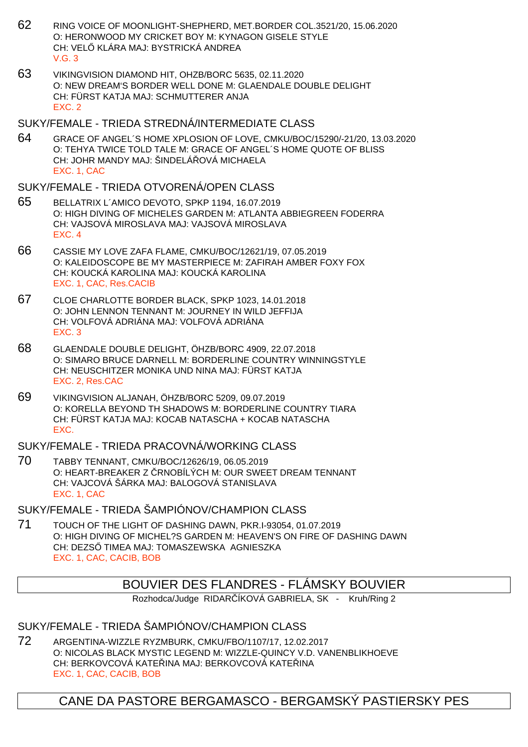- 62 RING VOICE OF MOONLIGHT-SHEPHERD, MET.BORDER COL.3521/20, 15.06.2020 O: HERONWOOD MY CRICKET BOY M: KYNAGON GISELE STYLE CH: VEL KLÁRA MAJ: BYSTRICKÁ ANDREA  $V$  G  $3$
- 63 VIKINGVISION DIAMOND HIT, OHZB/BORC 5635, 02.11.2020 O: NEW DREAM'S BORDER WELL DONE M: GLAENDALE DOUBLE DELIGHT CH: FÜRST KATJA MAJ: SCHMUTTERER ANJA EXC. 2

#### SUKY/FEMALE - TRIEDA STREDNÁ/INTERMEDIATE CLASS

64 GRACE OF ANGEL´S HOME XPLOSION OF LOVE, CMKU/BOC/15290/-21/20, 13.03.2020 O: TEHYA TWICE TOLD TALE M: GRACE OF ANGEL´S HOME QUOTE OF BLISS CH: JOHR MANDY MAJ: ŠINDELÁ OVÁ MICHAELA EXC. 1, CAC

#### SUKY/FEMALE - TRIEDA OTVORENÁ/OPEN CLASS

- 65 BELLATRIX L´AMICO DEVOTO, SPKP 1194, 16.07.2019 O: HIGH DIVING OF MICHELES GARDEN M: ATLANTA ABBIEGREEN FODERRA CH: VAJSOVÁ MIROSLAVA MAJ: VAJSOVÁ MIROSLAVA EXC. 4
- 66 CASSIE MY LOVE ZAFA FLAME, CMKU/BOC/12621/19, 07.05.2019 O: KALEIDOSCOPE BE MY MASTERPIECE M: ZAFIRAH AMBER FOXY FOX CH: KOUCKÁ KAROLINA MAJ: KOUCKÁ KAROLINA EXC. 1, CAC, Res.CACIB
- 67 CLOE CHARLOTTE BORDER BLACK, SPKP 1023, 14.01.2018 O: JOHN LENNON TENNANT M: JOURNEY IN WILD JEFFIJA CH: VOLFOVÁ ADRIÁNA MAJ: VOLFOVÁ ADRIÁNA EXC. 3
- 68 GLAENDALE DOUBLE DELIGHT, ÖHZB/BORC 4909, 22.07.2018 O: SIMARO BRUCE DARNELL M: BORDERLINE COUNTRY WINNINGSTYLE CH: NEUSCHITZER MONIKA UND NINA MAJ: FÜRST KATJA EXC. 2, Res.CAC
- 69 VIKINGVISION ALJANAH, ÖHZB/BORC 5209, 09.07.2019 O: KORELLA BEYOND TH SHADOWS M: BORDERLINE COUNTRY TIARA CH: FÜRST KATJA MAJ: KOCAB NATASCHA + KOCAB NATASCHA EXC.

### SUKY/FEMALE - TRIEDA PRACOVNÁ/WORKING CLASS

70 TABBY TENNANT, CMKU/BOC/12626/19, 06.05.2019 O: HEART-BREAKER Z RNOBÍLÝCH M: OUR SWEET DREAM TENNANT CH: VAJCOVÁ ŠÁRKA MAJ: BALOGOVÁ STANISLAVA EXC. 1, CAC

## SUKY/FEMALE - TRIEDA ŠAMPIÓNOV/CHAMPION CLASS

71 TOUCH OF THE LIGHT OF DASHING DAWN, PKR.I-93054, 01.07.2019 O: HIGH DIVING OF MICHEL?S GARDEN M: HEAVEN'S ON FIRE OF DASHING DAWN CH: DEZS TIMEA MAJ: TOMASZEWSKA AGNIESZKA EXC. 1, CAC, CACIB, BOB

# BOUVIER DES FLANDRES - FLÁMSKY BOUVIER

Rozhodca/Judge RIDAR ÍKOVÁ GABRIELA, SK - Kruh/Ring 2

### SUKY/FEMALE - TRIEDA ŠAMPIÓNOV/CHAMPION CLASS

72 ARGENTINA-WIZZLE RYZMBURK, CMKU/FBO/1107/17, 12.02.2017 O: NICOLAS BLACK MYSTIC LEGEND M: WIZZLE-QUINCY V.D. VANENBLIKHOEVE CH: BERKOVCOVÁ KATE INA MAJ: BERKOVCOVÁ KATE INA EXC. 1, CAC, CACIB, BOB

# CANE DA PASTORE BERGAMASCO - BERGAMSKÝ PASTIERSKY PES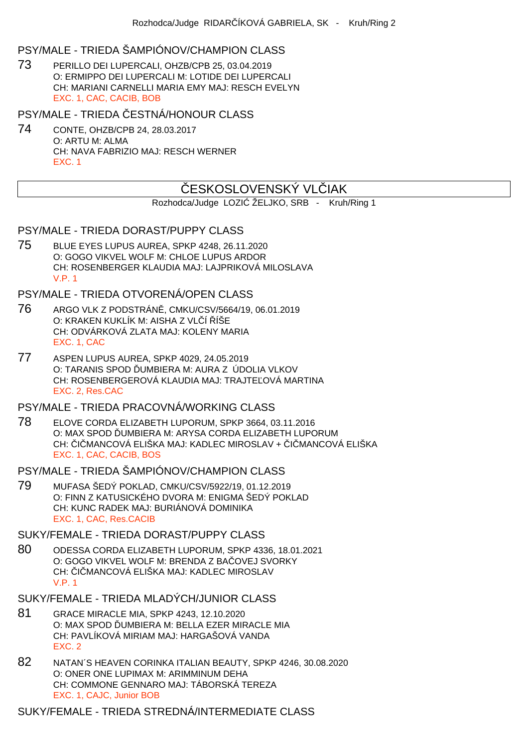# PSY/MALE - TRIEDA ŠAMPIÓNOV/CHAMPION CLASS

73 PERILLO DEI LUPERCALI, OHZB/CPB 25, 03.04.2019 O: ERMIPPO DEI LUPERCALI M: LOTIDE DEI LUPERCALI CH: MARIANI CARNELLI MARIA EMY MAJ: RESCH EVELYN EXC. 1, CAC, CACIB, BOB

PSY/MALE - TRIEDA ESTNÁ/HONOUR CLASS

74 CONTE, OHZB/CPB 24, 28.03.2017 O: ARTU M: ALMA CH: NAVA FABRIZIO MAJ: RESCH WERNER EXC. 1

# ESKOSLOVENSKÝ VL JAK

Rozhodca/Judge LOZI ŽELJKO, SRB - Kruh/Ring 1

#### PSY/MALE - TRIEDA DORAST/PUPPY CLASS

75 BLUE EYES LUPUS AUREA, SPKP 4248, 26.11.2020 O: GOGO VIKVEL WOLF M: CHLOE LUPUS ARDOR CH: ROSENBERGER KLAUDIA MAJ: LAJPRIKOVÁ MILOSLAVA V.P. 1

# PSY/MALE - TRIEDA OTVORENÁ/OPEN CLASS

- 76 ARGO VLK Z PODSTRÁN, CMKU/CSV/5664/19, 06.01.2019 O: KRAKEN KUKLÍK M: AISHA Z VLÍ ÍŠE CH: ODVÁRKOVÁ ZLATA MAJ: KOLENY MARIA EXC. 1, CAC
- 77 ASPEN LUPUS AUREA, SPKP 4029, 24.05.2019 O: TARANIS SPOD UMBIERA M: AURA Z ÚDOLIA VLKOV CH: ROSENBERGEROVÁ KLAUDIA MAJ: TRAJTE OVÁ MARTINA EXC. 2, Res.CAC

PSY/MALE - TRIEDA PRACOVNÁ/WORKING CLASS

78 ELOVE CORDA ELIZABETH LUPORUM, SPKP 3664, 03.11.2016 O: MAX SPOD UMBIERA M: ARYSA CORDA ELIZABETH LUPORUM CH: I MANCOVÁ ELIŠKA MAJ: KADLEC MIROSLAV + I MANCOVÁ ELIŠKA EXC. 1, CAC, CACIB, BOS

#### PSY/MALE - TRIEDA ŠAMPIÓNOV/CHAMPION CLASS

79 MUFASA ŠEDÝ POKLAD, CMKU/CSV/5922/19, 01.12.2019 O: FINN Z KATUSICKÉHO DVORA M: ENIGMA ŠEDÝ POKLAD CH: KUNC RADEK MAJ: BURIÁNOVÁ DOMINIKA EXC. 1, CAC, Res.CACIB

#### SUKY/FEMALE - TRIEDA DORAST/PUPPY CLASS

80 ODESSA CORDA ELIZABETH LUPORUM, SPKP 4336, 18.01.2021 O: GOGO VIKVEL WOLF M: BRENDA Z BA OVEJ SVORKY CH: I MANCOVÁ ELIŠKA MAJ: KADLEC MIROSLAV V.P. 1

## SUKY/FEMALE - TRIEDA MLADÝCH/JUNIOR CLASS

- 81 GRACE MIRACLE MIA, SPKP 4243, 12.10.2020 O: MAX SPOD UMBIERA M: BELLA EZER MIRACLE MIA CH: PAVLÍKOVÁ MIRIAM MAJ: HARGAŠOVÁ VANDA EXC. 2
- 82 NATAN´S HEAVEN CORINKA ITALIAN BEAUTY, SPKP 4246, 30.08.2020 O: ONER ONE LUPIMAX M: ARIMMINUM DEHA CH: COMMONE GENNARO MAJ: TÁBORSKÁ TEREZA EXC. 1, CAJC, Junior BOB

SUKY/FEMALE - TRIEDA STREDNÁ/INTERMEDIATE CLASS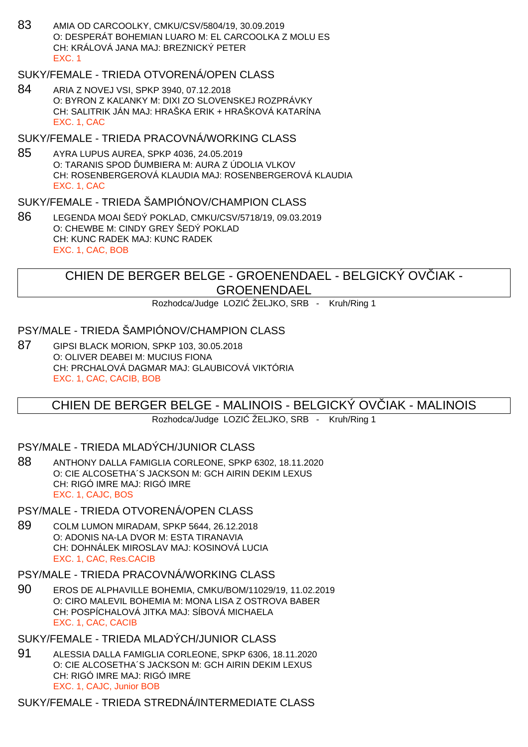83 AMIA OD CARCOOLKY, CMKU/CSV/5804/19, 30.09.2019 O: DESPERÁT BOHEMIAN LUARO M: EL CARCOOLKA Z MOLU ES CH: KRÁLOVÁ JANA MAJ: BREZNICKÝ PETER EXC. 1

# SUKY/FEMALE - TRIEDA OTVORENÁ/OPEN CLASS

84 ARIA Z NOVEJ VSI, SPKP 3940, 07.12.2018 O: BYRON Z KA ANKY M: DIXI ZO SLOVENSKEJ ROZPRÁVKY CH: SALITRIK JÁN MAJ: HRAŠKA ERIK + HRAŠKOVÁ KATARÍNA EXC. 1, CAC

### SUKY/FEMALE - TRIEDA PRACOVNÁ/WORKING CLASS

85 AYRA LUPUS AUREA, SPKP 4036, 24.05.2019 O: TARANIS SPOD UMBIERA M: AURA Z ÚDOLIA VLKOV CH: ROSENBERGEROVÁ KLAUDIA MAJ: ROSENBERGEROVÁ KLAUDIA EXC. 1, CAC

#### SUKY/FEMALE - TRIEDA ŠAMPIÓNOV/CHAMPION CLASS

86 LEGENDA MOAI ŠEDÝ POKLAD, CMKU/CSV/5718/19, 09.03.2019 O: CHEWBE M: CINDY GREY ŠEDÝ POKLAD CH: KUNC RADEK MAJ: KUNC RADEK EXC. 1, CAC, BOB

# CHIEN DE BERGER BELGE - GROENENDAEL - BELGICKÝ OV IAK -**GROENENDAEL**

Rozhodca/Judge LOZI ŽELJKO, SRB - Kruh/Ring 1

#### PSY/MALE - TRIEDA ŠAMPIÓNOV/CHAMPION CLASS

87 GIPSI BLACK MORION, SPKP 103, 30.05.2018 O: OLIVER DEABEI M: MUCIUS FIONA CH: PRCHALOVÁ DAGMAR MAJ: GLAUBICOVÁ VIKTÓRIA EXC. 1, CAC, CACIB, BOB

# CHIEN DE BERGER BELGE - MALINOIS - BELGICKÝ OVČIAK - MALINOIS

Rozhodca/Judge LOZI ŽELJKO, SRB - Kruh/Ring 1

## PSY/MALE - TRIEDA MLADÝCH/JUNIOR CLASS

88 ANTHONY DALLA FAMIGLIA CORLEONE, SPKP 6302, 18.11.2020 O: CIE ALCOSETHA´S JACKSON M: GCH AIRIN DEKIM LEXUS CH: RIGÓ IMRE MAJ: RIGÓ IMRE EXC. 1, CAJC, BOS

#### PSY/MALE - TRIEDA OTVORENÁ/OPEN CLASS

89 COLM LUMON MIRADAM, SPKP 5644, 26.12.2018 O: ADONIS NA-LA DVOR M: ESTA TIRANAVIA CH: DOHNÁLEK MIROSLAV MAJ: KOSINOVÁ LUCIA EXC. 1, CAC, Res.CACIB

#### PSY/MALE - TRIEDA PRACOVNÁ/WORKING CLASS

90 EROS DE ALPHAVILLE BOHEMIA, CMKU/BOM/11029/19, 11.02.2019 O: CIRO MALEVIL BOHEMIA M: MONA LISA Z OSTROVA BABER CH: POSPÍCHALOVÁ JITKA MAJ: SÍBOVÁ MICHAELA EXC. 1, CAC, CACIB

#### SUKY/FEMALE - TRIEDA MLADÝCH/JUNIOR CLASS

91 ALESSIA DALLA FAMIGLIA CORLEONE, SPKP 6306, 18.11.2020 O: CIE ALCOSETHA´S JACKSON M: GCH AIRIN DEKIM LEXUS CH: RIGÓ IMRE MAJ: RIGÓ IMRE EXC. 1, CAJC, Junior BOB

SUKY/FEMALE - TRIEDA STREDNÁ/INTERMEDIATE CLASS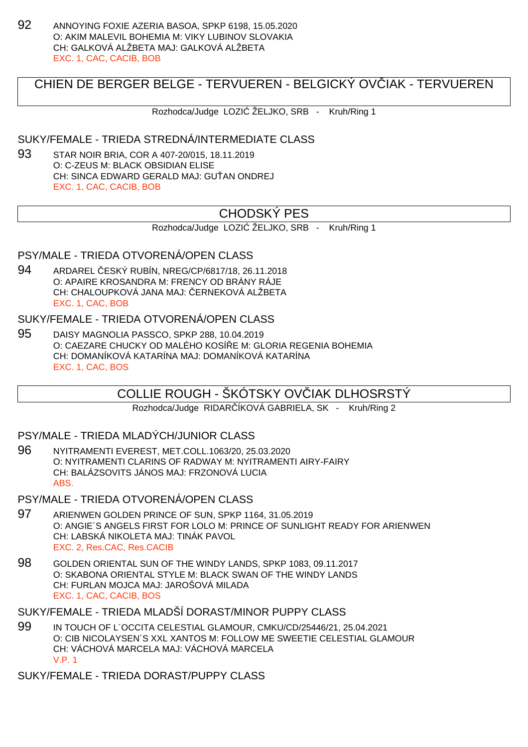92 ANNOYING FOXIE AZERIA BASOA, SPKP 6198, 15.05.2020 O: AKIM MALEVIL BOHEMIA M: VIKY LUBINOV SLOVAKIA CH: GALKOVÁ ALŽBETA MAJ: GALKOVÁ ALŽBETA EXC. 1, CAC, CACIB, BOB

# CHIEN DE BERGER BELGE - TERVUEREN - BELGICKÝ OVVIAK - TERVUEREN

Rozhodca/Judge LOZI ŽELJKO, SRB - Kruh/Ring 1

#### SUKY/FEMALE - TRIEDA STREDNÁ/INTERMEDIATE CLASS

93 STAR NOIR BRIA, COR A 407-20/015, 18.11.2019 O: C-ZEUS M: BLACK OBSIDIAN ELISE CH: SINCA EDWARD GERALD MAJ: GU AN ONDREJ EXC. 1, CAC, CACIB, BOB

# CHODSKÝ PES

Rozhodca/Judge LOZI ŽELJKO, SRB - Kruh/Ring 1

# PSY/MALE - TRIEDA OTVORENÁ/OPEN CLASS

94 ARDAREL ČESKÝ RUBÍN, NREG/CP/6817/18, 26.11.2018 O: APAIRE KROSANDRA M: FRENCY OD BRÁNY RÁJE CH: CHALOUPKOVÁ JANA MAJ: ERNEKOVÁ ALŽBETA EXC. 1, CAC, BOB

#### SUKY/FEMALE - TRIEDA OTVORENÁ/OPEN CLASS

95 DAISY MAGNOLIA PASSCO, SPKP 288, 10.04.2019 O: CAEZARE CHUCKY OD MALÉHO KOSÍŘE M: GLORIA REGENIA BOHEMIA CH: DOMANÍKOVÁ KATARÍNA MAJ: DOMANÍKOVÁ KATARÍNA EXC. 1, CAC, BOS

# COLLIE ROUGH - ŠKÓTSKY OVČIAK DLHOSRSTÝ

Rozhodca/Judge RIDAR ÍKOVÁ GABRIELA, SK - Kruh/Ring 2

## PSY/MALE - TRIEDA MLADÝCH/JUNIOR CLASS

- 96 NYITRAMENTI EVEREST, MET.COLL.1063/20, 25.03.2020 O: NYITRAMENTI CLARINS OF RADWAY M: NYITRAMENTI AIRY-FAIRY CH: BALÁZSOVITS JÁNOS MAJ: FRZONOVÁ LUCIA ABS.
- PSY/MALE TRIEDA OTVORENÁ/OPEN CLASS
- 97 ARIENWEN GOLDEN PRINCE OF SUN, SPKP 1164, 31.05.2019 O: ANGIE´S ANGELS FIRST FOR LOLO M: PRINCE OF SUNLIGHT READY FOR ARIENWEN CH: LABSKÁ NIKOLETA MAJ: TINÁK PAVOL EXC. 2, Res.CAC, Res.CACIB
- 98 GOLDEN ORIENTAL SUN OF THE WINDY LANDS, SPKP 1083, 09.11.2017 O: SKABONA ORIENTAL STYLE M: BLACK SWAN OF THE WINDY LANDS CH: FURLAN MOJCA MAJ: JAROŠOVÁ MILADA EXC. 1, CAC, CACIB, BOS
- SUKY/FEMALE TRIEDA MLADŠÍ DORAST/MINOR PUPPY CLASS
- 99 IN TOUCH OF L´OCCITA CELESTIAL GLAMOUR, CMKU/CD/25446/21, 25.04.2021 O: CIB NICOLAYSEN´S XXL XANTOS M: FOLLOW ME SWEETIE CELESTIAL GLAMOUR CH: VÁCHOVÁ MARCELA MAJ: VÁCHOVÁ MARCELA V.P. 1

SUKY/FEMALE - TRIEDA DORAST/PUPPY CLASS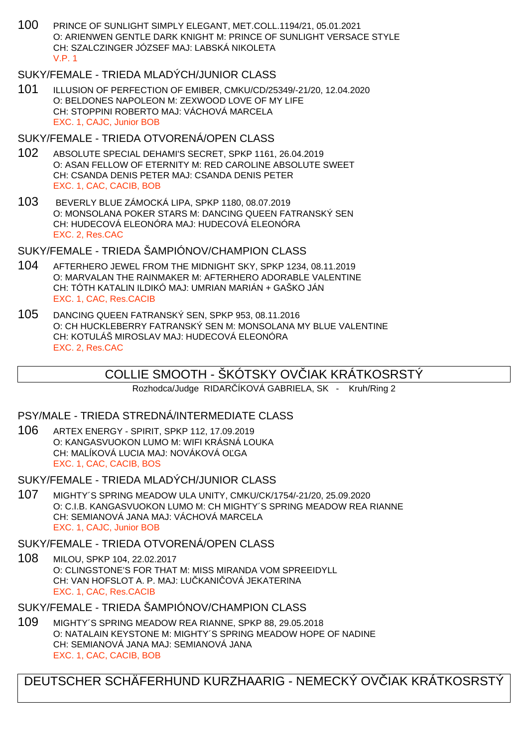100 PRINCE OF SUNLIGHT SIMPLY ELEGANT, MET.COLL.1194/21, 05.01.2021 O: ARIENWEN GENTLE DARK KNIGHT M: PRINCE OF SUNLIGHT VERSACE STYLE CH: SZALCZINGER JÓZSEF MAJ: LABSKÁ NIKOLETA V.P. 1

# SUKY/FEMALE - TRIEDA MLADÝCH/JUNIOR CLASS

101 ILLUSION OF PERFECTION OF EMIBER, CMKU/CD/25349/-21/20, 12.04.2020 O: BELDONES NAPOLEON M: ZEXWOOD LOVE OF MY LIFE CH: STOPPINI ROBERTO MAJ: VÁCHOVÁ MARCELA EXC. 1, CAJC, Junior BOB

## SUKY/FEMALE - TRIEDA OTVORENÁ/OPEN CLASS

- 102 ABSOLUTE SPECIAL DEHAMI'S SECRET, SPKP 1161, 26.04.2019 O: ASAN FELLOW OF ETERNITY M: RED CAROLINE ABSOLUTE SWEET CH: CSANDA DENIS PETER MAJ: CSANDA DENIS PETER EXC. 1, CAC, CACIB, BOB
- 103 BEVERLY BLUE ZÁMOCKÁ LIPA, SPKP 1180, 08.07.2019 O: MONSOLANA POKER STARS M: DANCING QUEEN FATRANSKÝ SEN CH: HUDECOVÁ ELEONÓRA MAJ: HUDECOVÁ ELEONÓRA EXC. 2, Res.CAC

## SUKY/FEMALE - TRIEDA ŠAMPIÓNOV/CHAMPION CLASS

- 104 AFTERHERO JEWEL FROM THE MIDNIGHT SKY, SPKP 1234, 08.11.2019 O: MARVALAN THE RAINMAKER M: AFTERHERO ADORABLE VALENTINE CH: TÓTH KATALIN ILDIKÓ MAJ: UMRIAN MARIÁN + GAŠKO JÁN EXC. 1, CAC, Res.CACIB
- 105 DANCING QUEEN FATRANSKÝ SEN, SPKP 953, 08.11.2016 O: CH HUCKLEBERRY FATRANSKÝ SEN M: MONSOLANA MY BLUE VALENTINE CH: KOTULÁŠ MIROSLAV MAJ: HUDECOVÁ ELEONÓRA EXC. 2, Res.CAC

# COLLIE SMOOTH - ŠKÓTSKY OVÓIAK KRÁTKOSRSTÝ

Rozhodca/Judge RIDAR ÍKOVÁ GABRIELA, SK - Kruh/Ring 2

#### PSY/MALE - TRIEDA STREDNÁ/INTERMEDIATE CLASS

106 ARTEX ENERGY - SPIRIT, SPKP 112, 17.09.2019 O: KANGASVUOKON LUMO M: WIFI KRÁSNÁ LOUKA CH: MALÍKOVÁ LUCIA MAJ: NOVÁKOVÁ OĽGA EXC. 1, CAC, CACIB, BOS

SUKY/FEMALE - TRIEDA MLADÝCH/JUNIOR CLASS

107 MIGHTY´S SPRING MEADOW ULA UNITY, CMKU/CK/1754/-21/20, 25.09.2020 O: C.I.B. KANGASVUOKON LUMO M: CH MIGHTY´S SPRING MEADOW REA RIANNE CH: SEMIANOVÁ JANA MAJ: VÁCHOVÁ MARCELA EXC. 1, CAJC, Junior BOB

#### SUKY/FEMALE - TRIEDA OTVORENÁ/OPEN CLASS

108 MILOU, SPKP 104, 22.02.2017 O: CLINGSTONE'S FOR THAT M: MISS MIRANDA VOM SPREEIDYLL CH: VAN HOFSLOT A. P. MAJ: LU KANI QVÁ JEKATERINA EXC. 1, CAC, Res.CACIB

SUKY/FEMALE - TRIEDA ŠAMPIÓNOV/CHAMPION CLASS

109 MIGHTY´S SPRING MEADOW REA RIANNE, SPKP 88, 29.05.2018 O: NATALAIN KEYSTONE M: MIGHTY´S SPRING MEADOW HOPE OF NADINE CH: SEMIANOVÁ JANA MAJ: SEMIANOVÁ JANA EXC. 1, CAC, CACIB, BOB

DEUTSCHER SCHÄFERHUND KURZHAARIG - NEMECKÝ OV IAK KRÁTKOSRSTÝ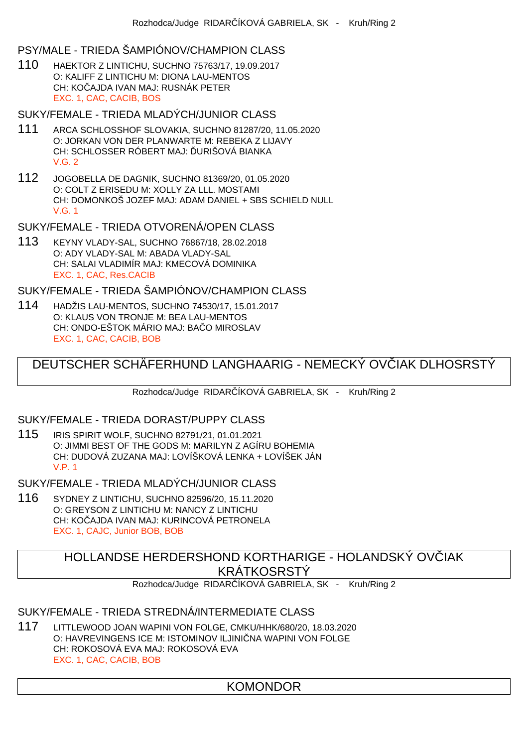## PSY/MALE - TRIEDA ŠAMPIÓNOV/CHAMPION CLASS

110 HAEKTOR Z LINTICHU, SUCHNO 75763/17, 19.09.2017 O: KALIFF Z LINTICHU M: DIONA LAU-MENTOS CH: KOČAJDA IVAN MAJ: RUSNÁK PETER EXC. 1, CAC, CACIB, BOS

# SUKY/FEMALE - TRIEDA MLADÝCH/JUNIOR CLASS

- 111 ARCA SCHLOSSHOF SLOVAKIA, SUCHNO 81287/20, 11.05.2020 O: JORKAN VON DER PLANWARTE M: REBEKA Z LIJAVY CH: SCHLOSSER RÓBERT MAJ: URIŠOVÁ BIANKA  $V$  G  $2$
- 112 JOGOBELLA DE DAGNIK, SUCHNO 81369/20, 01.05.2020 O: COLT Z ERISEDU M: XOLLY ZA LLL. MOSTAMI CH: DOMONKOŠ JOZEF MAJ: ADAM DANIEL + SBS SCHIELD NULL V.G. 1

#### SUKY/FEMALE - TRIEDA OTVORENÁ/OPEN CLASS

113 KEYNY VLADY-SAL, SUCHNO 76867/18, 28.02.2018 O: ADY VLADY-SAL M: ABADA VLADY-SAL CH: SALAI VLADIMÍR MAJ: KMECOVÁ DOMINIKA EXC. 1, CAC, Res.CACIB

SUKY/FEMALE - TRIEDA ŠAMPIÓNOV/CHAMPION CLASS

114 HADŽIS LAU-MENTOS, SUCHNO 74530/17, 15.01.2017 O: KLAUS VON TRONJE M: BEA LAU-MENTOS CH: ONDO-EŠTOK MÁRIO MAJ: BA O MIROSLAV EXC. 1, CAC, CACIB, BOB

# DEUTSCHER SCHÄFERHUND LANGHAARIG - NEMECKÝ OVIJAK DLHOSRSTÝ

Rozhodca/Judge RIDAR ÍKOVÁ GABRIELA, SK - Kruh/Ring 2

#### SUKY/FEMALE - TRIEDA DORAST/PUPPY CLASS

115 IRIS SPIRIT WOLF, SUCHNO 82791/21, 01.01.2021 O: JIMMI BEST OF THE GODS M: MARILYN Z AGÍRU BOHEMIA CH: DUDOVÁ ZUZANA MAJ: LOVÍŠKOVÁ LENKA + LOVÍŠEK JÁN V.P. 1

SUKY/FEMALE - TRIEDA MLADÝCH/JUNIOR CI ASS

116 SYDNEY Z LINTICHU, SUCHNO 82596/20, 15.11.2020 O: GREYSON Z LINTICHU M: NANCY Z LINTICHU CH: KOČAJDA IVAN MAJ: KURINCOVÁ PETRONELA EXC. 1, CAJC, Junior BOB, BOB

> HOLLANDSE HERDERSHOND KORTHARIGE - HOLANDSKÝ OVČIAK KRÁTKOSRSTÝ

Rozhodca/Judge RIDAR ÍKOVÁ GABRIELA, SK - Kruh/Ring 2

## SUKY/FEMALE - TRIEDA STREDNÁ/INTERMEDIATE CLASS

117 LITTLEWOOD JOAN WAPINI VON FOLGE, CMKU/HHK/680/20, 18.03.2020 O: HAVREVINGENS ICE M: ISTOMINOV ILJINI NA WAPINI VON FOLGE CH: ROKOSOVÁ EVA MAJ: ROKOSOVÁ EVA EXC. 1, CAC, CACIB, BOB

# KOMONDOR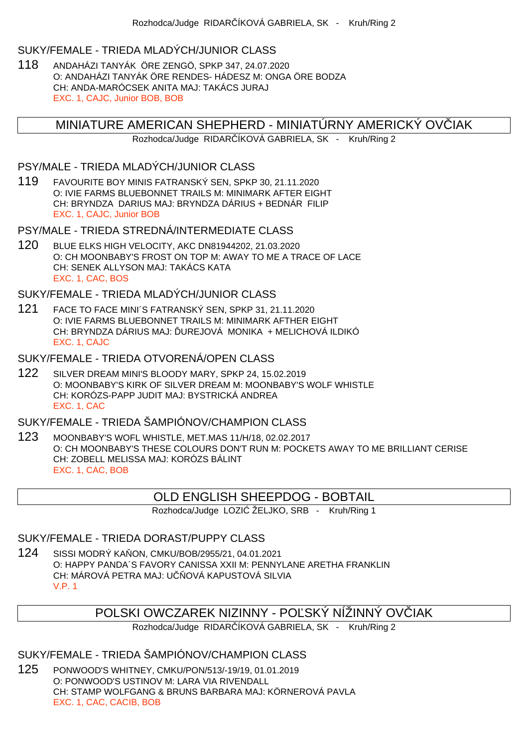#### SUKY/FEMALE - TRIEDA MLADÝCH/JUNIOR CLASS

118 ANDAHÁZI TANYÁK ÖRE ZENGÖ, SPKP 347, 24.07.2020 O: ANDAHÁZI TANYÁK ÖRE RENDES- HÁDESZ M: ONGA ÖRE BODZA CH: ANDA-MARÓCSEK ANITA MAJ: TAKÁCS JURAJ EXC. 1, CAJC, Junior BOB, BOB

## MINIATURE AMERICAN SHEPHERD - MINIATÚRNY AMERICKÝ OVČIAK

Rozhodca/Judge RIDAR ÍKOVÁ GABRIELA, SK - Kruh/Ring 2

### PSY/MALE - TRIEDA MLADÝCH/JUNIOR CLASS

119 FAVOURITE BOY MINIS FATRANSKÝ SEN, SPKP 30, 21.11.2020 O: IVIE FARMS BLUEBONNET TRAILS M: MINIMARK AFTER EIGHT CH: BRYNDZA DARIUS MAJ: BRYNDZA DÁRIUS + BEDNÁR FILIP EXC. 1, CAJC, Junior BOB

# PSY/MALE - TRIEDA STREDNÁ/INTERMEDIATE CLASS

120 BLUE ELKS HIGH VELOCITY, AKC DN81944202, 21.03.2020 O: CH MOONBABY'S FROST ON TOP M: AWAY TO ME A TRACE OF LACE CH: SENEK ALLYSON MAJ: TAKÁCS KATA EXC. 1, CAC, BOS

#### SUKY/FEMALE - TRIEDA MLADÝCH/JUNIOR CLASS

- 121 FACE TO FACE MINI´S FATRANSKÝ SEN, SPKP 31, 21.11.2020 O: IVIE FARMS BLUEBONNET TRAILS M: MINIMARK AFTHER EIGHT CH: BRYNDZA DÁRIUS MAJ: UREJOVÁ MONIKA + MELICHOVÁ ILDIKÓ EXC. 1, CAJC
- SUKY/FEMALE TRIEDA OTVORENÁ/OPEN CLASS
- 122 SILVER DREAM MINI'S BLOODY MARY, SPKP 24, 15.02.2019 O: MOONBABY'S KIRK OF SILVER DREAM M: MOONBABY'S WOLF WHISTLE CH: KORÓZS-PAPP JUDIT MAJ: BYSTRICKÁ ANDREA EXC. 1, CAC

# SUKY/FEMALE - TRIEDA ŠAMPIÓNOV/CHAMPION CLASS

123 MOONBABY'S WOFL WHISTLE, MET.MAS 11/H/18, 02.02.2017 O: CH MOONBABY'S THESE COLOURS DON'T RUN M: POCKETS AWAY TO ME BRILLIANT CERISE CH: ZOBELL MELISSA MAJ: KORÓZS BÁLINT EXC. 1, CAC, BOB

#### OLD ENGLISH SHEEPDOG - BOBTAIL

Rozhodca/Judge LOZI ŽELJKO, SRB - Kruh/Ring 1

#### SUKY/FEMALE - TRIEDA DORAST/PUPPY CLASS

124 SISSI MODRÝ KAŇON, CMKU/BOB/2955/21, 04.01.2021 O: HAPPY PANDA´S FAVORY CANISSA XXII M: PENNYLANE ARETHA FRANKLIN CH: MÁROVÁ PETRA MAJ: U OVÁ KAPUSTOVÁ SILVIA V.P. 1

# POLSKI OWCZAREK NIZINNY - POĽSKÝ NÍŽINNÝ OVÍ IAK

Rozhodca/Judge RIDAR ÍKOVÁ GABRIELA, SK - Kruh/Ring 2

## SUKY/FEMALE - TRIEDA ŠAMPIÓNOV/CHAMPION CLASS

125 PONWOOD'S WHITNEY, CMKU/PON/513/-19/19, 01.01.2019 O: PONWOOD'S USTINOV M: LARA VIA RIVENDALL CH: STAMP WOLFGANG & BRUNS BARBARA MAJ: KÖRNEROVÁ PAVLA EXC. 1, CAC, CACIB, BOB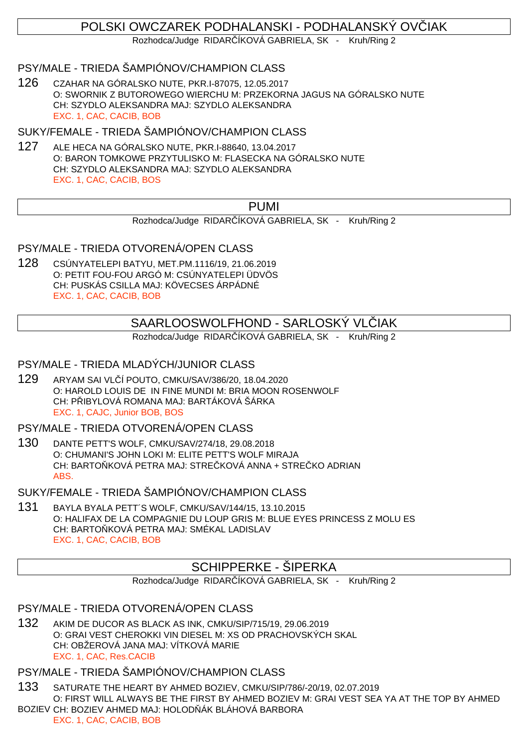# POLSKI OWCZAREK PODHALANSKI - PODHALANSKÝ OVČIAK

Rozhodca/Judge RIDAR ÍKOVÁ GABRIELA, SK - Kruh/Ring 2

# PSY/MALE - TRIEDA ŠAMPIÓNOV/CHAMPION CLASS

126 CZAHAR NA GÓRALSKO NUTE, PKR.I-87075, 12.05.2017 O: SWORNIK Z BUTOROWEGO WIERCHU M: PRZEKORNA JAGUS NA GÓRALSKO NUTE CH: SZYDLO ALEKSANDRA MAJ: SZYDLO ALEKSANDRA EXC. 1, CAC, CACIB, BOB

### SUKY/FEMALE - TRIEDA ŠAMPIÓNOV/CHAMPION CLASS

127 ALE HECA NA GÓRALSKO NUTE, PKR.I-88640, 13.04.2017 O: BARON TOMKOWE PRZYTULISKO M: FLASECKA NA GÓRALSKO NUTE CH: SZYDLO ALEKSANDRA MAJ: SZYDLO ALEKSANDRA EXC. 1, CAC, CACIB, BOS

# PUMI

Rozhodca/Judge RIDAR ÍKOVÁ GABRIELA, SK - Kruh/Ring 2

PSY/MALE - TRIEDA OTVORENÁ/OPEN CLASS

128 CSÚNYATELEPI BATYU, MET.PM.1116/19, 21.06.2019 O: PETIT FOU-FOU ARGÓ M: CSÚNYATELEPI ÜDVÖS CH: PUSKÁS CSILLA MAJ: KÖVECSES ÁRPÁDNÉ EXC. 1, CAC, CACIB, BOB

# SAARLOOSWOLFHOND - SARLOSKÝ VL JAK

Rozhodca/Judge RIDAR ÍKOVÁ GABRIELA, SK - Kruh/Ring 2

PSY/MALE - TRIEDA MLADÝCH/JUNIOR CLASS

129 ARYAM SAI VLČÍ POUTO, CMKU/SAV/386/20, 18.04.2020 O: HAROLD LOUIS DE IN FINE MUNDI M: BRIA MOON ROSENWOLF CH: P IBYLOVÁ ROMANA MAJ: BARTÁKOVÁ ŠÁRKA EXC. 1, CAJC, Junior BOB, BOS

PSY/MALE - TRIEDA OTVORENÁ/OPEN CLASS

130 DANTE PETT'S WOLF, CMKU/SAV/274/18, 29.08.2018 O: CHUMANI'S JOHN LOKI M: ELITE PETT'S WOLF MIRAJA CH: BARTO KOVÁ PETRA MAJ: STRE KOVÁ ANNA + STRE KO ADRIAN ABS.

SUKY/FEMALE - TRIEDA ŠAMPIÓNOV/CHAMPION CLASS

131 BAYLA BYALA PETT´S WOLF, CMKU/SAV/144/15, 13.10.2015 O: HALIFAX DE LA COMPAGNIE DU LOUP GRIS M: BLUE EYES PRINCESS Z MOLU ES CH: BARTO KOVÁ PETRA MAJ: SMÉKAL LADISLAV EXC. 1, CAC, CACIB, BOB

# SCHIPPERKE - ŠIPERKA

Rozhodca/Judge RIDAR ÍKOVÁ GABRIELA, SK - Kruh/Ring 2

PSY/MALE - TRIEDA OTVORENÁ/OPEN CLASS

132 AKIM DE DUCOR AS BLACK AS INK, CMKU/SIP/715/19, 29.06.2019 O: GRAI VEST CHEROKKI VIN DIESEL M: XS OD PRACHOVSKÝCH SKAL CH: OBŽEROVÁ JANA MAJ: VÍTKOVÁ MARIE EXC. 1, CAC, Res.CACIB

## PSY/MALE - TRIEDA ŠAMPIÓNOV/CHAMPION CLASS

133 SATURATE THE HEART BY AHMED BOZIEV, CMKU/SIP/786/-20/19, 02.07.2019 O: FIRST WILL ALWAYS BE THE FIRST BY AHMED BOZIEV M: GRAI VEST SEA YA AT THE TOP BY AHMED BOZIEV CH: BOZIEV AHMED MAJ: HOLOD ÁK BLÁHOVÁ BARBORA

EXC. 1, CAC, CACIB, BOB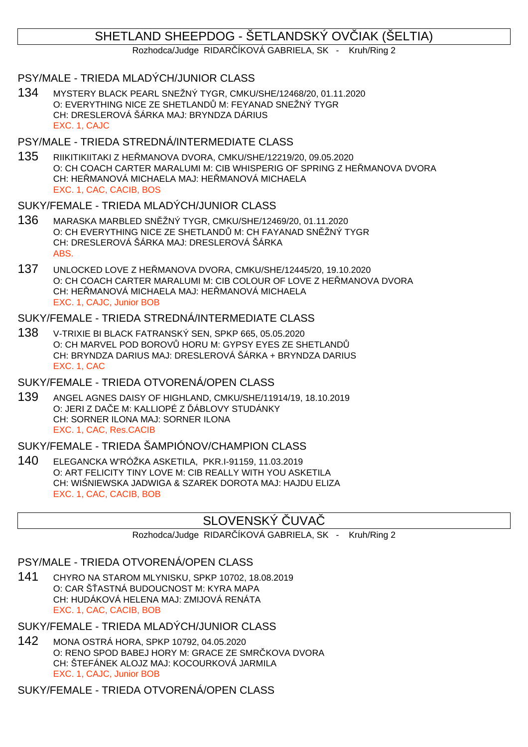# SHETLAND SHEEPDOG - ŠETLANDSKÝ OVIJAK (ŠELTIA)

Rozhodca/Judge RIDAR ÍKOVÁ GABRIELA, SK - Kruh/Ring 2

### PSY/MALE - TRIEDA MLADÝCH/JUNIOR CLASS

134 MYSTERY BLACK PEARL SNEŽNÝ TYGR, CMKU/SHE/12468/20, 01.11.2020 O: EVERYTHING NICE ZE SHETLAND M: FEYANAD SNEŽNÝ TYGR CH: DRESLEROVÁ ŠÁRKA MAJ: BRYNDZA DÁRIUS EXC. 1, CAJC

## PSY/MALE - TRIEDA STREDNÁ/INTERMEDIATE CLASS

135 RIIKITIKIITAKI Z HEŘMANOVA DVORA, CMKU/SHE/12219/20, 09.05.2020 O: CH COACH CARTER MARALUMI M: CIB WHISPERIG OF SPRING Z HE MANOVA DVORA CH: HEŘMANOVÁ MICHAELA MAJ: HEŘMANOVÁ MICHAELA EXC. 1, CAC, CACIB, BOS

## SUKY/FEMALE - TRIEDA MLADÝCH/JUNIOR CLASS

- 136 MARASKA MARBLED SNĚŽNÝ TYGR, CMKU/SHE/12469/20, 01.11.2020 O: CH EVERYTHING NICE ZE SHETLAND M: CH FAYANAD SN ŽNÝ TYGR CH: DRESLEROVÁ ŠÁRKA MAJ: DRESLEROVÁ ŠÁRKA ABS.
- 137 UNLOCKED LOVE Z HEŘMANOVA DVORA, CMKU/SHE/12445/20, 19.10.2020 O: CH COACH CARTER MARALUMI M: CIB COLOUR OF LOVE Z HE MANOVA DVORA CH: HEŘMANOVÁ MICHAELA MAJ: HEŘMANOVÁ MICHAELA EXC. 1, CAJC, Junior BOB

## SUKY/FEMALE - TRIEDA STREDNÁ/INTERMEDIATE CLASS

138 V-TRIXIE BI BLACK FATRANSKÝ SEN, SPKP 665, 05.05.2020 O: CH MARVEL POD BOROV HORU M: GYPSY EYES ZE SHETLAND CH: BRYNDZA DARIUS MAJ: DRESLEROVÁ ŠÁRKA + BRYNDZA DARIUS EXC. 1, CAC

# SUKY/FEMALE - TRIEDA OTVORENÁ/OPEN CLASS

139 ANGEL AGNES DAISY OF HIGHLAND, CMKU/SHE/11914/19, 18.10.2019 O: JERI Z DAČE M: KALLIOPÉ Z ÁBLOVY STUDÁNKY CH: SORNER ILONA MAJ: SORNER ILONA EXC. 1, CAC, Res.CACIB

# SUKY/FEMALE - TRIEDA ŠAMPIÓNOV/CHAMPION CLASS

140 ELEGANCKA W'RÓŽKA ASKETILA, PKR.I-91159, 11.03.2019 O: ART FELICITY TINY LOVE M: CIB REALLY WITH YOU ASKETILA CH: WI NIEWSKA JADWIGA & SZAREK DOROTA MAJ: HAJDU ELIZA EXC. 1, CAC, CACIB, BOB

# SLOVENSKÝ LIVA

Rozhodca/Judge RIDAR ÍKOVÁ GABRIELA, SK - Kruh/Ring 2

## PSY/MALE - TRIEDA OTVORENÁ/OPEN CLASS

141 CHYRO NA STAROM MLYNISKU, SPKP 10702, 18.08.2019 O: CAR Š ASTNÁ BUDOUCNOST M: KYRA MAPA CH: HUDÁKOVÁ HELENA MAJ: ZMIJOVÁ RENÁTA EXC. 1, CAC, CACIB, BOB

# SUKY/FEMALE - TRIEDA MLADÝCH/JUNIOR CLASS

142 MONA OSTRÁ HORA, SPKP 10792, 04.05.2020 O: RENO SPOD BABEJ HORY M: GRACE ZE SMR KOVA DVORA CH: ŠTEFÁNEK ALOJZ MAJ: KOCOURKOVÁ JARMILA EXC. 1, CAJC, Junior BOB

SUKY/FEMALE - TRIEDA OTVORENÁ/OPEN CLASS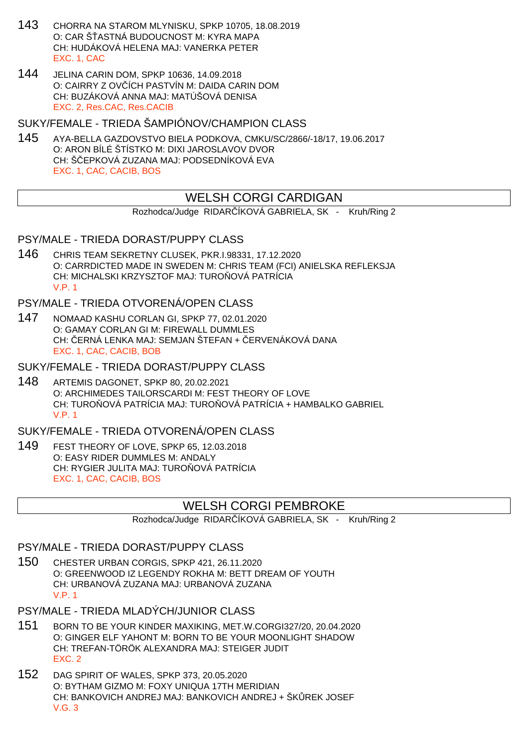- 143 CHORRA NA STAROM MLYNISKU, SPKP 10705, 18.08.2019 O: CAR Š ASTNÁ BUDOUCNOST M: KYRA MAPA CH: HUDÁKOVÁ HELENA MAJ: VANERKA PETER EXC. 1, CAC
- 144 JELINA CARIN DOM, SPKP 10636, 14.09.2018 O: CAIRRY Z OV ÍCH PASTVÍN M: DAIDA CARIN DOM CH: BUZÁKOVÁ ANNA MAJ: MATÚŠOVÁ DENISA EXC. 2, Res.CAC, Res.CACIB

SUKY/FEMALE - TRIEDA ŠAMPIÓNOV/CHAMPION CLASS

145 AYA-BELLA GAZDOVSTVO BIELA PODKOVA, CMKU/SC/2866/-18/17, 19.06.2017 O: ARON BÍLÉ ŠTÍSTKO M: DIXI JAROSLAVOV DVOR CH: Š EPKOVÁ ZUZANA MAJ: PODSEDNÍKOVÁ EVA EXC. 1, CAC, CACIB, BOS

# WELSH CORGI CARDIGAN

Rozhodca/Judge RIDAR ÍKOVÁ GABRIELA, SK - Kruh/Ring 2

PSY/MALE - TRIEDA DORAST/PUPPY CLASS

146 CHRIS TEAM SEKRETNY CLUSEK, PKR.I.98331, 17.12.2020 O: CARRDICTED MADE IN SWEDEN M: CHRIS TEAM (FCI) ANIELSKA REFLEKSJA CH: MICHALSKI KRZYSZTOF MAJ: TURO OVÁ PATRÍCIA V.P. 1

PSY/MALE - TRIEDA OTVORENÁ/OPEN CLASS

- 147 NOMAAD KASHU CORLAN GI, SPKP 77, 02.01.2020 O: GAMAY CORLAN GI M: FIREWALL DUMMLES CH: ERNÁ LENKA MAJ: SEMJAN ŠTEFAN + ERVENÁKOVÁ DANA EXC. 1, CAC, CACIB, BOB
- SUKY/FEMALE TRIEDA DORAST/PUPPY CLASS
- 148 ARTEMIS DAGONET, SPKP 80, 20.02.2021 O: ARCHIMEDES TAILORSCARDI M: FEST THEORY OF LOVE CH: TURO OVÁ PATRÍCIA MAJ: TURO OVÁ PATRÍCIA + HAMBALKO GABRIEL V.P. 1

SUKY/FEMALE - TRIEDA OTVORENÁ/OPEN CLASS

149 FEST THEORY OF LOVE, SPKP 65, 12.03.2018 O: EASY RIDER DUMMLES M: ANDALY CH: RYGIER JULITA MAJ: TURO OVÁ PATRÍCIA EXC. 1, CAC, CACIB, BOS

# WELSH CORGI PEMBROKE

Rozhodca/Judge RIDAR ÍKOVÁ GABRIELA, SK - Kruh/Ring 2

#### PSY/MALE - TRIEDA DORAST/PUPPY CLASS

150 CHESTER URBAN CORGIS, SPKP 421, 26.11.2020 O: GREENWOOD IZ LEGENDY ROKHA M: BETT DREAM OF YOUTH CH: URBANOVÁ ZUZANA MAJ: URBANOVÁ ZUZANA V.P. 1

PSY/MALE - TRIEDA MLADÝCH/JUNIOR CLASS

- 151 BORN TO BE YOUR KINDER MAXIKING, MET.W.CORGI327/20, 20.04.2020 O: GINGER ELF YAHONT M: BORN TO BE YOUR MOONLIGHT SHADOW CH: TREFAN-TÖRÖK ALEXANDRA MAJ: STEIGER JUDIT EXC. 2
- 152 DAG SPIRIT OF WALES, SPKP 373, 20.05.2020 O: BYTHAM GIZMO M: FOXY UNIQUA 17TH MERIDIAN CH: BANKOVICH ANDREJ MAJ: BANKOVICH ANDREJ + ŠKÕREK JOSEF V.G. 3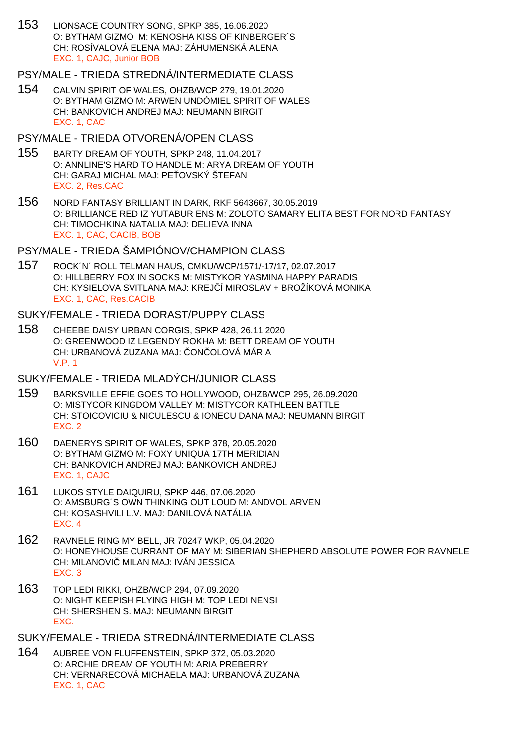153 LIONSACE COUNTRY SONG, SPKP 385, 16.06.2020 O: BYTHAM GIZMO M: KENOSHA KISS OF KINBERGER´S CH: ROSÍVALOVÁ ELENA MAJ: ZÁHUMENSKÁ ALENA EXC. 1, CAJC, Junior BOB

#### PSY/MALE - TRIEDA STREDNÁ/INTERMEDIATE CLASS

154 CALVIN SPIRIT OF WALES, OHZB/WCP 279, 19.01.2020 O: BYTHAM GIZMO M: ARWEN UNDÓMIEL SPIRIT OF WALES CH: BANKOVICH ANDREJ MAJ: NEUMANN BIRGIT EXC. 1, CAC

#### PSY/MALE - TRIEDA OTVORENÁ/OPEN CLASS

- 155 BARTY DREAM OF YOUTH, SPKP 248, 11.04.2017 O: ANNLINE'S HARD TO HANDLE M: ARYA DREAM OF YOUTH CH: GARAJ MICHAL MAJ: PE OVSKÝ ŠTEFAN EXC. 2, Res.CAC
- 156 NORD FANTASY BRILLIANT IN DARK, RKF 5643667, 30.05.2019 O: BRILLIANCE RED IZ YUTABUR ENS M: ZOLOTO SAMARY ELITA BEST FOR NORD FANTASY CH: TIMOCHKINA NATALIA MAJ: DELIEVA INNA EXC. 1, CAC, CACIB, BOB

# PSY/MALE - TRIEDA ŠAMPIÓNOV/CHAMPION CLASS

157 ROCK´N´ ROLL TELMAN HAUS, CMKU/WCP/1571/-17/17, 02.07.2017 O: HILLBERRY FOX IN SOCKS M: MISTYKOR YASMINA HAPPY PARADIS CH: KYSIELOVA SVITLANA MAJ: KREJ Í MIROSLAV + BROŽÍKOVÁ MONIKA EXC. 1, CAC, Res.CACIB

#### SUKY/FEMALE - TRIEDA DORAST/PUPPY CLASS

158 CHEEBE DAISY URBAN CORGIS, SPKP 428, 26.11.2020 O: GREENWOOD IZ LEGENDY ROKHA M: BETT DREAM OF YOUTH CH: URBANOVÁ ZUZANA MAJ: ON OLOVÁ MÁRIA V.P. 1

#### SUKY/FEMALE - TRIEDA MLADÝCH/JUNIOR CLASS

- 159 BARKSVILLE EFFIE GOES TO HOLLYWOOD, OHZB/WCP 295, 26.09.2020 O: MISTYCOR KINGDOM VALLEY M: MISTYCOR KATHLEEN BATTLE CH: STOICOVICIU & NICULESCU & IONECU DANA MAJ: NEUMANN BIRGIT EXC. 2
- 160 DAENERYS SPIRIT OF WALES, SPKP 378, 20.05.2020 O: BYTHAM GIZMO M: FOXY UNIQUA 17TH MERIDIAN CH: BANKOVICH ANDREJ MAJ: BANKOVICH ANDREJ EXC. 1, CAJC
- 161 LUKOS STYLE DAIQUIRU, SPKP 446, 07.06.2020 O: AMSBURG´S OWN THINKING OUT LOUD M: ANDVOL ARVEN CH: KOSASHVILI L.V. MAJ: DANILOVÁ NATÁLIA EXC. 4
- 162 RAVNELE RING MY BELL, JR 70247 WKP, 05.04.2020 O: HONEYHOUSE CURRANT OF MAY M: SIBERIAN SHEPHERD ABSOLUTE POWER FOR RAVNELE CH: MILANOVI MILAN MAJ: IVÁN JESSICA EXC. 3
- 163 TOP LEDI RIKKI, OHZB/WCP 294, 07.09.2020 O: NIGHT KEEPISH FLYING HIGH M: TOP LEDI NENSI CH: SHERSHEN S. MAJ: NEUMANN BIRGIT EXC.

SUKY/FEMALE - TRIEDA STREDNÁ/INTERMEDIATE CLASS

164 AUBREE VON FLUFFENSTEIN, SPKP 372, 05.03.2020 O: ARCHIE DREAM OF YOUTH M: ARIA PREBERRY CH: VERNARECOVÁ MICHAELA MAJ: URBANOVÁ ZUZANA EXC. 1, CAC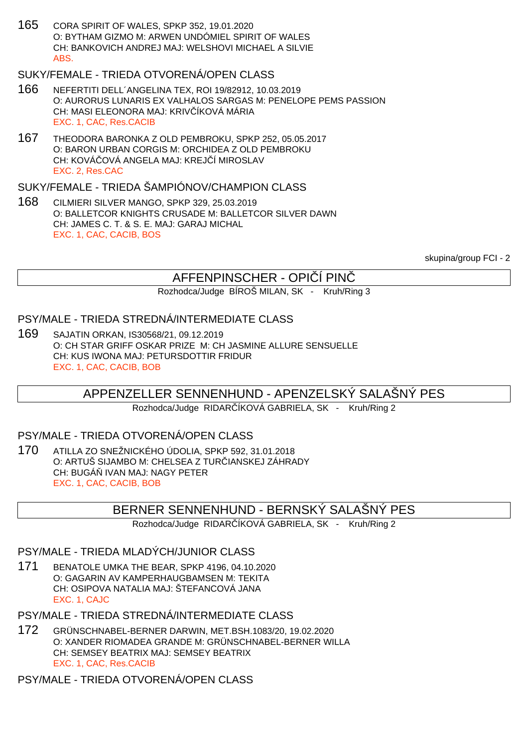165 CORA SPIRIT OF WALES, SPKP 352, 19.01.2020 O: BYTHAM GIZMO M: ARWEN UNDÓMIEL SPIRIT OF WALES CH: BANKOVICH ANDREJ MAJ: WELSHOVI MICHAEL A SILVIE ABS.

# SUKY/FEMALE - TRIEDA OTVORENÁ/OPEN CLASS

- 166 NEFERTITI DELL´ANGELINA TEX, ROI 19/82912, 10.03.2019 O: AURORUS LUNARIS EX VALHALOS SARGAS M: PENELOPE PEMS PASSION CH: MASI ELEONORA MAJ: KRIV ÍKOVÁ MÁRIA EXC. 1, CAC, Res.CACIB
- 167 THEODORA BARONKA Z OLD PEMBROKU, SPKP 252, 05.05.2017 O: BARON URBAN CORGIS M: ORCHIDEA Z OLD PEMBROKU CH: KOVÁ OVÁ ANGELA MAJ: KREJ Í MIROSLAV EXC. 2, Res.CAC

# SUKY/FEMALE - TRIEDA ŠAMPIÓNOV/CHAMPION CLASS

168 CILMIERI SILVER MANGO, SPKP 329, 25.03.2019 O: BALLETCOR KNIGHTS CRUSADE M: BALLETCOR SILVER DAWN CH: JAMES C. T. & S. E. MAJ: GARAJ MICHAL EXC. 1, CAC, CACIB, BOS

skupina/group FCI - 2

# AFFENPINSCHER - OPIČÍ PINČ

Rozhodca/Judge BÍROŠ MILAN, SK - Kruh/Ring 3

# PSY/MALE - TRIEDA STREDNÁ/INTERMEDIATE CLASS

169 SAJATIN ORKAN, IS30568/21, 09.12.2019 O: CH STAR GRIFF OSKAR PRIZE M: CH JASMINE ALLURE SENSUELLE CH: KUS IWONA MAJ: PETURSDOTTIR FRIDUR EXC. 1, CAC, CACIB, BOB

# APPENZELLER SENNENHUND - APENZELSKÝ SALAŠNÝ PES

Rozhodca/Judge RIDAR ÍKOVÁ GABRIELA, SK - Kruh/Ring 2

# PSY/MALE - TRIEDA OTVORENÁ/OPEN CLASS

170 ATILLA ZO SNEŽNICKÉHO ÚDOLIA, SPKP 592, 31.01.2018 O: ARTUŠ SIJAMBO M: CHELSEA Z TUR IANSKEJ ZÁHRADY CH: BUGÁ IVAN MAJ: NAGY PETER EXC. 1, CAC, CACIB, BOB

# BERNER SENNENHUND - BERNSKÝ SALAŠNÝ PES

Rozhodca/Judge RIDAR ÍKOVÁ GABRIELA, SK - Kruh/Ring 2

# PSY/MALE - TRIEDA MLADÝCH/JUNIOR CLASS

171 BENATOLE UMKA THE BEAR, SPKP 4196, 04.10.2020 O: GAGARIN AV KAMPERHAUGBAMSEN M: TEKITA CH: OSIPOVA NATALIA MAJ: ŠTEFANCOVÁ JANA EXC. 1, CAJC

PSY/MALE - TRIEDA STREDNÁ/INTERMEDIATE CLASS

172 GRÜNSCHNABEL-BERNER DARWIN, MET.BSH.1083/20, 19.02.2020 O: XANDER RIOMADEA GRANDE M: GRÜNSCHNABEL-BERNER WILLA CH: SEMSEY BEATRIX MAJ: SEMSEY BEATRIX EXC. 1, CAC, Res.CACIB

PSY/MALE - TRIEDA OTVORENÁ/OPEN CLASS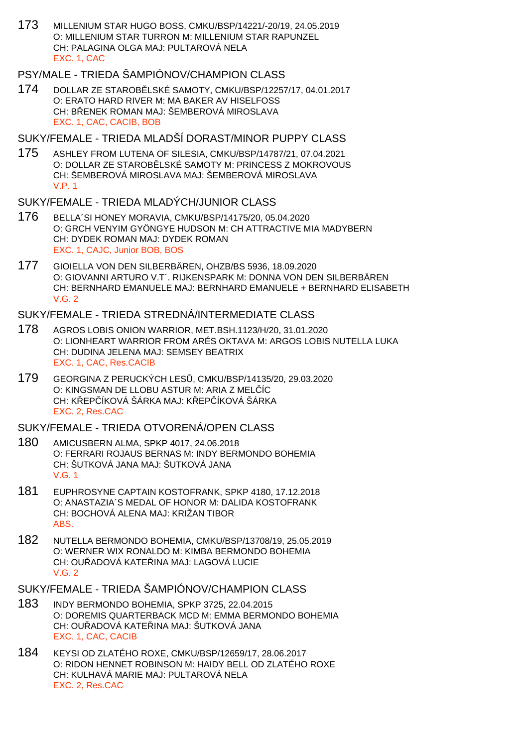173 MILLENIUM STAR HUGO BOSS, CMKU/BSP/14221/-20/19, 24.05.2019 O: MILLENIUM STAR TURRON M: MILLENIUM STAR RAPUNZEL CH: PALAGINA OLGA MAJ: PULTAROVÁ NELA EXC. 1, CAC

# PSY/MALE - TRIEDA ŠAMPIÓNOV/CHAMPION CLASS

174 DOLLAR ZE STAROBĚLSKÉ SAMOTY, CMKU/BSP/12257/17, 04.01.2017 O: ERATO HARD RIVER M: MA BAKER AV HISELFOSS CH: B ENEK ROMAN MAJ: ŠEMBEROVÁ MIROSLAVA EXC. 1, CAC, CACIB, BOB

#### SUKY/FEMALE - TRIEDA MLADŠÍ DORAST/MINOR PUPPY CLASS

175 ASHLEY FROM LUTENA OF SILESIA, CMKU/BSP/14787/21, 07.04.2021 O: DOLLAR ZE STAROBLISKÉ SAMOTY M: PRINCESS Z MOKROVOUS CH: ŠEMBEROVÁ MIROSLAVA MAJ: ŠEMBEROVÁ MIROSLAVA V.P. 1

# SUKY/FEMALE - TRIEDA MLADÝCH/JUNIOR CLASS

- 176 BELLA´SI HONEY MORAVIA, CMKU/BSP/14175/20, 05.04.2020 O: GRCH VENYIM GYÖNGYE HUDSON M: CH ATTRACTIVE MIA MADYBERN CH: DYDEK ROMAN MAJ: DYDEK ROMAN EXC. 1, CAJC, Junior BOB, BOS
- 177 GIOIELLA VON DEN SILBERBÄREN, OHZB/BS 5936, 18.09.2020 O: GIOVANNI ARTURO V.T´. RIJKENSPARK M: DONNA VON DEN SILBERBÄREN CH: BERNHARD EMANUELE MAJ: BERNHARD EMANUELE + BERNHARD ELISABETH  $V$  G  $2$

#### SUKY/FEMALE - TRIEDA STREDNÁ/INTERMEDIATE CLASS

- 178 AGROS LOBIS ONION WARRIOR, MET.BSH.1123/H/20, 31.01.2020 O: LIONHEART WARRIOR FROM ARÉS OKTAVA M: ARGOS LOBIS NUTELLA LUKA CH: DUDINA JELENA MAJ: SEMSEY BEATRIX EXC. 1, CAC, Res.CACIB
- 179 GEORGINA Z PERUCKÝCH LESŮ, CMKU/BSP/14135/20, 29.03.2020 O: KINGSMAN DE LLOBU ASTUR M: ARIA Z MELÍC CH: KŘEPŘÍKOVÁ ŠÁRKA MAJ: KŘEPŘÍKOVÁ ŠÁRKA EXC. 2, Res.CAC

### SUKY/FEMALE - TRIEDA OTVORENÁ/OPEN CLASS

- 180 AMICUSBERN ALMA, SPKP 4017, 24.06.2018 O: FERRARI ROJAUS BERNAS M: INDY BERMONDO BOHEMIA CH: ŠUTKOVÁ JANA MAJ: ŠUTKOVÁ JANA V.G. 1
- 181 EUPHROSYNE CAPTAIN KOSTOFRANK, SPKP 4180, 17.12.2018 O: ANASTAZIA´S MEDAL OF HONOR M: DALIDA KOSTOFRANK CH: BOCHOVÁ ALENA MAJ: KRIŽAN TIBOR ABS.
- 182 NUTELLA BERMONDO BOHEMIA, CMKU/BSP/13708/19, 25.05.2019 O: WERNER WIX RONALDO M: KIMBA BERMONDO BOHEMIA CH: OU ADOVÁ KATE INA MAJ: LAGOVÁ LUCIE  $V$  G  $2$

## SUKY/FEMALE - TRIEDA ŠAMPIÓNOV/CHAMPION CLASS

- 183 INDY BERMONDO BOHEMIA, SPKP 3725, 22.04.2015 O: DOREMIS QUARTERBACK MCD M: EMMA BERMONDO BOHEMIA CH: OU ADOVÁ KATE INA MAJ: ŠUTKOVÁ JANA EXC. 1, CAC, CACIB
- 184 KEYSI OD ZLATÉHO ROXE, CMKU/BSP/12659/17, 28.06.2017 O: RIDON HENNET ROBINSON M: HAIDY BELL OD ZLATÉHO ROXE CH: KULHAVÁ MARIE MAJ: PULTAROVÁ NELA EXC. 2, Res.CAC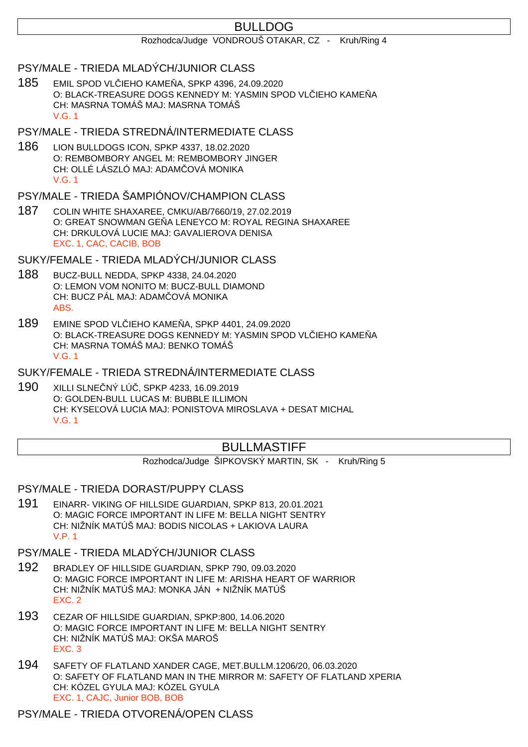# BULLDOG

#### Rozhodca/Judge VONDROUŠ OTAKAR, CZ - Kruh/Ring 4

#### PSY/MALE - TRIEDA MLADÝCH/JUNIOR CLASS

185 EMIL SPOD VL IEHO KAME A, SPKP 4396, 24.09.2020 O: BLACK-TREASURE DOGS KENNEDY M: YASMIN SPOD VL IEHO KAME Å CH: MASRNA TOMÁŠ MAJ: MASRNA TOMÁŠ V.G. 1

# PSY/MALE - TRIEDA STREDNÁ/INTERMEDIATE CLASS

186 LION BULLDOGS ICON, SPKP 4337, 18.02.2020 O: REMBOMBORY ANGEL M: REMBOMBORY JINGER CH: OLLÉ LÁSZLÓ MAJ: ADAM OVÁ MONIKA V.G. 1

## PSY/MALE - TRIEDA ŠAMPIÓNOV/CHAMPION CLASS

187 COLIN WHITE SHAXAREE, CMKU/AB/7660/19, 27.02.2019 O: GREAT SNOWMAN GE A LENEYCO M: ROYAL REGINA SHAXAREE CH: DRKULOVÁ LUCIE MAJ: GAVALIEROVA DENISA EXC. 1, CAC, CACIB, BOB

SUKY/FEMALE - TRIEDA MLADÝCH/JUNIOR CLASS

- 188 BUCZ-BULL NEDDA, SPKP 4338, 24.04.2020 O: LEMON VOM NONITO M: BUCZ-BULL DIAMOND CH: BUCZ PÁL MAJ: ADAM OVÁ MONIKA ABS.
- 189 EMINE SPOD VL IEHO KAME A, SPKP 4401, 24.09.2020 O: BLACK-TREASURE DOGS KENNEDY M: YASMIN SPOD VL IEHO KAME A CH: MASRNA TOMÁŠ MAJ: BENKO TOMÁŠ V.G. 1
- SUKY/FEMALE TRIEDA STREDNÁ/INTERMEDIATE CLASS
- 190 XILLI SLNE NÝ LÚ, SPKP 4233, 16.09.2019 O: GOLDEN-BULL LUCAS M: BUBBLE ILLIMON CH: KYSE OVÁ LUCIA MAJ: PONISTOVA MIROSLAVA + DESAT MICHAL V.G. 1

# BULLMASTIFF

Rozhodca/Judge ŠIPKOVSKÝ MARTIN, SK - Kruh/Ring 5

PSY/MALE - TRIEDA DORAST/PUPPY CLASS

191 EINARR- VIKING OF HILLSIDE GUARDIAN, SPKP 813, 20.01.2021 O: MAGIC FORCE IMPORTANT IN LIFE M: BELLA NIGHT SENTRY CH: NIŽNÍK MATÚŠ MAJ: BODIS NICOLAS + LAKIOVA LAURA V.P. 1

# PSY/MALE - TRIEDA MLADÝCH/JUNIOR CLASS

- 192 BRADLEY OF HILLSIDE GUARDIAN, SPKP 790, 09.03.2020 O: MAGIC FORCE IMPORTANT IN LIFE M: ARISHA HEART OF WARRIOR CH: NIŽNÍK MATÚŠ MAJ: MONKA JÁN + NIŽNÍK MATÚŠ EXC. 2
- 193 CEZAR OF HILLSIDE GUARDIAN, SPKP:800, 14.06.2020 O: MAGIC FORCE IMPORTANT IN LIFE M: BELLA NIGHT SENTRY CH: NIŽNÍK MATÚŠ MAJ: OKŠA MAROŠ EXC. 3
- 194 SAFETY OF FLATLAND XANDER CAGE, MET.BULLM.1206/20, 06.03.2020 O: SAFETY OF FLATLAND MAN IN THE MIRROR M: SAFETY OF FLATLAND XPERIA CH: KÓZEL GYULA MAJ: KÓZEL GYULA EXC. 1, CAJC, Junior BOB, BOB

#### PSY/MALE - TRIEDA OTVORENÁ/OPEN CLASS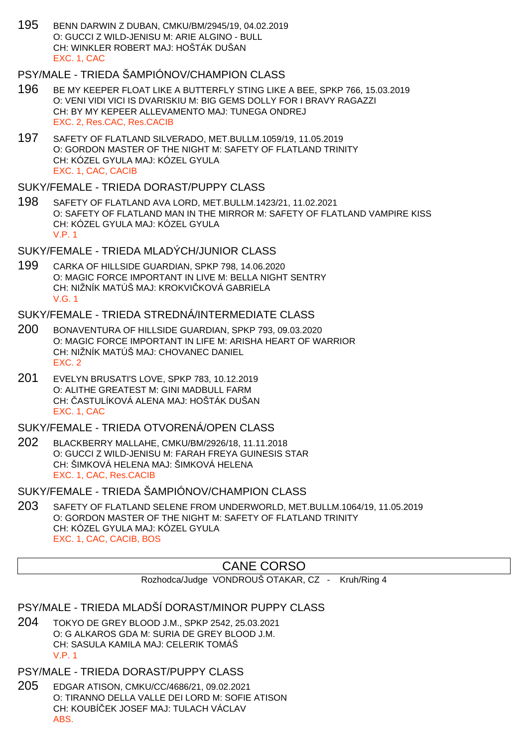195 BENN DARWIN Z DUBAN, CMKU/BM/2945/19, 04.02.2019 O: GUCCI Z WILD-JENISU M: ARIE ALGINO - BULL CH: WINKLER ROBERT MAJ: HOŠTÁK DUŠAN EXC. 1, CAC

# PSY/MALE - TRIEDA ŠAMPIÓNOV/CHAMPION CLASS

- 196 BE MY KEEPER FLOAT LIKE A BUTTERFLY STING LIKE A BEE, SPKP 766, 15.03.2019 O: VENI VIDI VICI IS DVARISKIU M: BIG GEMS DOLLY FOR I BRAVY RAGAZZI CH: BY MY KEPEER ALLEVAMENTO MAJ: TUNEGA ONDREJ EXC. 2, Res.CAC, Res.CACIB
- 197 SAFETY OF FLATLAND SILVERADO, MET.BULLM.1059/19, 11.05.2019 O: GORDON MASTER OF THE NIGHT M: SAFETY OF FLATLAND TRINITY CH: KÓZEL GYULA MAJ: KÓZEL GYULA EXC. 1, CAC, CACIB
- SUKY/FEMALE TRIEDA DORAST/PUPPY CLASS
- 198 SAFETY OF FLATLAND AVA LORD, MET.BULLM.1423/21, 11.02.2021 O: SAFETY OF FLATLAND MAN IN THE MIRROR M: SAFETY OF FLATLAND VAMPIRE KISS CH: KÓZEL GYULA MAJ: KÓZEL GYULA V.P. 1

## SUKY/FEMALE - TRIEDA MLADÝCH/JUNIOR CLASS

199 CARKA OF HILLSIDE GUARDIAN, SPKP 798, 14.06.2020 O: MAGIC FORCE IMPORTANT IN LIVE M: BELLA NIGHT SENTRY CH: NIŽNÍK MATÚŠ MAJ: KROKVI KOVÁ GABRIELA V.G. 1

## SUKY/FEMALE - TRIEDA STREDNÁ/INTERMEDIATE CLASS

- 200 BONAVENTURA OF HILLSIDE GUARDIAN, SPKP 793, 09.03.2020 O: MAGIC FORCE IMPORTANT IN LIFE M: ARISHA HEART OF WARRIOR CH: NIŽNÍK MATÚŠ MAJ: CHOVANEC DANIEL EXC. 2
- 201 EVELYN BRUSATI'S LOVE, SPKP 783, 10.12.2019 O: ALITHE GREATEST M: GINI MADBULL FARM CH: ASTULÍKOVÁ ALENA MAJ: HOŠTÁK DUŠAN EXC. 1, CAC

### SUKY/FEMALE - TRIEDA OTVORENÁ/OPEN CLASS

202 BLACKBERRY MALLAHE, CMKU/BM/2926/18, 11.11.2018 O: GUCCI Z WILD-JENISU M: FARAH FREYA GUINESIS STAR CH: ŠIMKOVÁ HELENA MAJ: ŠIMKOVÁ HELENA EXC. 1, CAC, Res.CACIB

SUKY/FEMALE - TRIEDA ŠAMPIÓNOV/CHAMPION CLASS

203 SAFETY OF FLATLAND SELENE FROM UNDERWORLD, MET.BULLM.1064/19, 11.05.2019 O: GORDON MASTER OF THE NIGHT M: SAFETY OF FLATLAND TRINITY CH: KÓZEL GYULA MAJ: KÓZEL GYULA EXC. 1, CAC, CACIB, BOS

# CANE CORSO

Rozhodca/Judge VONDROUŠ OTAKAR, CZ - Kruh/Ring 4

### PSY/MALE - TRIEDA MLADŠÍ DORAST/MINOR PUPPY CLASS

204 TOKYO DE GREY BLOOD J.M., SPKP 2542, 25.03.2021 O: G ALKAROS GDA M: SURIA DE GREY BLOOD J.M. CH: SASULA KAMILA MAJ: CELERIK TOMÁŠ V.P. 1

#### PSY/MALE - TRIEDA DORAST/PUPPY CLASS

205 EDGAR ATISON, CMKU/CC/4686/21, 09.02.2021 O: TIRANNO DELLA VALLE DEI LORD M: SOFIE ATISON CH: KOUBÍ EK JOSEF MAJ: TULACH VÁCLAV ABS.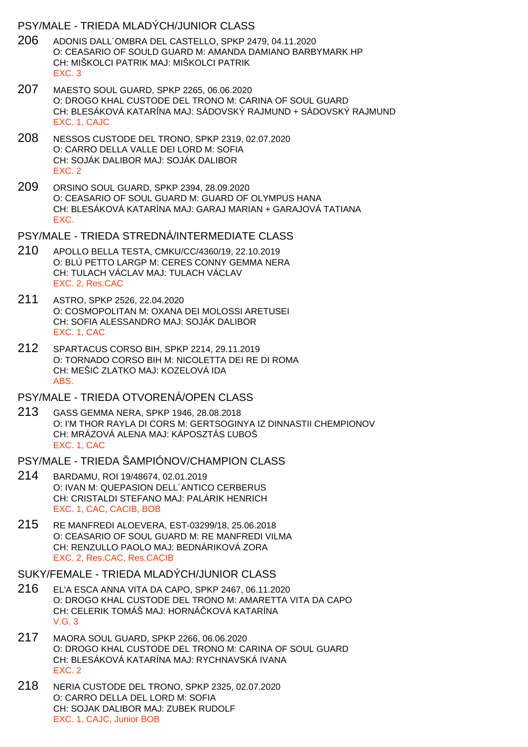#### PSY/MALE - TRIEDA MLADÝCH/JUNIOR CLASS

- 206 ADONIS DALL´OMBRA DEL CASTELLO, SPKP 2479, 04.11.2020 O: CEASARIO OF SOULD GUARD M: AMANDA DAMIANO BARBYMARK HP CH: MIŠKOLCI PATRIK MAJ: MIŠKOLCI PATRIK EXC. 3
- 207 MAESTO SOUL GUARD, SPKP 2265, 06.06.2020 O: DROGO KHAL CUSTODE DEL TRONO M: CARINA OF SOUL GUARD CH: BLESÁKOVÁ KATARÍNA MAJ: SÁDOVSKÝ RAJMUND + SÁDOVSKÝ RAJMUND EXC. 1, CAJC
- 208 NESSOS CUSTODE DEL TRONO, SPKP 2319, 02.07.2020 O: CARRO DELLA VALLE DEI LORD M: SOFIA CH: SOJÁK DALIBOR MAJ: SOJÁK DALIBOR EXC. 2
- 209 ORSINO SOUL GUARD, SPKP 2394, 28.09.2020 O: CEASARIO OF SOUL GUARD M: GUARD OF OLYMPUS HANA CH: BLESÁKOVÁ KATARÍNA MAJ: GARAJ MARIAN + GARAJOVÁ TATIANA EXC.

PSY/MALE - TRIEDA STREDNÁ/INTERMEDIATE CLASS

- 210 APOLLO BELLA TESTA, CMKU/CC/4360/19, 22.10.2019 O: BLÚ PETTO LARGP M: CERES CONNY GEMMA NERA CH: TULACH VÁCLAV MAJ: TULACH VÁCLAV EXC. 2, Res.CAC
- 211 ASTRO, SPKP 2526, 22.04.2020 O: COSMOPOLITAN M: OXANA DEI MOLOSSI ARETUSEI CH: SOFIA ALESSANDRO MAJ: SOJÁK DALIBOR EXC. 1, CAC
- 212 SPARTACUS CORSO BIH, SPKP 2214, 29.11.2019 O: TORNADO CORSO BIH M: NICOLETTA DEI RE DI ROMA CH: MEŠI ZLATKO MAJ: KOZELOVÁ IDA ABS.

#### PSY/MALE - TRIEDA OTVORENÁ/OPEN CLASS

213 GASS GEMMA NERA, SPKP 1946, 28.08.2018 O: I'M THOR RAYLA DI CORS M: GERTSOGINYA IZ DINNASTII CHEMPIONOV CH: MRÁZOVÁ ALENA MAJ: KÁPOSZTÁS UBOŠ EXC. 1, CAC

PSY/MALE - TRIEDA ŠAMPIÓNOV/CHAMPION CLASS

- 214 BARDAMU, ROI 19/48674, 02.01.2019 O: IVAN M: QUEPASION DELL´ANTICO CERBERUS CH: CRISTALDI STEFANO MAJ: PALÁRIK HENRICH EXC. 1, CAC, CACIB, BOB
- 215 RE MANFREDI ALOEVERA, EST-03299/18, 25.06.2018 O: CEASARIO OF SOUL GUARD M: RE MANFREDI VILMA CH: RENZULLO PAOLO MAJ: BEDNÁRIKOVÁ ZORA EXC. 2, Res.CAC, Res.CACIB

#### SUKY/FEMALE - TRIEDA MLADÝCH/JUNIOR CLASS

- 216 EL'A ESCA ANNA VITA DA CAPO, SPKP 2467, 06.11.2020 O: DROGO KHAL CUSTODE DEL TRONO M: AMARETTA VITA DA CAPO CH: CELERIK TOMÁŠ MAJ: HORNÁ KOVÁ KATARÍNA V.G. 3
- 217 MAORA SOUL GUARD, SPKP 2266, 06.06.2020 O: DROGO KHAL CUSTODE DEL TRONO M: CARINA OF SOUL GUARD CH: BLESÁKOVÁ KATARÍNA MAJ: RYCHNAVSKÁ IVANA EXC. 2
- 218 NERIA CUSTODE DEL TRONO, SPKP 2325, 02.07.2020 O: CARRO DELLA DEL LORD M: SOFIA CH: SOJAK DALIBOR MAJ: ZUBEK RUDOLF EXC. 1, CAJC, Junior BOB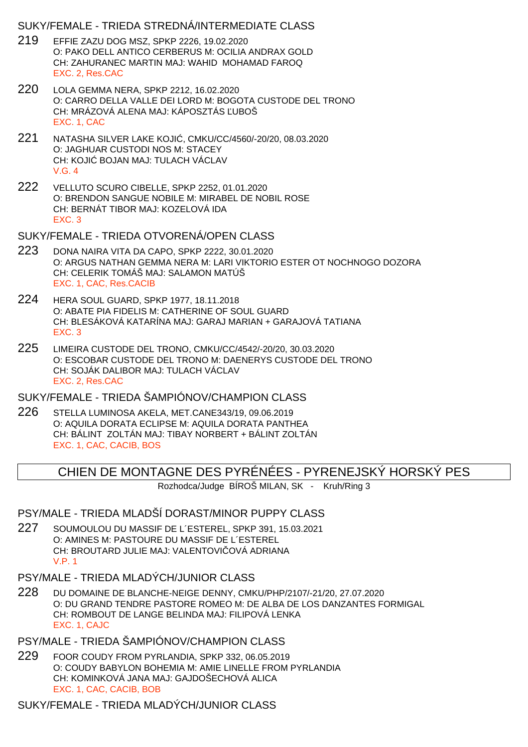#### SUKY/FEMALE - TRIEDA STREDNÁ/INTERMEDIATE CLASS

- 219 EFFIE ZAZU DOG MSZ, SPKP 2226, 19.02.2020 O: PAKO DELL ANTICO CERBERUS M: OCILIA ANDRAX GOLD CH: ZAHURANEC MARTIN MAJ: WAHID MOHAMAD FAROQ EXC. 2, Res.CAC
- 220 LOLA GEMMA NERA, SPKP 2212, 16.02.2020 O: CARRO DELLA VALLE DEI LORD M: BOGOTA CUSTODE DEL TRONO CH: MRÁZOVÁ ALENA MAJ: KÁPOSZTÁS UBOŠ EXC. 1, CAC
- 221 NATASHA SILVER LAKE KOJIĆ, CMKU/CC/4560/-20/20, 08.03.2020 O: JAGHUAR CUSTODI NOS M: STACEY CH: KOJI BOJAN MAJ: TULACH VÁCLAV V.G. 4
- 222 VELLUTO SCURO CIBELLE, SPKP 2252, 01.01.2020 O: BRENDON SANGUE NOBILE M: MIRABEL DE NOBIL ROSE CH: BERNÁT TIBOR MAJ: KOZELOVÁ IDA EXC. 3

SUKY/FEMALE - TRIEDA OTVORENÁ/OPEN CLASS

- 223 DONA NAIRA VITA DA CAPO, SPKP 2222, 30.01.2020 O: ARGUS NATHAN GEMMA NERA M: LARI VIKTORIO ESTER OT NOCHNOGO DOZORA CH: CELERIK TOMÁŠ MAJ: SALAMON MATÚŠ EXC. 1, CAC, Res.CACIB
- 224 HERA SOUL GUARD, SPKP 1977, 18.11.2018 O: ABATE PIA FIDELIS M: CATHERINE OF SOUL GUARD CH: BLESÁKOVÁ KATARÍNA MAJ: GARAJ MARIAN + GARAJOVÁ TATIANA EXC. 3
- 225 LIMEIRA CUSTODE DEL TRONO, CMKU/CC/4542/-20/20, 30.03.2020 O: ESCOBAR CUSTODE DEL TRONO M: DAENERYS CUSTODE DEL TRONO CH: SOJÁK DALIBOR MAJ: TULACH VÁCLAV EXC. 2, Res.CAC

SUKY/FEMALE - TRIEDA ŠAMPIÓNOV/CHAMPION CLASS

226 STELLA LUMINOSA AKELA, MET.CANE343/19, 09.06.2019 O: AQUILA DORATA ECLIPSE M: AQUILA DORATA PANTHEA CH: BÁLINT ZOLTÁN MAJ: TIBAY NORBERT + BÁLINT ZOLTÁN EXC. 1, CAC, CACIB, BOS

CHIEN DE MONTAGNE DES PYRÉNÉES - PYRENEJSKÝ HORSKÝ PES

Rozhodca/Judge BÍROŠ MILAN, SK - Kruh/Ring 3

#### PSY/MALE - TRIEDA MLADŠÍ DORAST/MINOR PUPPY CLASS

- 227 SOUMOULOU DU MASSIF DE L´ESTEREL, SPKP 391, 15.03.2021 O: AMINES M: PASTOURE DU MASSIF DE L´ESTEREL CH: BROUTARD JULIE MAJ: VALENTOVI OVÁ ADRIANA V.P. 1
- PSY/MALE TRIEDA MLADÝCH/JUNIOR CLASS
- 228 DU DOMAINE DE BLANCHE-NEIGE DENNY, CMKU/PHP/2107/-21/20, 27.07.2020 O: DU GRAND TENDRE PASTORE ROMEO M: DE ALBA DE LOS DANZANTES FORMIGAL CH: ROMBOUT DE LANGE BELINDA MAJ: FILIPOVÁ LENKA EXC. 1, CAJC

PSY/MALE - TRIEDA ŠAMPIÓNOV/CHAMPION CLASS

229 FOOR COUDY FROM PYRLANDIA, SPKP 332, 06.05.2019 O: COUDY BABYLON BOHEMIA M: AMIE LINELLE FROM PYRLANDIA CH: KOMINKOVÁ JANA MAJ: GAJDOŠECHOVÁ ALICA EXC. 1, CAC, CACIB, BOB

SUKY/FEMALE - TRIEDA MLADÝCH/JUNIOR CLASS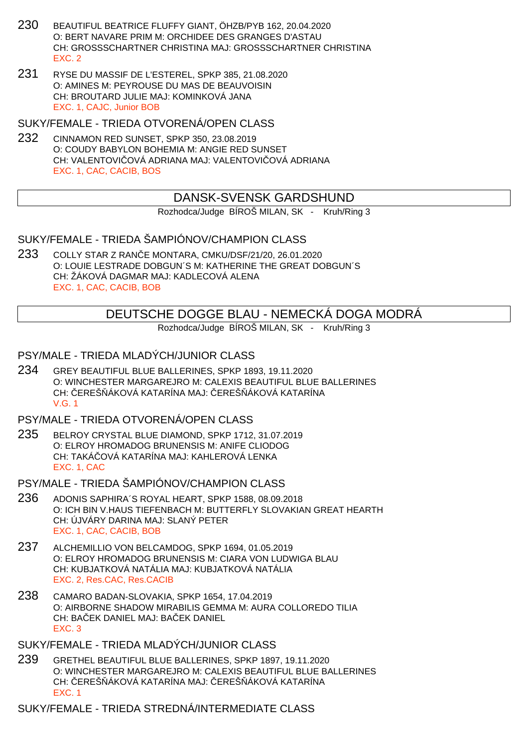- 230 BEAUTIFUL BEATRICE FLUFFY GIANT, ÖHZB/PYB 162, 20.04.2020 O: BERT NAVARE PRIM M: ORCHIDEE DES GRANGES D'ASTAU CH: GROSSSCHARTNER CHRISTINA MAJ: GROSSSCHARTNER CHRISTINA EXC. 2
- 231 RYSE DU MASSIF DE L'ESTEREL, SPKP 385, 21.08.2020 O: AMINES M: PEYROUSE DU MAS DE BEAUVOISIN CH: BROUTARD JULIE MAJ: KOMINKOVÁ JANA EXC. 1, CAJC, Junior BOB

SUKY/FEMALE - TRIEDA OTVORENÁ/OPEN CLASS

232 CINNAMON RED SUNSET, SPKP 350, 23.08.2019 O: COUDY BABYLON BOHEMIA M: ANGIE RED SUNSET CH: VALENTOVI OVÁ ADRIANA MAJ: VALENTOVI OVÁ ADRIANA EXC. 1, CAC, CACIB, BOS

# DANSK-SVENSK GARDSHUND

Rozhodca/Judge BÍROŠ MILAN, SK - Kruh/Ring 3

SUKY/FEMALE - TRIEDA ŠAMPIÓNOV/CHAMPION CLASS

233 COLLY STAR Z RANČE MONTARA, CMKU/DSF/21/20, 26.01.2020 O: LOUIE LESTRADE DOBGUN´S M: KATHERINE THE GREAT DOBGUN´S CH: ŽÁKOVÁ DAGMAR MAJ: KADLECOVÁ ALENA EXC. 1, CAC, CACIB, BOB

# DEUTSCHE DOGGE BLAU - NEMECKÁ DOGA MODRÁ

Rozhodca/Judge BÍROŠ MILAN, SK - Kruh/Ring 3

#### PSY/MALE - TRIEDA MLADÝCH/JUNIOR CLASS

234 GREY BEAUTIFUL BLUE BALLERINES, SPKP 1893, 19.11.2020 O: WINCHESTER MARGAREJRO M: CALEXIS BEAUTIFUL BLUE BALLERINES CH: EREŠ ÁKOVÁ KATARÍNA MAJ: EREŠ ÁKOVÁ KATARÍNA V.G. 1

#### PSY/MALE - TRIEDA OTVORENÁ/OPEN CLASS

- 235 BELROY CRYSTAL BLUE DIAMOND, SPKP 1712, 31.07.2019 O: ELROY HROMADOG BRUNENSIS M: ANIFE CLIODOG CH: TAKÁ OVÁ KATARÍNA MAJ: KAHLEROVÁ LENKA EXC. 1, CAC
- PSY/MALE TRIEDA ŠAMPIÓNOV/CHAMPION CLASS
- 236 ADONIS SAPHIRA´S ROYAL HEART, SPKP 1588, 08.09.2018 O: ICH BIN V.HAUS TIEFENBACH M: BUTTERFLY SLOVAKIAN GREAT HEARTH CH: ÚJVÁRY DARINA MAJ: SLANÝ PETER EXC. 1, CAC, CACIB, BOB
- 237 ALCHEMILLIO VON BELCAMDOG, SPKP 1694, 01.05.2019 O: ELROY HROMADOG BRUNENSIS M: CIARA VON LUDWIGA BLAU CH: KUBJATKOVÁ NATÁLIA MAJ: KUBJATKOVÁ NATÁLIA EXC. 2, Res.CAC, Res.CACIB
- 238 CAMARO BADAN-SLOVAKIA, SPKP 1654, 17.04.2019 O: AIRBORNE SHADOW MIRABILIS GEMMA M: AURA COLLOREDO TILIA CH: BAEK DANIEL MAJ: BAEK DANIEL EXC. 3
- SUKY/FEMALE TRIEDA MLADÝCH/JUNIOR CLASS
- 239 GRETHEL BEAUTIFUL BLUE BALLERINES, SPKP 1897, 19.11.2020 O: WINCHESTER MARGAREJRO M: CALEXIS BEAUTIFUL BLUE BALLERINES CH: EREŠ ÁKOVÁ KATARÍNA MAJ: EREŠ ÁKOVÁ KATARÍNA EXC. 1

SUKY/FEMALE - TRIEDA STREDNÁ/INTERMEDIATE CLASS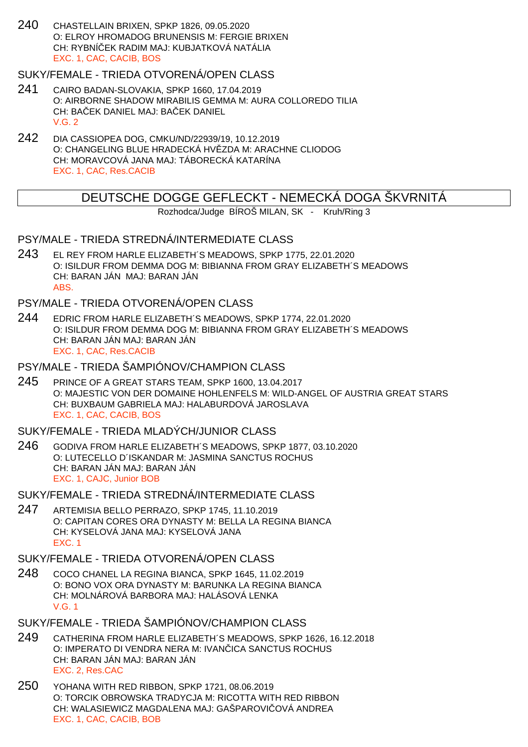240 CHASTELLAIN BRIXEN, SPKP 1826, 09.05.2020 O: ELROY HROMADOG BRUNENSIS M: FERGIE BRIXEN CH: RYBNÍČEK RADIM MAJ: KUBJATKOVÁ NATÁLIA EXC. 1, CAC, CACIB, BOS

#### SUKY/FEMALE - TRIEDA OTVORENÁ/OPEN CLASS

- 241 CAIRO BADAN-SLOVAKIA, SPKP 1660, 17.04.2019 O: AIRBORNE SHADOW MIRABILIS GEMMA M: AURA COLLOREDO TILIA CH: BA EK DANIEL MAJ: BA EK DANIEL V.G. 2
- 242 DIA CASSIOPEA DOG, CMKU/ND/22939/19, 10.12.2019 O: CHANGELING BLUE HRADECKÁ HV ZDA M: ARACHNE CLIODOG CH: MORAVCOVÁ JANA MAJ: TÁBORECKÁ KATARÍNA EXC. 1, CAC, Res.CACIB

# DEUTSCHE DOGGE GEFLECKT - NEMECKÁ DOGA ŠKVRNITÁ

Rozhodca/Judge BÍROŠ MILAN, SK - Kruh/Ring 3

#### PSY/MALE - TRIEDA STREDNÁ/INTERMEDIATE CLASS

243 EL REY FROM HARLE ELIZABETH´S MEADOWS, SPKP 1775, 22.01.2020 O: ISILDUR FROM DEMMA DOG M: BIBIANNA FROM GRAY ELIZABETH´S MEADOWS CH: BARAN JÁN MAJ: BARAN JÁN ABS.

#### PSY/MALE - TRIEDA OTVORENÁ/OPEN CLASS

244 EDRIC FROM HARLE ELIZABETH´S MEADOWS, SPKP 1774, 22.01.2020 O: ISILDUR FROM DEMMA DOG M: BIBIANNA FROM GRAY ELIZABETH´S MEADOWS CH: BARAN JÁN MAJ: BARAN JÁN EXC. 1, CAC, Res.CACIB

## PSY/MALE - TRIEDA ŠAMPIÓNOV/CHAMPION CLASS

245 PRINCE OF A GREAT STARS TEAM, SPKP 1600, 13.04.2017 O: MAJESTIC VON DER DOMAINE HOHLENFELS M: WILD-ANGEL OF AUSTRIA GREAT STARS CH: BUXBAUM GABRIELA MAJ: HALABURDOVÁ JAROSLAVA EXC. 1, CAC, CACIB, BOS

#### SUKY/FEMALE - TRIEDA MLADÝCH/JUNIOR CLASS

- 246 GODIVA FROM HARLE ELIZABETH´S MEADOWS, SPKP 1877, 03.10.2020 O: LUTECELLO D´ISKANDAR M: JASMINA SANCTUS ROCHUS CH: BARAN JÁN MAJ: BARAN JÁN EXC. 1, CAJC, Junior BOB
- SUKY/FEMALE TRIEDA STREDNÁ/INTERMEDIATE CLASS
- 247 ARTEMISIA BELLO PERRAZO, SPKP 1745, 11.10.2019 O: CAPITAN CORES ORA DYNASTY M: BELLA LA REGINA BIANCA CH: KYSELOVÁ JANA MAJ: KYSELOVÁ JANA EXC. 1
- SUKY/FEMALE TRIEDA OTVORENÁ/OPEN CLASS
- 248 COCO CHANEL LA REGINA BIANCA, SPKP 1645, 11.02.2019 O: BONO VOX ORA DYNASTY M: BARUNKA LA REGINA BIANCA CH: MOLNÁROVÁ BARBORA MAJ: HALÁSOVÁ LENKA V.G. 1
- SUKY/FEMALE TRIEDA ŠAMPIÓNOV/CHAMPION CLASS
- 249 CATHERINA FROM HARLE ELIZABETH´S MEADOWS, SPKP 1626, 16.12.2018 O: IMPERATO DI VENDRA NERA M: IVAN ICA SANCTUS ROCHUS CH: BARAN JÁN MAJ: BARAN JÁN EXC. 2, Res.CAC
- 250 YOHANA WITH RED RIBBON, SPKP 1721, 08.06.2019 O: TORCIK OBROWSKA TRADYCJA M: RICOTTA WITH RED RIBBON CH: WALASIEWICZ MAGDALENA MAJ: GAŠPAROVI OVÁ ANDREA EXC. 1, CAC, CACIB, BOB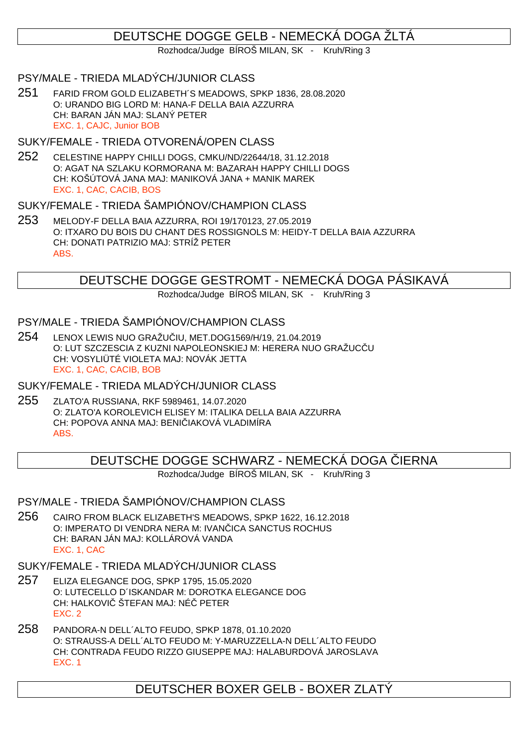# DEUTSCHE DOGGE GELB - NEMECKÁ DOGA ŽLTÁ

Rozhodca/Judge BÍROŠ MILAN, SK - Kruh/Ring 3

### PSY/MALE - TRIEDA MLADÝCH/JUNIOR CLASS

251 FARID FROM GOLD ELIZABETH´S MEADOWS, SPKP 1836, 28.08.2020 O: URANDO BIG LORD M: HANA-F DELLA BAIA AZZURRA CH: BARAN JÁN MAJ: SLANÝ PETER EXC. 1, CAJC, Junior BOB

#### SUKY/FEMALE - TRIEDA OTVORENÁ/OPEN CLASS

252 CELESTINE HAPPY CHILLI DOGS, CMKU/ND/22644/18, 31.12.2018 O: AGAT NA SZLAKU KORMORANA M: BAZARAH HAPPY CHILLI DOGS CH: KOŠÚTOVÁ JANA MAJ: MANIKOVÁ JANA + MANIK MAREK EXC. 1, CAC, CACIB, BOS

# SUKY/FEMALE - TRIEDA ŠAMPIÓNOV/CHAMPION CLASS

253 MELODY-F DELLA BAIA AZZURRA, ROI 19/170123, 27.05.2019 O: ITXARO DU BOIS DU CHANT DES ROSSIGNOLS M: HEIDY-T DELLA BAIA AZZURRA CH: DONATI PATRIZIO MAJ: STRÍŽ PETER ABS.

# DEUTSCHE DOGGE GESTROMT - NEMECKÁ DOGA PÁSIKAVÁ

Rozhodca/Judge BÍROŠ MILAN, SK - Kruh/Ring 3

# PSY/MALE - TRIEDA ŠAMPIÓNOV/CHAMPION CLASS

254 LENOX LEWIS NUO GRAŽUČIU, MET.DOG1569/H/19, 21.04.2019 O: LUT SZCZESCIA Z KUZNI NAPOLEONSKIEJ M: HERERA NUO GRAŽUCČU CH: VOSYLIÜTÉ VIOLETA MAJ: NOVÁK JETTA EXC. 1, CAC, CACIB, BOB

## SUKY/FEMALE - TRIEDA MLADÝCH/JUNIOR CLASS

255 ZLATO'A RUSSIANA, RKF 5989461, 14.07.2020 O: ZLATO'A KOROLEVICH ELISEY M: ITALIKA DELLA BAIA AZZURRA CH: POPOVA ANNA MAJ: BENI IAKOVÁ VLADIMÍRA ABS.

DEUTSCHE DOGGE SCHWARZ - NEMECKA DOGA LERNA

Rozhodca/Judge BÍROŠ MILAN, SK - Kruh/Ring 3

# PSY/MALE - TRIEDA ŠAMPIÓNOV/CHAMPION CLASS

256 CAIRO FROM BLACK ELIZABETH'S MEADOWS, SPKP 1622, 16.12.2018 O: IMPERATO DI VENDRA NERA M: IVAN ICA SANCTUS ROCHUS CH: BARAN JÁN MAJ: KOLLÁROVÁ VANDA EXC. 1, CAC

# SUKY/FEMALE - TRIEDA MLADÝCH/JUNIOR CLASS

- 257 ELIZA ELEGANCE DOG, SPKP 1795, 15.05.2020 O: LUTECELLO D´ISKANDAR M: DOROTKA ELEGANCE DOG CH: HALKOVI ŠTEFAN MAJ: NÉ PETER EXC. 2
- 258 PANDORA-N DELL´ALTO FEUDO, SPKP 1878, 01.10.2020 O: STRAUSS-A DELL´ALTO FEUDO M: Y-MARUZZELLA-N DELL´ALTO FEUDO CH: CONTRADA FEUDO RIZZO GIUSEPPE MAJ: HALABURDOVÁ JAROSLAVA EXC. 1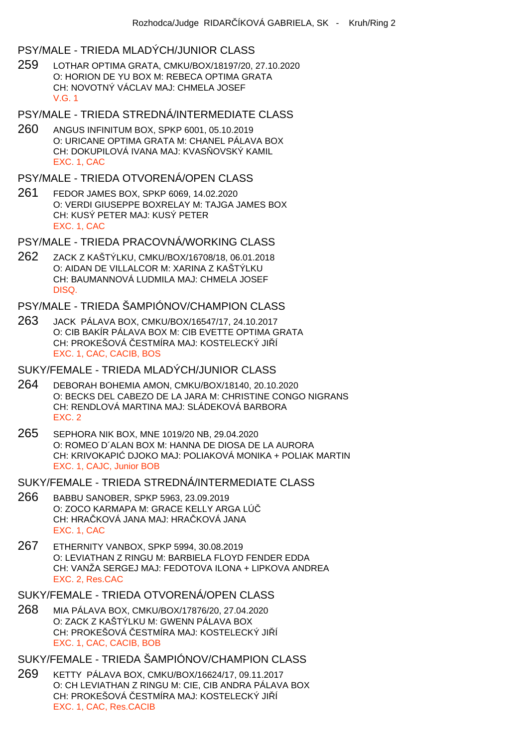#### PSY/MALE - TRIEDA MLADÝCH/JUNIOR CLASS

- 259 LOTHAR OPTIMA GRATA, CMKU/BOX/18197/20, 27.10.2020 O: HORION DE YU BOX M: REBECA OPTIMA GRATA CH: NOVOTNÝ VÁCLAV MAJ: CHMELA JOSEF V.G. 1
- PSY/MALE TRIEDA STREDNÁ/INTERMEDIATE CLASS
- 260 ANGUS INFINITUM BOX, SPKP 6001, 05.10.2019 O: URICANE OPTIMA GRATA M: CHANEL PÁLAVA BOX CH: DOKUPILOVÁ IVANA MAJ: KVAS OVSKÝ KAMIL EXC. 1, CAC

#### PSY/MALE - TRIEDA OTVORENÁ/OPEN CLASS

- 261 FEDOR JAMES BOX, SPKP 6069, 14.02.2020 O: VERDI GIUSEPPE BOXRELAY M: TAJGA JAMES BOX CH: KUSÝ PETER MAJ: KUSÝ PETER EXC. 1, CAC
- PSY/MALE TRIEDA PRACOVNÁ/WORKING CLASS
- 262 ZACK Z KAŠTÝLKU, CMKU/BOX/16708/18, 06.01.2018 O: AIDAN DE VILLALCOR M: XARINA Z KAŠTÝLKU CH: BAUMANNOVÁ LUDMILA MAJ: CHMELA JOSEF DISQ.

#### PSY/MALE - TRIEDA ŠAMPIÓNOV/CHAMPION CLASS

- 263 JACK PÁLAVA BOX, CMKU/BOX/16547/17, 24.10.2017 O: CIB BAKÍR PÁLAVA BOX M: CIB EVETTE OPTIMA GRATA CH: PROKEŠOVÁ ESTMÍRA MAJ: KOSTELECKÝ JI Í EXC. 1, CAC, CACIB, BOS
- SUKY/FEMALE TRIEDA MLADÝCH/JUNIOR CLASS
- 264 DEBORAH BOHEMIA AMON, CMKU/BOX/18140, 20.10.2020 O: BECKS DEL CABEZO DE LA JARA M: CHRISTINE CONGO NIGRANS CH: RENDLOVÁ MARTINA MAJ: SLÁDEKOVÁ BARBORA EXC. 2
- 265 SEPHORA NIK BOX, MNE 1019/20 NB, 29.04.2020 O: ROMEO D´ALAN BOX M: HANNA DE DIOSA DE LA AURORA CH: KRIVOKAPIĆ DJOKO MAJ: POLIAKOVÁ MONIKA + POLIAK MARTIN EXC. 1, CAJC, Junior BOB
- SUKY/FEMALE TRIEDA STREDNÁ/INTERMEDIATE CLASS
- 266 BABBU SANOBER, SPKP 5963, 23.09.2019 O: ZOCO KARMAPA M: GRACE KELLY ARGA LÚ CH: HRA KOVÁ JANA MAJ: HRA KOVÁ JANA EXC. 1, CAC
- 267 ETHERNITY VANBOX, SPKP 5994, 30.08.2019 O: LEVIATHAN Z RINGU M: BARBIELA FLOYD FENDER EDDA CH: VANŽA SERGEJ MAJ: FEDOTOVA ILONA + LIPKOVA ANDREA EXC. 2, Res.CAC

#### SUKY/FEMALE - TRIEDA OTVORENÁ/OPEN CLASS

268 MIA PÁLAVA BOX, CMKU/BOX/17876/20, 27.04.2020 O: ZACK Z KAŠTÝLKU M: GWENN PÁLAVA BOX CH: PROKEŠOVÁ ESTMÍRA MAJ: KOSTELECKÝ JI Í EXC. 1, CAC, CACIB, BOB

# SUKY/FEMALE - TRIEDA ŠAMPIÓNOV/CHAMPION CLASS

269 KETTY PÁLAVA BOX, CMKU/BOX/16624/17, 09.11.2017 O: CH LEVIATHAN Z RINGU M: CIE, CIB ANDRA PÁLAVA BOX CH: PROKEŠOVÁ ESTMÍRA MAJ: KOSTELECKÝ JI Í EXC. 1, CAC, Res.CACIB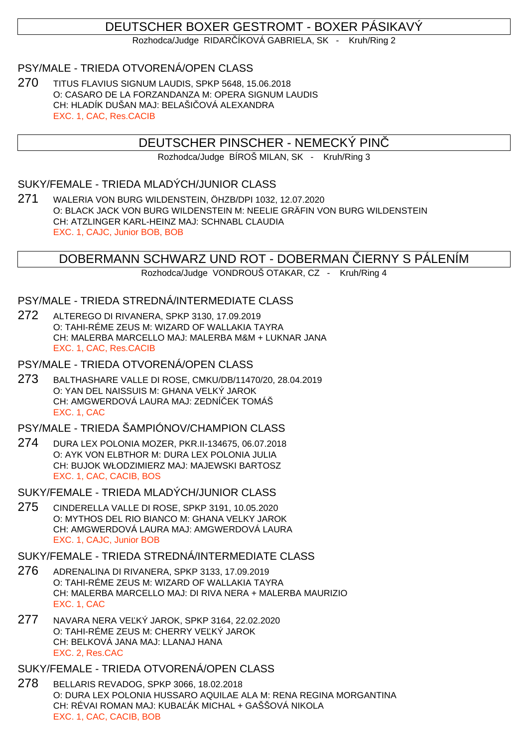# DEUTSCHER BOXER GESTROMT - BOXER PÁSIKAVÝ

Rozhodca/Judge RIDAR ÍKOVÁ GABRIELA, SK - Kruh/Ring 2

## PSY/MALE - TRIEDA OTVORENÁ/OPEN CLASS

270 TITUS FLAVIUS SIGNUM LAUDIS, SPKP 5648, 15.06.2018 O: CASARO DE LA FORZANDANZA M: OPERA SIGNUM LAUDIS CH: HLADÍK DUŠAN MAJ: BELAŠI OVÁ ALEXANDRA EXC. 1, CAC, Res.CACIB

## DEUTSCHER PINSCHER - NEMECKÝ PINČ

Rozhodca/Judge BÍROŠ MILAN, SK - Kruh/Ring 3

#### SUKY/FEMALE - TRIEDA MLADÝCH/JUNIOR CLASS

271 WALERIA VON BURG WILDENSTEIN, ÖHZB/DPI 1032, 12.07.2020 O: BLACK JACK VON BURG WILDENSTEIN M: NEELIE GRÄFIN VON BURG WILDENSTEIN CH: ATZLINGER KARL-HEINZ MAJ: SCHNABL CLAUDIA EXC. 1, CAJC, Junior BOB, BOB

## DOBERMANN SCHWARZ UND ROT - DOBERMAN IERNY S PÁLENÍM

Rozhodca/Judge VONDROUŠ OTAKAR, CZ - Kruh/Ring 4

#### PSY/MALE - TRIEDA STREDNÁ/INTERMEDIATE CLASS

- 272 ALTEREGO DI RIVANERA, SPKP 3130, 17.09.2019 O: TAHI-RÉME ZEUS M: WIZARD OF WALLAKIA TAYRA CH: MALERBA MARCELLO MAJ: MALERBA M&M + LUKNAR JANA EXC. 1, CAC, Res.CACIB
- PSY/MALE TRIEDA OTVORENÁ/OPEN CLASS
- 273 BALTHASHARE VALLE DI ROSE, CMKU/DB/11470/20, 28.04.2019 O: YAN DEL NAISSUIS M: GHANA VELKÝ JAROK CH: AMGWERDOVÁ LAURA MAJ: ZEDNÍ EK TOMÁŠ EXC. 1, CAC

#### PSY/MALE - TRIEDA ŠAMPIÓNOV/CHAMPION CLASS

- 274 DURA LEX POLONIA MOZER, PKR.II-134675, 06.07.2018 O: AYK VON ELBTHOR M: DURA LEX POLONIA JULIA CH: BUJOK WŁODZIMIERZ MAJ: MAJEWSKI BARTOSZ EXC. 1, CAC, CACIB, BOS
- SUKY/FEMALE TRIEDA MLADÝCH/JUNIOR CLASS
- 275 CINDERELLA VALLE DI ROSE, SPKP 3191, 10.05.2020 O: MYTHOS DEL RIO BIANCO M: GHANA VELKY JAROK CH: AMGWERDOVÁ LAURA MAJ: AMGWERDOVÁ LAURA EXC. 1, CAJC, Junior BOB

#### SUKY/FEMALE - TRIEDA STREDNÁ/INTERMEDIATE CLASS

- 276 ADRENALINA DI RIVANERA, SPKP 3133, 17.09.2019 O: TAHI-RÉME ZEUS M: WIZARD OF WALLAKIA TAYRA CH: MALERBA MARCELLO MAJ: DI RIVA NERA + MALERBA MAURIZIO EXC. 1, CAC
- 277 NAVARA NERA VE KÝ JAROK, SPKP 3164, 22.02.2020 O: TAHI-RÉME ZEUS M: CHERRY VE KÝ JAROK CH: BELKOVÁ JANA MAJ: LLANAJ HANA EXC. 2, Res.CAC

SUKY/FEMALE - TRIEDA OTVORENÁ/OPEN CLASS

278 BELLARIS REVADOG, SPKP 3066, 18.02.2018 O: DURA LEX POLONIA HUSSARO AQUILAE ALA M: RENA REGINA MORGANTINA CH: RÉVAI ROMAN MAJ: KUBA ÁK MICHAL + GAŠŠOVÁ NIKOLA EXC. 1, CAC, CACIB, BOB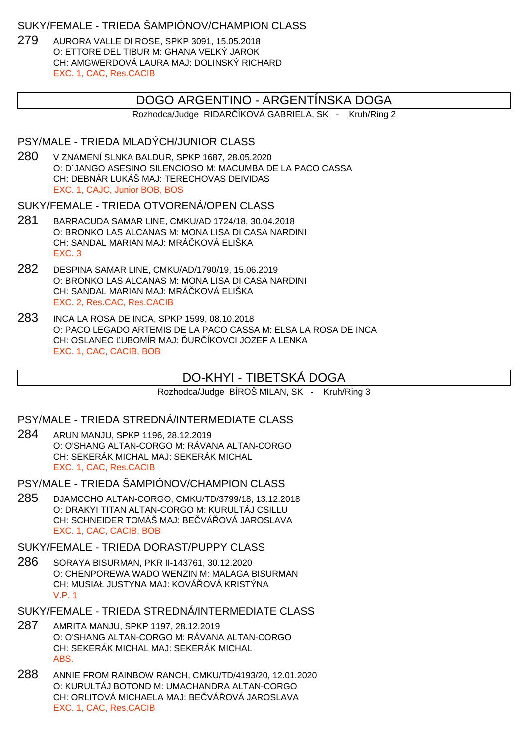#### SUKY/FEMALE - TRIEDA ŠAMPIÓNOV/CHAMPION CLASS

279 AURORA VALLE DI ROSE, SPKP 3091, 15.05.2018 O: ETTORE DEL TIBUR M: GHANA VE KÝ JAROK CH: AMGWERDOVÁ LAURA MAJ: DOLINSKÝ RICHARD EXC. 1, CAC, Res.CACIB

# DOGO ARGENTINO - ARGENTÍNSKA DOGA

Rozhodca/Judge RIDAR ÍKOVÁ GABRIELA, SK - Kruh/Ring 2

### PSY/MALE - TRIEDA MLADÝCH/JUNIOR CLASS

280 V ZNAMENÍ SLNKA BALDUR, SPKP 1687, 28.05.2020 O: D´JANGO ASESINO SILENCIOSO M: MACUMBA DE LA PACO CASSA CH: DEBNÁR LUKÁŠ MAJ: TERECHOVAS DEIVIDAS EXC. 1, CAJC, Junior BOB, BOS

#### SUKY/FEMALE - TRIEDA OTVORENÁ/OPEN CLASS

- 281 BARRACUDA SAMAR LINE, CMKU/AD 1724/18, 30.04.2018 O: BRONKO LAS ALCANAS M: MONA LISA DI CASA NARDINI CH: SANDAL MARIAN MAJ: MRÁ KOVÁ ELIŠKA EXC. 3
- 282 DESPINA SAMAR LINE, CMKU/AD/1790/19, 15.06.2019 O: BRONKO LAS ALCANAS M: MONA LISA DI CASA NARDINI CH: SANDAL MARIAN MAJ: MRÁ KOVÁ ELIŠKA EXC. 2, Res.CAC, Res.CACIB
- 283 INCA LA ROSA DE INCA, SPKP 1599, 08.10.2018 O: PACO LEGADO ARTEMIS DE LA PACO CASSA M: ELSA LA ROSA DE INCA CH: OSLANEC UBOMÍR MAJ: UR ÍKOVCI JOZEF A LENKA EXC. 1, CAC, CACIB, BOB

# DO-KHYI - TIBETSKÁ DOGA

Rozhodca/Judge BÍROŠ MILAN, SK - Kruh/Ring 3

#### PSY/MALE - TRIEDA STREDNÁ/INTERMEDIATE CLASS

- 284 ARUN MANJU, SPKP 1196, 28.12.2019 O: O'SHANG ALTAN-CORGO M: RÁVANA ALTAN-CORGO CH: SEKERÁK MICHAL MAJ: SEKERÁK MICHAL EXC. 1, CAC, Res.CACIB
- PSY/MALE TRIEDA ŠAMPIÓNOV/CHAMPION CLASS
- 285 DJAMCCHO ALTAN-CORGO, CMKU/TD/3799/18, 13.12.2018 O: DRAKYI TITAN ALTAN-CORGO M: KURULTÁJ CSILLU CH: SCHNEIDER TOMÁŠ MAJ: BEVÁ OVÁ JAROSLAVA EXC. 1, CAC, CACIB, BOB

# SUKY/FEMALE - TRIEDA DORAST/PUPPY CLASS

- 286 SORAYA BISURMAN, PKR II-143761, 30.12.2020 O: CHENPOREWA WADO WENZIN M: MALAGA BISURMAN CH: MUSIAŁ JUSTYNA MAJ: KOVÁ OVÁ KRISTÝNA V.P. 1
- SUKY/FEMALE TRIEDA STREDNÁ/INTERMEDIATE CLASS
- 287 AMRITA MANJU, SPKP 1197, 28.12.2019 O: O'SHANG ALTAN-CORGO M: RÁVANA ALTAN-CORGO CH: SEKERÁK MICHAL MAJ: SEKERÁK MICHAL ABS.
- 288 ANNIE FROM RAINBOW RANCH, CMKU/TD/4193/20, 12.01.2020 O: KURULTÁJ BOTOND M: UMACHANDRA ALTAN-CORGO CH: ORLITOVÁ MICHAELA MAJ: BE<sub>VÁ</sub>OVÁ JAROSLAVA EXC. 1, CAC, Res.CACIB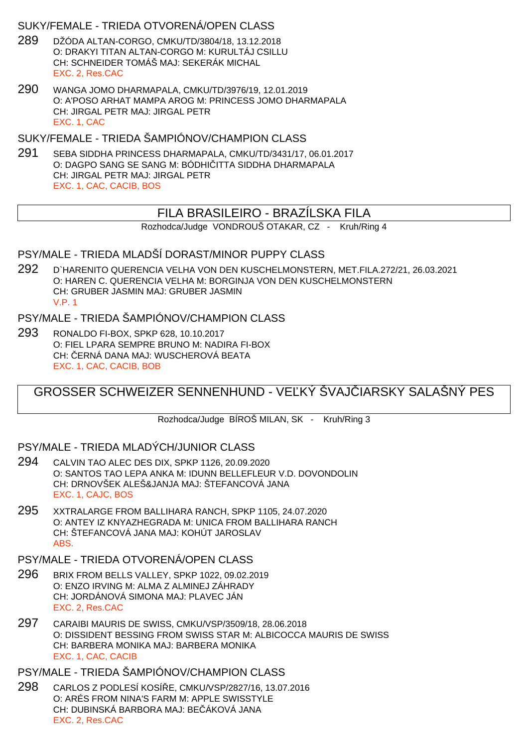## SUKY/FEMALE - TRIEDA OTVORENÁ/OPEN CLASS

- 289 DŽÓDA ALTAN-CORGO, CMKU/TD/3804/18, 13.12.2018 O: DRAKYI TITAN ALTAN-CORGO M: KURULTÁJ CSILLU CH: SCHNEIDER TOMÁŠ MAJ: SEKERÁK MICHAL EXC. 2, Res.CAC
- 290 WANGA JOMO DHARMAPALA, CMKU/TD/3976/19, 12.01.2019 O: A'POSO ARHAT MAMPA AROG M: PRINCESS JOMO DHARMAPALA CH: JIRGAL PETR MAJ: JIRGAL PETR EXC. 1, CAC

SUKY/FEMALE - TRIEDA ŠAMPIÓNOV/CHAMPION CLASS

291 SEBA SIDDHA PRINCESS DHARMAPALA, CMKU/TD/3431/17, 06.01.2017 O: DAGPO SANG SE SANG M: BÓDHI ITTA SIDDHA DHARMAPALA CH: JIRGAL PETR MAJ: JIRGAL PETR EXC. 1, CAC, CACIB, BOS

# FILA BRASILEIRO - BRAZÍLSKA FILA

Rozhodca/Judge VONDROUŠ OTAKAR, CZ - Kruh/Ring 4

## PSY/MALE - TRIEDA MLADŠÍ DORAST/MINOR PUPPY CLASS

292 D`HARENITO QUERENCIA VELHA VON DEN KUSCHELMONSTERN, MET.FILA.272/21, 26.03.2021 O: HAREN C. QUERENCIA VELHA M: BORGINJA VON DEN KUSCHELMONSTERN CH: GRUBER JASMIN MAJ: GRUBER JASMIN V.P. 1

## PSY/MALE - TRIEDA ŠAMPIÓNOV/CHAMPION CLASS

293 RONALDO FI-BOX, SPKP 628, 10.10.2017 O: FIEL LPARA SEMPRE BRUNO M: NADIRA FI-BOX CH: ERNÁ DANA MAJ: WUSCHEROVÁ BEATA EXC. 1, CAC, CACIB, BOB

# GROSSER SCHWEIZER SENNENHUND - VEĽKÝ ŠVAJ JARSKY SALAŠNÝ PES

Rozhodca/Judge BÍROŠ MILAN, SK - Kruh/Ring 3

# PSY/MALE - TRIEDA MLADÝCH/JUNIOR CLASS

- 294 CALVIN TAO ALEC DES DIX, SPKP 1126, 20.09.2020 O: SANTOS TAO LEPA ANKA M: IDUNN BELLEFLEUR V.D. DOVONDOLIN CH: DRNOVŠEK ALEŠ&JANJA MAJ: ŠTEFANCOVÁ JANA EXC. 1, CAJC, BOS
- 295 XXTRALARGE FROM BALLIHARA RANCH, SPKP 1105, 24.07.2020 O: ANTEY IZ KNYAZHEGRADA M: UNICA FROM BALLIHARA RANCH CH: ŠTEFANCOVÁ JANA MAJ: KOHÚT JAROSLAV ABS.
- PSY/MALE TRIEDA OTVORENÁ/OPEN CLASS
- 296 BRIX FROM BELLS VALLEY, SPKP 1022, 09.02.2019 O: ENZO IRVING M: ALMA Z ALMINEJ ZÁHRADY CH: JORDÁNOVÁ SIMONA MAJ: PLAVEC JÁN EXC. 2, Res.CAC
- 297 CARAIBI MAURIS DE SWISS, CMKU/VSP/3509/18, 28.06.2018 O: DISSIDENT BESSING FROM SWISS STAR M: ALBICOCCA MAURIS DE SWISS CH: BARBERA MONIKA MAJ: BARBERA MONIKA EXC. 1, CAC, CACIB

#### PSY/MALE - TRIEDA ŠAMPIÓNOV/CHAMPION CLASS

298 CARLOS Z PODLESÍ KOSÍŘE, CMKU/VSP/2827/16, 13.07.2016 O: ARÉS FROM NINA'S FARM M: APPLE SWISSTYLE CH: DUBINSKÁ BARBORA MAJ: BE ÁKOVÁ JANA EXC. 2, Res.CAC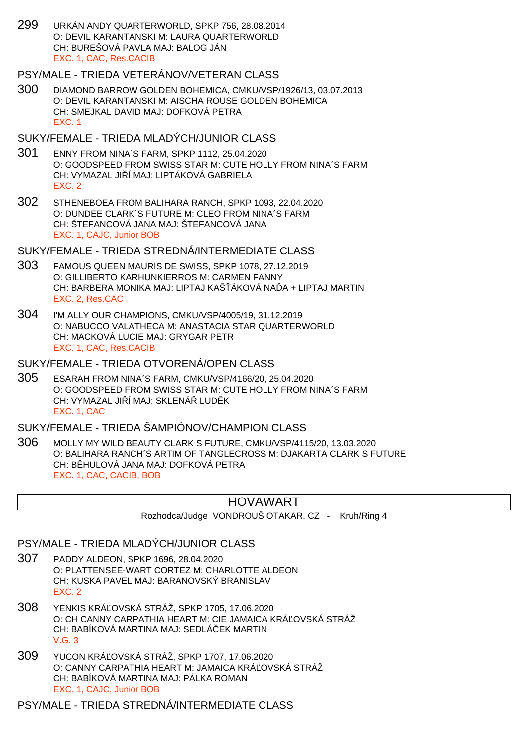299 URKÁN ANDY QUARTERWORLD, SPKP 756, 28.08.2014 O: DEVIL KARANTANSKI M: LAURA QUARTERWORLD CH: BUREŠOVÁ PAVLA MAJ: BALOG JÁN EXC. 1, CAC, Res.CACIB

#### PSY/MALE - TRIEDA VETERÁNOV/VETERAN CLASS

300 DIAMOND BARROW GOLDEN BOHEMICA, CMKU/VSP/1926/13, 03.07.2013 O: DEVIL KARANTANSKI M: AISCHA ROUSE GOLDEN BOHEMICA CH: SMEJKAL DAVID MAJ: DOFKOVÁ PETRA EXC. 1

#### SUKY/FEMALE - TRIEDA MLADÝCH/JUNIOR CLASS

- 301 ENNY FROM NINA´S FARM, SPKP 1112, 25.04.2020 O: GOODSPEED FROM SWISS STAR M: CUTE HOLLY FROM NINA´S FARM CH: VYMAZAL JILÍ MAJ: LIPTÁKOVÁ GABRIELA EXC. 2
- 302 STHENEBOEA FROM BALIHARA RANCH, SPKP 1093, 22.04.2020 O: DUNDEE CLARK´S FUTURE M: CLEO FROM NINA´S FARM CH: ŠTEFANCOVÁ JANA MAJ: ŠTEFANCOVÁ JANA EXC. 1, CAJC, Junior BOB

#### SUKY/FEMALE - TRIEDA STREDNÁ/INTERMEDIATE CLASS

- 303 FAMOUS QUEEN MAURIS DE SWISS, SPKP 1078, 27.12.2019 O: GILLIBERTO KARHUNKIERROS M: CARMEN FANNY CH: BARBERA MONIKA MAJ: LIPTAJ KAŠ ÁKOVÁ NA A + LIPTAJ MARTIN EXC. 2, Res.CAC
- 304 I'M ALLY OUR CHAMPIONS, CMKU/VSP/4005/19, 31.12.2019 O: NABUCCO VALATHECA M: ANASTACIA STAR QUARTERWORLD CH: MACKOVÁ LUCIE MAJ: GRYGAR PETR EXC. 1, CAC, Res.CACIB

#### SUKY/FEMALE - TRIEDA OTVORENÁ/OPEN CLASS

305 ESARAH FROM NINA´S FARM, CMKU/VSP/4166/20, 25.04.2020 O: GOODSPEED FROM SWISS STAR M: CUTE HOLLY FROM NINA´S FARM CH: VYMAZAL JI Í MAJ: SKLENÁ LUD K EXC. 1, CAC

## SUKY/FEMALE - TRIEDA ŠAMPIÓNOV/CHAMPION CLASS

306 MOLLY MY WILD BEAUTY CLARK S FUTURE, CMKU/VSP/4115/20, 13.03.2020 O: BALIHARA RANCH´S ARTIM OF TANGLECROSS M: DJAKARTA CLARK S FUTURE CH: B HULOVÁ JANA MAJ: DOFKOVÁ PETRA EXC. 1, CAC, CACIB, BOB

# HOVAWART

Rozhodca/Judge VONDROUŠ OTAKAR, CZ - Kruh/Ring 4

#### PSY/MALE - TRIEDA MLADÝCH/JUNIOR CLASS

- 307 PADDY ALDEON, SPKP 1696, 28.04.2020 O: PLATTENSEE-WART CORTEZ M: CHARLOTTE ALDEON CH: KUSKA PAVEL MAJ: BARANOVSKÝ BRANISLAV EXC. 2
- 308 YENKIS KRÁĽOVSKÁ STRÁŽ, SPKP 1705, 17.06.2020 O: CH CANNY CARPATHIA HEART M: CIE JAMAICA KRÁ OVSKÁ STRÁŽ CH: BABÍKOVÁ MARTINA MAJ: SEDLÁČEK MARTIN V.G. 3
- 309 YUCON KRÁ OVSKÁ STRÁŽ, SPKP 1707, 17.06.2020 O: CANNY CARPATHIA HEART M: JAMAICA KRÁĽOVSKÁ STRÁŽ CH: BABÍKOVÁ MARTINA MAJ: PÁLKA ROMAN EXC. 1, CAJC, Junior BOB

# PSY/MALE - TRIEDA STREDNÁ/INTERMEDIATE CLASS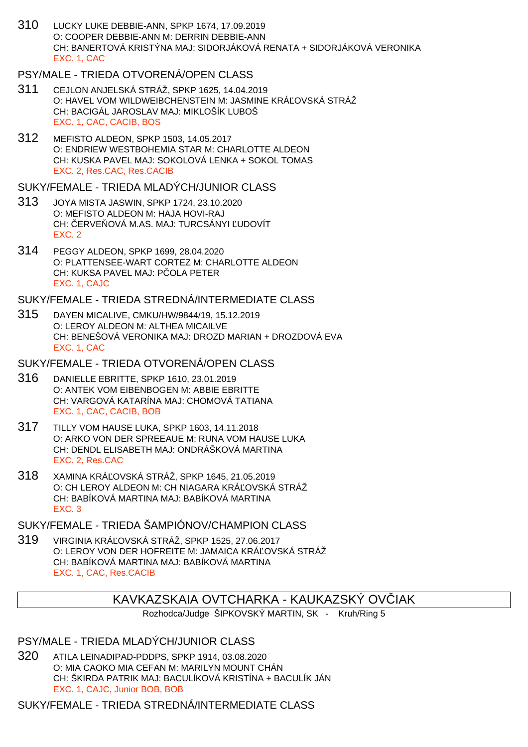310 LUCKY LUKE DEBBIE-ANN, SPKP 1674, 17.09.2019 O: COOPER DEBBIE-ANN M: DERRIN DEBBIE-ANN CH: BANERTOVÁ KRISTÝNA MAJ: SIDORJÁKOVÁ RENATA + SIDORJÁKOVÁ VERONIKA EXC. 1, CAC

### PSY/MALE - TRIEDA OTVORENÁ/OPEN CLASS

- 311 CEJLON ANJELSKÁ STRÁŽ, SPKP 1625, 14.04.2019 O: HAVEL VOM WILDWEIBCHENSTEIN M: JASMINE KRÁ OVSKÁ STRÁŽ CH: BACIGÁL JAROSLAV MAJ: MIKLOŠÍK LUBOŠ EXC. 1, CAC, CACIB, BOS
- 312 MEFISTO ALDEON, SPKP 1503, 14.05.2017 O: ENDRIEW WESTBOHEMIA STAR M: CHARLOTTE ALDEON CH: KUSKA PAVEL MAJ: SOKOLOVÁ LENKA + SOKOL TOMAS EXC. 2, Res.CAC, Res.CACIB

SUKY/FEMALE - TRIEDA MLADÝCH/JUNIOR CLASS

- 313 JOYA MISTA JASWIN, SPKP 1724, 23.10.2020 O: MEFISTO ALDEON M: HAJA HOVI-RAJ CH: ERVE OVÁ M.AS. MAJ: TURCSÁNYI UDOVÍT EXC. 2
- 314 PEGGY ALDEON, SPKP 1699, 28.04.2020 O: PLATTENSEE-WART CORTEZ M: CHARLOTTE ALDEON CH: KUKSA PAVEL MAJ: P OLA PETER EXC. 1, CAJC

SUKY/FEMALE - TRIEDA STREDNÁ/INTERMEDIATE CLASS

315 DAYEN MICALIVE, CMKU/HW/9844/19, 15.12.2019 O: LEROY ALDEON M: ALTHEA MICAILVE CH: BENEŠOVÁ VERONIKA MAJ: DROZD MARIAN + DROZDOVÁ EVA EXC. 1, CAC

SUKY/FEMALE - TRIEDA OTVORENÁ/OPEN CLASS

- 316 DANIELLE EBRITTE, SPKP 1610, 23.01.2019 O: ANTEK VOM EIBENBOGEN M: ABBIE EBRITTE CH: VARGOVÁ KATARÍNA MAJ: CHOMOVÁ TATIANA EXC. 1, CAC, CACIB, BOB
- 317 TILLY VOM HAUSE LUKA, SPKP 1603, 14.11.2018 O: ARKO VON DER SPREEAUE M: RUNA VOM HAUSE LUKA CH: DENDL ELISABETH MAJ: ONDRÁŠKOVÁ MARTINA EXC. 2, Res.CAC
- 318 XAMINA KRÁĽOVSKÁ STRÁŽ, SPKP 1645, 21.05.2019 O: CH LEROY ALDEON M: CH NIAGARA KRÁ OVSKÁ STRÁŽ CH: BABÍKOVÁ MARTINA MAJ: BABÍKOVÁ MARTINA EXC. 3

SUKY/FEMALE - TRIEDA ŠAMPIÓNOV/CHAMPION CLASS

319 VIRGINIA KRÁ OVSKÁ STRÁŽ, SPKP 1525, 27.06.2017 O: LEROY VON DER HOFREITE M: JAMAICA KRÁ OVSKÁ STRÁŽ CH: BABÍKOVÁ MARTINA MAJ: BABÍKOVÁ MARTINA EXC. 1, CAC, Res.CACIB

# KAVKAZSKAIA OVTCHARKA - KAUKAZSKÝ OVČIAK

Rozhodca/Judge ŠIPKOVSKÝ MARTIN, SK - Kruh/Ring 5

PSY/MALE - TRIEDA MLADÝCH/JUNIOR CLASS

320 ATILA LEINADIPAD-PDDPS, SPKP 1914, 03.08.2020 O: MIA CAOKO MIA CEFAN M: MARILYN MOUNT CHÁN CH: ŠKIRDA PATRIK MAJ: BACULÍKOVÁ KRISTÍNA + BACULÍK JÁN EXC. 1, CAJC, Junior BOB, BOB

SUKY/FEMALE - TRIEDA STREDNÁ/INTERMEDIATE CLASS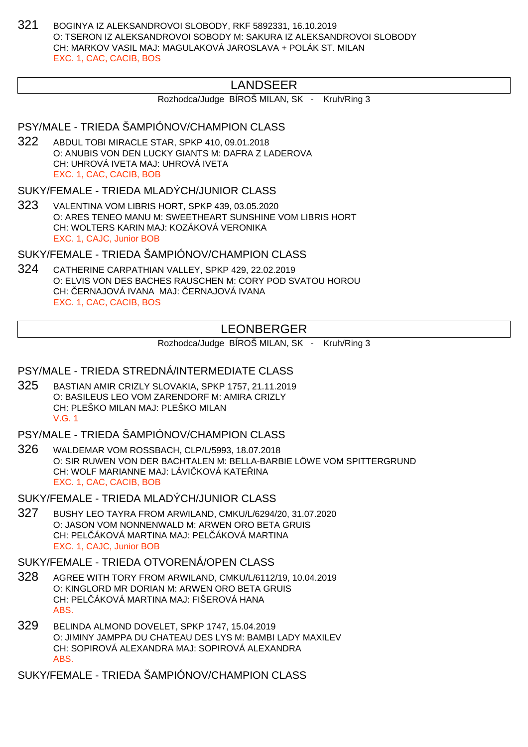321 BOGINYA IZ ALEKSANDROVOI SLOBODY, RKF 5892331, 16.10.2019 O: TSERON IZ ALEKSANDROVOI SOBODY M: SAKURA IZ ALEKSANDROVOI SLOBODY CH: MARKOV VASIL MAJ: MAGULAKOVÁ JAROSLAVA + POLÁK ST. MILAN EXC. 1, CAC, CACIB, BOS

# LANDSEER

Rozhodca/Judge BÍROŠ MILAN, SK - Kruh/Ring 3

# PSY/MALE - TRIEDA ŠAMPIÓNOV/CHAMPION CLASS

322 ABDUL TOBI MIRACLE STAR, SPKP 410, 09.01.2018 O: ANUBIS VON DEN LUCKY GIANTS M: DAFRA Z LADEROVA CH: UHROVÁ IVETA MAJ: UHROVÁ IVETA EXC. 1, CAC, CACIB, BOB

SUKY/FEMALE - TRIEDA MLADÝCH/JUNIOR CLASS

323 VALENTINA VOM LIBRIS HORT, SPKP 439, 03.05.2020 O: ARES TENEO MANU M: SWEETHEART SUNSHINE VOM LIBRIS HORT CH: WOLTERS KARIN MAJ: KOZÁKOVÁ VERONIKA EXC. 1, CAJC, Junior BOB

SUKY/FEMALE - TRIEDA ŠAMPIÓNOV/CHAMPION CLASS

324 CATHERINE CARPATHIAN VALLEY, SPKP 429, 22.02.2019 O: ELVIS VON DES BACHES RAUSCHEN M: CORY POD SVATOU HOROU CH: ERNAJOVÁ IVANA MAJ: ERNAJOVÁ IVANA EXC. 1, CAC, CACIB, BOS

# LEONBERGER

Rozhodca/Judge BÍROŠ MILAN, SK - Kruh/Ring 3

#### PSY/MALE - TRIEDA STREDNÁ/INTERMEDIATE CLASS

325 BASTIAN AMIR CRIZLY SLOVAKIA, SPKP 1757, 21.11.2019 O: BASILEUS LEO VOM ZARENDORF M: AMIRA CRIZLY CH: PLEŠKO MILAN MAJ: PLEŠKO MILAN V.G. 1

PSY/MALE - TRIEDA ŠAMPIÓNOV/CHAMPION CLASS

326 WALDEMAR VOM ROSSBACH, CLP/L/5993, 18.07.2018 O: SIR RUWEN VON DER BACHTALEN M: BELLA-BARBIE LÖWE VOM SPITTERGRUND CH: WOLF MARIANNE MAJ: LÁVI KOVÁ KATE INA EXC. 1, CAC, CACIB, BOB

SUKY/FEMALE - TRIEDA MLADÝCH/JUNIOR CLASS

327 BUSHY LEO TAYRA FROM ARWILAND, CMKU/L/6294/20, 31.07.2020 O: JASON VOM NONNENWALD M: ARWEN ORO BETA GRUIS CH: PEL ÁKOVÁ MARTINA MAJ: PEL ÁKOVÁ MARTINA EXC. 1, CAJC, Junior BOB

### SUKY/FEMALE - TRIEDA OTVORENÁ/OPEN CLASS

- 328 AGREE WITH TORY FROM ARWILAND, CMKU/L/6112/19, 10.04.2019 O: KINGLORD MR DORIAN M: ARWEN ORO BETA GRUIS CH: PELČÁKOVÁ MARTINA MAJ: FIŠEROVÁ HANA ABS.
- 329 BELINDA ALMOND DOVELET, SPKP 1747, 15.04.2019 O: JIMINY JAMPPA DU CHATEAU DES LYS M: BAMBI LADY MAXILEV CH: SOPIROVÁ ALEXANDRA MAJ: SOPIROVÁ ALEXANDRA ABS.

SUKY/FEMALE - TRIEDA ŠAMPIÓNOV/CHAMPION CLASS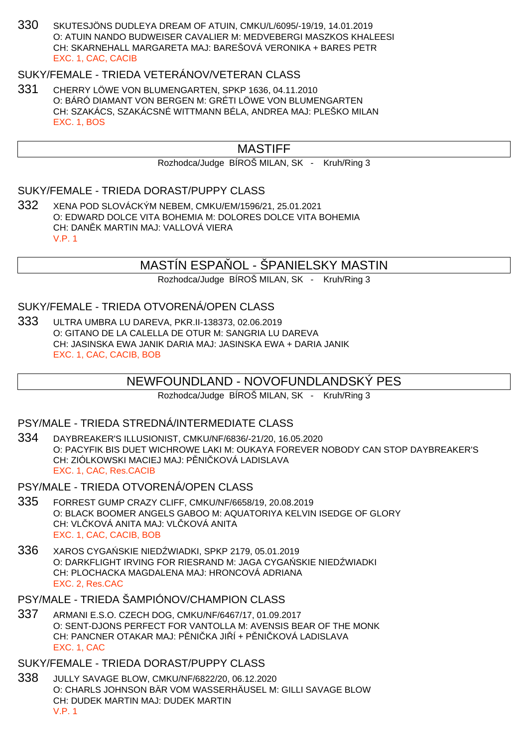330 SKUTESJÖNS DUDLEYA DREAM OF ATUIN, CMKU/L/6095/-19/19, 14.01.2019 O: ATUIN NANDO BUDWEISER CAVALIER M: MEDVEBERGI MASZKOS KHALEESI CH: SKARNEHALL MARGARETA MAJ: BAREŠOVÁ VERONIKA + BARES PETR EXC. 1, CAC, CACIB

### SUKY/FEMALE - TRIEDA VETERÁNOV/VETERAN CLASS

331 CHERRY LÖWE VON BLUMENGARTEN, SPKP 1636, 04.11.2010 O: BÁRÓ DIAMANT VON BERGEN M: GRÉTI LÖWE VON BLUMENGARTEN CH: SZAKÁCS, SZAKÁCSNÉ WITTMANN BÉLA, ANDREA MAJ: PLEŠKO MILAN EXC. 1, BOS

# MASTIFF

Rozhodca/Judge BÍROŠ MILAN, SK - Kruh/Ring 3

#### SUKY/FEMALE - TRIEDA DORAST/PUPPY CLASS

332 XENA POD SLOVÁCKÝM NEBEM, CMKU/EM/1596/21, 25.01.2021 O: EDWARD DOLCE VITA BOHEMIA M: DOLORES DOLCE VITA BOHEMIA CH: DAN K MARTIN MAJ: VALLOVÁ VIERA V.P. 1

## MASTÍN ESPA OL - ŠPANIELSKY MASTIN

Rozhodca/Judge BÍROŠ MILAN, SK - Kruh/Ring 3

#### SUKY/FEMALE - TRIEDA OTVORENÁ/OPEN CLASS

333 ULTRA UMBRA LU DAREVA, PKR.II-138373, 02.06.2019 O: GITANO DE LA CALELLA DE OTUR M: SANGRIA LU DAREVA CH: JASINSKA EWA JANIK DARIA MAJ: JASINSKA EWA + DARIA JANIK EXC. 1, CAC, CACIB, BOB

#### NEWFOUNDLAND - NOVOFUNDLANDSKÝ PES

Rozhodca/Judge BÍROŠ MILAN, SK - Kruh/Ring 3

#### PSY/MALE - TRIEDA STREDNÁ/INTERMEDIATE CLASS

- 334 DAYBREAKER'S ILLUSIONIST, CMKU/NF/6836/-21/20, 16.05.2020 O: PACYFIK BIS DUET WICHROWE LAKI M: OUKAYA FOREVER NOBODY CAN STOP DAYBREAKER'S CH: ZIÓLKOWSKI MACIEJ MAJ: P NI KOVÁ LADISLAVA EXC. 1, CAC, Res.CACIB
- PSY/MALE TRIEDA OTVORENÁ/OPEN CLASS
- 335 FORREST GUMP CRAZY CLIFF, CMKU/NF/6658/19, 20.08.2019 O: BLACK BOOMER ANGELS GABOO M: AQUATORIYA KELVIN ISEDGE OF GLORY CH: VLČKOVÁ ANITA MAJ: VLČKOVÁ ANITA EXC. 1, CAC, CACIB, BOB
- 336 XAROS CYGA SKIE NIED WIADKI, SPKP 2179, 05.01.2019 O: DARKFLIGHT IRVING FOR RIESRAND M: JAGA CYGA SKIE NIED WIADKI CH: PLOCHACKA MAGDALENA MAJ: HRONCOVÁ ADRIANA EXC. 2, Res.CAC
- PSY/MALE TRIEDA ŠAMPIÓNOV/CHAMPION CLASS
- 337 ARMANI E.S.O. CZECH DOG, CMKU/NF/6467/17, 01.09.2017 O: SENT-DJONS PERFECT FOR VANTOLLA M: AVENSIS BEAR OF THE MONK CH: PANCNER OTAKAR MAJ: PŘNIČKA JIŘÍ + PŘNIČKOVÁ LADISLAVA EXC. 1, CAC
- SUKY/FEMALE TRIEDA DORAST/PUPPY CLASS
- 338 JULLY SAVAGE BLOW, CMKU/NF/6822/20, 06.12.2020 O: CHARLS JOHNSON BÄR VOM WASSERHÄUSEL M: GILLI SAVAGE BLOW CH: DUDEK MARTIN MAJ: DUDEK MARTIN V.P. 1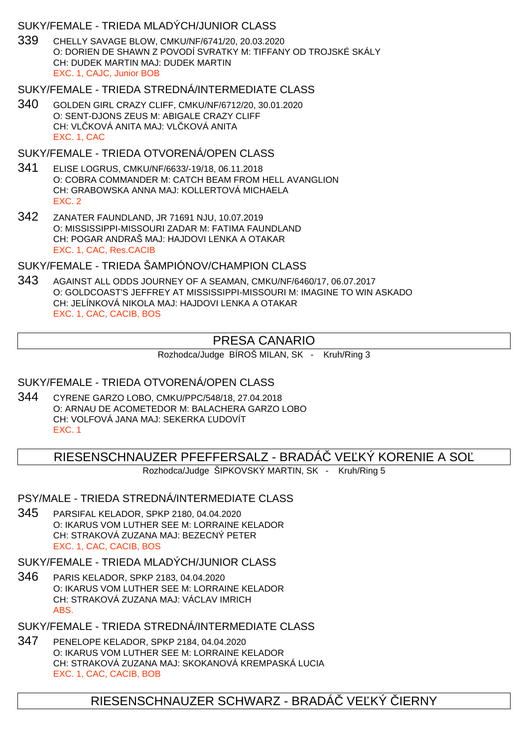## SUKY/FEMALE - TRIEDA MLADÝCH/JUNIOR CLASS

339 CHELLY SAVAGE BLOW, CMKU/NF/6741/20, 20.03.2020 O: DORIEN DE SHAWN Z POVODÍ SVRATKY M: TIFFANY OD TROJSKÉ SKÁLY CH: DUDEK MARTIN MAJ: DUDEK MARTIN EXC. 1, CAJC, Junior BOB

## SUKY/FEMALE - TRIEDA STREDNÁ/INTERMEDIATE CLASS

340 GOLDEN GIRL CRAZY CLIFF, CMKU/NF/6712/20, 30.01.2020 O: SENT-DJONS ZEUS M: ABIGALE CRAZY CLIFF CH: VLČKOVÁ ANITA MAJ: VLČKOVÁ ANITA EXC. 1, CAC

# SUKY/FEMALE - TRIEDA OTVORENÁ/OPEN CLASS

- 341 ELISE LOGRUS, CMKU/NF/6633/-19/18, 06.11.2018 O: COBRA COMMANDER M: CATCH BEAM FROM HELL AVANGLION CH: GRABOWSKA ANNA MAJ: KOLLERTOVÁ MICHAELA EXC. 2
- 342 ZANATER FAUNDLAND, JR 71691 NJU, 10.07.2019 O: MISSISSIPPI-MISSOURI ZADAR M: FATIMA FAUNDLAND CH: POGAR ANDRAŠ MAJ: HAJDOVI LENKA A OTAKAR EXC. 1, CAC, Res.CACIB

## SUKY/FEMALE - TRIEDA ŠAMPIÓNOV/CHAMPION CLASS

343 AGAINST ALL ODDS JOURNEY OF A SEAMAN, CMKU/NF/6460/17, 06.07.2017 O: GOLDCOAST'S JEFFREY AT MISSISSIPPI-MISSOURI M: IMAGINE TO WIN ASKADO CH: JELÍNKOVÁ NIKOLA MAJ: HAJDOVI LENKA A OTAKAR EXC. 1, CAC, CACIB, BOS

# PRESA CANARIO

Rozhodca/Judge BÍROŠ MILAN, SK - Kruh/Ring 3

# SUKY/FEMALE - TRIEDA OTVORENÁ/OPEN CLASS

344 CYRENE GARZO LOBO, CMKU/PPC/548/18, 27.04.2018 O: ARNAU DE ACOMETEDOR M: BALACHERA GARZO LOBO CH: VOLFOVÁ JANA MAJ: SEKERKA ĽUDOVÍT EXC. 1

RIESENSCHNAUZER PFEFFERSALZ - BRADÁ VE KÝ KORENIE A SO

Rozhodca/Judge ŠIPKOVSKÝ MARTIN, SK - Kruh/Ring 5

# PSY/MALE - TRIEDA STREDNÁ/INTERMEDIATE CLASS

345 PARSIFAL KELADOR, SPKP 2180, 04.04.2020 O: IKARUS VOM LUTHER SEE M: LORRAINE KELADOR CH: STRAKOVÁ ZUZANA MAJ: BEZECNÝ PETER EXC. 1, CAC, CACIB, BOS

# SUKY/FEMALE - TRIEDA MLADÝCH/JUNIOR CLASS

346 PARIS KELADOR, SPKP 2183, 04.04.2020 O: IKARUS VOM LUTHER SEE M: LORRAINE KELADOR CH: STRAKOVÁ ZUZANA MAJ: VÁCLAV IMRICH ABS.

SUKY/FEMALE - TRIEDA STREDNÁ/INTERMEDIATE CLASS

347 PENELOPE KELADOR, SPKP 2184, 04.04.2020 O: IKARUS VOM LUTHER SEE M: LORRAINE KELADOR CH: STRAKOVÁ ZUZANA MAJ: SKOKANOVÁ KREMPASKÁ LUCIA EXC. 1, CAC, CACIB, BOB

# RIESENSCHNAUZER SCHWARZ - BRADÁ VE KÝ JERNY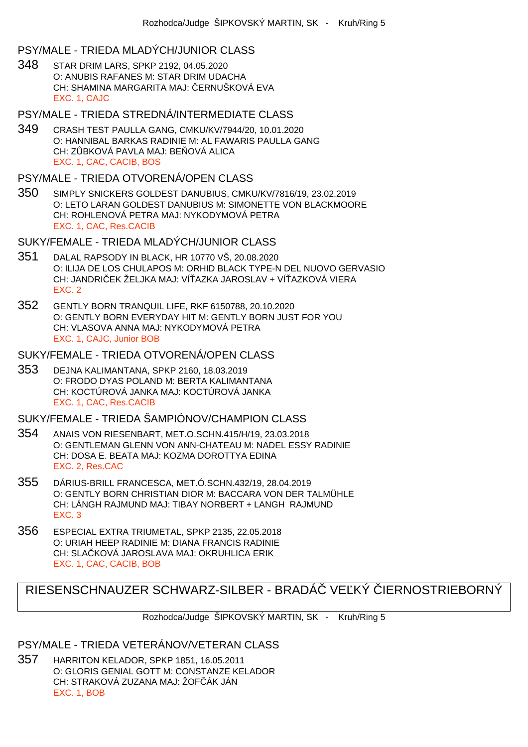# PSY/MALE - TRIEDA MLADÝCH/JUNIOR CLASS

348 STAR DRIM LARS, SPKP 2192, 04.05.2020 O: ANUBIS RAFANES M: STAR DRIM UDACHA CH: SHAMINA MARGARITA MAJ: ERNUŠKOVÁ EVA EXC. 1, CAJC

# PSY/MALE - TRIEDA STREDNÁ/INTERMEDIATE CLASS

349 CRASH TEST PAULLA GANG, CMKU/KV/7944/20, 10.01.2020 O: HANNIBAL BARKAS RADINIE M: AL FAWARIS PAULLA GANG CH: Z BKOVÁ PAVLA MAJ: BE OVÁ ALICA EXC. 1, CAC, CACIB, BOS

# PSY/MALE - TRIEDA OTVORENÁ/OPEN CLASS

350 SIMPLY SNICKERS GOLDEST DANUBIUS, CMKU/KV/7816/19, 23.02.2019 O: LETO LARAN GOLDEST DANUBIUS M: SIMONETTE VON BLACKMOORE CH: ROHLENOVÁ PETRA MAJ: NYKODYMOVÁ PETRA EXC. 1, CAC, Res.CACIB

# SUKY/FEMALE - TRIEDA MLADÝCH/JUNIOR CLASS

- 351 DALAL RAPSODY IN BLACK, HR 10770 VŠ, 20.08.2020 O: ILIJA DE LOS CHULAPOS M: ORHID BLACK TYPE-N DEL NUOVO GERVASIO CH: JANDRIČEK ŽELJKA MAJ: VÍŤAZKA JAROSLAV + VÍŤAZKOVÁ VIERA EXC. 2
- 352 GENTLY BORN TRANQUIL LIFE, RKF 6150788, 20.10.2020 O: GENTLY BORN EVERYDAY HIT M: GENTLY BORN JUST FOR YOU CH: VLASOVA ANNA MAJ: NYKODYMOVÁ PETRA EXC. 1, CAJC, Junior BOB

# SUKY/FEMALE - TRIEDA OTVORENÁ/OPEN CLASS

353 DEJNA KALIMANTANA, SPKP 2160, 18.03.2019 O: FRODO DYAS POLAND M: BERTA KALIMANTANA CH: KOCTÚROVÁ JANKA MAJ: KOCTÚROVÁ JANKA EXC. 1, CAC, Res.CACIB

# SUKY/FEMALE - TRIEDA ŠAMPIÓNOV/CHAMPION CLASS

- 354 ANAIS VON RIESENBART, MET.O.SCHN.415/H/19, 23.03.2018 O: GENTLEMAN GLENN VON ANN-CHATEAU M: NADEL ESSY RADINIE CH: DOSA E. BEATA MAJ: KOZMA DOROTTYA EDINA EXC. 2, Res.CAC
- 355 DÁRIUS-BRILL FRANCESCA, MET.Ó.SCHN.432/19, 28.04.2019 O: GENTLY BORN CHRISTIAN DIOR M: BACCARA VON DER TALMÜHLE CH: LÁNGH RAJMUND MAJ: TIBAY NORBERT + LANGH RAJMUND EXC. 3
- 356 ESPECIAL EXTRA TRIUMETAL, SPKP 2135, 22.05.2018 O: URIAH HEEP RADINIE M: DIANA FRANCIS RADINIE CH: SLA KOVÁ JAROSLAVA MAJ: OKRUHLICA ERIK EXC. 1, CAC, CACIB, BOB

# RIESENSCHNAUZER SCHWARZ-SILBER - BRADÁ VE KÝ JERNOSTRIEBORNÝ

Rozhodca/Judge ŠIPKOVSKÝ MARTIN, SK - Kruh/Ring 5

# PSY/MALE - TRIEDA VETERÁNOV/VETERAN CLASS

357 HARRITON KELADOR, SPKP 1851, 16.05.2011 O: GLORIS GENIAL GOTT M: CONSTANZE KELADOR CH: STRAKOVÁ ZUZANA MAJ: ŽOF ÁK JÁN EXC. 1, BOB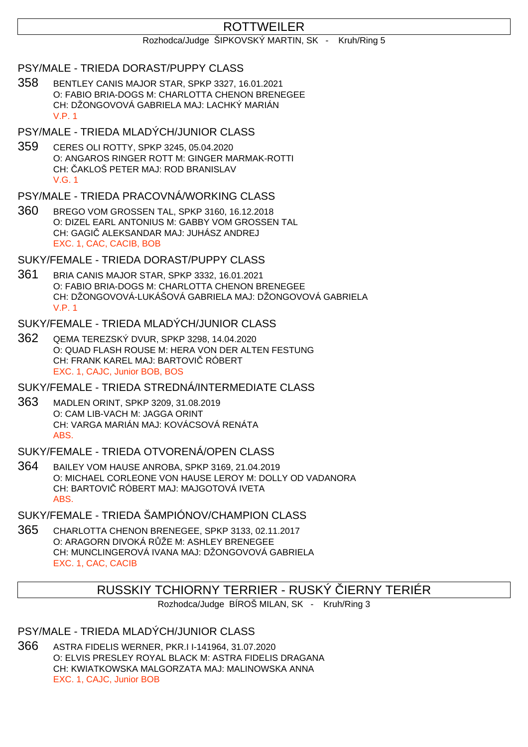# ROTTWEILER

#### Rozhodca/Judge ŠIPKOVSKÝ MARTIN, SK - Kruh/Ring 5

#### PSY/MALE - TRIEDA DORAST/PUPPY CLASS

358 BENTLEY CANIS MAJOR STAR, SPKP 3327, 16.01.2021 O: FABIO BRIA-DOGS M: CHARLOTTA CHENON BRENEGEE CH: DŽONGOVOVÁ GABRIELA MAJ: LACHKÝ MARIÁN V.P. 1

## PSY/MALE - TRIEDA MLADÝCH/JUNIOR CLASS

359 CERES OLI ROTTY, SPKP 3245, 05.04.2020 O: ANGAROS RINGER ROTT M: GINGER MARMAK-ROTTI CH: AKLOŠ PETER MAJ: ROD BRANISLAV V.G. 1

## PSY/MALE - TRIEDA PRACOVNÁ/WORKING CLASS

360 BREGO VOM GROSSEN TAL, SPKP 3160, 16.12.2018 O: DIZEL EARL ANTONIUS M: GABBY VOM GROSSEN TAL CH: GAGI ALEKSANDAR MAJ: JUHÁSZ ANDREJ EXC. 1, CAC, CACIB, BOB

SUKY/FEMALE - TRIEDA DORAST/PUPPY CLASS

361 BRIA CANIS MAJOR STAR, SPKP 3332, 16.01.2021 O: FABIO BRIA-DOGS M: CHARLOTTA CHENON BRENEGEE CH: DŽONGOVOVÁ-LUKÁŠOVÁ GABRIELA MAJ: DŽONGOVOVÁ GABRIELA V.P. 1

#### SUKY/FEMALE - TRIEDA MLADÝCH/JUNIOR CLASS

362 QEMA TEREZSKÝ DVUR, SPKP 3298, 14.04.2020 O: QUAD FLASH ROUSE M: HERA VON DER ALTEN FESTUNG CH: FRANK KAREL MAJ: BARTOVI RÓBERT EXC. 1, CAJC, Junior BOB, BOS

SUKY/FEMALE - TRIEDA STREDNÁ/INTERMEDIATE CLASS

363 MADLEN ORINT, SPKP 3209, 31.08.2019 O: CAM LIB-VACH M: JAGGA ORINT CH: VARGA MARIÁN MAJ: KOVÁCSOVÁ RENÁTA ABS.

### SUKY/FEMALE - TRIEDA OTVORENÁ/OPEN CLASS

364 BAILEY VOM HAUSE ANROBA, SPKP 3169, 21.04.2019 O: MICHAEL CORLEONE VON HAUSE LEROY M: DOLLY OD VADANORA CH: BARTOVIČ RÓBERT MAJ: MAJGOTOVÁ IVETA ABS.

SUKY/FEMALE - TRIEDA ŠAMPIÓNOV/CHAMPION CLASS

365 CHARLOTTA CHENON BRENEGEE, SPKP 3133, 02.11.2017 O: ARAGORN DIVOKÁ R ŽE M: ASHLEY BRENEGEE CH: MUNCLINGEROVÁ IVANA MAJ: DŽONGOVOVÁ GABRIELA EXC. 1, CAC, CACIB

# RUSSKIY TCHIORNY TERRIER - RUSKÝ IERNY TERIÉR

Rozhodca/Judge BÍROŠ MILAN, SK - Kruh/Ring 3

# PSY/MALE - TRIEDA MLADÝCH/JUNIOR CLASS

366 ASTRA FIDELIS WERNER, PKR.I I-141964, 31.07.2020 O: ELVIS PRESLEY ROYAL BLACK M: ASTRA FIDELIS DRAGANA CH: KWIATKOWSKA MALGORZATA MAJ: MALINOWSKA ANNA EXC. 1, CAJC, Junior BOB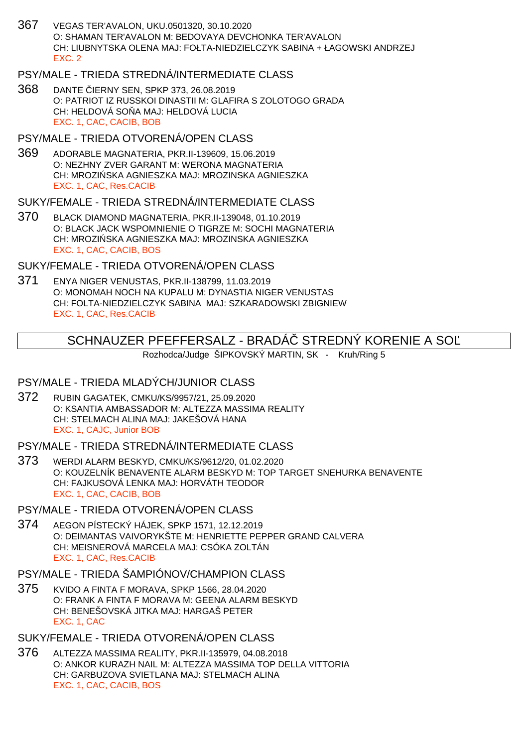367 VEGAS TER'AVALON, UKU.0501320, 30.10.2020 O: SHAMAN TER'AVALON M: BEDOVAYA DEVCHONKA TER'AVALON CH: LIUBNYTSKA OLENA MAJ: FOŁTA-NIEDZIELCZYK SABINA + ŁAGOWSKI ANDRZEJ EXC. 2

## PSY/MALE - TRIEDA STREDNÁ/INTERMEDIATE CLASS

**368** DANTE JERNY SEN, SPKP 373, 26.08.2019 O: PATRIOT IZ RUSSKOI DINASTII M: GLAFIRA S ZOLOTOGO GRADA CH: HELDOVÁ SO A MAJ: HELDOVÁ LUCIA EXC. 1, CAC, CACIB, BOB

#### PSY/MALE - TRIEDA OTVORENÁ/OPEN CLASS

369 ADORABLE MAGNATERIA, PKR.II-139609, 15.06.2019 O: NEZHNY ZVER GARANT M: WERONA MAGNATERIA CH: MROZI SKA AGNIESZKA MAJ: MROZINSKA AGNIESZKA EXC. 1, CAC, Res.CACIB

#### SUKY/FEMALE - TRIEDA STREDNÁ/INTERMEDIATE CLASS

370 BLACK DIAMOND MAGNATERIA, PKR.II-139048, 01.10.2019 O: BLACK JACK WSPOMNIENIE O TIGRZE M: SOCHI MAGNATERIA CH: MROZI SKA AGNIESZKA MAJ: MROZINSKA AGNIESZKA EXC. 1, CAC, CACIB, BOS

## SUKY/FEMALE - TRIEDA OTVORENÁ/OPEN CLASS

371 ENYA NIGER VENUSTAS, PKR.II-138799, 11.03.2019 O: MONOMAH NOCH NA KUPALU M: DYNASTIA NIGER VENUSTAS CH: FOLTA-NIEDZIELCZYK SABINA MAJ: SZKARADOWSKI ZBIGNIEW EXC. 1, CAC, Res.CACIB

## SCHNAUZER PFEFFERSALZ - BRADA STREDNÝ KORENIE A SO

Rozhodca/Judge ŠIPKOVSKÝ MARTIN, SK - Kruh/Ring 5

### PSY/MALE - TRIEDA MLADÝCH/JUNIOR CLASS

372 RUBIN GAGATEK, CMKU/KS/9957/21, 25.09.2020 O: KSANTIA AMBASSADOR M: ALTEZZA MASSIMA REALITY CH: STELMACH ALINA MAJ: JAKEŠOVÁ HANA EXC. 1, CAJC, Junior BOB

## PSY/MALE - TRIEDA STREDNÁ/INTERMEDIATE CLASS

373 WERDI ALARM BESKYD, CMKU/KS/9612/20, 01.02.2020 O: KOUZELNÍK BENAVENTE ALARM BESKYD M: TOP TARGET SNEHURKA BENAVENTE CH: FAJKUSOVÁ LENKA MAJ: HORVÁTH TEODOR EXC. 1, CAC, CACIB, BOB

## PSY/MALE - TRIEDA OTVORENÁ/OPEN CLASS

374 AEGON PÍSTECKÝ HÁJEK, SPKP 1571, 12.12.2019 O: DEIMANTAS VAIVORYKŠTE M: HENRIETTE PEPPER GRAND CALVERA CH: MEISNEROVÁ MARCELA MAJ: CSÓKA ZOLTÁN EXC. 1, CAC, Res.CACIB

## PSY/MALE - TRIEDA ŠAMPIÓNOV/CHAMPION CLASS

375 KVIDO A FINTA F MORAVA, SPKP 1566, 28.04.2020 O: FRANK A FINTA F MORAVA M: GEENA ALARM BESKYD CH: BENEŠOVSKÁ JITKA MAJ: HARGAŠ PETER EXC. 1, CAC

### SUKY/FEMALE - TRIEDA OTVORENÁ/OPEN CLASS

376 ALTEZZA MASSIMA REALITY, PKR.II-135979, 04.08.2018 O: ANKOR KURAZH NAIL M: ALTEZZA MASSIMA TOP DELLA VITTORIA CH: GARBUZOVA SVIETLANA MAJ: STELMACH ALINA EXC. 1, CAC, CACIB, BOS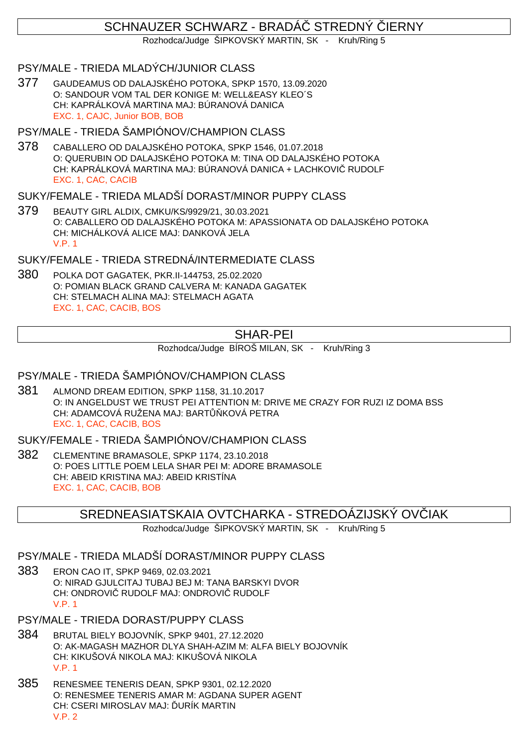# SCHNAUZER SCHWARZ - BRADÁ STREDNÝ JERNY

Rozhodca/Judge ŠIPKOVSKÝ MARTIN, SK - Kruh/Ring 5

PSY/MALE - TRIEDA MLADÝCH/JUNIOR CLASS

377 GAUDEAMUS OD DALAJSKÉHO POTOKA, SPKP 1570, 13.09.2020 O: SANDOUR VOM TAL DER KONIGE M: WELL&EASY KLEO´S CH: KAPRÁLKOVÁ MARTINA MAJ: BÚRANOVÁ DANICA EXC. 1, CAJC, Junior BOB, BOB

#### PSY/MALE - TRIEDA ŠAMPIÓNOV/CHAMPION CLASS

378 CABALLERO OD DALAJSKÉHO POTOKA, SPKP 1546, 01.07.2018 O: QUERUBIN OD DALAJSKÉHO POTOKA M: TINA OD DALAJSKÉHO POTOKA CH: KAPRÁLKOVÁ MARTINA MAJ: BÚRANOVÁ DANICA + LACHKOVI RUDOLF EXC. 1, CAC, CACIB

#### SUKY/FEMALE - TRIEDA MLADŠÍ DORAST/MINOR PUPPY CLASS

379 BEAUTY GIRL ALDIX, CMKU/KS/9929/21, 30.03.2021 O: CABALLERO OD DALAJSKÉHO POTOKA M: APASSIONATA OD DALAJSKÉHO POTOKA CH: MICHÁLKOVÁ ALICE MAJ: DANKOVÁ JELA V.P. 1

SUKY/FEMALE - TRIEDA STREDNÁ/INTERMEDIATE CLASS

380 POLKA DOT GAGATEK, PKR.II-144753, 25.02.2020 O: POMIAN BLACK GRAND CALVERA M: KANADA GAGATEK CH: STELMACH ALINA MAJ: STELMACH AGATA EXC. 1, CAC, CACIB, BOS

# SHAR-PEI

Rozhodca/Judge BÍROŠ MILAN, SK - Kruh/Ring 3

### PSY/MALE - TRIEDA ŠAMPIÓNOV/CHAMPION CLASS

381 ALMOND DREAM EDITION, SPKP 1158, 31.10.2017 O: IN ANGELDUST WE TRUST PEI ATTENTION M: DRIVE ME CRAZY FOR RUZI IZ DOMA BSS CH: ADAMCOVÁ RUŽENA MAJ: BART KOVÁ PETRA EXC. 1, CAC, CACIB, BOS

SUKY/FEMALE - TRIEDA ŠAMPIÓNOV/CHAMPION CLASS

382 CLEMENTINE BRAMASOLE, SPKP 1174, 23.10.2018 O: POES LITTLE POEM LELA SHAR PEI M: ADORE BRAMASOLE CH: ABEID KRISTINA MAJ: ABEID KRISTÍNA EXC. 1, CAC, CACIB, BOB

### SREDNEASIATSKAIA OVTCHARKA - STREDOÁZIJSKÝ OV IAK

Rozhodca/Judge ŠIPKOVSKÝ MARTIN, SK - Kruh/Ring 5

## PSY/MALE - TRIEDA MLADŠÍ DORAST/MINOR PUPPY CLASS

- 383 ERON CAO IT, SPKP 9469, 02.03.2021 O: NIRAD GJULCITAJ TUBAJ BEJ M: TANA BARSKYI DVOR CH: ONDROVI RUDOLF MAJ: ONDROVI RUDOLF V.P. 1
- PSY/MALE TRIEDA DORAST/PUPPY CLASS
- 384 BRUTAL BIELY BOJOVNÍK, SPKP 9401, 27.12.2020 O: AK-MAGASH MAZHOR DLYA SHAH-AZIM M: ALFA BIELY BOJOVNÍK CH: KIKUŠOVÁ NIKOLA MAJ: KIKUŠOVÁ NIKOLA V.P. 1
- 385 RENESMEE TENERIS DEAN, SPKP 9301, 02.12.2020 O: RENESMEE TENERIS AMAR M: AGDANA SUPER AGENT CH: CSERI MIROSLAV MAJ: URÍK MARTIN V.P. 2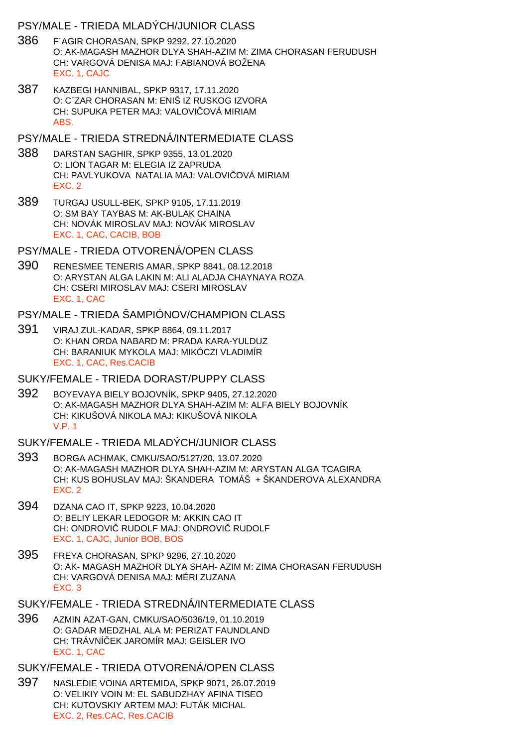### PSY/MALE - TRIEDA MLADÝCH/JUNIOR CLASS

- 386 F´AGIR CHORASAN, SPKP 9292, 27.10.2020 O: AK-MAGASH MAZHOR DLYA SHAH-AZIM M: ZIMA CHORASAN FERUDUSH CH: VARGOVÁ DENISA MAJ: FABIANOVÁ BOŽENA EXC. 1, CAJC
- 387 KAZBEGI HANNIBAL, SPKP 9317, 17.11.2020 O: C´ZAR CHORASAN M: ENIŠ IZ RUSKOG IZVORA CH: SUPUKA PETER MAJ: VALOVI OVÁ MIRIAM ABS.
- PSY/MALE TRIEDA STREDNÁ/INTERMEDIATE CLASS
- 388 DARSTAN SAGHIR, SPKP 9355, 13.01.2020 O: LION TAGAR M: ELEGIA IZ ZAPRUDA CH: PAVLYUKOVA NATALIA MAJ: VALOVI OVÁ MIRIAM EXC. 2
- 389 TURGAJ USULL-BEK, SPKP 9105, 17.11.2019 O: SM BAY TAYBAS M: AK-BULAK CHAINA CH: NOVÁK MIROSLAV MAJ: NOVÁK MIROSLAV EXC. 1, CAC, CACIB, BOB
- PSY/MALE TRIEDA OTVORENÁ/OPEN CLASS
- 390 RENESMEE TENERIS AMAR, SPKP 8841, 08.12.2018 O: ARYSTAN ALGA LAKIN M: ALI ALADJA CHAYNAYA ROZA CH: CSERI MIROSLAV MAJ: CSERI MIROSLAV EXC. 1, CAC
- PSY/MALE TRIEDA ŠAMPIÓNOV/CHAMPION CLASS
- 391 VIRAJ ZUL-KADAR, SPKP 8864, 09.11.2017 O: KHAN ORDA NABARD M: PRADA KARA-YULDUZ CH: BARANIUK MYKOLA MAJ: MIKÓCZI VLADIMÍR EXC. 1, CAC, Res.CACIB
- SUKY/FEMALE TRIEDA DORAST/PUPPY CLASS
- 392 BOYEVAYA BIELY BOJOVNÍK, SPKP 9405, 27.12.2020 O: AK-MAGASH MAZHOR DLYA SHAH-AZIM M: ALFA BIELY BOJOVNÍK CH: KIKUŠOVÁ NIKOLA MAJ: KIKUŠOVÁ NIKOLA V.P. 1
- SUKY/FEMALE TRIEDA MLADÝCH/JUNIOR CLASS
- 393 BORGA ACHMAK, CMKU/SAO/5127/20, 13.07.2020 O: AK-MAGASH MAZHOR DLYA SHAH-AZIM M: ARYSTAN ALGA TCAGIRA CH: KUS BOHUSLAV MAJ: ŠKANDERA TOMÁŠ + ŠKANDEROVA ALEXANDRA EXC. 2
- 394 DZANA CAO IT, SPKP 9223, 10.04.2020 O: BELIY LEKAR LEDOGOR M: AKKIN CAO IT CH: ONDROVI RUDOLF MAJ: ONDROVI RUDOLF EXC. 1, CAJC, Junior BOB, BOS
- 395 FREYA CHORASAN, SPKP 9296, 27.10.2020 O: AK- MAGASH MAZHOR DLYA SHAH- AZIM M: ZIMA CHORASAN FERUDUSH CH: VARGOVÁ DENISA MAJ: MÉRI ZUZANA EXC. 3
- SUKY/FEMALE TRIEDA STREDNÁ/INTERMEDIATE CLASS
- 396 AZMIN AZAT-GAN, CMKU/SAO/5036/19, 01.10.2019 O: GADAR MEDZHAL ALA M: PERIZAT FAUNDLAND CH: TRÁVNÍ EK JAROMÍR MAJ: GEISLER IVO EXC. 1, CAC
- SUKY/FEMALE TRIEDA OTVORENÁ/OPEN CLASS
- 397 NASLEDIE VOINA ARTEMIDA, SPKP 9071, 26.07.2019 O: VELIKIY VOIN M: EL SABUDZHAY AFINA TISEO CH: KUTOVSKIY ARTEM MAJ: FUTÁK MICHAL EXC. 2, Res.CAC, Res.CACIB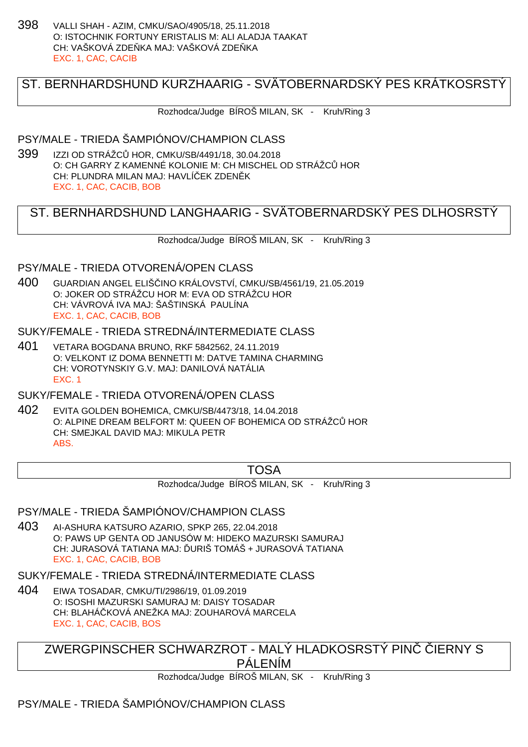398 VALLI SHAH - AZIM, CMKU/SAO/4905/18, 25.11.2018 O: ISTOCHNIK FORTUNY ERISTALIS M: ALI ALADJA TAAKAT CH: VAŠKOVÁ ZDE KA MAJ: VAŠKOVÁ ZDE KA EXC. 1, CAC, CACIB

# ST. BERNHARDSHUND KURZHAARIG - SVÄTOBERNARDSKÝ PES KRÁTKOSRSTÝ

Rozhodca/Judge BÍROŠ MILAN, SK - Kruh/Ring 3

#### PSY/MALE - TRIEDA ŠAMPIÓNOV/CHAMPION CLASS

399 IZZI OD STRÁŽCŮ HOR, CMKU/SB/4491/18, 30.04.2018 O: CH GARRY Z KAMENNÉ KOLONIE M: CH MISCHEL OD STRÁŽC HOR CH: PLUNDRA MILAN MAJ: HAVLÍ EK ZDEN K EXC. 1, CAC, CACIB, BOB

# ST. BERNHARDSHUND LANGHAARIG - SVÄTOBERNARDSKÝ PES DLHOSRSTÝ

Rozhodca/Judge BÍROŠ MILAN, SK - Kruh/Ring 3

### PSY/MALE - TRIEDA OTVORENÁ/OPEN CLASS

400 GUARDIAN ANGEL ELIŠČINO KRÁLOVSTVÍ, CMKU/SB/4561/19, 21.05.2019 O: JOKER OD STRÁŽCU HOR M: EVA OD STRÁŽCU HOR CH: VÁVROVÁ IVA MAJ: ŠAŠTINSKÁ PAULÍNA EXC. 1, CAC, CACIB, BOB

### SUKY/FEMALE - TRIEDA STREDNÁ/INTERMEDIATE CI ASS

401 VETARA BOGDANA BRUNO, RKF 5842562, 24.11.2019 O: VELKONT IZ DOMA BENNETTI M: DATVE TAMINA CHARMING CH: VOROTYNSKIY G.V. MAJ: DANILOVÁ NATÁLIA EXC. 1

# SUKY/FEMALE - TRIEDA OTVORENÁ/OPEN CLASS

402 EVITA GOLDEN BOHEMICA, CMKU/SB/4473/18, 14.04.2018 O: ALPINE DREAM BELFORT M: QUEEN OF BOHEMICA OD STRÁŽCŮ HOR CH: SMEJKAL DAVID MAJ: MIKULA PETR ABS.

## TOSA

Rozhodca/Judge BÍROŠ MILAN, SK - Kruh/Ring 3

### PSY/MALE - TRIEDA ŠAMPIÓNOV/CHAMPION CLASS

403 AI-ASHURA KATSURO AZARIO, SPKP 265, 22.04.2018 O: PAWS UP GENTA OD JANUSÓW M: HIDEKO MAZURSKI SAMURAJ CH: JURASOVÁ TATIANA MAJ: URIŠ TOMÁŠ + JURASOVÁ TATIANA EXC. 1, CAC, CACIB, BOB

SUKY/FEMALE - TRIEDA STREDNÁ/INTERMEDIATE CLASS

404 EIWA TOSADAR, CMKU/TI/2986/19, 01.09.2019 O: ISOSHI MAZURSKI SAMURAJ M: DAISY TOSADAR CH: BLAHÁ KOVÁ ANEŽKA MAJ: ZOUHAROVÁ MARCELA EXC. 1, CAC, CACIB, BOS

ZWERGPINSCHER SCHWARZROT - MALÝ HLADKOSRSTÝ PINČ ČIERNY S PÁLENÍM

Rozhodca/Judge BÍROŠ MILAN, SK - Kruh/Ring 3

# PSY/MALE - TRIEDA ŠAMPIÓNOV/CHAMPION CLASS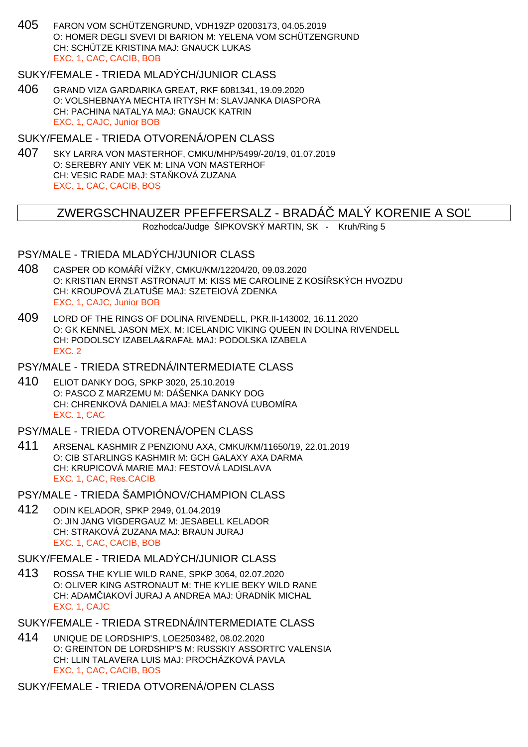405 FARON VOM SCHÜTZENGRUND, VDH19ZP 02003173, 04.05.2019 O: HOMER DEGLI SVEVI DI BARION M: YELENA VOM SCHÜTZENGRUND CH: SCHÜTZE KRISTINA MAJ: GNAUCK LUKAS EXC. 1, CAC, CACIB, BOB

## SUKY/FEMALE - TRIEDA MLADÝCH/JUNIOR CLASS

406 GRAND VIZA GARDARIKA GREAT, RKF 6081341, 19.09.2020 O: VOLSHEBNAYA MECHTA IRTYSH M: SLAVJANKA DIASPORA CH: PACHINA NATALYA MAJ: GNAUCK KATRIN EXC. 1, CAJC, Junior BOB

#### SUKY/FEMALE - TRIEDA OTVORENÁ/OPEN CLASS

407 SKY LARRA VON MASTERHOF, CMKU/MHP/5499/-20/19, 01.07.2019 O: SEREBRY ANIY VEK M: LINA VON MASTERHOF CH: VESIC RADE MAJ: STA KOVÁ ZUZANA EXC. 1, CAC, CACIB, BOS

## ZWERGSCHNAUZER PFEFFERSALZ - BRADA MALY KORENIE A SO

Rozhodca/Judge ŠIPKOVSKÝ MARTIN, SK - Kruh/Ring 5

#### PSY/MALE - TRIEDA MLADÝCH/JUNIOR CLASS

- 408 CASPER OD KOMÁŘÍ VÍŽKY, CMKU/KM/12204/20, 09.03.2020 O: KRISTIAN ERNST ASTRONAUT M: KISS ME CAROLINE Z KOSÍŘSKÝCH HVOZDU CH: KROUPOVÁ ZLATUŠE MAJ: SZETEIOVÁ ZDENKA EXC. 1, CAJC, Junior BOB
- 409 LORD OF THE RINGS OF DOLINA RIVENDELL, PKR.II-143002, 16.11.2020 O: GK KENNEL JASON MEX. M: ICELANDIC VIKING QUEEN IN DOLINA RIVENDELL CH: PODOLSCY IZABELA&RAFAŁ MAJ: PODOLSKA IZABELA EXC. 2

### PSY/MALE - TRIEDA STREDNÁ/INTERMEDIATE CLASS

410 ELIOT DANKY DOG, SPKP 3020, 25.10.2019 O: PASCO Z MARZEMU M: DÁŠENKA DANKY DOG CH: CHRENKOVÁ DANIELA MAJ: MEŠ ANOVÁ UBOMÍRA EXC. 1, CAC

#### PSY/MALE - TRIEDA OTVORENÁ/OPEN CLASS

- 411 ARSENAL KASHMIR Z PENZIONU AXA, CMKU/KM/11650/19, 22.01.2019 O: CIB STARLINGS KASHMIR M: GCH GALAXY AXA DARMA CH: KRUPICOVÁ MARIE MAJ: FESTOVÁ LADISLAVA EXC. 1, CAC, Res.CACIB
- PSY/MALE TRIEDA ŠAMPIÓNOV/CHAMPION CLASS
- 412 ODIN KELADOR, SPKP 2949, 01.04.2019 O: JIN JANG VIGDERGAUZ M: JESABELL KELADOR CH: STRAKOVÁ ZUZANA MAJ: BRAUN JURAJ EXC. 1, CAC, CACIB, BOB

#### SUKY/FEMALE - TRIEDA MLADÝCH/JUNIOR CLASS

- 413 ROSSA THE KYLIE WILD RANE, SPKP 3064, 02.07.2020 O: OLIVER KING ASTRONAUT M: THE KYLIE BEKY WILD RANE CH: ADAM IAKOVÍ JURAJ A ANDREA MAJ: ÚRADNÍK MICHAL EXC. 1, CAJC
- SUKY/FEMALE TRIEDA STREDNÁ/INTERMEDIATE CLASS
- 414 UNIQUE DE LORDSHIP'S, LOE2503482, 08.02.2020 O: GREINTON DE LORDSHIP'S M: RUSSKIY ASSORTI'C VALENSIA CH: LLIN TALAVERA LUIS MAJ: PROCHÁZKOVÁ PAVLA EXC. 1, CAC, CACIB, BOS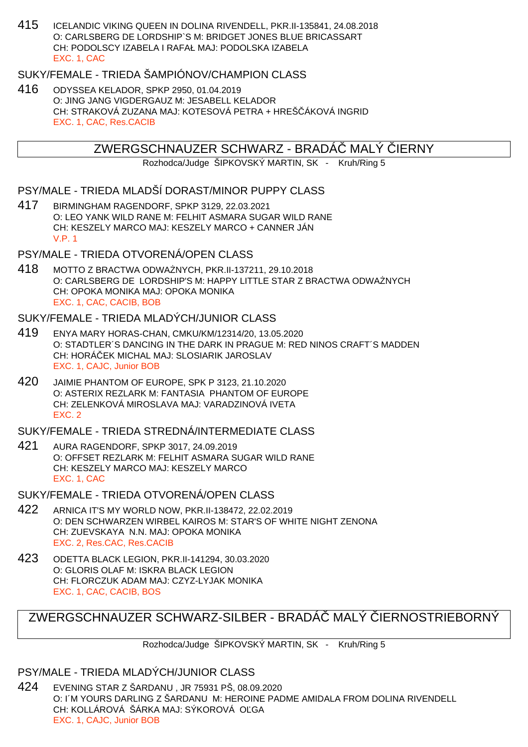415 ICELANDIC VIKING QUEEN IN DOLINA RIVENDELL, PKR.II-135841, 24.08.2018 O: CARLSBERG DE LORDSHIP`S M: BRIDGET JONES BLUE BRICASSART CH: PODOLSCY IZABELA I RAFAŁ MAJ: PODOLSKA IZABELA EXC. 1, CAC

## SUKY/FEMALE - TRIEDA ŠAMPIÓNOV/CHAMPION CLASS

416 ODYSSEA KELADOR, SPKP 2950, 01.04.2019 O: JING JANG VIGDERGAUZ M: JESABELL KELADOR CH: STRAKOVÁ ZUZANA MAJ: KOTESOVÁ PETRA + HREŠ ÁKOVÁ INGRID EXC. 1, CAC, Res.CACIB

# ZWERGSCHNAUZER SCHWARZ - BRADA MALY IERNY

Rozhodca/Judge ŠIPKOVSKÝ MARTIN, SK - Kruh/Ring 5

### PSY/MALE - TRIEDA MLADŠÍ DORAST/MINOR PUPPY CLASS

417 BIRMINGHAM RAGENDORF, SPKP 3129, 22.03.2021 O: LEO YANK WILD RANE M: FELHIT ASMARA SUGAR WILD RANE CH: KESZELY MARCO MAJ: KESZELY MARCO + CANNER JÁN V.P. 1

# PSY/MALE - TRIEDA OTVORENÁ/OPEN CLASS

418 MOTTO Z BRACTWA ODWAŻNYCH, PKR.II-137211, 29.10.2018 O: CARLSBERG DE LORDSHIP'S M: HAPPY LITTLE STAR Z BRACTWA ODWA NYCH CH: OPOKA MONIKA MAJ: OPOKA MONIKA EXC. 1, CAC, CACIB, BOB

#### SUKY/FEMALE - TRIEDA MLADÝCH/JUNIOR CLASS

- 419 ENYA MARY HORAS-CHAN, CMKU/KM/12314/20, 13.05.2020 O: STADTLER´S DANCING IN THE DARK IN PRAGUE M: RED NINOS CRAFT´S MADDEN CH: HORÁČEK MICHAL MAJ: SLOSIARIK JAROSLAV EXC. 1, CAJC, Junior BOB
- 420 JAIMIE PHANTOM OF EUROPE, SPK P 3123, 21.10.2020 O: ASTERIX REZLARK M: FANTASIA PHANTOM OF EUROPE CH: ZELENKOVÁ MIROSLAVA MAJ: VARADZINOVÁ IVETA EXC. 2

SUKY/FEMALE - TRIEDA STREDNÁ/INTERMEDIATE CLASS

- 421 AURA RAGENDORF, SPKP 3017, 24.09.2019 O: OFFSET REZLARK M: FELHIT ASMARA SUGAR WILD RANE CH: KESZELY MARCO MAJ: KESZELY MARCO EXC. 1, CAC
- SUKY/FEMALE TRIEDA OTVORENÁ/OPEN CLASS
- 422 ARNICA IT'S MY WORLD NOW, PKR.II-138472, 22.02.2019 O: DEN SCHWARZEN WIRBEL KAIROS M: STAR'S OF WHITE NIGHT ZENONA CH: ZUEVSKAYA N.N. MAJ: OPOKA MONIKA EXC. 2, Res.CAC, Res.CACIB
- 423 ODETTA BLACK LEGION, PKR.II-141294, 30.03.2020 O: GLORIS OLAF M: ISKRA BLACK LEGION CH: FLORCZUK ADAM MAJ: CZYZ-LYJAK MONIKA EXC. 1, CAC, CACIB, BOS

# ZWERGSCHNAUZER SCHWARZ-SILBER - BRADÁ MALÝ JERNOSTRIEBORNÝ

Rozhodca/Judge ŠIPKOVSKÝ MARTIN, SK - Kruh/Ring 5

## PSY/MALE - TRIEDA MLADÝCH/JUNIOR CLASS

424 EVENING STAR Z ŠARDANU , JR 75931 PŠ, 08.09.2020 O: I´M YOURS DARLING Z ŠARDANU M: HEROINE PADME AMIDALA FROM DOLINA RIVENDELL CH: KOLLÁROVÁ ŠÁRKA MAJ: SÝKOROVÁ OĽGA EXC. 1, CAJC, Junior BOB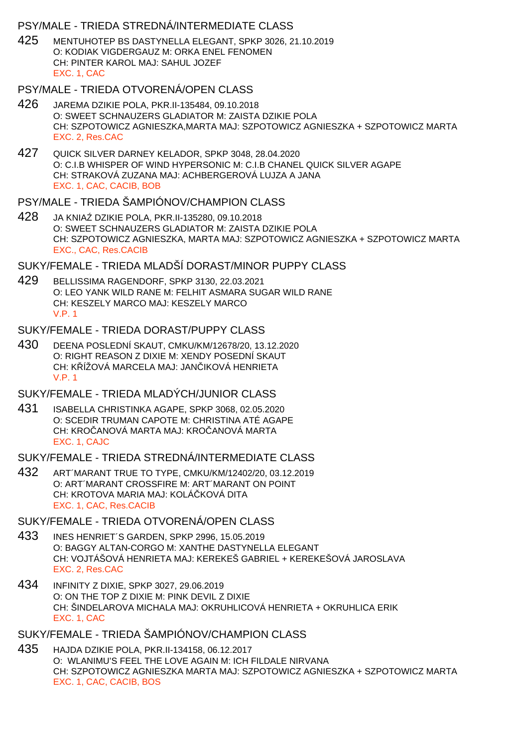### PSY/MALE - TRIEDA STREDNÁ/INTERMEDIATE CLASS

425 MENTUHOTEP BS DASTYNELLA ELEGANT, SPKP 3026, 21.10.2019 O: KODIAK VIGDERGAUZ M: ORKA ENEL FENOMEN CH: PINTER KAROL MAJ: SAHUL JOZEF EXC. 1, CAC

#### PSY/MALE - TRIEDA OTVORENÁ/OPEN CLASS

- 426 JAREMA DZIKIE POLA, PKR.II-135484, 09.10.2018 O: SWEET SCHNAUZERS GLADIATOR M: ZAISTA DZIKIE POLA CH: SZPOTOWICZ AGNIESZKA,MARTA MAJ: SZPOTOWICZ AGNIESZKA + SZPOTOWICZ MARTA EXC. 2, Res.CAC
- 427 QUICK SILVER DARNEY KELADOR, SPKP 3048, 28.04.2020 O: C.I.B WHISPER OF WIND HYPERSONIC M: C.I.B CHANEL QUICK SILVER AGAPE CH: STRAKOVÁ ZUZANA MAJ: ACHBERGEROVÁ LUJZA A JANA EXC. 1, CAC, CACIB, BOB

#### PSY/MALE - TRIEDA ŠAMPIÓNOV/CHAMPION CLASS

428 JA KNIA DZIKIE POLA, PKR.II-135280, 09.10.2018 O: SWEET SCHNAUZERS GLADIATOR M: ZAISTA DZIKIE POLA CH: SZPOTOWICZ AGNIESZKA, MARTA MAJ: SZPOTOWICZ AGNIESZKA + SZPOTOWICZ MARTA EXC., CAC, Res.CACIB

### SUKY/FEMALE - TRIEDA MLADŠÍ DORAST/MINOR PUPPY CLASS

429 BELLISSIMA RAGENDORF, SPKP 3130, 22.03.2021 O: LEO YANK WILD RANE M: FELHIT ASMARA SUGAR WILD RANE CH: KESZELY MARCO MAJ: KESZELY MARCO V.P. 1

#### SUKY/FEMALE - TRIEDA DORAST/PUPPY CLASS

430 DEENA POSLEDNÍ SKAUT, CMKU/KM/12678/20, 13.12.2020 O: RIGHT REASON Z DIXIE M: XENDY POSEDNÍ SKAUT CH: K ÍŽOVÁ MARCELA MAJ: JAN IKOVÁ HENRIETA V.P. 1

## SUKY/FEMALE - TRIEDA MLADÝCH/JUNIOR CLASS

431 ISABELLA CHRISTINKA AGAPE, SPKP 3068, 02.05.2020 O: SCEDIR TRUMAN CAPOTE M: CHRISTINA ATÉ AGAPE CH: KRO ANOVÁ MARTA MAJ: KRO ANOVÁ MARTA EXC. 1, CAJC

#### SUKY/FEMALE - TRIEDA STREDNÁ/INTERMEDIATE CLASS

432 ART´MARANT TRUE TO TYPE, CMKU/KM/12402/20, 03.12.2019 O: ART´MARANT CROSSFIRE M: ART´MARANT ON POINT CH: KROTOVA MARIA MAJ: KOLÁ KOVÁ DITA EXC. 1, CAC, Res.CACIB

# SUKY/FEMALE - TRIEDA OTVORENÁ/OPEN CLASS

- 433 INES HENRIET´S GARDEN, SPKP 2996, 15.05.2019 O: BAGGY ALTAN-CORGO M: XANTHE DASTYNELLA ELEGANT CH: VOJTÁŠOVÁ HENRIETA MAJ: KEREKEŠ GABRIEL + KEREKEŠOVÁ JAROSLAVA EXC. 2, Res.CAC
- 434 INFINITY Z DIXIE, SPKP 3027, 29.06.2019 O: ON THE TOP Z DIXIE M: PINK DEVIL Z DIXIE CH: ŠINDELAROVA MICHALA MAJ: OKRUHLICOVÁ HENRIETA + OKRUHLICA ERIK EXC. 1, CAC

## SUKY/FEMALE - TRIEDA ŠAMPIÓNOV/CHAMPION CLASS

435 HAJDA DZIKIE POLA, PKR.II-134158, 06.12.2017 O: WLANIMU'S FEEL THE LOVE AGAIN M: ICH FILDALE NIRVANA CH: SZPOTOWICZ AGNIESZKA MARTA MAJ: SZPOTOWICZ AGNIESZKA + SZPOTOWICZ MARTA EXC. 1, CAC, CACIB, BOS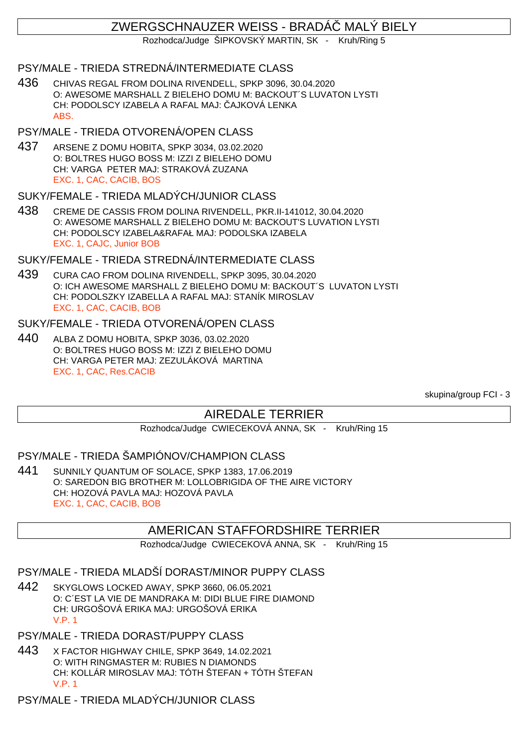# ZWERGSCHNAUZER WEISS - BRADÁČ MALÝ BIELY

Rozhodca/Judge ŠIPKOVSKÝ MARTIN, SK - Kruh/Ring 5

## PSY/MALE - TRIEDA STREDNÁ/INTERMEDIATE CLASS

436 CHIVAS REGAL FROM DOLINA RIVENDELL, SPKP 3096, 30.04.2020 O: AWESOME MARSHALL Z BIELEHO DOMU M: BACKOUT´S LUVATON LYSTI CH: PODOLSCY IZABELA A RAFAL MAJ: AJKOVÁ LENKA ABS.

## PSY/MALE - TRIEDA OTVORENÁ/OPEN CLASS

437 ARSENE Z DOMU HOBITA, SPKP 3034, 03.02.2020 O: BOLTRES HUGO BOSS M: IZZI Z BIELEHO DOMU CH: VARGA PETER MAJ: STRAKOVÁ ZUZANA EXC. 1, CAC, CACIB, BOS

### SUKY/FEMALE - TRIEDA MLADÝCH/JUNIOR CLASS

438 CREME DE CASSIS FROM DOLINA RIVENDELL, PKR.II-141012, 30.04.2020 O: AWESOME MARSHALL Z BIELEHO DOMU M: BACKOUT'S LUVATION LYSTI CH: PODOLSCY IZABELA&RAFAŁ MAJ: PODOLSKA IZABELA EXC. 1, CAJC, Junior BOB

## SUKY/FEMALE - TRIEDA STREDNÁ/INTERMEDIATE CLASS

439 CURA CAO FROM DOLINA RIVENDELL, SPKP 3095, 30.04.2020 O: ICH AWESOME MARSHALL Z BIELEHO DOMU M: BACKOUT´S LUVATON LYSTI CH: PODOLSZKY IZABELLA A RAFAL MAJ: STANÍK MIROSLAV EXC. 1, CAC, CACIB, BOB

### SUKY/FEMALE - TRIEDA OTVORENÁ/OPEN CLASS

440 ALBA Z DOMU HOBITA, SPKP 3036, 03.02.2020 O: BOLTRES HUGO BOSS M: IZZI Z BIELEHO DOMU CH: VARGA PETER MAJ: ZEZULÁKOVÁ MARTINA EXC. 1, CAC, Res.CACIB

skupina/group FCI - 3

# AIREDALE TERRIER

Rozhodca/Judge CWIECEKOVÁ ANNA, SK - Kruh/Ring 15

### PSY/MALE - TRIEDA ŠAMPIÓNOV/CHAMPION CLASS

441 SUNNILY QUANTUM OF SOLACE, SPKP 1383, 17.06.2019 O: SAREDON BIG BROTHER M: LOLLOBRIGIDA OF THE AIRE VICTORY CH: HOZOVÁ PAVLA MAJ: HOZOVÁ PAVLA EXC. 1, CAC, CACIB, BOB

## AMERICAN STAFFORDSHIRE TERRIER

Rozhodca/Judge CWIECEKOVÁ ANNA, SK - Kruh/Ring 15

# PSY/MALE - TRIEDA MLADŠÍ DORAST/MINOR PUPPY CLASS

- 442 SKYGLOWS LOCKED AWAY, SPKP 3660, 06.05.2021 O: C´EST LA VIE DE MANDRAKA M: DIDI BLUE FIRE DIAMOND CH: URGOŠOVÁ ERIKA MAJ: URGOŠOVÁ ERIKA V.P. 1
- PSY/MALE TRIEDA DORAST/PUPPY CLASS
- 443 X FACTOR HIGHWAY CHILE, SPKP 3649, 14.02.2021 O: WITH RINGMASTER M: RUBIES N DIAMONDS CH: KOLLÁR MIROSLAV MAJ: TÓTH ŠTEFAN + TÓTH ŠTEFAN V.P. 1
- PSY/MALE TRIEDA MLADÝCH/JUNIOR CLASS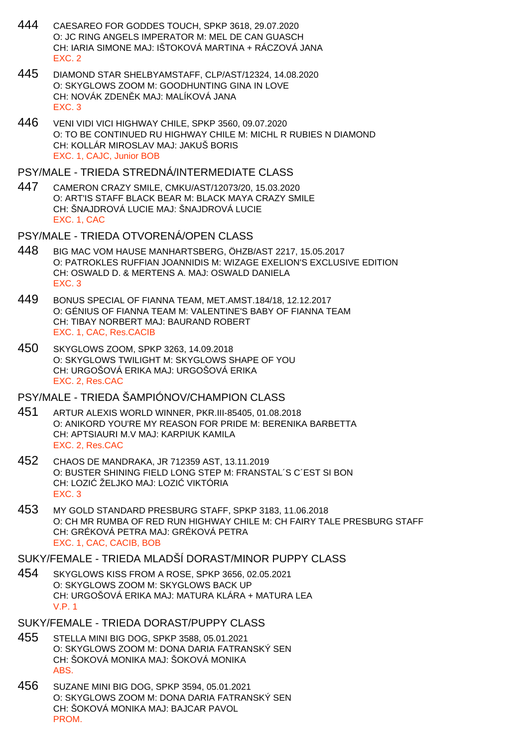- 444 CAESAREO FOR GODDES TOUCH, SPKP 3618, 29.07.2020 O: JC RING ANGELS IMPERATOR M: MEL DE CAN GUASCH CH: IARIA SIMONE MAJ: IŠTOKOVÁ MARTINA + RÁCZOVÁ JANA EXC. 2
- 445 DIAMOND STAR SHELBYAMSTAFF, CLP/AST/12324, 14.08.2020 O: SKYGLOWS ZOOM M: GOODHUNTING GINA IN LOVE CH: NOVÁK ZDENIK MAJ: MALÍKOVÁ JANA EXC. 3
- 446 VENI VIDI VICI HIGHWAY CHILE, SPKP 3560, 09.07.2020 O: TO BE CONTINUED RU HIGHWAY CHILE M: MICHL R RUBIES N DIAMOND CH: KOLLÁR MIROSLAV MAJ: JAKUŠ BORIS EXC. 1, CAJC, Junior BOB

#### PSY/MALE - TRIEDA STREDNÁ/INTERMEDIATE CLASS

- 447 CAMERON CRAZY SMILE, CMKU/AST/12073/20, 15.03.2020 O: ART'IS STAFF BLACK BEAR M: BLACK MAYA CRAZY SMILE CH: ŠNAJDROVÁ LUCIE MAJ: ŠNAJDROVÁ LUCIE EXC. 1, CAC
- PSY/MALE TRIEDA OTVORENÁ/OPEN CLASS
- 448 BIG MAC VOM HAUSE MANHARTSBERG, ÖHZB/AST 2217, 15.05.2017 O: PATROKLES RUFFIAN JOANNIDIS M: WIZAGE EXELION'S EXCLUSIVE EDITION CH: OSWALD D. & MERTENS A. MAJ: OSWALD DANIELA EXC. 3
- 449 BONUS SPECIAL OF FIANNA TEAM, MET.AMST.184/18, 12.12.2017 O: GÉNIUS OF FIANNA TEAM M: VALENTINE'S BABY OF FIANNA TEAM CH: TIBAY NORBERT MAJ: BAURAND ROBERT EXC. 1, CAC, Res.CACIB
- 450 SKYGLOWS ZOOM, SPKP 3263, 14.09.2018 O: SKYGLOWS TWILIGHT M: SKYGLOWS SHAPE OF YOU CH: URGOŠOVÁ ERIKA MAJ: URGOŠOVÁ ERIKA EXC. 2, Res.CAC

## PSY/MALE - TRIEDA ŠAMPIÓNOV/CHAMPION CLASS

- 451 ARTUR ALEXIS WORLD WINNER, PKR.III-85405, 01.08.2018 O: ANIKORD YOU'RE MY REASON FOR PRIDE M: BERENIKA BARBETTA CH: APTSIAURI M.V MAJ: KARPIUK KAMILA EXC. 2, Res.CAC
- 452 CHAOS DE MANDRAKA, JR 712359 AST, 13.11.2019 O: BUSTER SHINING FIELD LONG STEP M: FRANSTAL´S C´EST SI BON CH: LOZI ŽELJKO MAJ: LOZI VIKTÓRIA EXC. 3
- 453 MY GOLD STANDARD PRESBURG STAFF, SPKP 3183, 11.06.2018 O: CH MR RUMBA OF RED RUN HIGHWAY CHILE M: CH FAIRY TALE PRESBURG STAFF CH: GRÉKOVÁ PETRA MAJ: GRÉKOVÁ PETRA EXC. 1, CAC, CACIB, BOB

#### SUKY/FEMALE - TRIEDA MLADŠÍ DORAST/MINOR PUPPY CLASS

- 454 SKYGLOWS KISS FROM A ROSE, SPKP 3656, 02.05.2021 O: SKYGLOWS ZOOM M: SKYGLOWS BACK UP CH: URGOŠOVÁ ERIKA MAJ: MATURA KLÁRA + MATURA LEA V.P. 1
- SUKY/FEMALE TRIEDA DORAST/PUPPY CLASS
- 455 STELLA MINI BIG DOG, SPKP 3588, 05.01.2021 O: SKYGLOWS ZOOM M: DONA DARIA FATRANSKÝ SEN CH: ŠOKOVÁ MONIKA MAJ: ŠOKOVÁ MONIKA ABS.
- 456 SUZANE MINI BIG DOG, SPKP 3594, 05.01.2021 O: SKYGLOWS ZOOM M: DONA DARIA FATRANSKÝ SEN CH: ŠOKOVÁ MONIKA MAJ: BAJCAR PAVOL PROM.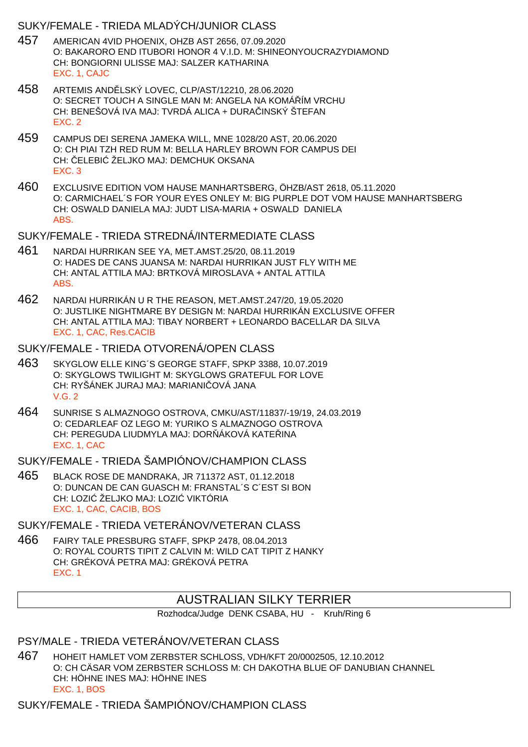## SUKY/FEMALE - TRIEDA MLADÝCH/JUNIOR CLASS

- 457 AMERICAN 4VID PHOENIX, OHZB AST 2656, 07.09.2020 O: BAKARORO END ITUBORI HONOR 4 V.I.D. M: SHINEONYOUCRAZYDIAMOND CH: BONGIORNI ULISSE MAJ: SALZER KATHARINA EXC. 1, CAJC
- 458 ARTEMIS AND LSKÝ LOVEC, CLP/AST/12210, 28.06.2020 O: SECRET TOUCH A SINGLE MAN M: ANGELA NA KOMÁ ÍM VRCHU CH: BENEŠOVÁ IVA MAJ: TVRDÁ ALICA + DURA INSKÝ ŠTEFAN EXC. 2
- 459 CAMPUS DEI SERENA JAMEKA WILL, MNE 1028/20 AST, 20.06.2020 O: CH PIAI TZH RED RUM M: BELLA HARLEY BROWN FOR CAMPUS DEI CH: ELEBI ŽELJKO MAJ: DEMCHUK OKSANA EXC. 3
- 460 EXCLUSIVE EDITION VOM HAUSE MANHARTSBERG, ÖHZB/AST 2618, 05.11.2020 O: CARMICHAEL´S FOR YOUR EYES ONLEY M: BIG PURPLE DOT VOM HAUSE MANHARTSBERG CH: OSWALD DANIELA MAJ: JUDT LISA-MARIA + OSWALD DANIELA ABS.

#### SUKY/FEMALE - TRIEDA STREDNÁ/INTERMEDIATE CLASS

- 461 NARDAI HURRIKAN SEE YA, MET.AMST.25/20, 08.11.2019 O: HADES DE CANS JUANSA M: NARDAI HURRIKAN JUST FLY WITH ME CH: ANTAL ATTILA MAJ: BRTKOVÁ MIROSLAVA + ANTAL ATTILA ABS.
- 462 NARDAI HURRIKÁN U R THE REASON, MET.AMST.247/20, 19.05.2020 O: JUSTLIKE NIGHTMARE BY DESIGN M: NARDAI HURRIKÁN EXCLUSIVE OFFER CH: ANTAL ATTILA MAJ: TIBAY NORBERT + LEONARDO BACELLAR DA SILVA EXC. 1, CAC, Res.CACIB

## SUKY/FEMALE - TRIEDA OTVORENÁ/OPEN CLASS

- 463 SKYGLOW ELLE KING´S GEORGE STAFF, SPKP 3388, 10.07.2019 O: SKYGLOWS TWILIGHT M: SKYGLOWS GRATEFUL FOR LOVE CH: RYŠÁNEK JURAJ MAJ: MARIANI OVÁ JANA V.G. 2
- 464 SUNRISE S ALMAZNOGO OSTROVA, CMKU/AST/11837/-19/19, 24.03.2019 O: CEDARLEAF OZ LEGO M: YURIKO S ALMAZNOGO OSTROVA CH: PEREGUDA LIUDMYLA MAJ: DOR ÁKOVÁ KATE INA EXC. 1, CAC

## SUKY/FEMALE - TRIEDA ŠAMPIÓNOV/CHAMPION CLASS

465 BLACK ROSE DE MANDRAKA, JR 711372 AST, 01.12.2018 O: DUNCAN DE CAN GUASCH M: FRANSTAL´S C´EST SI BON CH: LOZI ŽELJKO MAJ: LOZI VIKTÓRIA EXC. 1, CAC, CACIB, BOS

## SUKY/FEMALE - TRIEDA VETERÁNOV/VETERAN CLASS

466 FAIRY TALE PRESBURG STAFF, SPKP 2478, 08.04.2013 O: ROYAL COURTS TIPIT Z CALVIN M: WILD CAT TIPIT Z HANKY CH: GRÉKOVÁ PETRA MAJ: GRÉKOVÁ PETRA EXC. 1

# AUSTRALIAN SILKY TERRIER

Rozhodca/Judge DENK CSABA, HU - Kruh/Ring 6

## PSY/MALE - TRIEDA VETERÁNOV/VETERAN CLASS

467 HOHEIT HAMLET VOM ZERBSTER SCHLOSS, VDH/KFT 20/0002505, 12.10.2012 O: CH CÄSAR VOM ZERBSTER SCHLOSS M: CH DAKOTHA BLUE OF DANUBIAN CHANNEL CH: HÖHNE INES MAJ: HÖHNE INES EXC. 1, BOS

SUKY/FEMALE - TRIEDA ŠAMPIÓNOV/CHAMPION CLASS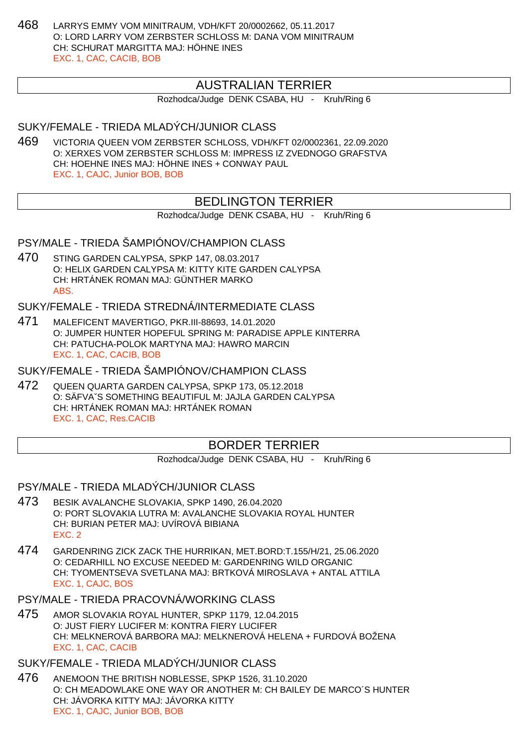468 LARRYS EMMY VOM MINITRAUM, VDH/KFT 20/0002662, 05.11.2017 O: LORD LARRY VOM ZERBSTER SCHLOSS M: DANA VOM MINITRAUM CH: SCHURAT MARGITTA MAJ: HÖHNE INES EXC. 1, CAC, CACIB, BOB

# AUSTRALIAN TERRIER

Rozhodca/Judge DENK CSABA, HU - Kruh/Ring 6

# SUKY/FEMALE - TRIEDA MLADÝCH/JUNIOR CLASS

469 VICTORIA QUEEN VOM ZERBSTER SCHLOSS, VDH/KFT 02/0002361, 22.09.2020 O: XERXES VOM ZERBSTER SCHLOSS M: IMPRESS IZ ZVEDNOGO GRAFSTVA CH: HOEHNE INES MAJ: HÖHNE INES + CONWAY PAUL EXC. 1, CAJC, Junior BOB, BOB

# BEDLINGTON TERRIER

Rozhodca/Judge DENK CSABA, HU - Kruh/Ring 6

# PSY/MALE - TRIEDA ŠAMPIÓNOV/CHAMPION CLASS

470 STING GARDEN CALYPSA, SPKP 147, 08.03.2017 O: HELIX GARDEN CALYPSA M: KITTY KITE GARDEN CALYPSA CH: HRTÁNEK ROMAN MAJ: GÜNTHER MARKO ABS.

SUKY/FEMALE - TRIEDA STREDNÁ/INTERMEDIATE CLASS

471 MALEFICENT MAVERTIGO, PKR.III-88693, 14.01.2020 O: JUMPER HUNTER HOPEFUL SPRING M: PARADISE APPLE KINTERRA CH: PATUCHA-POLOK MARTYNA MAJ: HAWRO MARCIN EXC. 1, CAC, CACIB, BOB

SUKY/FEMALE - TRIEDA ŠAMPIÓNOV/CHAMPION CLASS

472 QUEEN QUARTA GARDEN CALYPSA, SPKP 173, 05.12.2018 O: SÄFVAˇS SOMETHING BEAUTIFUL M: JAJLA GARDEN CALYPSA CH: HRTÁNEK ROMAN MAJ: HRTÁNEK ROMAN EXC. 1, CAC, Res.CACIB

# BORDER TERRIER

Rozhodca/Judge DENK CSABA, HU - Kruh/Ring 6

PSY/MALE - TRIEDA MLADÝCH/JUNIOR CLASS

- 473 BESIK AVALANCHE SLOVAKIA, SPKP 1490, 26.04.2020 O: PORT SLOVAKIA LUTRA M: AVALANCHE SLOVAKIA ROYAL HUNTER CH: BURIAN PETER MAJ: UVÍROVÁ BIBIANA EXC. 2
- 474 GARDENRING ZICK ZACK THE HURRIKAN, MET.BORD:T.155/H/21, 25.06.2020 O: CEDARHILL NO EXCUSE NEEDED M: GARDENRING WILD ORGANIC CH: TYOMENTSEVA SVETLANA MAJ: BRTKOVÁ MIROSLAVA + ANTAL ATTILA EXC. 1, CAJC, BOS
- PSY/MALE TRIEDA PRACOVNÁ/WORKING CLASS
- 475 AMOR SLOVAKIA ROYAL HUNTER, SPKP 1179, 12.04.2015 O: JUST FIERY LUCIFER M: KONTRA FIERY LUCIFER CH: MELKNEROVÁ BARBORA MAJ: MELKNEROVÁ HELENA + FURDOVÁ BOŽENA EXC. 1, CAC, CACIB

SUKY/FEMALE - TRIEDA MLADÝCH/JUNIOR CLASS

476 ANEMOON THE BRITISH NOBLESSE, SPKP 1526, 31.10.2020 O: CH MEADOWLAKE ONE WAY OR ANOTHER M: CH BAILEY DE MARCO´S HUNTER CH: JÁVORKA KITTY MAJ: JÁVORKA KITTY EXC. 1, CAJC, Junior BOB, BOB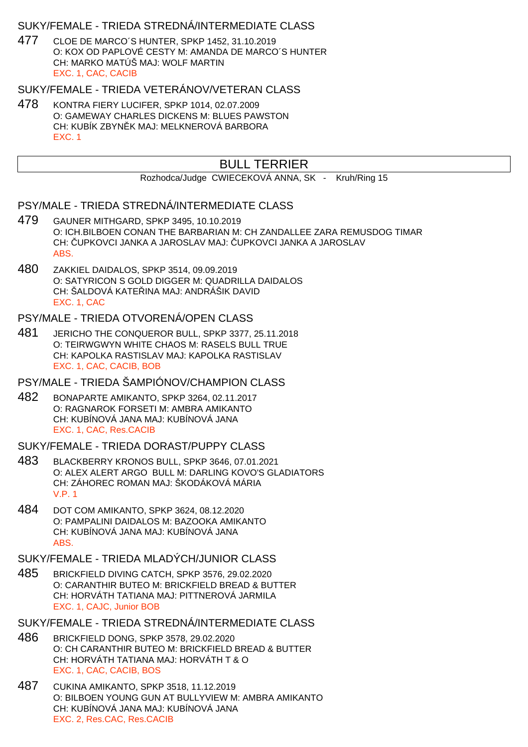### SUKY/FEMALE - TRIEDA STREDNÁ/INTERMEDIATE CLASS

477 CLOE DE MARCO´S HUNTER, SPKP 1452, 31.10.2019 O: KOX OD PAPLOVÉ CESTY M: AMANDA DE MARCO´S HUNTER CH: MARKO MATÚŠ MAJ: WOLF MARTIN EXC. 1, CAC, CACIB

#### SUKY/FEMALE - TRIEDA VETERÁNOV/VETERAN CLASS

478 KONTRA FIERY LUCIFER, SPKP 1014, 02.07.2009 O: GAMEWAY CHARLES DICKENS M: BLUES PAWSTON CH: KUBÍK ZBYN K MAJ: MELKNEROVÁ BARBORA EXC. 1

# BULL TERRIER

Rozhodca/Judge CWIECEKOVÁ ANNA, SK - Kruh/Ring 15

#### PSY/MALE - TRIEDA STREDNÁ/INTERMEDIATE CLASS

- 479 GAUNER MITHGARD, SPKP 3495, 10.10.2019 O: ICH.BILBOEN CONAN THE BARBARIAN M: CH ZANDALLEE ZARA REMUSDOG TIMAR CH: UPKOVCI JANKA A JAROSLAV MAJ: UPKOVCI JANKA A JAROSLAV ABS.
- 480 ZAKKIEL DAIDALOS, SPKP 3514, 09.09.2019 O: SATYRICON S GOLD DIGGER M: QUADRILLA DAIDALOS CH: ŠALDOVÁ KATE INA MAJ: ANDRÁŠIK DAVID EXC. 1, CAC

## PSY/MALE - TRIEDA OTVORENÁ/OPEN CLASS

481 JERICHO THE CONQUEROR BULL, SPKP 3377, 25.11.2018 O: TEIRWGWYN WHITE CHAOS M: RASELS BULL TRUE CH: KAPOLKA RASTISLAV MAJ: KAPOLKA RASTISLAV EXC. 1, CAC, CACIB, BOB

#### PSY/MALE - TRIEDA ŠAMPIÓNOV/CHAMPION CLASS

482 BONAPARTE AMIKANTO, SPKP 3264, 02.11.2017 O: RAGNAROK FORSETI M: AMBRA AMIKANTO CH: KUBÍNOVÁ JANA MAJ: KUBÍNOVÁ JANA EXC. 1, CAC, Res.CACIB

#### SUKY/FEMALE - TRIEDA DORAST/PUPPY CLASS

- 483 BLACKBERRY KRONOS BULL, SPKP 3646, 07.01.2021 O: ALEX ALERT ARGO BULL M: DARLING KOVO'S GLADIATORS CH: ZÁHOREC ROMAN MAJ: ŠKODÁKOVÁ MÁRIA V.P. 1
- 484 DOT COM AMIKANTO, SPKP 3624, 08.12.2020 O: PAMPALINI DAIDALOS M: BAZOOKA AMIKANTO CH: KUBÍNOVÁ JANA MAJ: KUBÍNOVÁ JANA ABS.

#### SUKY/FEMALE - TRIEDA MLADÝCH/JUNIOR CLASS

- 485 BRICKFIELD DIVING CATCH, SPKP 3576, 29.02.2020 O: CARANTHIR BUTEO M: BRICKFIELD BREAD & BUTTER CH: HORVÁTH TATIANA MAJ: PITTNEROVÁ JARMILA EXC. 1, CAJC, Junior BOB
- SUKY/FEMALE TRIEDA STREDNÁ/INTERMEDIATE CLASS
- 486 BRICKFIELD DONG, SPKP 3578, 29.02.2020 O: CH CARANTHIR BUTEO M: BRICKFIELD BREAD & BUTTER CH: HORVÁTH TATIANA MAJ: HORVÁTH T & O EXC. 1, CAC, CACIB, BOS
- 487 CUKINA AMIKANTO, SPKP 3518, 11.12.2019 O: BILBOEN YOUNG GUN AT BULLYVIEW M: AMBRA AMIKANTO CH: KUBÍNOVÁ JANA MAJ: KUBÍNOVÁ JANA EXC. 2, Res.CAC, Res.CACIB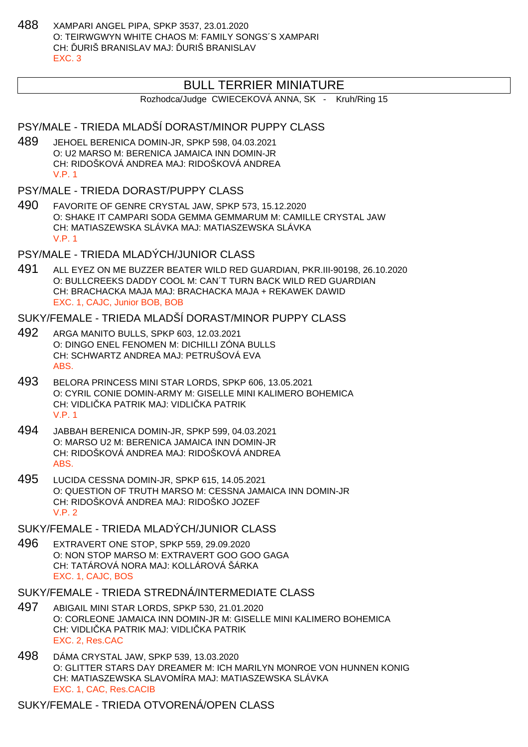488 XAMPARI ANGEL PIPA, SPKP 3537, 23.01.2020 O: TEIRWGWYN WHITE CHAOS M: FAMILY SONGS´S XAMPARI CH: URIŠ BRANISLAV MAJ: URIŠ BRANISLAV EXC. 3

## BULL TERRIER MINIATURE

Rozhodca/Judge CWIECEKOVÁ ANNA, SK - Kruh/Ring 15

### PSY/MALE - TRIEDA MLADŠÍ DORAST/MINOR PUPPY CLASS

- 489 JEHOEL BERENICA DOMIN-JR, SPKP 598, 04.03.2021 O: U2 MARSO M: BERENICA JAMAICA INN DOMIN-JR CH: RIDOŠKOVÁ ANDREA MAJ: RIDOŠKOVÁ ANDREA V.P. 1
- PSY/MALE TRIEDA DORAST/PUPPY CLASS
- 490 FAVORITE OF GENRE CRYSTAL JAW, SPKP 573, 15.12.2020 O: SHAKE IT CAMPARI SODA GEMMA GEMMARUM M: CAMILLE CRYSTAL JAW CH: MATIASZEWSKA SLÁVKA MAJ: MATIASZEWSKA SLÁVKA V.P. 1
- PSY/MALE TRIEDA MLADÝCH/JUNIOR CLASS
- 491 ALL EYEZ ON ME BUZZER BEATER WILD RED GUARDIAN, PKR.III-90198, 26.10.2020 O: BULLCREEKS DADDY COOL M: CAN´T TURN BACK WILD RED GUARDIAN CH: BRACHACKA MAJA MAJ: BRACHACKA MAJA + REKAWEK DAWID EXC. 1, CAJC, Junior BOB, BOB

#### SUKY/FEMALE - TRIEDA MLADŠÍ DORAST/MINOR PUPPY CLASS

- 492 ARGA MANITO BULLS, SPKP 603, 12.03.2021 O: DINGO ENEL FENOMEN M: DICHILLI ZÓNA BULLS CH: SCHWARTZ ANDREA MAJ: PETRUŠOVÁ EVA ABS.
- 493 BELORA PRINCESS MINI STAR LORDS, SPKP 606, 13.05.2021 O: CYRIL CONIE DOMIN-ARMY M: GISELLE MINI KALIMERO BOHEMICA CH: VIDLI KA PATRIK MAJ: VIDLI KA PATRIK V.P. 1
- 494 JABBAH BERENICA DOMIN-JR, SPKP 599, 04.03.2021 O: MARSO U2 M: BERENICA JAMAICA INN DOMIN-JR CH: RIDOŠKOVÁ ANDREA MAJ: RIDOŠKOVÁ ANDREA ABS.
- 495 LUCIDA CESSNA DOMIN-JR, SPKP 615, 14.05.2021 O: QUESTION OF TRUTH MARSO M: CESSNA JAMAICA INN DOMIN-JR CH: RIDOŠKOVÁ ANDREA MAJ: RIDOŠKO JOZEF  $V.P. 2$
- SUKY/FEMALE TRIEDA MLADÝCH/JUNIOR CLASS
- 496 EXTRAVERT ONE STOP, SPKP 559, 29.09.2020 O: NON STOP MARSO M: EXTRAVERT GOO GOO GAGA CH: TATÁROVÁ NORA MAJ: KOLLÁROVÁ ŠÁRKA EXC. 1, CAJC, BOS

#### SUKY/FEMALE - TRIEDA STREDNÁ/INTERMEDIATE CLASS

- 497 ABIGAIL MINI STAR LORDS, SPKP 530, 21.01.2020 O: CORLEONE JAMAICA INN DOMIN-JR M: GISELLE MINI KALIMERO BOHEMICA CH: VIDLI KA PATRIK MAJ: VIDLI KA PATRIK EXC. 2, Res.CAC
- 498 DÁMA CRYSTAL JAW, SPKP 539, 13.03.2020 O: GLITTER STARS DAY DREAMER M: ICH MARILYN MONROE VON HUNNEN KONIG CH: MATIASZEWSKA SLAVOMÍRA MAJ: MATIASZEWSKA SLÁVKA EXC. 1, CAC, Res.CACIB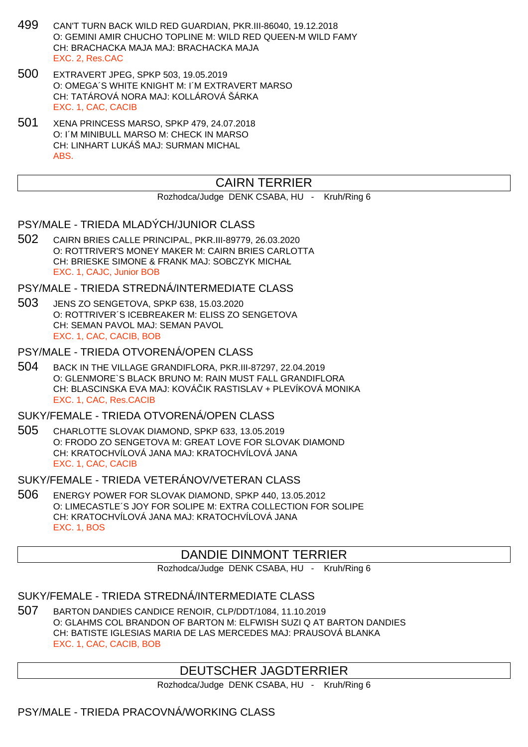- 499 CAN'T TURN BACK WILD RED GUARDIAN, PKR.III-86040, 19.12.2018 O: GEMINI AMIR CHUCHO TOPLINE M: WILD RED QUEEN-M WILD FAMY CH: BRACHACKA MAJA MAJ: BRACHACKA MAJA EXC. 2, Res.CAC
- 500 EXTRAVERT JPEG, SPKP 503, 19.05.2019 O: OMEGA´S WHITE KNIGHT M: I´M EXTRAVERT MARSO CH: TATÁROVÁ NORA MAJ: KOLLÁROVÁ ŠÁRKA EXC. 1, CAC, CACIB
- 501 XENA PRINCESS MARSO, SPKP 479, 24.07.2018 O: I´M MINIBULL MARSO M: CHECK IN MARSO CH: LINHART LUKÁŠ MAJ: SURMAN MICHAL ABS.

# CAIRN TERRIER

#### Rozhodca/Judge DENK CSABA, HU - Kruh/Ring 6

### PSY/MALE - TRIEDA MLADÝCH/JUNIOR CLASS

502 CAIRN BRIES CALLE PRINCIPAL, PKR.III-89779, 26.03.2020 O: ROTTRIVER'S MONEY MAKER M: CAIRN BRIES CARLOTTA CH: BRIESKE SIMONE & FRANK MAJ: SOBCZYK MICHAŁ EXC. 1, CAJC, Junior BOB

#### PSY/MALE - TRIEDA STREDNÁ/INTERMEDIATE CLASS

503 JENS ZO SENGETOVA, SPKP 638, 15.03.2020 O: ROTTRIVER´S ICEBREAKER M: ELISS ZO SENGETOVA CH: SEMAN PAVOL MAJ: SEMAN PAVOL EXC. 1, CAC, CACIB, BOB

#### PSY/MALE - TRIEDA OTVORENÁ/OPEN CLASS

504 BACK IN THE VILLAGE GRANDIFLORA, PKR.III-87297, 22.04.2019 O: GLENMORE`S BLACK BRUNO M: RAIN MUST FALL GRANDIFLORA CH: BLASCINSKA EVA MAJ: KOVÁ IK RASTISLAV + PLEVÍKOVÁ MONIKA EXC. 1, CAC, Res.CACIB

## SUKY/FEMALE - TRIEDA OTVORENÁ/OPEN CLASS

505 CHARLOTTE SLOVAK DIAMOND, SPKP 633, 13.05.2019 O: FRODO ZO SENGETOVA M: GREAT LOVE FOR SLOVAK DIAMOND CH: KRATOCHVÍLOVÁ JANA MAJ: KRATOCHVÍLOVÁ JANA EXC. 1, CAC, CACIB

### SUKY/FEMALE - TRIEDA VETERÁNOV/VETERAN CLASS

506 ENERGY POWER FOR SLOVAK DIAMOND, SPKP 440, 13.05.2012 O: LIMECASTLE´S JOY FOR SOLIPE M: EXTRA COLLECTION FOR SOLIPE CH: KRATOCHVÍLOVÁ JANA MAJ: KRATOCHVÍLOVÁ JANA EXC. 1, BOS

## DANDIE DINMONT TERRIER

Rozhodca/Judge DENK CSABA, HU - Kruh/Ring 6

### SUKY/FEMALE - TRIEDA STREDNÁ/INTERMEDIATE CLASS

507 BARTON DANDIES CANDICE RENOIR, CLP/DDT/1084, 11.10.2019 O: GLAHMS COL BRANDON OF BARTON M: ELFWISH SUZI Q AT BARTON DANDIES CH: BATISTE IGLESIAS MARIA DE LAS MERCEDES MAJ: PRAUSOVÁ BLANKA EXC. 1, CAC, CACIB, BOB

## DEUTSCHER JAGDTERRIER

Rozhodca/Judge DENK CSABA, HU - Kruh/Ring 6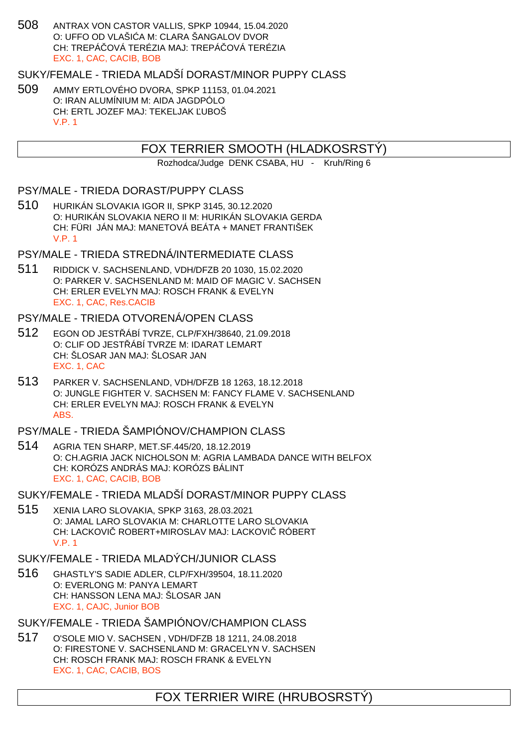508 ANTRAX VON CASTOR VALLIS, SPKP 10944, 15.04.2020 O: UFFO OD VLAŠIL A M: CLARA ŠANGALOV DVOR CH: TREPÁ QVÁ TERÉZIA MAJ: TREPÁ QVÁ TERÉZIA EXC. 1, CAC, CACIB, BOB

SUKY/FEMALE - TRIEDA MLADŠÍ DORAST/MINOR PUPPY CLASS

509 AMMY ERTLOVÉHO DVORA, SPKP 11153, 01.04.2021 O: IRAN ALUMÍNIUM M: AIDA JAGDPÓLO CH: ERTL JOZEF MAJ: TEKELJAK UBOŠ V.P. 1

FOX TERRIER SMOOTH (HLADKOSRSTÝ)

Rozhodca/Judge DENK CSABA, HU - Kruh/Ring 6

PSY/MALE - TRIEDA DORAST/PUPPY CLASS

510 HURIKÁN SLOVAKIA IGOR II, SPKP 3145, 30.12.2020 O: HURIKÁN SLOVAKIA NERO II M: HURIKÁN SLOVAKIA GERDA CH: FÜRI JÁN MAJ: MANETOVÁ BEÁTA + MANET FRANTIŠEK V.P. 1

PSY/MALE - TRIEDA STREDNÁ/INTERMEDIATE CLASS

511 RIDDICK V. SACHSENLAND, VDH/DFZB 20 1030, 15.02.2020 O: PARKER V. SACHSENLAND M: MAID OF MAGIC V. SACHSEN CH: ERLER EVELYN MAJ: ROSCH FRANK & EVELYN EXC. 1, CAC, Res.CACIB

PSY/MALE - TRIEDA OTVORENÁ/OPEN CLASS

- 512 EGON OD JESTŘÁBÍ TVRZE, CLP/FXH/38640, 21.09.2018 O: CLIF OD JEST ÁBÍ TVRZE M: IDARAT LEMART CH: ŠLOSAR JAN MAJ: ŠLOSAR JAN EXC. 1, CAC
- 513 PARKER V. SACHSENLAND, VDH/DFZB 18 1263, 18.12.2018 O: JUNGLE FIGHTER V. SACHSEN M: FANCY FLAME V. SACHSENLAND CH: ERLER EVELYN MAJ: ROSCH FRANK & EVELYN ABS.

PSY/MALE - TRIEDA ŠAMPIÓNOV/CHAMPION CLASS

514 AGRIA TEN SHARP, MET.SF.445/20, 18.12.2019 O: CH.AGRIA JACK NICHOLSON M: AGRIA LAMBADA DANCE WITH BELFOX CH: KORÓZS ANDRÁS MAJ: KORÓZS BÁLINT EXC. 1, CAC, CACIB, BOB

SUKY/FEMALE - TRIEDA MLADŠÍ DORAST/MINOR PUPPY CLASS

515 XENIA LARO SLOVAKIA, SPKP 3163, 28.03.2021 O: JAMAL LARO SLOVAKIA M: CHARLOTTE LARO SLOVAKIA CH: LACKOVI ROBERT+MIROSLAV MAJ: LACKOVI RÓBERT V.P. 1

SUKY/FEMALE - TRIEDA MLADÝCH/JUNIOR CLASS

516 GHASTLY'S SADIE ADLER, CLP/FXH/39504, 18.11.2020 O: EVERLONG M: PANYA LEMART CH: HANSSON LENA MAJ: ŠLOSAR JAN EXC. 1, CAJC, Junior BOB

SUKY/FEMALE - TRIEDA ŠAMPIÓNOV/CHAMPION CLASS

517 O'SOLE MIO V. SACHSEN , VDH/DFZB 18 1211, 24.08.2018 O: FIRESTONE V. SACHSENLAND M: GRACELYN V. SACHSEN CH: ROSCH FRANK MAJ: ROSCH FRANK & EVELYN EXC. 1, CAC, CACIB, BOS

FOX TERRIER WIRE (HRUBOSRSTÝ)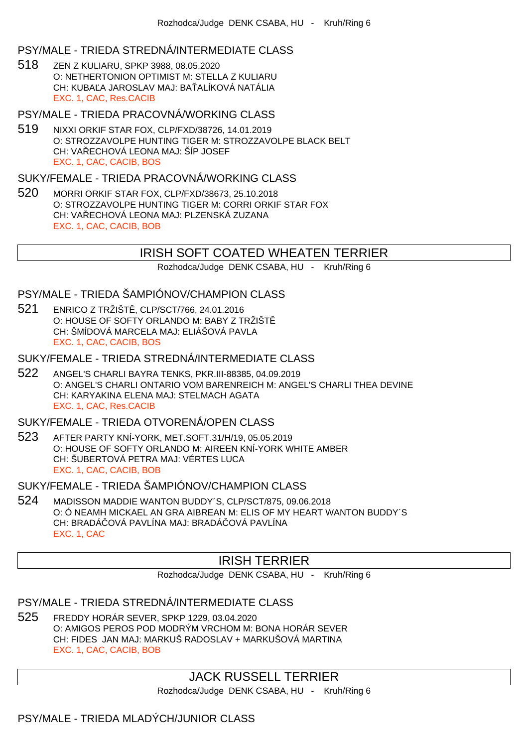#### PSY/MALE - TRIEDA STREDNÁ/INTERMEDIATE CLASS

518 ZEN Z KULIARU, SPKP 3988, 08.05.2020 O: NETHERTONION OPTIMIST M: STELLA Z KULIARU CH: KUBA A JAROSLAV MAJ: BA ALÍKOVÁ NATÁLIA EXC. 1, CAC, Res.CACIB

#### PSY/MALE - TRIEDA PRACOVNÁ/WORKING CLASS

519 NIXXI ORKIF STAR FOX, CLP/FXD/38726, 14.01.2019 O: STROZZAVOLPE HUNTING TIGER M: STROZZAVOLPE BLACK BELT CH: VA ECHOVÁ LEONA MAJ: ŠÍP JOSEF EXC. 1, CAC, CACIB, BOS

#### SUKY/FEMALE - TRIEDA PRACOVNÁ/WORKING CLASS

520 MORRI ORKIF STAR FOX, CLP/FXD/38673, 25.10.2018 O: STROZZAVOLPE HUNTING TIGER M: CORRI ORKIF STAR FOX CH: VA ECHOVÁ LEONA MAJ: PLZENSKÁ ZUZANA EXC. 1, CAC, CACIB, BOB

# IRISH SOFT COATED WHEATEN TERRIER

Rozhodca/Judge DENK CSABA, HU - Kruh/Ring 6

### PSY/MALE - TRIEDA ŠAMPIÓNOV/CHAMPION CLASS

- 521 ENRICO Z TRŽIŠT, CLP/SCT/766, 24.01.2016 O: HOUSE OF SOFTY ORLANDO M: BABY Z TRŽIŠTĚ CH: ŠMÍDOVÁ MARCELA MAJ: ELIÁŠOVÁ PAVLA EXC. 1, CAC, CACIB, BOS
- SUKY/FEMALE TRIEDA STREDNÁ/INTERMEDIATE CLASS
- 522 ANGEL'S CHARLI BAYRA TENKS, PKR.III-88385, 04.09.2019 O: ANGEL'S CHARLI ONTARIO VOM BARENREICH M: ANGEL'S CHARLI THEA DEVINE CH: KARYAKINA ELENA MAJ: STELMACH AGATA EXC. 1, CAC, Res.CACIB

### SUKY/FEMALE - TRIEDA OTVORENÁ/OPEN CLASS

523 AFTER PARTY KNÍ-YORK, MET.SOFT.31/H/19, 05.05.2019 O: HOUSE OF SOFTY ORLANDO M: AIREEN KNÍ-YORK WHITE AMBER CH: ŠUBERTOVÁ PETRA MAJ: VÉRTES LUCA EXC. 1, CAC, CACIB, BOB

#### SUKY/FEMALE - TRIEDA ŠAMPIÓNOV/CHAMPION CLASS

524 MADISSON MADDIE WANTON BUDDY´S, CLP/SCT/875, 09.06.2018 O: Ó NEAMH MICKAEL AN GRA AIBREAN M: ELIS OF MY HEART WANTON BUDDY´S CH: BRADÁ QVÁ PAVLÍNA MAJ: BRADÁ QVÁ PAVLÍNA EXC. 1, CAC

## IRISH TERRIER

Rozhodca/Judge DENK CSABA, HU - Kruh/Ring 6

# PSY/MALE - TRIEDA STREDNÁ/INTERMEDIATE CLASS

525 FREDDY HORÁR SEVER, SPKP 1229, 03.04.2020 O: AMIGOS PEROS POD MODRÝM VRCHOM M: BONA HORÁR SEVER CH: FIDES JAN MAJ: MARKUŠ RADOSLAV + MARKUŠOVÁ MARTINA EXC. 1, CAC, CACIB, BOB

# JACK RUSSELL TERRIER

Rozhodca/Judge DENK CSABA, HU - Kruh/Ring 6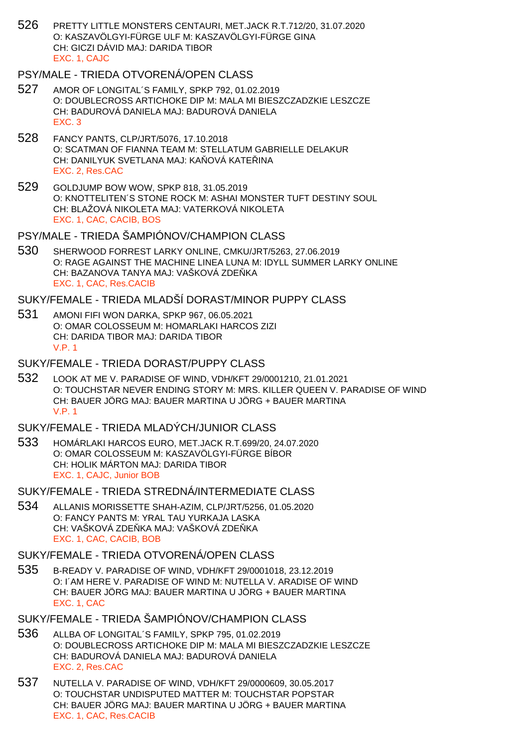526 PRETTY LITTLE MONSTERS CENTAURI, MET.JACK R.T.712/20, 31.07.2020 O: KASZAVÖLGYI-FÜRGE ULF M: KASZAVÖLGYI-FÜRGE GINA CH: GICZI DÁVID MAJ: DARIDA TIBOR EXC. 1, CAJC

## PSY/MALE - TRIEDA OTVORENÁ/OPEN CLASS

- 527 AMOR OF LONGITAL´S FAMILY, SPKP 792, 01.02.2019 O: DOUBLECROSS ARTICHOKE DIP M: MALA MI BIESZCZADZKIE LESZCZE CH: BADUROVÁ DANIELA MAJ: BADUROVÁ DANIELA EXC. 3
- 528 FANCY PANTS, CLP/JRT/5076, 17.10.2018 O: SCATMAN OF FIANNA TEAM M: STELLATUM GABRIELLE DELAKUR CH: DANILYUK SVETLANA MAJ: KA OVÁ KATE INA EXC. 2, Res.CAC
- 529 GOLDJUMP BOW WOW, SPKP 818, 31.05.2019 O: KNOTTELITEN´S STONE ROCK M: ASHAI MONSTER TUFT DESTINY SOUL CH: BLAŽOVÁ NIKOLETA MAJ: VATERKOVÁ NIKOLETA EXC. 1, CAC, CACIB, BOS
- PSY/MALE TRIEDA ŠAMPIÓNOV/CHAMPION CLASS
- 530 SHERWOOD FORREST LARKY ONLINE, CMKU/JRT/5263, 27.06.2019 O: RAGE AGAINST THE MACHINE LINEA LUNA M: IDYLL SUMMER LARKY ONLINE CH: BAZANOVA TANYA MAJ: VAŠKOVÁ ZDE KA EXC. 1, CAC, Res.CACIB

SUKY/FEMALE - TRIEDA MLADŠÍ DORAST/MINOR PUPPY CLASS

- 531 AMONI FIFI WON DARKA, SPKP 967, 06.05.2021 O: OMAR COLOSSEUM M: HOMARLAKI HARCOS ZIZI CH: DARIDA TIBOR MAJ: DARIDA TIBOR V.P. 1
- SUKY/FEMALE TRIEDA DORAST/PUPPY CLASS
- 532 LOOK AT ME V. PARADISE OF WIND, VDH/KFT 29/0001210, 21.01.2021 O: TOUCHSTAR NEVER ENDING STORY M: MRS. KILLER QUEEN V. PARADISE OF WIND CH: BAUER JÖRG MAJ: BAUER MARTINA U JÖRG + BAUER MARTINA V.P. 1

## SUKY/FEMALE - TRIEDA MLADÝCH/JUNIOR CLASS

533 HOMÁRLAKI HARCOS EURO, MET.JACK R.T.699/20, 24.07.2020 O: OMAR COLOSSEUM M: KASZAVÖLGYI-FÜRGE BÍBOR CH: HOLIK MÁRTON MAJ: DARIDA TIBOR EXC. 1, CAJC, Junior BOB

SUKY/FEMALE - TRIEDA STREDNÁ/INTERMEDIATE CLASS

534 ALLANIS MORISSETTE SHAH-AZIM, CLP/JRT/5256, 01.05.2020 O: FANCY PANTS M: YRAL TAU YURKAJA LASKA CH: VAŠKOVÁ ZDE KA MAJ: VAŠKOVÁ ZDE KA EXC. 1, CAC, CACIB, BOB

- 535 B-READY V. PARADISE OF WIND, VDH/KFT 29/0001018, 23.12.2019 O: I´AM HERE V. PARADISE OF WIND M: NUTELLA V. ARADISE OF WIND CH: BAUER JÖRG MAJ: BAUER MARTINA U JÖRG + BAUER MARTINA EXC. 1, CAC
- SUKY/FEMALE TRIEDA ŠAMPIÓNOV/CHAMPION CLASS
- 536 ALLBA OF LONGITAL´S FAMILY, SPKP 795, 01.02.2019 O: DOUBLECROSS ARTICHOKE DIP M: MALA MI BIESZCZADZKIE LESZCZE CH: BADUROVÁ DANIELA MAJ: BADUROVÁ DANIELA EXC. 2, Res.CAC
- 537 NUTELLA V. PARADISE OF WIND, VDH/KFT 29/0000609, 30.05.2017 O: TOUCHSTAR UNDISPUTED MATTER M: TOUCHSTAR POPSTAR CH: BAUER JÖRG MAJ: BAUER MARTINA U JÖRG + BAUER MARTINA EXC. 1, CAC, Res.CACIB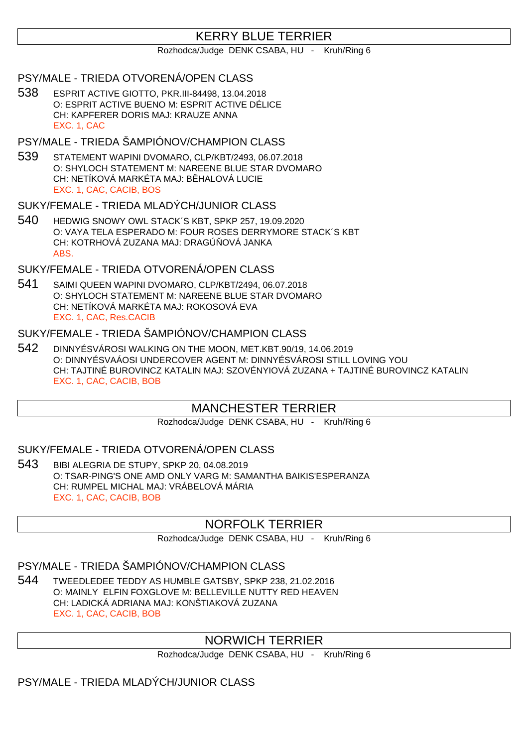# KERRY BLUE TERRIER

#### Rozhodca/Judge DENK CSABA, HU - Kruh/Ring 6

### PSY/MALE - TRIEDA OTVORENÁ/OPEN CLASS

538 ESPRIT ACTIVE GIOTTO, PKR.III-84498, 13.04.2018 O: ESPRIT ACTIVE BUENO M: ESPRIT ACTIVE DÉLICE CH: KAPFERER DORIS MAJ: KRAUZE ANNA EXC. 1, CAC

### PSY/MALE - TRIEDA ŠAMPIÓNOV/CHAMPION CLASS

539 STATEMENT WAPINI DVOMARO, CLP/KBT/2493, 06.07.2018 O: SHYLOCH STATEMENT M: NAREENE BLUE STAR DVOMARO CH: NETÍKOVÁ MARKÉTA MAJ: B HALOVÁ LUCIE EXC. 1, CAC, CACIB, BOS

## SUKY/FEMALE - TRIEDA MLADÝCH/JUNIOR CLASS

540 HEDWIG SNOWY OWL STACK´S KBT, SPKP 257, 19.09.2020 O: VAYA TELA ESPERADO M: FOUR ROSES DERRYMORE STACK´S KBT CH: KOTRHOVÁ ZUZANA MAJ: DRAGÚ OVÁ JANKA ABS.

### SUKY/FEMALE - TRIEDA OTVORENÁ/OPEN CLASS

541 SAIMI QUEEN WAPINI DVOMARO, CLP/KBT/2494, 06.07.2018 O: SHYLOCH STATEMENT M: NAREENE BLUE STAR DVOMARO CH: NETÍKOVÁ MARKÉTA MAJ: ROKOSOVÁ EVA EXC. 1, CAC, Res.CACIB

#### SUKY/FEMALE - TRIEDA ŠAMPIÓNOV/CHAMPION CLASS

542 DINNYÉSVÁROSI WALKING ON THE MOON, MET.KBT.90/19, 14.06.2019 O: DINNYÉSVAÁOSI UNDERCOVER AGENT M: DINNYÉSVÁROSI STILL LOVING YOU CH: TAJTINÉ BUROVINCZ KATALIN MAJ: SZOVÉNYIOVÁ ZUZANA + TAJTINÉ BUROVINCZ KATALIN EXC. 1, CAC, CACIB, BOB

# MANCHESTER TERRIER

Rozhodca/Judge DENK CSABA, HU - Kruh/Ring 6

### SUKY/FEMALE - TRIEDA OTVORENÁ/OPEN CLASS

543 BIBI ALEGRIA DE STUPY, SPKP 20, 04.08.2019 O: TSAR-PING'S ONE AMD ONLY VARG M: SAMANTHA BAIKIS'ESPERANZA CH: RUMPEL MICHAL MAJ: VRÁBELOVÁ MÁRIA EXC. 1, CAC, CACIB, BOB

# NORFOLK TERRIER

Rozhodca/Judge DENK CSABA, HU - Kruh/Ring 6

# PSY/MALE - TRIEDA ŠAMPIÓNOV/CHAMPION CLASS

544 TWEEDLEDEE TEDDY AS HUMBLE GATSBY, SPKP 238, 21.02.2016 O: MAINLY ELFIN FOXGLOVE M: BELLEVILLE NUTTY RED HEAVEN CH: LADICKÁ ADRIANA MAJ: KONŠTIAKOVÁ ZUZANA EXC. 1, CAC, CACIB, BOB

# NORWICH TERRIER

Rozhodca/Judge DENK CSABA, HU - Kruh/Ring 6

## PSY/MALE - TRIEDA MLADÝCH/JUNIOR CLASS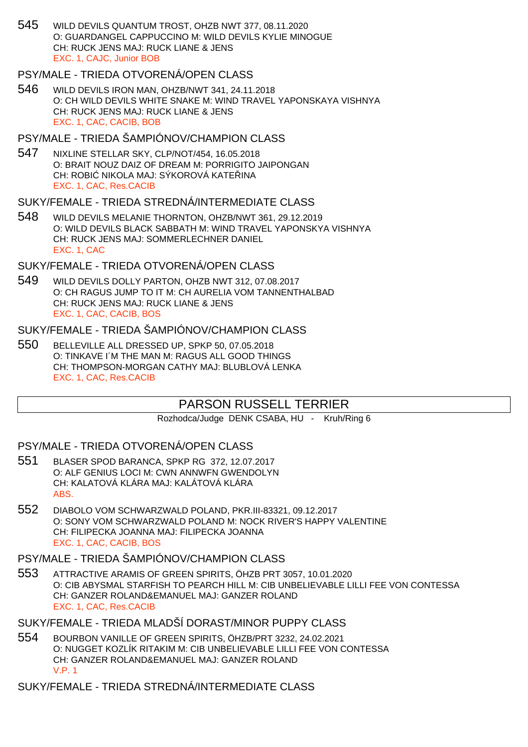545 WILD DEVILS QUANTUM TROST, OHZB NWT 377, 08.11.2020 O: GUARDANGEL CAPPUCCINO M: WILD DEVILS KYLIE MINOGUE CH: RUCK JENS MAJ: RUCK LIANE & JENS EXC. 1, CAJC, Junior BOB

#### PSY/MALE - TRIEDA OTVORENÁ/OPEN CLASS

546 WILD DEVILS IRON MAN, OHZB/NWT 341, 24.11.2018 O: CH WILD DEVILS WHITE SNAKE M: WIND TRAVEL YAPONSKAYA VISHNYA CH: RUCK JENS MAJ: RUCK LIANE & JENS EXC. 1, CAC, CACIB, BOB

## PSY/MALE - TRIEDA ŠAMPIÓNOV/CHAMPION CLASS

547 NIXLINE STELLAR SKY, CLP/NOT/454, 16.05.2018 O: BRAIT NOUZ DAIZ OF DREAM M: PORRIGITO JAIPONGAN CH: ROBI NIKOLA MAJ: SÝKOROVÁ KATE INA EXC. 1, CAC, Res.CACIB

#### SUKY/FEMALE - TRIEDA STREDNÁ/INTERMEDIATE CLASS

548 WILD DEVILS MELANIE THORNTON, OHZB/NWT 361, 29.12.2019 O: WILD DEVILS BLACK SABBATH M: WIND TRAVEL YAPONSKYA VISHNYA CH: RUCK JENS MAJ: SOMMERLECHNER DANIEL EXC. 1, CAC

### SUKY/FEMALE - TRIEDA OTVORENÁ/OPEN CLASS

549 WILD DEVILS DOLLY PARTON, OHZB NWT 312, 07.08.2017 O: CH RAGUS JUMP TO IT M: CH AURELIA VOM TANNENTHALBAD CH: RUCK JENS MAJ: RUCK LIANE & JENS EXC. 1, CAC, CACIB, BOS

#### SUKY/FEMALE - TRIEDA ŠAMPIÓNOV/CHAMPION CLASS

550 BELLEVILLE ALL DRESSED UP, SPKP 50, 07.05.2018 O: TINKAVE I´M THE MAN M: RAGUS ALL GOOD THINGS CH: THOMPSON-MORGAN CATHY MAJ: BLUBLOVÁ LENKA EXC. 1, CAC, Res.CACIB

# PARSON RUSSELL TERRIER

Rozhodca/Judge DENK CSABA, HU - Kruh/Ring 6

#### PSY/MALE - TRIEDA OTVORENÁ/OPEN CLASS

- 551 BLASER SPOD BARANCA, SPKP RG 372, 12.07.2017 O: ALF GENIUS LOCI M: CWN ANNWFN GWENDOLYN CH: KALATOVÁ KLÁRA MAJ: KALÁTOVÁ KLÁRA ABS.
- 552 DIABOLO VOM SCHWARZWALD POLAND, PKR.III-83321, 09.12.2017 O: SONY VOM SCHWARZWALD POLAND M: NOCK RIVER'S HAPPY VALENTINE CH: FILIPECKA JOANNA MAJ: FILIPECKA JOANNA EXC. 1, CAC, CACIB, BOS
- PSY/MALE TRIEDA ŠAMPIÓNOV/CHAMPION CLASS
- 553 ATTRACTIVE ARAMIS OF GREEN SPIRITS, ÖHZB PRT 3057, 10.01.2020 O: CIB ABYSMAL STARFISH TO PEARCH HILL M: CIB UNBELIEVABLE LILLI FEE VON CONTESSA CH: GANZER ROLAND&EMANUEL MAJ: GANZER ROLAND EXC. 1, CAC, Res.CACIB

# SUKY/FEMALE - TRIEDA MLADŠÍ DORAST/MINOR PUPPY CLASS

- 554 BOURBON VANILLE OF GREEN SPIRITS, ÖHZB/PRT 3232, 24.02.2021 O: NUGGET KOZLÍK RITAKIM M: CIB UNBELIEVABLE LILLI FEE VON CONTESSA CH: GANZER ROLAND&EMANUEL MAJ: GANZER ROLAND V.P. 1
- SUKY/FEMALE TRIEDA STREDNÁ/INTERMEDIATE CLASS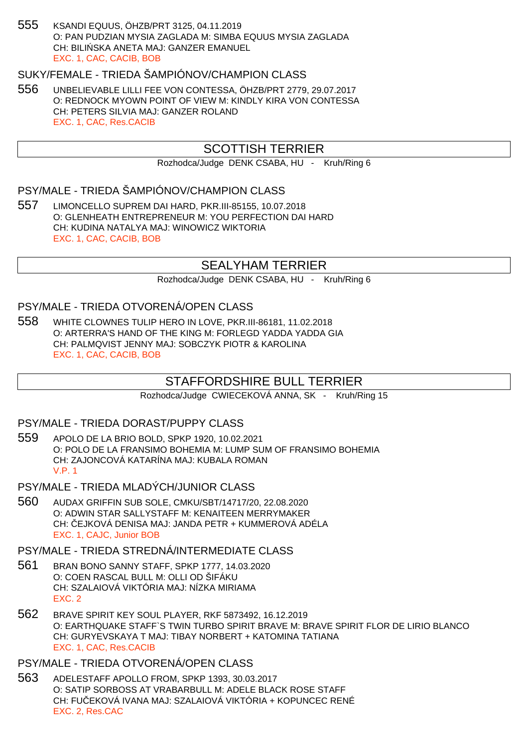555 KSANDI EQUUS, ÖHZB/PRT 3125, 04.11.2019 O: PAN PUDZIAN MYSIA ZAGLADA M: SIMBA EQUUS MYSIA ZAGLADA CH: BILI SKA ANETA MAJ: GANZER EMANUEL EXC. 1, CAC, CACIB, BOB

# SUKY/FEMALE - TRIEDA ŠAMPIÓNOV/CHAMPION CLASS

556 UNBELIEVABLE LILLI FEE VON CONTESSA, ÖHZB/PRT 2779, 29.07.2017 O: REDNOCK MYOWN POINT OF VIEW M: KINDLY KIRA VON CONTESSA CH: PETERS SILVIA MAJ: GANZER ROLAND EXC. 1, CAC, Res.CACIB

# SCOTTISH TERRIER

Rozhodca/Judge DENK CSABA, HU - Kruh/Ring 6

# PSY/MALE - TRIEDA ŠAMPIÓNOV/CHAMPION CLASS

557 LIMONCELLO SUPREM DAI HARD, PKR.III-85155, 10.07.2018 O: GLENHEATH ENTREPRENEUR M: YOU PERFECTION DAI HARD CH: KUDINA NATALYA MAJ: WINOWICZ WIKTORIA EXC. 1, CAC, CACIB, BOB

## SEALYHAM TERRIER

Rozhodca/Judge DENK CSABA, HU - Kruh/Ring 6

#### PSY/MALE - TRIEDA OTVORENÁ/OPEN CLASS

558 WHITE CLOWNES TULIP HERO IN LOVE, PKR.III-86181, 11.02.2018 O: ARTERRA'S HAND OF THE KING M: FORLEGD YADDA YADDA GIA CH: PALMQVIST JENNY MAJ: SOBCZYK PIOTR & KAROLINA EXC. 1, CAC, CACIB, BOB

### STAFFORDSHIRE BULL TERRIER

Rozhodca/Judge CWIECEKOVÁ ANNA, SK - Kruh/Ring 15

#### PSY/MALE - TRIEDA DORAST/PUPPY CLASS

- 559 APOLO DE LA BRIO BOLD, SPKP 1920, 10.02.2021 O: POLO DE LA FRANSIMO BOHEMIA M: LUMP SUM OF FRANSIMO BOHEMIA CH: ZAJONCOVÁ KATARÍNA MAJ: KUBALA ROMAN V.P. 1
- PSY/MALE TRIEDA MLADÝCH/JUNIOR CLASS
- 560 AUDAX GRIFFIN SUB SOLE, CMKU/SBT/14717/20, 22.08.2020 O: ADWIN STAR SALLYSTAFF M: KENAITEEN MERRYMAKER CH: ČEJKOVÁ DENISA MAJ: JANDA PETR + KUMMEROVÁ ADÉLA EXC. 1, CAJC, Junior BOB

## PSY/MALE - TRIEDA STREDNÁ/INTERMEDIATE CLASS

- 561 BRAN BONO SANNY STAFF, SPKP 1777, 14.03.2020 O: COEN RASCAL BULL M: OLLI OD ŠIFÁKU CH: SZALAIOVÁ VIKTÓRIA MAJ: NÍZKA MIRIAMA EXC. 2
- 562 BRAVE SPIRIT KEY SOUL PLAYER, RKF 5873492, 16.12.2019 O: EARTHQUAKE STAFF`S TWIN TURBO SPIRIT BRAVE M: BRAVE SPIRIT FLOR DE LIRIO BLANCO CH: GURYEVSKAYA T MAJ: TIBAY NORBERT + KATOMINA TATIANA EXC. 1, CAC, Res.CACIB

#### PSY/MALE - TRIEDA OTVORENÁ/OPEN CLASS

563 ADELESTAFF APOLLO FROM, SPKP 1393, 30.03.2017 O: SATIP SORBOSS AT VRABARBULL M: ADELE BLACK ROSE STAFF CH: FU EKOVÁ IVANA MAJ: SZALAIOVÁ VIKTÓRIA + KOPUNCEC RENÉ EXC. 2, Res.CAC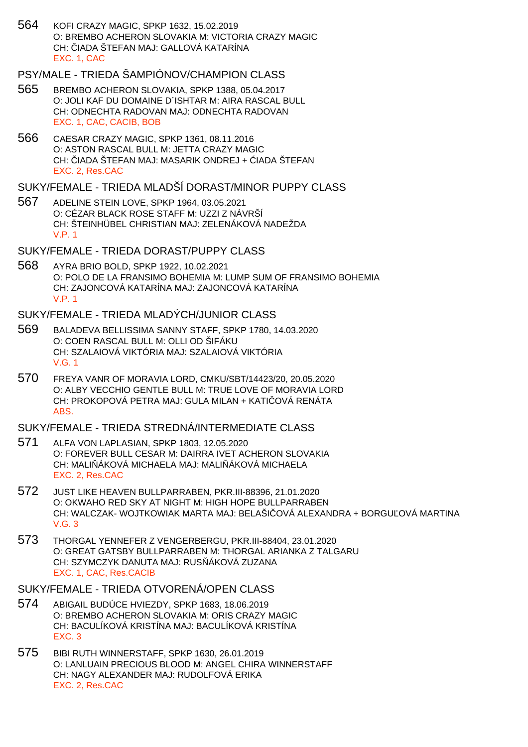564 KOFI CRAZY MAGIC, SPKP 1632, 15.02.2019 O: BREMBO ACHERON SLOVAKIA M: VICTORIA CRAZY MAGIC CH: JADA ŠTEFAN MAJ: GALLOVÁ KATARÍNA EXC. 1, CAC

## PSY/MALE - TRIEDA ŠAMPIÓNOV/CHAMPION CLASS

- 565 BREMBO ACHERON SLOVAKIA, SPKP 1388, 05.04.2017 O: JOLI KAF DU DOMAINE D´ISHTAR M: AIRA RASCAL BULL CH: ODNECHTA RADOVAN MAJ: ODNECHTA RADOVAN EXC. 1, CAC, CACIB, BOB
- 566 CAESAR CRAZY MAGIC, SPKP 1361, 08.11.2016 O: ASTON RASCAL BULL M: JETTA CRAZY MAGIC CH: IADA ŠTEFAN MAJ: MASARIK ONDREJ + IADA ŠTEFAN EXC. 2, Res.CAC
- SUKY/FEMALE TRIEDA MLADŠÍ DORAST/MINOR PUPPY CLASS
- 567 ADELINE STEIN LOVE, SPKP 1964, 03.05.2021 O: CÉZAR BLACK ROSE STAFF M: UZZI Z NÁVRŠÍ CH: ŠTEINHÜBEL CHRISTIAN MAJ: ZELENÁKOVÁ NADEŽDA V.P. 1

#### SUKY/FEMALE - TRIEDA DORAST/PUPPY CLASS

568 AYRA BRIO BOLD, SPKP 1922, 10.02.2021 O: POLO DE LA FRANSIMO BOHEMIA M: LUMP SUM OF FRANSIMO BOHEMIA CH: ZAJONCOVÁ KATARÍNA MAJ: ZAJONCOVÁ KATARÍNA V.P. 1

#### SUKY/FEMALE - TRIEDA MLADÝCH/JUNIOR CLASS

- 569 BALADEVA BELLISSIMA SANNY STAFF, SPKP 1780, 14.03.2020 O: COEN RASCAL BULL M: OLLI OD ŠIFÁKU CH: SZALAIOVÁ VIKTÓRIA MAJ: SZALAIOVÁ VIKTÓRIA V.G. 1
- 570 FREYA VANR OF MORAVIA LORD, CMKU/SBT/14423/20, 20.05.2020 O: ALBY VECCHIO GENTLE BULL M: TRUE LOVE OF MORAVIA LORD CH: PROKOPOVÁ PETRA MAJ: GULA MILAN + KATI OVÁ RENÁTA ABS.

## SUKY/FEMALE - TRIEDA STREDNÁ/INTERMEDIATE CLASS

- 571 ALFA VON LAPLASIAN, SPKP 1803, 12.05.2020 O: FOREVER BULL CESAR M: DAIRRA IVET ACHERON SLOVAKIA CH: MALI ÁKOVÁ MICHAELA MAJ: MALI ÁKOVÁ MICHAELA EXC. 2, Res.CAC
- 572 JUST LIKE HEAVEN BULLPARRABEN, PKR.III-88396, 21.01.2020 O: OKWAHO RED SKY AT NIGHT M: HIGH HOPE BULLPARRABEN CH: WALCZAK- WOJTKOWIAK MARTA MAJ: BELAŠI OVÁ ALEXANDRA + BORGU OVÁ MARTINA V.G. 3
- 573 THORGAL YENNEFER Z VENGERBERGU, PKR.III-88404, 23.01.2020 O: GREAT GATSBY BULLPARRABEN M: THORGAL ARIANKA Z TALGARU CH: SZYMCZYK DANUTA MAJ: RUS ÁKOVÁ ZUZANA EXC. 1, CAC, Res.CACIB

- 574 ABIGAIL BUDÚCE HVIEZDY, SPKP 1683, 18.06.2019 O: BREMBO ACHERON SLOVAKIA M: ORIS CRAZY MAGIC CH: BACULÍKOVÁ KRISTÍNA MAJ: BACULÍKOVÁ KRISTÍNA EXC. 3
- 575 BIBI RUTH WINNERSTAFF, SPKP 1630, 26.01.2019 O: LANLUAIN PRECIOUS BLOOD M: ANGEL CHIRA WINNERSTAFF CH: NAGY ALEXANDER MAJ: RUDOLFOVÁ ERIKA EXC. 2, Res.CAC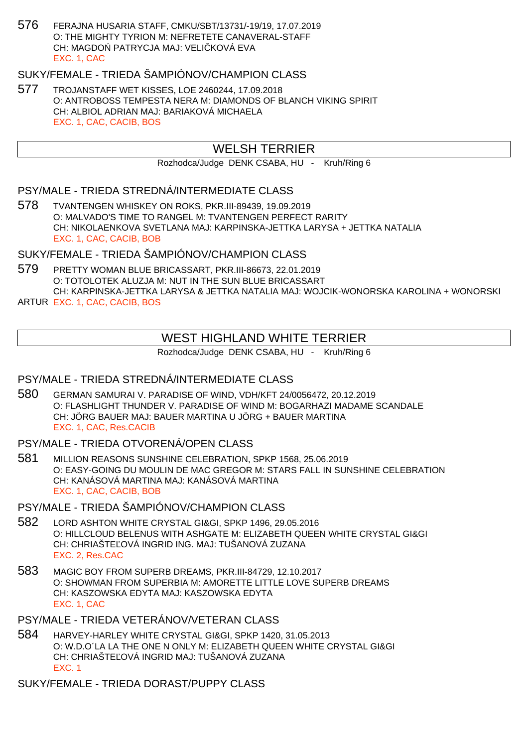576 FERAJNA HUSARIA STAFF, CMKU/SBT/13731/-19/19, 17.07.2019 O: THE MIGHTY TYRION M: NEFRETETE CANAVERAL-STAFF CH: MAGDO PATRYCJA MAJ: VELI KOVÁ EVA EXC. 1, CAC

# SUKY/FEMALE - TRIEDA ŠAMPIÓNOV/CHAMPION CLASS

577 TROJANSTAFF WET KISSES, LOE 2460244, 17.09.2018 O: ANTROBOSS TEMPESTA NERA M: DIAMONDS OF BLANCH VIKING SPIRIT CH: ALBIOL ADRIAN MAJ: BARIAKOVÁ MICHAELA EXC. 1, CAC, CACIB, BOS

# WELSH TERRIER

Rozhodca/Judge DENK CSABA, HU - Kruh/Ring 6

### PSY/MALE - TRIEDA STREDNÁ/INTERMEDIATE CLASS

578 TVANTENGEN WHISKEY ON ROKS, PKR.III-89439, 19.09.2019 O: MALVADO'S TIME TO RANGEL M: TVANTENGEN PERFECT RARITY CH: NIKOLAENKOVA SVETLANA MAJ: KARPINSKA-JETTKA LARYSA + JETTKA NATALIA EXC. 1, CAC, CACIB, BOB

SUKY/FEMALE - TRIEDA ŠAMPIÓNOV/CHAMPION CLASS

579 PRETTY WOMAN BLUE BRICASSART, PKR.III-86673, 22.01.2019 O: TOTOLOTEK ALUZJA M: NUT IN THE SUN BLUE BRICASSART CH: KARPINSKA-JETTKA LARYSA & JETTKA NATALIA MAJ: WOJCIK-WONORSKA KAROLINA + WONORSKI

ARTUR EXC. 1, CAC, CACIB, BOS

## WEST HIGHLAND WHITE TERRIER

Rozhodca/Judge DENK CSABA, HU - Kruh/Ring 6

#### PSY/MALE - TRIEDA STREDNÁ/INTERMEDIATE CLASS

- 580 GERMAN SAMURAI V. PARADISE OF WIND, VDH/KFT 24/0056472, 20.12.2019 O: FLASHLIGHT THUNDER V. PARADISE OF WIND M: BOGARHAZI MADAME SCANDALE CH: JÖRG BAUER MAJ: BAUER MARTINA U JÖRG + BAUER MARTINA EXC. 1, CAC, Res.CACIB
- PSY/MALE TRIEDA OTVORENÁ/OPEN CLASS
- 581 MILLION REASONS SUNSHINE CELEBRATION, SPKP 1568, 25.06.2019 O: EASY-GOING DU MOULIN DE MAC GREGOR M: STARS FALL IN SUNSHINE CELEBRATION CH: KANÁSOVÁ MARTINA MAJ: KANÁSOVÁ MARTINA EXC. 1, CAC, CACIB, BOB

### PSY/MALE - TRIEDA ŠAMPIÓNOV/CHAMPION CLASS

- 582 LORD ASHTON WHITE CRYSTAL GI&GI, SPKP 1496, 29.05.2016 O: HILLCLOUD BELENUS WITH ASHGATE M: ELIZABETH QUEEN WHITE CRYSTAL GI&GI CH: CHRIAŠTE OVÁ INGRID ING. MAJ: TUŠANOVÁ ZUZANA EXC. 2, Res.CAC
- 583 MAGIC BOY FROM SUPERB DREAMS, PKR.III-84729, 12.10.2017 O: SHOWMAN FROM SUPERBIA M: AMORETTE LITTLE LOVE SUPERB DREAMS CH: KASZOWSKA EDYTA MAJ: KASZOWSKA EDYTA EXC. 1, CAC
- PSY/MALE TRIEDA VETERÁNOV/VETERAN CLASS
- 584 HARVEY-HARLEY WHITE CRYSTAL GI&GI, SPKP 1420, 31.05.2013 O: W.D.O´LA LA THE ONE N ONLY M: ELIZABETH QUEEN WHITE CRYSTAL GI&GI CH: CHRIAŠTE OVÁ INGRID MAJ: TUŠANOVÁ ZUZANA EXC. 1

SUKY/FEMALE - TRIEDA DORAST/PUPPY CLASS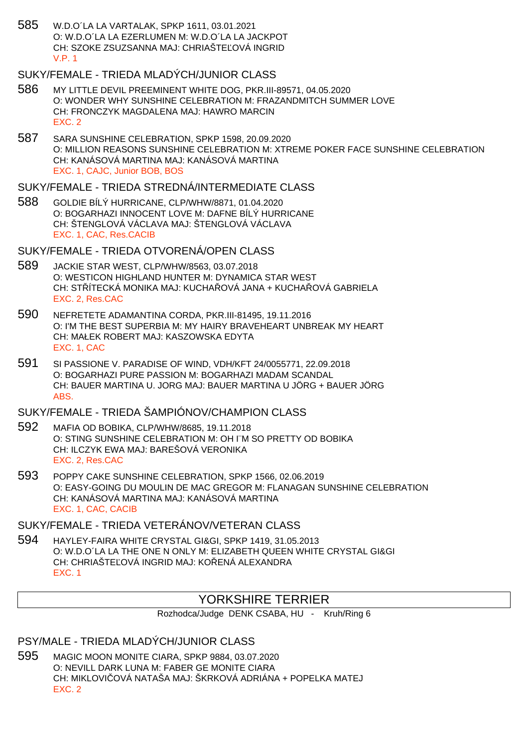585 W.D.O´LA LA VARTALAK, SPKP 1611, 03.01.2021 O: W.D.O´LA LA EZERLUMEN M: W.D.O´LA LA JACKPOT CH: SZOKE ZSUZSANNA MAJ: CHRIAŠTE, OVÁ INGRID V.P. 1

# SUKY/FEMALE - TRIEDA MLADÝCH/JUNIOR CLASS

- 586 MY LITTLE DEVIL PREEMINENT WHITE DOG, PKR.III-89571, 04.05.2020 O: WONDER WHY SUNSHINE CELEBRATION M: FRAZANDMITCH SUMMER LOVE CH: FRONCZYK MAGDALENA MAJ: HAWRO MARCIN EXC. 2
- 587 SARA SUNSHINE CELEBRATION, SPKP 1598, 20.09.2020 O: MILLION REASONS SUNSHINE CELEBRATION M: XTREME POKER FACE SUNSHINE CELEBRATION CH: KANÁSOVÁ MARTINA MAJ: KANÁSOVÁ MARTINA EXC. 1, CAJC, Junior BOB, BOS

SUKY/FEMALE - TRIEDA STREDNÁ/INTERMEDIATE CLASS

588 GOLDIE BÍLÝ HURRICANE, CLP/WHW/8871, 01.04.2020 O: BOGARHAZI INNOCENT LOVE M: DAFNE BÍLÝ HURRICANE CH: ŠTENGLOVÁ VÁCLAVA MAJ: ŠTENGLOVÁ VÁCLAVA EXC. 1, CAC, Res.CACIB

# SUKY/FEMALE - TRIEDA OTVORENÁ/OPEN CLASS

- 589 JACKIE STAR WEST, CLP/WHW/8563, 03.07.2018 O: WESTICON HIGHLAND HUNTER M: DYNAMICA STAR WEST CH: STÍTECKÁ MONIKA MAJ: KUCHA LOVÁ JANA + KUCHA LOVÁ GABRIELA EXC. 2, Res.CAC
- 590 NEFRETETE ADAMANTINA CORDA, PKR.III-81495, 19.11.2016 O: I'M THE BEST SUPERBIA M: MY HAIRY BRAVEHEART UNBREAK MY HEART CH: MAŁEK ROBERT MAJ: KASZOWSKA EDYTA EXC. 1, CAC
- 591 SI PASSIONE V. PARADISE OF WIND, VDH/KFT 24/0055771, 22.09.2018 O: BOGARHAZI PURE PASSION M: BOGARHAZI MADAM SCANDAL CH: BAUER MARTINA U. JORG MAJ: BAUER MARTINA U JÖRG + BAUER JÖRG ABS.

# SUKY/FEMALE - TRIEDA ŠAMPIÓNOV/CHAMPION CLASS

- 592 MAFIA OD BOBIKA, CLP/WHW/8685, 19.11.2018 O: STING SUNSHINE CELEBRATION M: OH I¨M SO PRETTY OD BOBIKA CH: ILCZYK EWA MAJ: BAREŠOVÁ VERONIKA EXC. 2, Res.CAC
- 593 POPPY CAKE SUNSHINE CELEBRATION, SPKP 1566, 02.06.2019 O: EASY-GOING DU MOULIN DE MAC GREGOR M: FLANAGAN SUNSHINE CELEBRATION CH: KANÁSOVÁ MARTINA MAJ: KANÁSOVÁ MARTINA EXC. 1, CAC, CACIB

# SUKY/FEMALE - TRIEDA VETERÁNOV/VETERAN CLASS

594 HAYLEY-FAIRA WHITE CRYSTAL GI&GI, SPKP 1419, 31.05.2013 O: W.D.O´LA LA THE ONE N ONLY M: ELIZABETH QUEEN WHITE CRYSTAL GI&GI CH: CHRIAŠTE OVÁ INGRID MAJ: KO ENÁ ALEXANDRA EXC. 1

# YORKSHIRE TERRIER

Rozhodca/Judge DENK CSABA, HU - Kruh/Ring 6

# PSY/MALE - TRIEDA MLADÝCH/JUNIOR CLASS

595 MAGIC MOON MONITE CIARA, SPKP 9884, 03.07.2020 O: NEVILL DARK LUNA M: FABER GE MONITE CIARA CH: MIKLOVI OVÁ NATAŠA MAJ: ŠKRKOVÁ ADRIÁNA + POPELKA MATEJ EXC. 2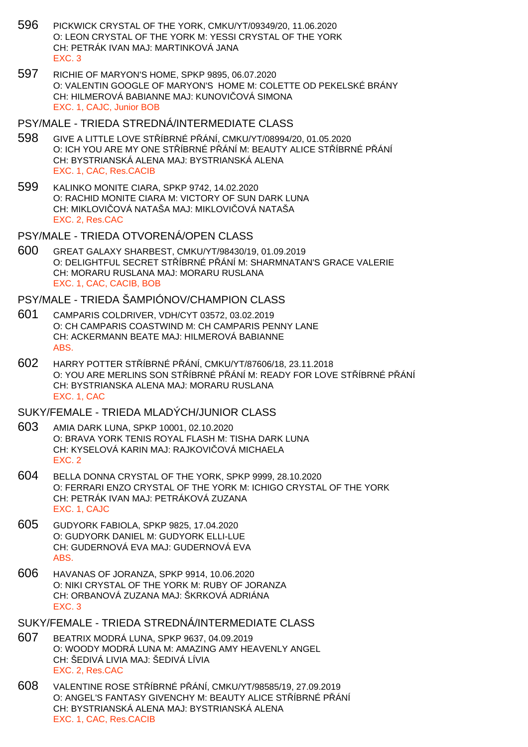- 596 PICKWICK CRYSTAL OF THE YORK, CMKU/YT/09349/20, 11.06.2020 O: LEON CRYSTAL OF THE YORK M: YESSI CRYSTAL OF THE YORK CH: PETRÁK IVAN MAJ: MARTINKOVÁ JANA EXC. 3
- 597 RICHIE OF MARYON'S HOME, SPKP 9895, 06.07.2020 O: VALENTIN GOOGLE OF MARYON'S HOME M: COLETTE OD PEKELSKÉ BRÁNY CH: HILMEROVÁ BABIANNE MAJ: KUNOVI OVÁ SIMONA EXC. 1, CAJC, Junior BOB

#### PSY/MALE - TRIEDA STREDNÁ/INTERMEDIATE CLASS

- 598 GIVE A LITTLE LOVE STŘÍBRNÉ PŘÁNÍ, CMKU/YT/08994/20, 01.05.2020 O: ICH YOU ARE MY ONE ST ÍBRNÉ PÁNÍ M: BEAUTY ALICE ST ÍBRNÉ PÁNÍ CH: BYSTRIANSKÁ ALENA MAJ: BYSTRIANSKÁ ALENA EXC. 1, CAC, Res.CACIB
- 599 KALINKO MONITE CIARA, SPKP 9742, 14.02.2020 O: RACHID MONITE CIARA M: VICTORY OF SUN DARK LUNA CH: MIKLOVI OVÁ NATAŠA MAJ: MIKLOVI OVÁ NATAŠA EXC. 2, Res.CAC
- PSY/MALE TRIEDA OTVORENÁ/OPEN CLASS
- 600 GREAT GALAXY SHARBEST, CMKU/YT/98430/19, 01.09.2019 O: DELIGHTFUL SECRET STŘÍBRNÉ PŘÁNÍ M: SHARMNATAN'S GRACE VALERIE CH: MORARU RUSLANA MAJ: MORARU RUSLANA EXC. 1, CAC, CACIB, BOB

## PSY/MALE - TRIEDA ŠAMPIÓNOV/CHAMPION CLASS

- 601 CAMPARIS COLDRIVER, VDH/CYT 03572, 03.02.2019 O: CH CAMPARIS COASTWIND M: CH CAMPARIS PENNY LANE CH: ACKERMANN BEATE MAJ: HILMEROVÁ BABIANNE ABS.
- 602 HARRY POTTER STŘÍBRNÉ PŘÁNÍ, CMKU/YT/87606/18, 23.11.2018 O: YOU ARE MERLINS SON STÍBRNÉ PŘÁNÍ M: READY FOR LOVE STÍBRNÉ PŘÁNÍ CH: BYSTRIANSKA ALENA MAJ: MORARU RUSLANA EXC. 1, CAC

### SUKY/FEMALE - TRIEDA MLADÝCH/JUNIOR CLASS

- 603 AMIA DARK LUNA, SPKP 10001, 02.10.2020 O: BRAVA YORK TENIS ROYAL FLASH M: TISHA DARK LUNA CH: KYSELOVÁ KARIN MAJ: RAJKOVI OVÁ MICHAELA EXC. 2
- 604 BELLA DONNA CRYSTAL OF THE YORK, SPKP 9999, 28.10.2020 O: FERRARI ENZO CRYSTAL OF THE YORK M: ICHIGO CRYSTAL OF THE YORK CH: PETRÁK IVAN MAJ: PETRÁKOVÁ ZUZANA EXC. 1, CAJC
- 605 GUDYORK FABIOLA, SPKP 9825, 17.04.2020 O: GUDYORK DANIEL M: GUDYORK ELLI-LUE CH: GUDERNOVÁ EVA MAJ: GUDERNOVÁ EVA ABS.
- 606 HAVANAS OF JORANZA, SPKP 9914, 10.06.2020 O: NIKI CRYSTAL OF THE YORK M: RUBY OF JORANZA CH: ORBANOVÁ ZUZANA MAJ: ŠKRKOVÁ ADRIÁNA EXC. 3
- SUKY/FEMALE TRIEDA STREDNÁ/INTERMEDIATE CLASS
- 607 BEATRIX MODRÁ LUNA, SPKP 9637, 04.09.2019 O: WOODY MODRÁ LUNA M: AMAZING AMY HEAVENLY ANGEL CH: ŠEDIVÁ LIVIA MAJ: ŠEDIVÁ LÍVIA EXC. 2, Res.CAC
- 608 VALENTINE ROSE STŘÍBRNÉ PŘÁNÍ, CMKU/YT/98585/19, 27.09.2019 O: ANGEL'S FANTASY GIVENCHY M: BEAUTY ALICE ST ÍBRNÉ PÁNÍ CH: BYSTRIANSKÁ ALENA MAJ: BYSTRIANSKÁ ALENA EXC. 1, CAC, Res.CACIB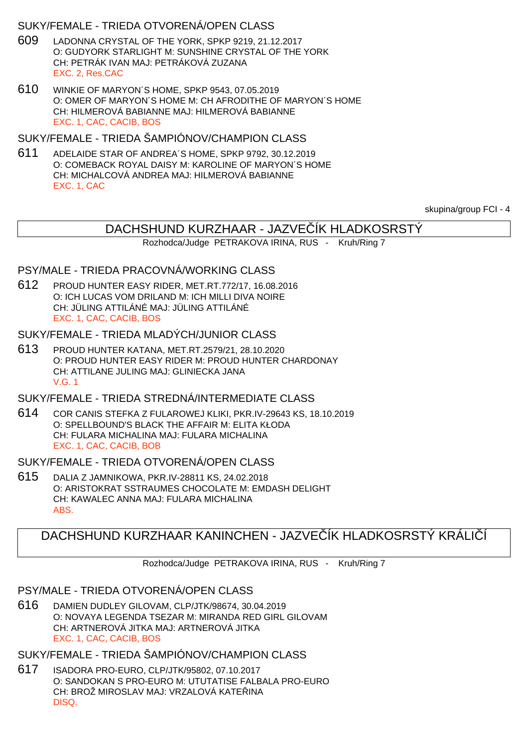## SUKY/FEMALE - TRIEDA OTVORENÁ/OPEN CLASS

- 609 LADONNA CRYSTAL OF THE YORK, SPKP 9219, 21.12.2017 O: GUDYORK STARLIGHT M: SUNSHINE CRYSTAL OF THE YORK CH: PETRÁK IVAN MAJ: PETRÁKOVÁ ZUZANA EXC. 2, Res.CAC
- 610 WINKIE OF MARYON´S HOME, SPKP 9543, 07.05.2019 O: OMER OF MARYON´S HOME M: CH AFRODITHE OF MARYON´S HOME CH: HILMEROVÁ BABIANNE MAJ: HILMEROVÁ BABIANNE EXC. 1, CAC, CACIB, BOS

SUKY/FEMALE - TRIEDA ŠAMPIÓNOV/CHAMPION CLASS

611 ADELAIDE STAR OF ANDREA´S HOME, SPKP 9792, 30.12.2019 O: COMEBACK ROYAL DAISY M: KAROLINE OF MARYON´S HOME CH: MICHALCOVÁ ANDREA MAJ: HILMEROVÁ BABIANNE EXC. 1, CAC

skupina/group FCI - 4

# DACHSHUND KURZHAAR - JAZVE ÍK HLADKOSRSTÝ

Rozhodca/Judge PETRAKOVA IRINA, RUS - Kruh/Ring 7

### PSY/MALE - TRIEDA PRACOVNÁ/WORKING CLASS

612 PROUD HUNTER EASY RIDER, MET.RT.772/17, 16.08.2016 O: ICH LUCAS VOM DRILAND M: ICH MILLI DIVA NOIRE CH: JÜLING ATTILÁNÉ MAJ: JÜLING ATTILÁNÉ EXC. 1, CAC, CACIB, BOS

#### SUKY/FEMALE - TRIEDA MLADÝCH/JUNIOR CLASS

613 PROUD HUNTER KATANA, MET.RT.2579/21, 28.10.2020 O: PROUD HUNTER EASY RIDER M: PROUD HUNTER CHARDONAY CH: ATTILANE JULING MAJ: GLINIECKA JANA V.G. 1

## SUKY/FEMALE - TRIEDA STREDNÁ/INTERMEDIATE CLASS

614 COR CANIS STEFKA Z FULAROWEJ KLIKI, PKR.IV-29643 KS, 18.10.2019 O: SPELLBOUND'S BLACK THE AFFAIR M: ELITA KŁODA CH: FULARA MICHALINA MAJ: FULARA MICHALINA EXC. 1, CAC, CACIB, BOB

### SUKY/FEMALE - TRIEDA OTVORENÁ/OPEN CLASS

615 DALIA Z JAMNIKOWA, PKR.IV-28811 KS, 24.02.2018 O: ARISTOKRAT SSTRAUMES CHOCOLATE M: EMDASH DELIGHT CH: KAWALEC ANNA MAJ: FULARA MICHALINA ABS.

# DACHSHUND KURZHAAR KANINCHEN - JAZVE ÍK HLADKOSRSTÝ KRÁLICÍ

Rozhodca/Judge PETRAKOVA IRINA, RUS - Kruh/Ring 7

### PSY/MALE - TRIEDA OTVORENÁ/OPEN CLASS

616 DAMIEN DUDLEY GILOVAM, CLP/JTK/98674, 30.04.2019 O: NOVAYA LEGENDA TSEZAR M: MIRANDA RED GIRL GILOVAM CH: ARTNEROVÁ JITKA MAJ: ARTNEROVÁ JITKA EXC. 1, CAC, CACIB, BOS

SUKY/FEMALE - TRIEDA ŠAMPIÓNOV/CHAMPION CLASS

617 ISADORA PRO-EURO, CLP/JTK/95802, 07.10.2017 O: SANDOKAN S PRO-EURO M: UTUTATISE FALBALA PRO-EURO CH: BROŽ MIROSLAV MAJ: VRZALOVÁ KATEŘINA DISQ.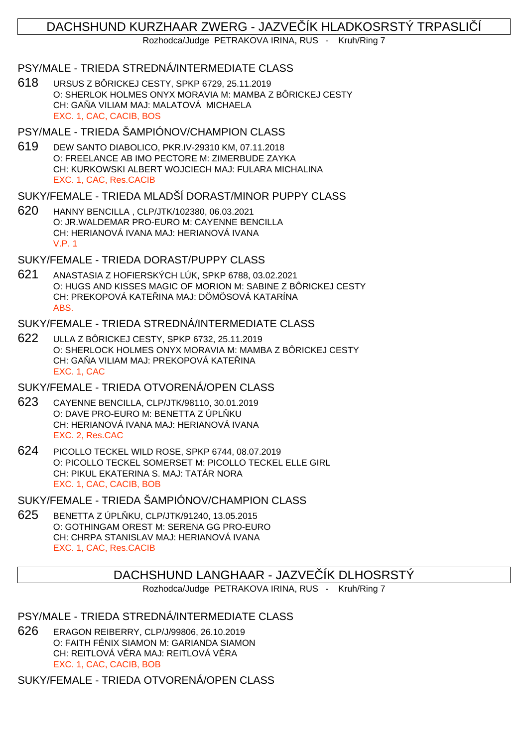# DACHSHUND KURZHAAR ZWERG - JAZVE ÍK HLADKOSRSTÝ TRPASLI Í

Rozhodca/Judge PETRAKOVA IRINA, RUS - Kruh/Ring 7

### PSY/MALE - TRIEDA STREDNÁ/INTERMEDIATE CLASS

618 URSUS Z BÔRICKEJ CESTY, SPKP 6729, 25.11.2019 O: SHERLOK HOLMES ONYX MORAVIA M: MAMBA Z BÔRICKEJ CESTY CH: GA A VILIAM MAJ: MALATOVÁ MICHAELA EXC. 1, CAC, CACIB, BOS

## PSY/MALE - TRIEDA ŠAMPIÓNOV/CHAMPION CLASS

619 DEW SANTO DIABOLICO, PKR.IV-29310 KM, 07.11.2018 O: FREELANCE AB IMO PECTORE M: ZIMERBUDE ZAYKA CH: KURKOWSKI ALBERT WOJCIECH MAJ: FULARA MICHALINA EXC. 1, CAC, Res.CACIB

#### SUKY/FEMALE - TRIEDA MLADŠÍ DORAST/MINOR PUPPY CLASS

620 HANNY BENCILLA , CLP/JTK/102380, 06.03.2021 O: JR.WALDEMAR PRO-EURO M: CAYENNE BENCILLA CH: HERIANOVÁ IVANA MAJ: HERIANOVÁ IVANA V.P. 1

### SUKY/FEMALE - TRIEDA DORAST/PUPPY CLASS

621 ANASTASIA Z HOFIERSKÝCH LÚK, SPKP 6788, 03.02.2021 O: HUGS AND KISSES MAGIC OF MORION M: SABINE Z BÔRICKEJ CESTY CH: PREKOPOVÁ KATE<sub>JNA</sub> MAJ: DÖMÖSOVÁ KATARÍNA ABS.

## SUKY/FEMALE - TRIEDA STREDNÁ/INTERMEDIATE CLASS

622 ULLA Z BÔRICKEJ CESTY, SPKP 6732, 25.11.2019 O: SHERLOCK HOLMES ONYX MORAVIA M: MAMBA Z BÔRICKEJ CESTY CH: GA A VILIAM MAJ: PREKOPOVÁ KATE INA EXC. 1, CAC

## SUKY/FEMALE - TRIEDA OTVORENÁ/OPEN CLASS

- 623 CAYENNE BENCILLA, CLP/JTK/98110, 30.01.2019 O: DAVE PRO-EURO M: BENETTA Z ÚPL KU CH: HERIANOVÁ IVANA MAJ: HERIANOVÁ IVANA EXC. 2, Res.CAC
- 624 PICOLLO TECKEL WILD ROSE, SPKP 6744, 08.07.2019 O: PICOLLO TECKEL SOMERSET M: PICOLLO TECKEL ELLE GIRL CH: PIKUL EKATERINA S. MAJ: TATÁR NORA EXC. 1, CAC, CACIB, BOB

SUKY/FEMALE - TRIEDA ŠAMPIÓNOV/CHAMPION CLASS

625 BENETTA Z ÚPL KU, CLP/JTK/91240, 13.05.2015 O: GOTHINGAM OREST M: SERENA GG PRO-EURO CH: CHRPA STANISLAV MAJ: HERIANOVÁ IVANA EXC. 1, CAC, Res.CACIB

## DACHSHUND LANGHAAR - JAZVE IK DLHOSRSTY

Rozhodca/Judge PETRAKOVA IRINA, RUS - Kruh/Ring 7

## PSY/MALE - TRIEDA STREDNÁ/INTERMEDIATE CLASS

626 ERAGON REIBERRY, CLP/J/99806, 26.10.2019 O: FAITH FÉNIX SIAMON M: GARIANDA SIAMON CH: REITLOVÁ V RA MAJ: REITLOVÁ V RA EXC. 1, CAC, CACIB, BOB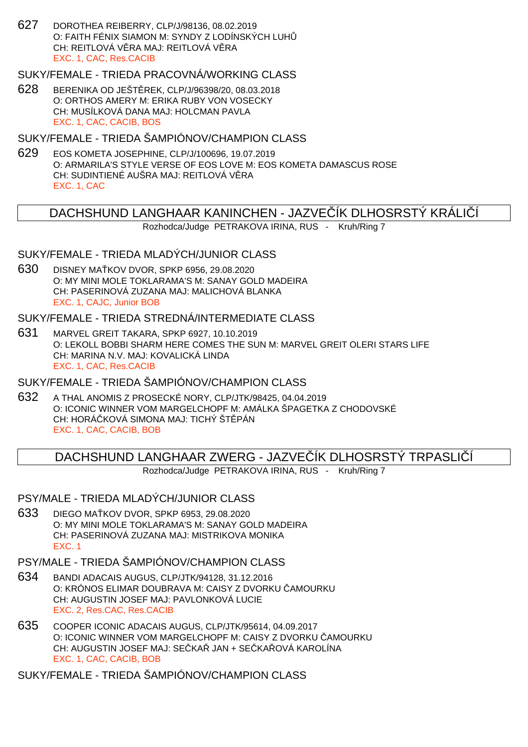627 DOROTHEA REIBERRY, CLP/J/98136, 08.02.2019 O: FAITH FÉNIX SIAMON M: SYNDY Z LODÍNSKÝCH LUH CH: REITLOVÁ VĚRA MAJ: REITLOVÁ VĚRA EXC. 1, CAC, Res.CACIB

SUKY/FEMALE - TRIEDA PRACOVNÁ/WORKING CLASS

628 BERENIKA OD JEŠT REK, CLP/J/96398/20, 08.03.2018 O: ORTHOS AMERY M: ERIKA RUBY VON VOSECKY CH: MUSÍLKOVÁ DANA MAJ: HOLCMAN PAVLA EXC. 1, CAC, CACIB, BOS

SUKY/FEMALE - TRIEDA ŠAMPIÓNOV/CHAMPION CLASS

629 EOS KOMETA JOSEPHINE, CLP/J/100696, 19.07.2019 O: ARMARILA'S STYLE VERSE OF EOS LOVE M: EOS KOMETA DAMASCUS ROSE CH: SUDINTIENÉ AUŠRA MAJ: REITLOVÁ V. RA EXC. 1, CAC

### DACHSHUND LANGHAAR KANINCHEN - JAZVE IK DLHOSRSTY KRÁLI I

Rozhodca/Judge PETRAKOVA IRINA, RUS - Kruh/Ring 7

## SUKY/FEMALE - TRIEDA MLADÝCH/JUNIOR CLASS

630 DISNEY MA KOV DVOR, SPKP 6956, 29.08.2020 O: MY MINI MOLE TOKLARAMA'S M: SANAY GOLD MADEIRA CH: PASERINOVÁ ZUZANA MAJ: MALICHOVÁ BLANKA EXC. 1, CAJC, Junior BOB

## SUKY/FEMALE - TRIEDA STREDNÁ/INTERMEDIATE CI ASS

631 MARVEL GREIT TAKARA, SPKP 6927, 10.10.2019 O: LEKOLL BOBBI SHARM HERE COMES THE SUN M: MARVEL GREIT OLERI STARS LIFE CH: MARINA N.V. MAJ: KOVALICKÁ LINDA EXC. 1, CAC, Res.CACIB

#### SUKY/FEMALE - TRIEDA ŠAMPIÓNOV/CHAMPION CLASS

632 A THAL ANOMIS Z PROSECKÉ NORY, CLP/JTK/98425, 04.04.2019 O: ICONIC WINNER VOM MARGELCHOPF M: AMÁLKA ŠPAGETKA Z CHODOVSKÉ CH: HORÁ KOVÁ SIMONA MAJ: TICHÝ ŠT. PÁN EXC. 1, CAC, CACIB, BOB

DACHSHUND LANGHAAR ZWERG - JAZVE ÍK DLHOSRSTÝ TRPASLIÍ

Rozhodca/Judge PETRAKOVA IRINA, RUS - Kruh/Ring 7

#### PSY/MALE - TRIEDA MLADÝCH/JUNIOR CLASS

633 DIEGO MA KOV DVOR, SPKP 6953, 29.08.2020 O: MY MINI MOLE TOKLARAMA'S M: SANAY GOLD MADEIRA CH: PASERINOVÁ ZUZANA MAJ: MISTRIKOVA MONIKA EXC. 1

# PSY/MALE - TRIEDA ŠAMPIÓNOV/CHAMPION CLASS

- 634 BANDI ADACAIS AUGUS, CLP/JTK/94128, 31.12.2016 O: KRÓNOS ELIMAR DOUBRAVA M: CAISY Z DVORKU AMOURKU CH: AUGUSTIN JOSEF MAJ: PAVLONKOVÁ LUCIE EXC. 2, Res.CAC, Res.CACIB
- 635 COOPER ICONIC ADACAIS AUGUS, CLP/JTK/95614, 04.09.2017 O: ICONIC WINNER VOM MARGELCHOPF M: CAISY Z DVORKU AMOURKU CH: AUGUSTIN JOSEF MAJ: SEČKAŘ JAN + SEČKAŘOVÁ KAROLÍNA EXC. 1, CAC, CACIB, BOB

# SUKY/FEMALE - TRIEDA ŠAMPIÓNOV/CHAMPION CLASS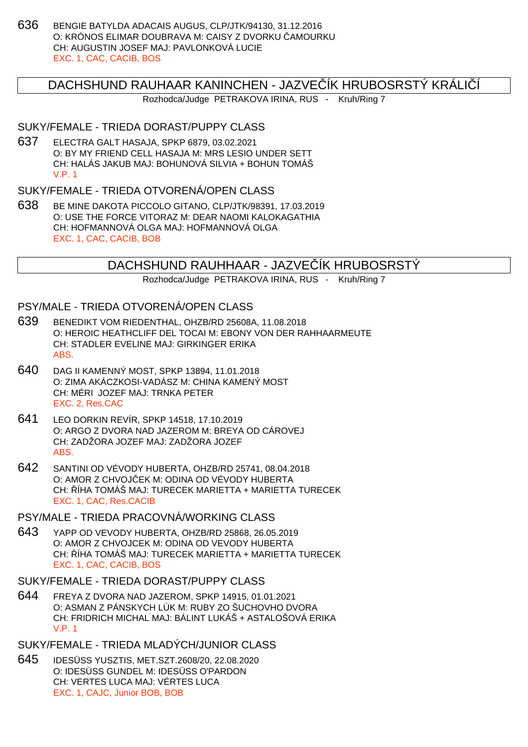636 BENGIE BATYLDA ADACAIS AUGUS, CLP/JTK/94130, 31.12.2016 O: KRÓNOS ELIMAR DOUBRAVA M: CAISY Z DVORKU – AMOURKU CH: AUGUSTIN JOSEF MAJ: PAVLONKOVÁ LUCIE EXC. 1, CAC, CACIB, BOS

## DACHSHUND RAUHAAR KANINCHEN - JAZVE ÍK HRUBOSRSTÝ KRÁLIÍÍ

Rozhodca/Judge PETRAKOVA IRINA, RUS - Kruh/Ring 7

#### SUKY/FEMALE - TRIEDA DORAST/PUPPY CLASS

637 ELECTRA GALT HASAJA, SPKP 6879, 03.02.2021 O: BY MY FRIEND CELL HASAJA M: MRS LESIO UNDER SETT CH: HALÁS JAKUB MAJ: BOHUNOVÁ SILVIA + BOHUN TOMÁŠ V.P. 1

## SUKY/FEMALE - TRIEDA OTVORENÁ/OPEN CLASS

638 BE MINE DAKOTA PICCOLO GITANO, CLP/JTK/98391, 17.03.2019 O: USE THE FORCE VITORAZ M: DEAR NAOMI KALOKAGATHIA CH: HOFMANNOVÁ OLGA MAJ: HOFMANNOVÁ OLGA EXC. 1, CAC, CACIB, BOB

## DACHSHUND RAUHHAAR - JAZVE ÍK HRUBOSRSTÝ

Rozhodca/Judge PETRAKOVA IRINA, RUS - Kruh/Ring 7

#### PSY/MALE - TRIEDA OTVORENÁ/OPEN CLASS

- 639 BENEDIKT VOM RIEDENTHAL, OHZB/RD 25608A, 11.08.2018 O: HEROIC HEATHCLIFF DEL TOCAI M: EBONY VON DER RAHHAARMEUTE CH: STADLER EVELINE MAJ: GIRKINGER ERIKA ABS.
- 640 DAG II KAMENNÝ MOST, SPKP 13894, 11.01.2018 O: ZIMA AKÁCZKOSI-VADÁSZ M: CHINA KAMENÝ MOST CH: MÉRI JOZEF MAJ: TRNKA PETER EXC. 2, Res.CAC
- 641 LEO DORKIN REVÍR, SPKP 14518, 17.10.2019 O: ARGO Z DVORA NAD JAZEROM M: BREYA OD CÁROVEJ CH: ZADŽORA JOZEF MAJ: ZADŽORA JOZEF ABS.
- 642 SANTINI OD VÉVODY HUBERTA, OHZB/RD 25741, 08.04.2018 O: AMOR Z CHVOJ EK M: ODINA OD VÉVODY HUBERTA CH: ŘÍHA TOMÁŠ MAJ: TURECEK MARIETTA + MARIETTA TURECEK EXC. 1, CAC, Res.CACIB

#### PSY/MALE - TRIEDA PRACOVNÁ/WORKING CLASS

643 YAPP OD VEVODY HUBERTA, OHZB/RD 25868, 26.05.2019 O: AMOR Z CHVOJCEK M: ODINA OD VEVODY HUBERTA CH: ŘÍHA TOMÁŠ MAJ: TURECEK MARIETTA + MARIETTA TURECEK EXC. 1, CAC, CACIB, BOS

#### SUKY/FEMALE - TRIEDA DORAST/PUPPY CLASS

644 FREYA Z DVORA NAD JAZEROM, SPKP 14915, 01.01.2021 O: ASMAN Z PÁNSKYCH LÚK M: RUBY ZO ŠUCHOVHO DVORA CH: FRIDRICH MICHAL MAJ: BÁLINT LUKÁŠ + ASTALOŠOVÁ ERIKA V.P. 1

# SUKY/FEMALE - TRIEDA MLADÝCH/JUNIOR CLASS

645 IDESÜSS YUSZTIS, MET.SZT.2608/20, 22.08.2020 O: IDESÜSS GUNDEL M: IDESÜSS O'PARDON CH: VERTES LUCA MAJ: VÉRTES LUCA EXC. 1, CAJC, Junior BOB, BOB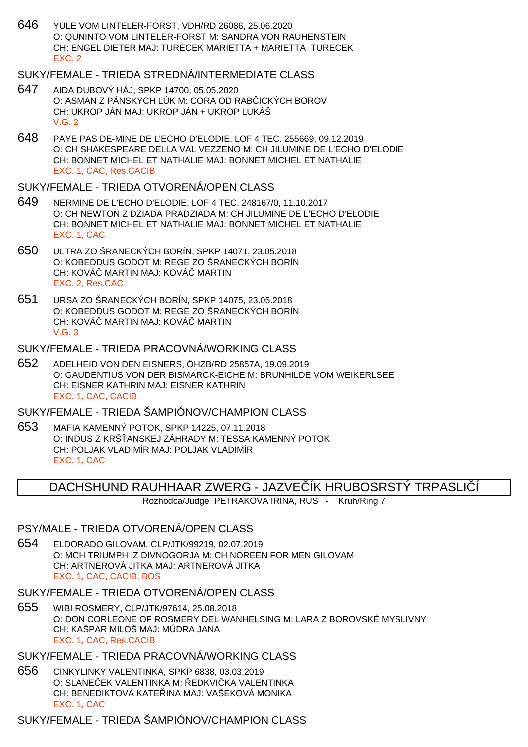646 YULE VOM LINTELER-FORST, VDH/RD 26086, 25.06.2020 O: QUNINTO VOM LINTELER-FORST M: SANDRA VON RAUHENSTEIN CH: ENGEL DIETER MAJ: TURECEK MARIETTA + MARIETTA TURECEK EXC. 2

## SUKY/FEMALE - TRIEDA STREDNÁ/INTERMEDIATE CLASS

- 647 AIDA DUBOVÝ HÁJ, SPKP 14700, 05.05.2020 O: ASMAN Z PÁNSKYCH LÚK M: CORA OD RAB ICKÝCH BOROV CH: UKROP JÁN MAJ: UKROP JÁN + UKROP LUKÁŠ V.G. 2
- 648 PAYE PAS DE-MINE DE L'ECHO D'ELODIE, LOF 4 TEC. 255669, 09.12.2019 O: CH SHAKESPEARE DELLA VAL VEZZENO M: CH JILUMINE DE L'ECHO D'ELODIE CH: BONNET MICHEL ET NATHALIE MAJ: BONNET MICHEL ET NATHALIE EXC. 1, CAC, Res.CACIB

#### SUKY/FEMALE - TRIEDA OTVORENÁ/OPEN CLASS

- 649 NERMINE DE L'ECHO D'ELODIE, LOF 4 TEC. 248167/0, 11.10.2017 O: CH NEWTON Z DZIADA PRADZIADA M: CH JILUMINE DE L'ECHO D'ELODIE CH: BONNET MICHEL ET NATHALIE MAJ: BONNET MICHEL ET NATHALIE EXC. 1, CAC
- 650 ULTRA ZO ŠRANECKÝCH BORÍN, SPKP 14071, 23.05.2018 O: KOBEDDUS GODOT M: REGE ZO ŠRANECKÝCH BORÍN CH: KOVÁ MARTIN MAJ: KOVÁ MARTIN EXC. 2, Res.CAC
- 651 URSA ZO ŠRANECKÝCH BORÍN, SPKP 14075, 23.05.2018 O: KOBEDDUS GODOT M: REGE ZO ŠRANECKÝCH BORÍN CH: KOVÁ MARTIN MAJ: KOVÁ MARTIN V.G. 3

#### SUKY/FEMALE - TRIEDA PRACOVNÁ/WORKING CLASS

652 ADELHEID VON DEN EISNERS, ÖHZB/RD 25857A, 19.09.2019 O: GAUDENTIUS VON DER BISMARCK-EICHE M: BRUNHILDE VOM WEIKERLSEE CH: EISNER KATHRIN MAJ: EISNER KATHRIN EXC. 1, CAC, CACIB

SUKY/FEMALE - TRIEDA ŠAMPIÓNOV/CHAMPION CLASS

653 MAFIA KAMENNÝ POTOK, SPKP 14225, 07.11.2018 O: INDUS Z KRŠ ANSKEJ ZÁHRADY M: TESSA KAMENNÝ POTOK CH: POLJAK VLADIMÍR MAJ: POLJAK VLADIMÍR EXC. 1, CAC

### DACHSHUND RAUHHAAR ZWERG - JAZVE ÍK HRUBOSRSTÝ TRPASLIÍ

Rozhodca/Judge PETRAKOVA IRINA, RUS - Kruh/Ring 7

#### PSY/MALE - TRIEDA OTVORENÁ/OPEN CLASS

654 ELDORADO GILOVAM, CLP/JTK/99219, 02.07.2019 O: MCH TRIUMPH IZ DIVNOGORJA M: CH NOREEN FOR MEN GILOVAM CH: ARTNEROVÁ JITKA MAJ: ARTNEROVÁ JITKA EXC. 1, CAC, CACIB, BOS

#### SUKY/FEMALE - TRIEDA OTVORENÁ/OPEN CLASS

655 WIBI ROSMERY, CLP/JTK/97614, 25.08.2018 O: DON CORLEONE OF ROSMERY DEL WANHELSING M: LARA Z BOROVSKÉ MYSLIVNY CH: KAŠPAR MILOŠ MAJ: MÚDRA JANA EXC. 1, CAC, Res.CACIB

#### SUKY/FEMALE - TRIEDA PRACOVNÁ/WORKING CLASS

656 CINKYLINKY VALENTINKA, SPKP 6838, 03.03.2019 O: SLANE EK VALENTINKA M: EDKVI KA VALENTINKA CH: BENEDIKTOVÁ KATE INA MAJ: VAŠEKOVÁ MONIKA EXC. 1, CAC

# SUKY/FEMALE - TRIEDA ŠAMPIÓNOV/CHAMPION CLASS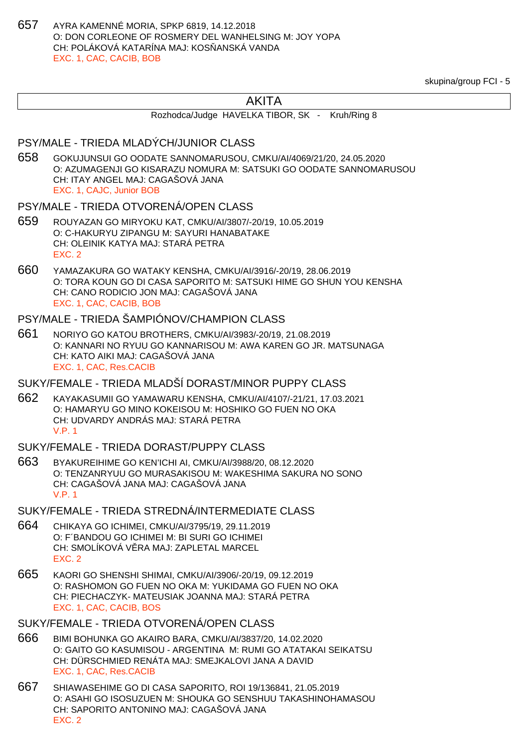657 AYRA KAMENNÉ MORIA, SPKP 6819, 14.12.2018 O: DON CORLEONE OF ROSMERY DEL WANHELSING M: JOY YOPA CH: POLÁKOVÁ KATARÍNA MAJ: KOS ANSKÁ VANDA EXC. 1, CAC, CACIB, BOB

skupina/group FCI - 5

# AKITA

Rozhodca/Judge HAVELKA TIBOR, SK - Kruh/Ring 8

#### PSY/MALE - TRIEDA MLADÝCH/JUNIOR CLASS

658 GOKUJUNSUI GO OODATE SANNOMARUSOU, CMKU/AI/4069/21/20, 24.05.2020 O: AZUMAGENJI GO KISARAZU NOMURA M: SATSUKI GO OODATE SANNOMARUSOU CH: ITAY ANGEL MAJ: CAGAŠOVÁ JANA EXC. 1, CAJC, Junior BOB

#### PSY/MALE - TRIEDA OTVORENÁ/OPEN CLASS

- 659 ROUYAZAN GO MIRYOKU KAT, CMKU/AI/3807/-20/19, 10.05.2019 O: C-HAKURYU ZIPANGU M: SAYURI HANABATAKE CH: OLEINIK KATYA MAJ: STARÁ PETRA EXC. 2
- 660 YAMAZAKURA GO WATAKY KENSHA, CMKU/AI/3916/-20/19, 28.06.2019 O: TORA KOUN GO DI CASA SAPORITO M: SATSUKI HIME GO SHUN YOU KENSHA CH: CANO RODICIO JON MAJ: CAGAŠOVÁ JANA EXC. 1, CAC, CACIB, BOB

# PSY/MALE - TRIEDA ŠAMPIÓNOV/CHAMPION CLASS

661 NORIYO GO KATOU BROTHERS, CMKU/AI/3983/-20/19, 21.08.2019 O: KANNARI NO RYUU GO KANNARISOU M: AWA KAREN GO JR. MATSUNAGA CH: KATO AIKI MAJ: CAGAŠOVÁ JANA EXC. 1, CAC, Res.CACIB

### SUKY/FEMALE - TRIEDA MLADŠÍ DORAST/MINOR PUPPY CLASS

662 KAYAKASUMII GO YAMAWARU KENSHA, CMKU/AI/4107/-21/21, 17.03.2021 O: HAMARYU GO MINO KOKEISOU M: HOSHIKO GO FUEN NO OKA CH: UDVARDY ANDRÁS MAJ: STARÁ PETRA V.P. 1

#### SUKY/FEMALE - TRIEDA DORAST/PUPPY CLASS

663 BYAKUREIHIME GO KEN'ICHI AI, CMKU/AI/3988/20, 08.12.2020 O: TENZANRYUU GO MURASAKISOU M: WAKESHIMA SAKURA NO SONO CH: CAGAŠOVÁ JANA MAJ: CAGAŠOVÁ JANA V.P. 1

#### SUKY/FEMALE - TRIEDA STREDNÁ/INTERMEDIATE CLASS

- 664 CHIKAYA GO ICHIMEI, CMKU/AI/3795/19, 29.11.2019 O: F´BANDOU GO ICHIMEI M: BI SURI GO ICHIMEI CH: SMOLÍKOVÁ V RA MAJ: ZAPLETAL MARCEL EXC. 2
- 665 KAORI GO SHENSHI SHIMAI, CMKU/AI/3906/-20/19, 09.12.2019 O: RASHOMON GO FUEN NO OKA M: YUKIDAMA GO FUEN NO OKA CH: PIECHACZYK- MATEUSIAK JOANNA MAJ: STARÁ PETRA EXC. 1, CAC, CACIB, BOS

- 666 BIMI BOHUNKA GO AKAIRO BARA, CMKU/AI/3837/20, 14.02.2020 O: GAITO GO KASUMISOU - ARGENTINA M: RUMI GO ATATAKAI SEIKATSU CH: DÜRSCHMIED RENÁTA MAJ: SMEJKALOVI JANA A DAVID EXC. 1, CAC, Res.CACIB
- 667 SHIAWASEHIME GO DI CASA SAPORITO, ROI 19/136841, 21.05.2019 O: ASAHI GO ISOSUZUEN M: SHOUKA GO SENSHUU TAKASHINOHAMASOU CH: SAPORITO ANTONINO MAJ: CAGAŠOVÁ JANA EXC. 2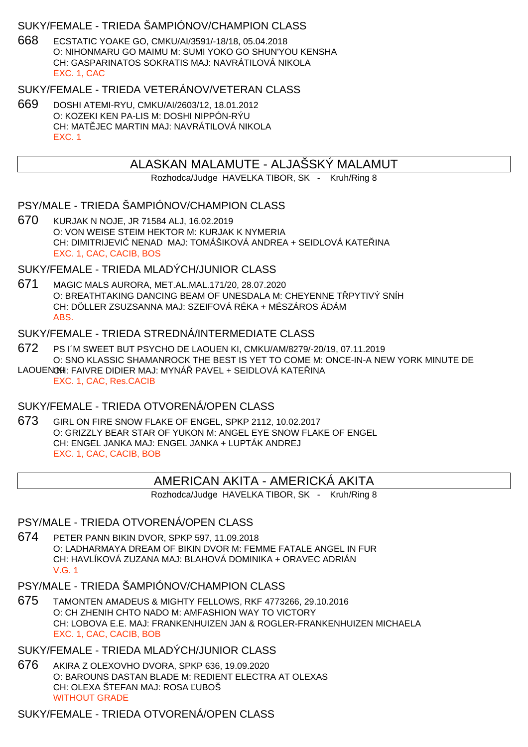## SUKY/FEMALE - TRIEDA ŠAMPIÓNOV/CHAMPION CLASS

668 ECSTATIC YOAKE GO, CMKU/AI/3591/-18/18, 05.04.2018 O: NIHONMARU GO MAIMU M: SUMI YOKO GO SHUN'YOU KENSHA CH: GASPARINATOS SOKRATIS MAJ: NAVRÁTILOVÁ NIKOLA EXC. 1, CAC

#### SUKY/FEMALE - TRIEDA VETERÁNOV/VETERAN CLASS

669 DOSHI ATEMI-RYU, CMKU/AI/2603/12, 18.01.2012 O: KOZEKI KEN PA-LIS M: DOSHI NIPPÓN-RÝU CH: MAT JEC MARTIN MAJ: NAVRÁTILOVÁ NIKOLA EXC. 1

## ALASKAN MALAMUTE - ALJAŠSKÝ MALAMUT

Rozhodca/Judge HAVELKA TIBOR, SK - Kruh/Ring 8

#### PSY/MALE - TRIEDA ŠAMPIÓNOV/CHAMPION CLASS

670 KURJAK N NOJE, JR 71584 ALJ, 16.02.2019 O: VON WEISE STEIM HEKTOR M: KURJAK K NYMERIA CH: DIMITRIJEVI NENAD MAJ: TOMÁŠIKOVÁ ANDREA + SEIDLOVÁ KATE INA EXC. 1, CAC, CACIB, BOS

# SUKY/FEMALE - TRIEDA MLADÝCH/JUNIOR CLASS

671 MAGIC MALS AURORA, MET.AL.MAL.171/20, 28.07.2020 O: BREATHTAKING DANCING BEAM OF UNESDALA M: CHEYENNE T PYTIVÝ SNÍH CH: DÖLLER ZSUZSANNA MAJ: SZEIFOVÁ RÉKA + MÉSZÁROS ÁDÁM ABS.

#### SUKY/FEMALE - TRIEDA STREDNÁ/INTERMEDIATE CLASS

- 672 PS I´M SWEET BUT PSYCHO DE LAOUEN KI, CMKU/AM/8279/-20/19, 07.11.2019 O: SNO KLASSIC SHAMANROCK THE BEST IS YET TO COME M: ONCE-IN-A NEW YORK MINUTE DE LAOUEN CHI: FAIVRE DIDIER MAJ: MYNÁ PAVEL + SEIDLOVÁ KATE INA
	- EXC. 1, CAC, Res.CACIB

### SUKY/FEMALE - TRIEDA OTVORENÁ/OPEN CLASS

673 GIRL ON FIRE SNOW FLAKE OF ENGEL, SPKP 2112, 10.02.2017 O: GRIZZLY BEAR STAR OF YUKON M: ANGEL EYE SNOW FLAKE OF ENGEL CH: ENGEL JANKA MAJ: ENGEL JANKA + LUPTÁK ANDREJ EXC. 1, CAC, CACIB, BOB

## AMERICAN AKITA - AMERICKÁ AKITA

Rozhodca/Judge HAVELKA TIBOR, SK - Kruh/Ring 8

# PSY/MALE - TRIEDA OTVORENÁ/OPEN CLASS

674 PETER PANN BIKIN DVOR, SPKP 597, 11.09.2018 O: LADHARMAYA DREAM OF BIKIN DVOR M: FEMME FATALE ANGEL IN FUR CH: HAVLÍKOVÁ ZUZANA MAJ: BLAHOVÁ DOMINIKA + ORAVEC ADRIÁN V.G. 1

### PSY/MALE - TRIEDA ŠAMPIÓNOV/CHAMPION CLASS

675 TAMONTEN AMADEUS & MIGHTY FELLOWS, RKF 4773266, 29.10.2016 O: CH ZHENIH CHTO NADO M: AMFASHION WAY TO VICTORY CH: LOBOVA E.E. MAJ: FRANKENHUIZEN JAN & ROGLER-FRANKENHUIZEN MICHAELA EXC. 1, CAC, CACIB, BOB

#### SUKY/FEMALE - TRIEDA MLADÝCH/JUNIOR CLASS

676 AKIRA Z OLEXOVHO DVORA, SPKP 636, 19.09.2020 O: BAROUNS DASTAN BLADE M: REDIENT ELECTRA AT OLEXAS CH: OLEXA ŠTEFAN MAJ: ROSA UBOŠ WITHOUT GRADE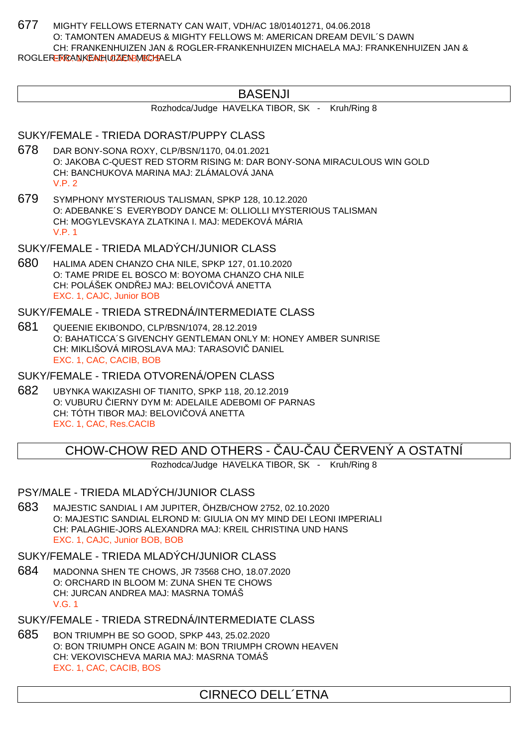677 MIGHTY FELLOWS ETERNATY CAN WAIT, VDH/AC 18/01401271, 04.06.2018 O: TAMONTEN AMADEUS & MIGHTY FELLOWS M: AMERICAN DREAM DEVIL´S DAWN CH: FRANKENHUIZEN JAN & ROGLER-FRANKENHUIZEN MICHAELA MAJ: FRANKENHUIZEN JAN & ROGLER-FRANKEACHUIZEN BURCHAELA

# BASENJI

Rozhodca/Judge HAVELKA TIBOR, SK - Kruh/Ring 8

## SUKY/FEMALE - TRIEDA DORAST/PUPPY CLASS

- 678 DAR BONY-SONA ROXY, CLP/BSN/1170, 04.01.2021 O: JAKOBA C-QUEST RED STORM RISING M: DAR BONY-SONA MIRACULOUS WIN GOLD CH: BANCHUKOVA MARINA MAJ: ZLÁMALOVÁ JANA  $V.P. 2$
- 679 SYMPHONY MYSTERIOUS TALISMAN, SPKP 128, 10.12.2020 O: ADEBANKE´S EVERYBODY DANCE M: OLLIOLLI MYSTERIOUS TALISMAN CH: MOGYLEVSKAYA ZLATKINA I. MAJ: MEDEKOVÁ MÁRIA V.P. 1

### SUKY/FEMALE - TRIEDA MLADÝCH/JUNIOR CLASS

680 HALIMA ADEN CHANZO CHA NILE, SPKP 127, 01.10.2020 O: TAME PRIDE EL BOSCO M: BOYOMA CHANZO CHA NILE CH: POLÁŠEK ONDŘEJ MAJ: BELOVI OVÁ ANETTA EXC. 1, CAJC, Junior BOB

### SUKY/FEMALE - TRIEDA STREDNÁ/INTERMEDIATE CLASS

681 QUEENIE EKIBONDO, CLP/BSN/1074, 28.12.2019 O: BAHATICCA´S GIVENCHY GENTLEMAN ONLY M: HONEY AMBER SUNRISE CH: MIKLIŠOVÁ MIROSLAVA MAJ: TARASOVIČ DANIEL EXC. 1, CAC, CACIB, BOB

SUKY/FEMALE - TRIEDA OTVORENÁ/OPEN CLASS

682 UBYNKA WAKIZASHI OF TIANITO, SPKP 118, 20.12.2019 O: VUBURU IERNY DYM M: ADELAILE ADEBOMI OF PARNAS CH: TÓTH TIBOR MAJ: BELOVI OVÁ ANETTA EXC. 1, CAC, Res.CACIB

# CHOW-CHOW RED AND OTHERS - AU- AU ERVENÝ A OSTATNÍ

Rozhodca/Judge HAVELKA TIBOR, SK - Kruh/Ring 8

## PSY/MALE - TRIEDA MLADÝCH/JUNIOR CLASS

683 MAJESTIC SANDIAL I AM JUPITER, ÖHZB/CHOW 2752, 02.10.2020 O: MAJESTIC SANDIAL ELROND M: GIULIA ON MY MIND DEI LEONI IMPERIALI CH: PALAGHIE-JORS ALEXANDRA MAJ: KREIL CHRISTINA UND HANS EXC. 1, CAJC, Junior BOB, BOB

SUKY/FEMALE - TRIEDA MLADÝCH/JUNIOR CLASS

684 MADONNA SHEN TE CHOWS, JR 73568 CHO, 18.07.2020 O: ORCHARD IN BLOOM M: ZUNA SHEN TE CHOWS CH: JURCAN ANDREA MAJ: MASRNA TOMÁŠ V.G. 1

SUKY/FEMALE - TRIEDA STREDNÁ/INTERMEDIATE CLASS

685 BON TRIUMPH BE SO GOOD, SPKP 443, 25.02.2020 O: BON TRIUMPH ONCE AGAIN M: BON TRIUMPH CROWN HEAVEN CH: VEKOVISCHEVA MARIA MAJ: MASRNA TOMÁŠ EXC. 1, CAC, CACIB, BOS

# CIRNECO DELL´ETNA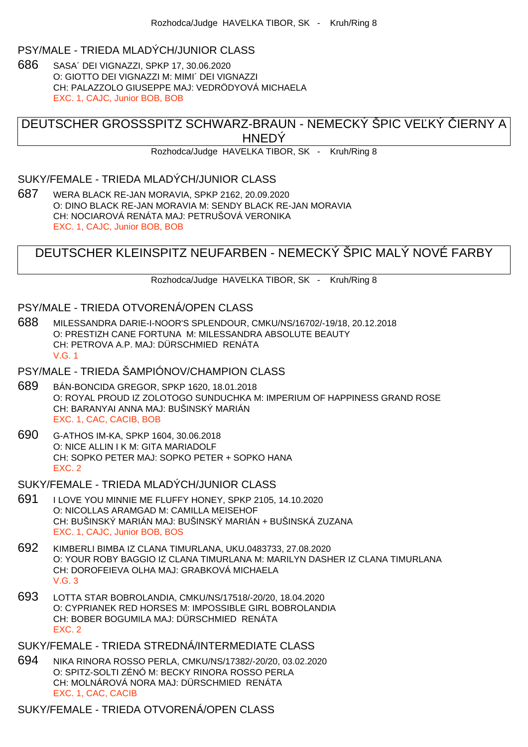#### PSY/MALE - TRIEDA MLADÝCH/JUNIOR CLASS

686 SASA´ DEI VIGNAZZI, SPKP 17, 30.06.2020 O: GIOTTO DEI VIGNAZZI M: MIMI´ DEI VIGNAZZI CH: PALAZZOLO GIUSEPPE MAJ: VEDRÖDYOVÁ MICHAELA EXC. 1, CAJC, Junior BOB, BOB

DEUTSCHER GROSSSPITZ SCHWARZ-BRAUN - NEMECKÝ ŠPIC VE KÝ LERNY A **HNEDY** 

Rozhodca/Judge HAVELKA TIBOR, SK - Kruh/Ring 8

#### SUKY/FEMALE - TRIEDA MLADÝCH/JUNIOR CLASS

687 WERA BLACK RE-JAN MORAVIA, SPKP 2162, 20.09.2020 O: DINO BLACK RE-JAN MORAVIA M: SENDY BLACK RE-JAN MORAVIA CH: NOCIAROVÁ RENÁTA MAJ: PETRUŠOVÁ VERONIKA EXC. 1, CAJC, Junior BOB, BOB

# DEUTSCHER KLEINSPITZ NEUFARBEN - NEMECKÝ ŠPIC MALÝ NOVÉ FARBY

Rozhodca/Judge HAVELKA TIBOR, SK - Kruh/Ring 8

### PSY/MALE - TRIEDA OTVORENÁ/OPEN CLASS

688 MILESSANDRA DARIE-I-NOOR'S SPLENDOUR, CMKU/NS/16702/-19/18, 20.12.2018 O: PRESTIZH CANE FORTUNA M: MILESSANDRA ABSOLUTE BEAUTY CH: PETROVA A.P. MAJ: DÜRSCHMIED RENÁTA V.G. 1

## PSY/MALE - TRIEDA ŠAMPIÓNOV/CHAMPION CLASS

- 689 BÁN-BONCIDA GREGOR, SPKP 1620, 18.01.2018 O: ROYAL PROUD IZ ZOLOTOGO SUNDUCHKA M: IMPERIUM OF HAPPINESS GRAND ROSE CH: BARANYAI ANNA MAJ: BUŠINSKÝ MARIÁN EXC. 1, CAC, CACIB, BOB
- 690 G-ATHOS IM-KA, SPKP 1604, 30.06.2018 O: NICE ALLIN I K M: GITA MARIADOLF CH: SOPKO PETER MAJ: SOPKO PETER + SOPKO HANA EXC. 2

SUKY/FEMALE - TRIEDA MLADÝCH/JUNIOR CLASS

- 691 I LOVE YOU MINNIE ME FLUFFY HONEY, SPKP 2105, 14.10.2020 O: NICOLLAS ARAMGAD M: CAMILLA MEISEHOF CH: BUŠINSKÝ MARIÁN MAJ: BUŠINSKÝ MARIÁN + BUŠINSKÁ ZUZANA EXC. 1, CAJC, Junior BOB, BOS
- 692 KIMBERLI BIMBA IZ CLANA TIMURLANA, UKU.0483733, 27.08.2020 O: YOUR ROBY BAGGIO IZ CLANA TIMURLANA M: MARILYN DASHER IZ CLANA TIMURLANA CH: DOROFEIEVA OLHA MAJ: GRABKOVÁ MICHAELA V.G. 3
- 693 LOTTA STAR BOBROLANDIA, CMKU/NS/17518/-20/20, 18.04.2020 O: CYPRIANEK RED HORSES M: IMPOSSIBLE GIRL BOBROLANDIA CH: BOBER BOGUMILA MAJ: DÜRSCHMIED RENÁTA EXC. 2

SUKY/FEMALE - TRIEDA STREDNÁ/INTERMEDIATE CLASS

694 NIKA RINORA ROSSO PERLA, CMKU/NS/17382/-20/20, 03.02.2020 O: SPITZ-SOLTI ZÉNÓ M: BECKY RINORA ROSSO PERLA CH: MOLNÁROVÁ NORA MAJ: DÜRSCHMIED RENÁTA EXC. 1, CAC, CACIB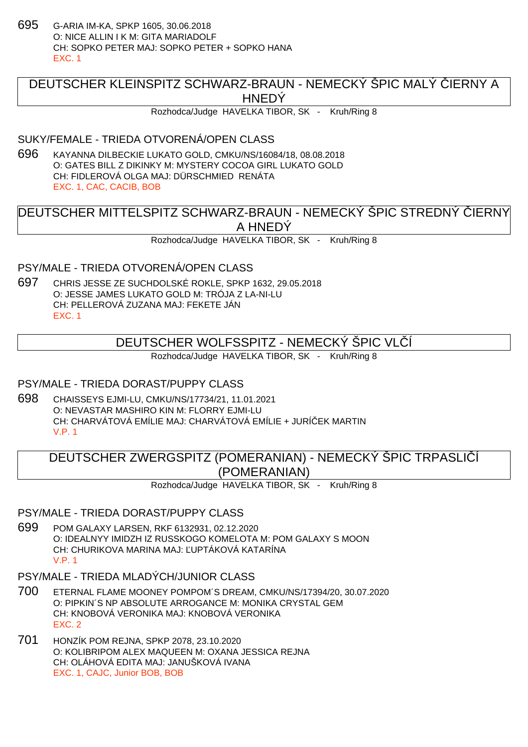695 G-ARIA IM-KA, SPKP 1605, 30.06.2018 O: NICE ALLIN I K M: GITA MARIADOLF CH: SOPKO PETER MAJ: SOPKO PETER + SOPKO HANA EXC. 1

# DEUTSCHER KLEINSPITZ SCHWARZ-BRAUN - NEMECKÝ ŠPIC MALÝ LERNY A **HNEDY**

Rozhodca/Judge HAVELKA TIBOR, SK - Kruh/Ring 8

#### SUKY/FEMALE - TRIEDA OTVORENÁ/OPEN CLASS

696 KAYANNA DILBECKIE LUKATO GOLD, CMKU/NS/16084/18, 08.08.2018 O: GATES BILL Z DIKINKY M: MYSTERY COCOA GIRL LUKATO GOLD CH: FIDLEROVÁ OLGA MAJ: DÜRSCHMIED RENÁTA EXC. 1, CAC, CACIB, BOB

DEUTSCHER MITTELSPITZ SCHWARZ-BRAUN - NEMECKÝ ŠPIC STREDNÝ LIERNY A HNEDÝ

Rozhodca/Judge HAVELKA TIBOR, SK - Kruh/Ring 8

PSY/MALE - TRIEDA OTVORENÁ/OPEN CLASS

697 CHRIS JESSE ZE SUCHDOLSKÉ ROKLE, SPKP 1632, 29.05.2018 O: JESSE JAMES LUKATO GOLD M: TRÓJA Z LA-NI-LU CH: PELLEROVÁ ZUZANA MAJ: FEKETE JÁN EXC. 1

# DEUTSCHER WOLFSSPITZ - NEMECKÝ ŠPIC VLÍ

Rozhodca/Judge HAVELKA TIBOR, SK - Kruh/Ring 8

### PSY/MALE - TRIEDA DORAST/PUPPY CLASS

698 CHAISSEYS EJMI-LU, CMKU/NS/17734/21, 11.01.2021 O: NEVASTAR MASHIRO KIN M: FLORRY EJMI-LU CH: CHARVÁTOVÁ EMÍLIE MAJ: CHARVÁTOVÁ EMÍLIE + JURÍČEK MARTIN V.P. 1

# DEUTSCHER ZWERGSPITZ (POMERANIAN) - NEMECKÝ ŠPIC TRPASLIČÍ (POMERANIAN)

Rozhodca/Judge HAVELKA TIBOR, SK - Kruh/Ring 8

PSY/MALE - TRIEDA DORAST/PUPPY CLASS

- 699 POM GALAXY LARSEN, RKF 6132931, 02.12.2020 O: IDEALNYY IMIDZH IZ RUSSKOGO KOMELOTA M: POM GALAXY S MOON CH: CHURIKOVA MARINA MAJ: ĽUPTÁKOVÁ KATARÍNA V.P. 1
- PSY/MALE TRIEDA MLADÝCH/JUNIOR CLASS
- 700 ETERNAL FLAME MOONEY POMPOM´S DREAM, CMKU/NS/17394/20, 30.07.2020 O: PIPKIN´S NP ABSOLUTE ARROGANCE M: MONIKA CRYSTAL GEM CH: KNOBOVÁ VERONIKA MAJ: KNOBOVÁ VERONIKA EXC. 2
- 701 HONZÍK POM REJNA, SPKP 2078, 23.10.2020 O: KOLIBRIPOM ALEX MAQUEEN M: OXANA JESSICA REJNA CH: OLÁHOVÁ EDITA MAJ: JANUŠKOVÁ IVANA EXC. 1, CAJC, Junior BOB, BOB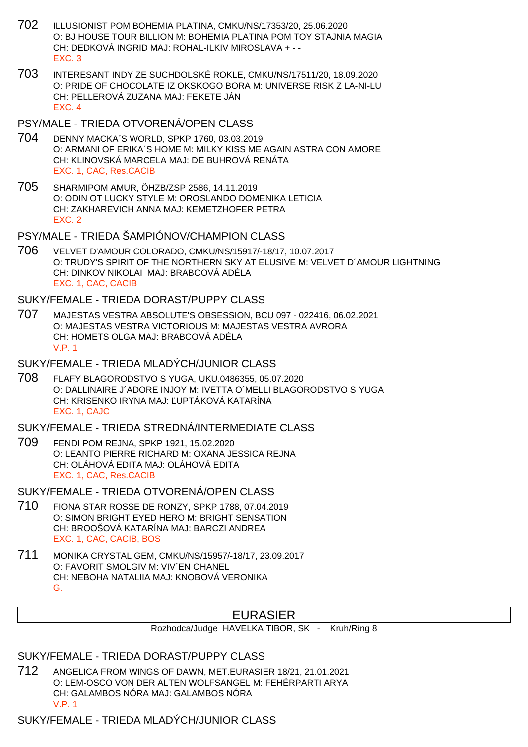- 702 ILLUSIONIST POM BOHEMIA PLATINA, CMKU/NS/17353/20, 25.06.2020 O: BJ HOUSE TOUR BILLION M: BOHEMIA PLATINA POM TOY STAJNIA MAGIA CH: DEDKOVÁ INGRID MAJ: ROHAL-ILKIV MIROSLAVA + - - EXC. 3
- 703 INTERESANT INDY ZE SUCHDOLSKÉ ROKLE, CMKU/NS/17511/20, 18.09.2020 O: PRIDE OF CHOCOLATE IZ OKSKOGO BORA M: UNIVERSE RISK Z LA-NI-LU CH: PELLEROVÁ ZUZANA MAJ: FEKETE JÁN EXC. 4

PSY/MALE - TRIEDA OTVORENÁ/OPEN CLASS

- 704 DENNY MACKA´S WORLD, SPKP 1760, 03.03.2019 O: ARMANI OF ERIKA´S HOME M: MILKY KISS ME AGAIN ASTRA CON AMORE CH: KLINOVSKÁ MARCELA MAJ: DE BUHROVÁ RENÁTA EXC. 1, CAC, Res.CACIB
- 705 SHARMIPOM AMUR, ÖHZB/ZSP 2586, 14.11.2019 O: ODIN OT LUCKY STYLE M: OROSLANDO DOMENIKA LETICIA CH: ZAKHAREVICH ANNA MAJ: KEMETZHOFER PETRA EXC. 2

PSY/MALE - TRIEDA ŠAMPIÓNOV/CHAMPION CLASS

706 VELVET D'AMOUR COLORADO, CMKU/NS/15917/-18/17, 10.07.2017 O: TRUDY'S SPIRIT OF THE NORTHERN SKY AT ELUSIVE M: VELVET D´AMOUR LIGHTNING CH: DINKOV NIKOLAI MAJ: BRABCOVÁ ADÉLA EXC. 1, CAC, CACIB

SUKY/FEMALE - TRIEDA DORAST/PUPPY CLASS

707 MAJESTAS VESTRA ABSOLUTE'S OBSESSION, BCU 097 - 022416, 06.02.2021 O: MAJESTAS VESTRA VICTORIOUS M: MAJESTAS VESTRA AVRORA CH: HOMETS OLGA MAJ: BRABCOVÁ ADÉLA V.P. 1

SUKY/FEMALE - TRIEDA MLADÝCH/JUNIOR CLASS

708 FLAFY BLAGORODSTVO S YUGA, UKU.0486355, 05.07.2020 O: DALLINAIRE J´ADORE INJOY M: IVETTA O´MELLI BLAGORODSTVO S YUGA CH: KRISENKO IRYNA MAJ: UPTÁKOVÁ KATARÍNA EXC. 1, CAJC

SUKY/FEMALE - TRIEDA STREDNÁ/INTERMEDIATE CLASS

709 FENDI POM REJNA, SPKP 1921, 15.02.2020 O: LEANTO PIERRE RICHARD M: OXANA JESSICA REJNA CH: OLÁHOVÁ EDITA MAJ: OLÁHOVÁ EDITA EXC. 1, CAC, Res.CACIB

SUKY/FEMALE - TRIEDA OTVORENÁ/OPEN CLASS

- 710 FIONA STAR ROSSE DE RONZY, SPKP 1788, 07.04.2019 O: SIMON BRIGHT EYED HERO M: BRIGHT SENSATION CH: BROOŠOVÁ KATARÍNA MAJ: BARCZI ANDREA EXC. 1, CAC, CACIB, BOS
- 711 MONIKA CRYSTAL GEM, CMKU/NS/15957/-18/17, 23.09.2017 O: FAVORIT SMOLGIV M: VIV´EN CHANEL CH: NEBOHA NATALIIA MAJ: KNOBOVÁ VERONIKA G.

# EURASIER

Rozhodca/Judge HAVELKA TIBOR, SK - Kruh/Ring 8

SUKY/FEMALE - TRIEDA DORAST/PUPPY CLASS

712 ANGELICA FROM WINGS OF DAWN, MET.EURASIER 18/21, 21.01.2021 O: LEM-OSCO VON DER ALTEN WOLFSANGEL M: FEHÉRPARTI ARYA CH: GALAMBOS NÓRA MAJ: GALAMBOS NÓRA V.P. 1

SUKY/FEMALE - TRIEDA MLADÝCH/JUNIOR CLASS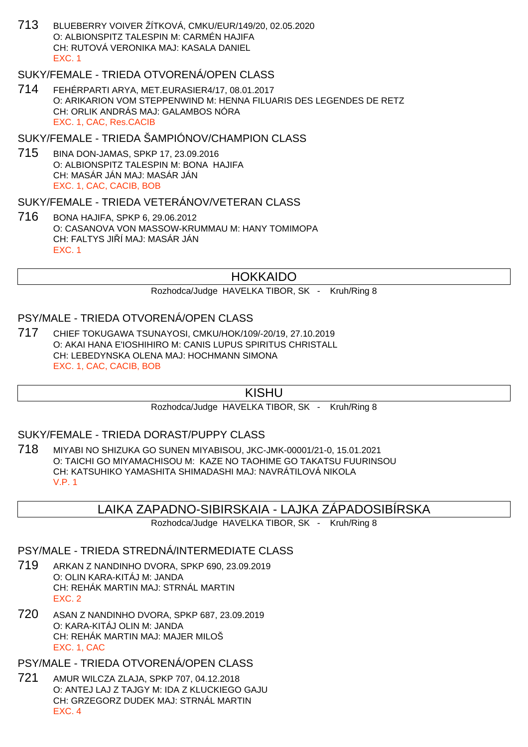713 BLUEBERRY VOIVER ŽÍTKOVÁ, CMKU/EUR/149/20, 02.05.2020 O: ALBIONSPITZ TALESPIN M: CARMÉN HAJIFA CH: RUTOVÁ VERONIKA MAJ: KASALA DANIEL EXC. 1

## SUKY/FEMALE - TRIEDA OTVORENÁ/OPEN CLASS

714 FEHÉRPARTI ARYA, MET.EURASIER4/17, 08.01.2017 O: ARIKARION VOM STEPPENWIND M: HENNA FILUARIS DES LEGENDES DE RETZ CH: ORLIK ANDRÁS MAJ: GALAMBOS NÓRA EXC. 1, CAC, Res.CACIB

### SUKY/FEMALE - TRIEDA ŠAMPIÓNOV/CHAMPION CLASS

715 BINA DON-JAMAS, SPKP 17, 23.09.2016 O: ALBIONSPITZ TALESPIN M: BONA HAJIFA CH: MASÁR JÁN MAJ: MASÁR JÁN EXC. 1, CAC, CACIB, BOB

#### SUKY/FEMALE - TRIEDA VETERÁNOV/VETERAN CLASS

716 BONA HAJIFA, SPKP 6, 29.06.2012 O: CASANOVA VON MASSOW-KRUMMAU M: HANY TOMIMOPA CH: FALTYS JI Í MAJ: MASÁR JÁN EXC. 1

## HOKKAIDO

Rozhodca/Judge HAVELKA TIBOR, SK - Kruh/Ring 8

### PSY/MALE - TRIEDA OTVORENÁ/OPEN CLASS

717 CHIEF TOKUGAWA TSUNAYOSI, CMKU/HOK/109/-20/19, 27.10.2019 O: AKAI HANA E'IOSHIHIRO M: CANIS LUPUS SPIRITUS CHRISTALL CH: LEBEDYNSKA OLENA MAJ: HOCHMANN SIMONA EXC. 1, CAC, CACIB, BOB

## **KISHU**

Rozhodca/Judge HAVELKA TIBOR, SK - Kruh/Ring 8

### SUKY/FEMALE - TRIEDA DORAST/PUPPY CLASS

718 MIYABI NO SHIZUKA GO SUNEN MIYABISOU, JKC-JMK-00001/21-0, 15.01.2021 O: TAICHI GO MIYAMACHISOU M: KAZE NO TAOHIME GO TAKATSU FUURINSOU CH: KATSUHIKO YAMASHITA SHIMADASHI MAJ: NAVRÁTILOVÁ NIKOLA V.P. 1

## LAIKA ZAPADNO-SIBIRSKAIA - LAJKA ZÁPADOSIBÍRSKA

Rozhodca/Judge HAVELKA TIBOR, SK - Kruh/Ring 8

## PSY/MALE - TRIEDA STREDNÁ/INTERMEDIATE CLASS

- 719 ARKAN Z NANDINHO DVORA, SPKP 690, 23.09.2019 O: OLIN KARA-KITÁJ M: JANDA CH: REHÁK MARTIN MAJ: STRNÁL MARTIN EXC. 2
- 720 ASAN Z NANDINHO DVORA, SPKP 687, 23.09.2019 O: KARA-KITÁJ OLIN M: JANDA CH: REHÁK MARTIN MAJ: MAJER MILOŠ EXC. 1, CAC

## PSY/MALE - TRIEDA OTVORENÁ/OPEN CLASS

721 AMUR WILCZA ZLAJA, SPKP 707, 04.12.2018 O: ANTEJ LAJ Z TAJGY M: IDA Z KLUCKIEGO GAJU CH: GRZEGORZ DUDEK MAJ: STRNÁL MARTIN EXC. 4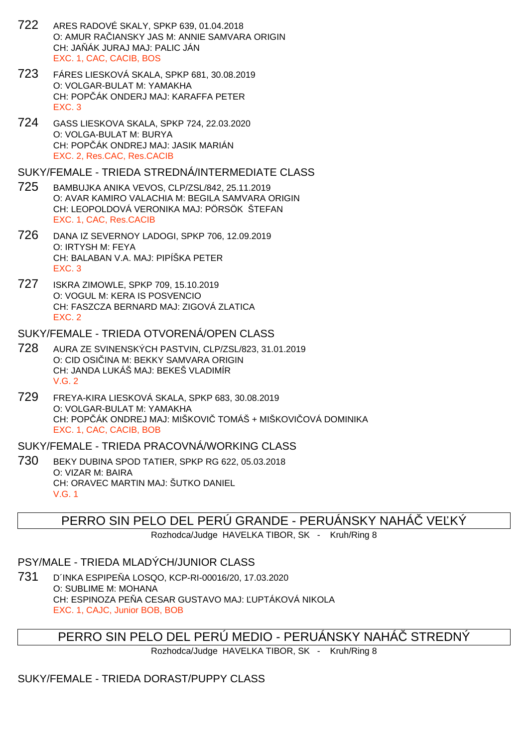- 722 ARES RADOVÉ SKALY, SPKP 639, 01.04.2018 O: AMUR RAČIANSKY JAS M: ANNIE SAMVARA ORIGIN CH: JA ÁK JURAJ MAJ: PALIC JÁN EXC. 1, CAC, CACIB, BOS
- 723 FÁRES LIESKOVÁ SKALA, SPKP 681, 30.08.2019 O: VOLGAR-BULAT M: YAMAKHA CH: POPČÁK ONDERJ MAJ: KARAFFA PETER EXC. 3
- 724 GASS LIESKOVA SKALA, SPKP 724, 22.03.2020 O: VOLGA-BULAT M: BURYA CH: POP ÁK ONDREJ MAJ: JASIK MARIÁN EXC. 2, Res.CAC, Res.CACIB

#### SUKY/FEMALE - TRIEDA STREDNÁ/INTERMEDIATE CLASS

- 725 BAMBUJKA ANIKA VEVOS, CLP/ZSL/842, 25.11.2019 O: AVAR KAMIRO VALACHIA M: BEGILA SAMVARA ORIGIN CH: LEOPOLDOVÁ VERONIKA MAJ: PÖRSÖK ŠTEFAN EXC. 1, CAC, Res.CACIB
- 726 DANA IZ SEVERNOY LADOGI, SPKP 706, 12.09.2019 O: IRTYSH M: FEYA CH: BALABAN V.A. MAJ: PIPÍŠKA PETER EXC. 3
- 727 ISKRA ZIMOWLE, SPKP 709, 15.10.2019 O: VOGUL M: KERA IS POSVENCIO CH: FASZCZA BERNARD MAJ: ZIGOVÁ ZLATICA EXC. 2

#### SUKY/FEMALE - TRIEDA OTVORENÁ/OPEN CLASS

- 728 AURA ZE SVINENSKÝCH PASTVIN, CLP/ZSL/823, 31.01.2019 O: CID OSI INA M: BEKKY SAMVARA ORIGIN CH: JANDA LUKÁŠ MAJ: BEKEŠ VLADIMÍR V.G. 2
- 729 FREYA-KIRA LIESKOVÁ SKALA, SPKP 683, 30.08.2019 O: VOLGAR-BULAT M: YAMAKHA CH: POP ÁK ONDREJ MAJ: MIŠKOVI TOMÁŠ + MIŠKOVI OVÁ DOMINIKA EXC. 1, CAC, CACIB, BOB

### SUKY/FEMALE - TRIEDA PRACOVNÁ/WORKING CLASS

730 BEKY DUBINA SPOD TATIER, SPKP RG 622, 05.03.2018 O: VIZAR M: BAIRA CH: ORAVEC MARTIN MAJ: ŠUTKO DANIEL V.G. 1

## PERRO SIN PELO DEL PERÚ GRANDE - PERUÁNSKY NAHÁ VE KÝ

Rozhodca/Judge HAVELKA TIBOR, SK - Kruh/Ring 8

## PSY/MALE - TRIEDA MLADÝCH/JUNIOR CLASS

731 D´INKA ESPIPEŇA LOSQO, KCP-RI-00016/20, 17.03.2020 O: SUBLIME M: MOHANA CH: ESPINOZA PE A CESAR GUSTAVO MAJ: UPTÁKOVÁ NIKOLA EXC. 1, CAJC, Junior BOB, BOB

# PERRO SIN PELO DEL PERÚ MEDIO - PERUÁNSKY NAHÁ STREDNÝ

Rozhodca/Judge HAVELKA TIBOR, SK - Kruh/Ring 8

## SUKY/FEMALE - TRIEDA DORAST/PUPPY CLASS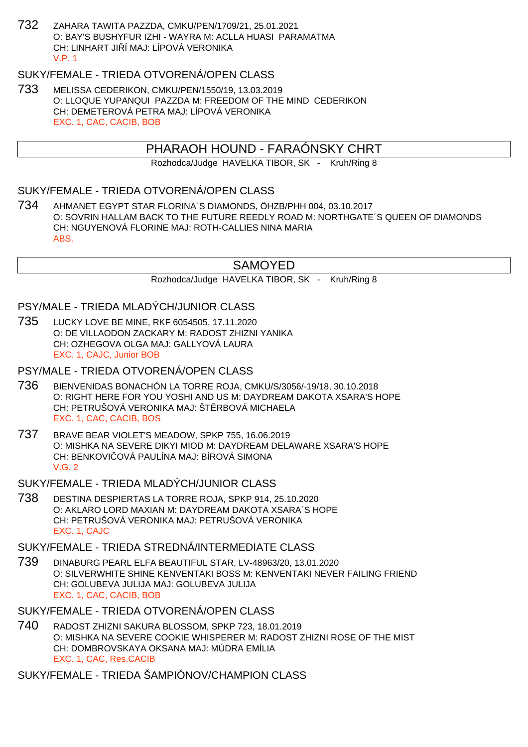732 ZAHARA TAWITA PAZZDA, CMKU/PEN/1709/21, 25.01.2021 O: BAY'S BUSHYFUR IZHI - WAYRA M: ACLLA HUASI PARAMATMA CH: LINHART JI. Í MAJ: LÍPOVÁ VERONIKA V.P. 1

## SUKY/FEMALE - TRIEDA OTVORENÁ/OPEN CLASS

733 MELISSA CEDERIKON, CMKU/PEN/1550/19, 13.03.2019 O: LLOQUE YUPANQUI PAZZDA M: FREEDOM OF THE MIND CEDERIKON CH: DEMETEROVÁ PETRA MAJ: LÍPOVÁ VERONIKA EXC. 1, CAC, CACIB, BOB

## PHARAOH HOUND - FARAÓNSKY CHRT

Rozhodca/Judge HAVELKA TIBOR, SK - Kruh/Ring 8

### SUKY/FEMALE - TRIEDA OTVORENÁ/OPEN CLASS

734 AHMANET EGYPT STAR FLORINA´S DIAMONDS, ÖHZB/PHH 004, 03.10.2017 O: SOVRIN HALLAM BACK TO THE FUTURE REEDLY ROAD M: NORTHGATE´S QUEEN OF DIAMONDS CH: NGUYENOVÁ FLORINE MAJ: ROTH-CALLIES NINA MARIA ABS.

## SAMOYED

Rozhodca/Judge HAVELKA TIBOR, SK - Kruh/Ring 8

### PSY/MALE - TRIEDA MLADÝCH/JUNIOR CLASS

735 LUCKY LOVE BE MINE, RKF 6054505, 17.11.2020 O: DE VILLAODON ZACKARY M: RADOST ZHIZNI YANIKA CH: OZHEGOVA OLGA MAJ: GALLYOVÁ LAURA EXC. 1, CAJC, Junior BOB

#### PSY/MALE - TRIEDA OTVORENÁ/OPEN CLASS

- 736 BIENVENIDAS BONACHÓN LA TORRE ROJA, CMKU/S/3056/-19/18, 30.10.2018 O: RIGHT HERE FOR YOU YOSHI AND US M: DAYDREAM DAKOTA XSARA'S HOPE CH: PETRUŠOVÁ VERONIKA MAJ: ŠT RBOVÁ MICHAELA EXC. 1, CAC, CACIB, BOS
- 737 BRAVE BEAR VIOLET'S MEADOW, SPKP 755, 16.06.2019 O: MISHKA NA SEVERE DIKYI MIOD M: DAYDREAM DELAWARE XSARA'S HOPE CH: BENKOVI OVÁ PAULÍNA MAJ: BÍROVÁ SIMONA  $V$  G  $2$
- SUKY/FEMALE TRIEDA MLADÝCH/JUNIOR CLASS
- 738 DESTINA DESPIERTAS LA TORRE ROJA, SPKP 914, 25.10.2020 O: AKLARO LORD MAXIAN M: DAYDREAM DAKOTA XSARA´S HOPE CH: PETRUŠOVÁ VERONIKA MAJ: PETRUŠOVÁ VERONIKA EXC. 1, CAJC

#### SUKY/FEMALE - TRIEDA STREDNÁ/INTERMEDIATE CLASS

- 739 DINABURG PEARL ELFA BEAUTIFUL STAR, LV-48963/20, 13.01.2020 O: SILVERWHITE SHINE KENVENTAKI BOSS M: KENVENTAKI NEVER FAILING FRIEND CH: GOLUBEVA JULIJA MAJ: GOLUBEVA JULIJA EXC. 1, CAC, CACIB, BOB
- SUKY/FEMALE TRIEDA OTVORENÁ/OPEN CLASS
- 740 RADOST ZHIZNI SAKURA BLOSSOM, SPKP 723, 18.01.2019 O: MISHKA NA SEVERE COOKIE WHISPERER M: RADOST ZHIZNI ROSE OF THE MIST CH: DOMBROVSKAYA OKSANA MAJ: MÚDRA EMÍLIA EXC. 1, CAC, Res.CACIB

### SUKY/FEMALE - TRIEDA ŠAMPIÓNOV/CHAMPION CLASS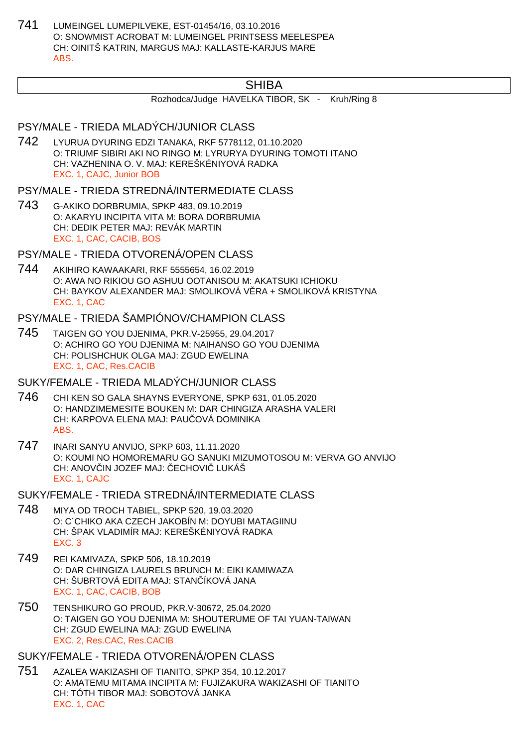741 LUMEINGEL LUMEPILVEKE, EST-01454/16, 03.10.2016 O: SNOWMIST ACROBAT M: LUMEINGEL PRINTSESS MEELESPEA CH: OINITŠ KATRIN, MARGUS MAJ: KALLASTE-KARJUS MARE ABS.

## SHIBA

Rozhodca/Judge HAVELKA TIBOR, SK - Kruh/Ring 8

### PSY/MALE - TRIEDA MLADÝCH/JUNIOR CLASS

742 LYURUA DYURING EDZI TANAKA, RKF 5778112, 01.10.2020 O: TRIUMF SIBIRI AKI NO RINGO M: LYRURYA DYURING TOMOTI ITANO CH: VAZHENINA O. V. MAJ: KEREŠKÉNIYOVÁ RADKA EXC. 1, CAJC, Junior BOB

PSY/MALE - TRIEDA STREDNÁ/INTERMEDIATE CLASS

743 G-AKIKO DORBRUMIA, SPKP 483, 09.10.2019 O: AKARYU INCIPITA VITA M: BORA DORBRUMIA CH: DEDIK PETER MAJ: REVÁK MARTIN EXC. 1, CAC, CACIB, BOS

PSY/MALE - TRIEDA OTVORENÁ/OPEN CLASS

744 AKIHIRO KAWAAKARI, RKF 5555654, 16.02.2019 O: AWA NO RIKIOU GO ASHUU OOTANISOU M: AKATSUKI ICHIOKU CH: BAYKOV ALEXANDER MAJ: SMOLIKOVÁ V. RA + SMOLIKOVÁ KRISTYNA EXC. 1, CAC

PSY/MALE - TRIEDA ŠAMPIÓNOV/CHAMPION CLASS

745 TAIGEN GO YOU DJENIMA, PKR.V-25955, 29.04.2017 O: ACHIRO GO YOU DJENIMA M: NAIHANSO GO YOU DJENIMA CH: POLISHCHUK OLGA MAJ: ZGUD EWELINA EXC. 1, CAC, Res.CACIB

SUKY/FEMALE - TRIEDA MLADÝCH/JUNIOR CLASS

- 746 CHI KEN SO GALA SHAYNS EVERYONE, SPKP 631, 01.05.2020 O: HANDZIMEMESITE BOUKEN M: DAR CHINGIZA ARASHA VALERI CH: KARPOVA ELENA MAJ: PAU OVÁ DOMINIKA ABS.
- 747 INARI SANYU ANVIJO, SPKP 603, 11.11.2020 O: KOUMI NO HOMOREMARU GO SANUKI MIZUMOTOSOU M: VERVA GO ANVIJO CH: ANOV IN JOZEF MAJ: ECHOVI LUKÁŠ EXC. 1, CAJC

SUKY/FEMALE - TRIEDA STREDNÁ/INTERMEDIATE CLASS

- 748 MIYA OD TROCH TABIEL, SPKP 520, 19.03.2020 O: C´CHIKO AKA CZECH JAKOBÍN M: DOYUBI MATAGIINU CH: ŠPAK VLADIMÍR MAJ: KEREŠKÉNIYOVÁ RADKA EXC. 3
- 749 REI KAMIVAZA, SPKP 506, 18.10.2019 O: DAR CHINGIZA LAURELS BRUNCH M: EIKI KAMIWAZA CH: ŠUBRTOVÁ EDITA MAJ: STAN ÍKOVÁ JANA EXC. 1, CAC, CACIB, BOB
- 750 TENSHIKURO GO PROUD, PKR.V-30672, 25.04.2020 O: TAIGEN GO YOU DJENIMA M: SHOUTERUME OF TAI YUAN-TAIWAN CH: ZGUD EWELINA MAJ: ZGUD EWELINA EXC. 2, Res.CAC, Res.CACIB

SUKY/FEMALE - TRIEDA OTVORENÁ/OPEN CLASS

751 AZALEA WAKIZASHI OF TIANITO, SPKP 354, 10.12.2017 O: AMATEMU MITAMA INCIPITA M: FUJIZAKURA WAKIZASHI OF TIANITO CH: TÓTH TIBOR MAJ: SOBOTOVÁ JANKA EXC. 1, CAC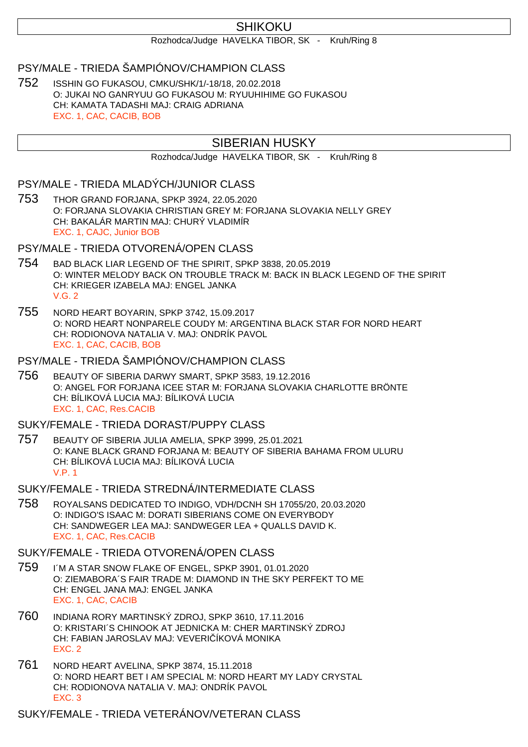## SHIKOKU

Rozhodca/Judge HAVELKA TIBOR, SK - Kruh/Ring 8

## PSY/MALE - TRIEDA ŠAMPIÓNOV/CHAMPION CLASS

752 ISSHIN GO FUKASOU, CMKU/SHK/1/-18/18, 20.02.2018 O: JUKAI NO GANRYUU GO FUKASOU M: RYUUHIHIME GO FUKASOU CH: KAMATA TADASHI MAJ: CRAIG ADRIANA EXC. 1, CAC, CACIB, BOB

## SIBERIAN HUSKY

Rozhodca/Judge HAVELKA TIBOR, SK - Kruh/Ring 8

## PSY/MALE - TRIEDA MLADÝCH/JUNIOR CLASS

753 THOR GRAND FORJANA, SPKP 3924, 22.05.2020 O: FORJANA SLOVAKIA CHRISTIAN GREY M: FORJANA SLOVAKIA NELLY GREY CH: BAKALÁR MARTIN MAJ: CHURÝ VLADIMÍR EXC. 1, CAJC, Junior BOB

#### PSY/MALE - TRIEDA OTVORENÁ/OPEN CLASS

- 754 BAD BLACK LIAR LEGEND OF THE SPIRIT, SPKP 3838, 20.05.2019 O: WINTER MELODY BACK ON TROUBLE TRACK M: BACK IN BLACK LEGEND OF THE SPIRIT CH: KRIEGER IZABELA MAJ: ENGEL JANKA V.G. 2
- 755 NORD HEART BOYARIN, SPKP 3742, 15.09.2017 O: NORD HEART NONPARELE COUDY M: ARGENTINA BLACK STAR FOR NORD HEART CH: RODIONOVA NATALIA V. MAJ: ONDRÍK PAVOL EXC. 1, CAC, CACIB, BOB

#### PSY/MALE - TRIEDA ŠAMPIÓNOV/CHAMPION CLASS

756 BEAUTY OF SIBERIA DARWY SMART, SPKP 3583, 19.12.2016 O: ANGEL FOR FORJANA ICEE STAR M: FORJANA SLOVAKIA CHARLOTTE BRÖNTE CH: BÍLIKOVÁ LUCIA MAJ: BÍLIKOVÁ LUCIA EXC. 1, CAC, Res.CACIB

#### SUKY/FEMALE - TRIEDA DORAST/PUPPY CLASS

757 BEAUTY OF SIBERIA JULIA AMELIA, SPKP 3999, 25.01.2021 O: KANE BLACK GRAND FORJANA M: BEAUTY OF SIBERIA BAHAMA FROM ULURU CH: BÍLIKOVÁ LUCIA MAJ: BÍLIKOVÁ LUCIA V.P. 1

#### SUKY/FEMALE - TRIEDA STREDNÁ/INTERMEDIATE CLASS

758 ROYALSANS DEDICATED TO INDIGO, VDH/DCNH SH 17055/20, 20.03.2020 O: INDIGO'S ISAAC M: DORATI SIBERIANS COME ON EVERYBODY CH: SANDWEGER LEA MAJ: SANDWEGER LEA + QUALLS DAVID K. EXC. 1, CAC, Res.CACIB

### SUKY/FEMALE - TRIEDA OTVORENÁ/OPEN CLASS

- 759 I´M A STAR SNOW FLAKE OF ENGEL, SPKP 3901, 01.01.2020 O: ZIEMABORA´S FAIR TRADE M: DIAMOND IN THE SKY PERFEKT TO ME CH: ENGEL JANA MAJ: ENGEL JANKA EXC. 1, CAC, CACIB
- 760 INDIANA RORY MARTINSKÝ ZDROJ, SPKP 3610, 17.11.2016 O: KRISTARI´S CHINOOK AT JEDNICKA M: CHER MARTINSKÝ ZDROJ CH: FABIAN JAROSLAV MAJ: VEVERI ÍKOVÁ MONIKA EXC. 2
- 761 NORD HEART AVELINA, SPKP 3874, 15.11.2018 O: NORD HEART BET I AM SPECIAL M: NORD HEART MY LADY CRYSTAL CH: RODIONOVA NATALIA V. MAJ: ONDRÍK PAVOL EXC. 3

SUKY/FEMALE - TRIEDA VETERÁNOV/VETERAN CLASS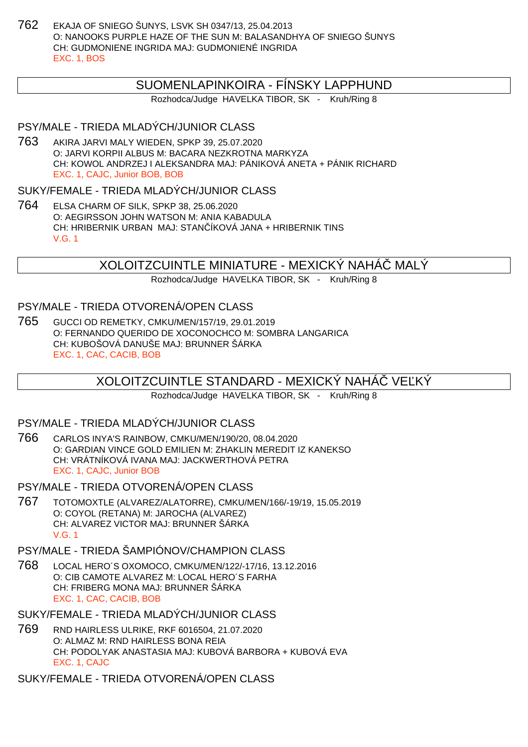762 EKAJA OF SNIEGO ŠUNYS, LSVK SH 0347/13, 25.04.2013 O: NANOOKS PURPLE HAZE OF THE SUN M: BALASANDHYA OF SNIEGO ŠUNYS CH: GUDMONIENE INGRIDA MAJ: GUDMONIENÉ INGRIDA EXC. 1, BOS

## SUOMENLAPINKOIRA - FÍNSKY LAPPHUND

Rozhodca/Judge HAVELKA TIBOR, SK - Kruh/Ring 8

## PSY/MALE - TRIEDA MLADÝCH/JUNIOR CLASS

763 AKIRA JARVI MALY WIEDEN, SPKP 39, 25.07.2020 O: JARVI KORPII ALBUS M: BACARA NEZKROTNA MARKYZA CH: KOWOL ANDRZEJ I ALEKSANDRA MAJ: PÁNIKOVÁ ANETA + PÁNIK RICHARD EXC. 1, CAJC, Junior BOB, BOB

SUKY/FEMALE - TRIEDA MLADÝCH/JUNIOR CLASS

764 ELSA CHARM OF SILK, SPKP 38, 25.06.2020 O: AEGIRSSON JOHN WATSON M: ANIA KABADULA CH: HRIBERNIK URBAN MAJ: STAN ÍKOVÁ JANA + HRIBERNIK TINS V.G. 1

XOLOITZCUINTLE MINIATURE - MEXICKÝ NAHÁČ MALÝ

Rozhodca/Judge HAVELKA TIBOR, SK - Kruh/Ring 8

## PSY/MALE - TRIEDA OTVORENÁ/OPEN CLASS

765 GUCCI OD REMETKY, CMKU/MEN/157/19, 29.01.2019 O: FERNANDO QUERIDO DE XOCONOCHCO M: SOMBRA LANGARICA CH: KUBOŠOVÁ DANUŠE MAJ: BRUNNER ŠÁRKA EXC. 1, CAC, CACIB, BOB

## XOLOITZCUINTLE STANDARD - MEXICKY NAHÁ VE KY

Rozhodca/Judge HAVELKA TIBOR, SK - Kruh/Ring 8

## PSY/MALE - TRIEDA MLADÝCH/JUNIOR CLASS

766 CARLOS INYA'S RAINBOW, CMKU/MEN/190/20, 08.04.2020 O: GARDIAN VINCE GOLD EMILIEN M: ZHAKLIN MEREDIT IZ KANEKSO CH: VRÁTNÍKOVÁ IVANA MAJ: JACKWERTHOVÁ PETRA EXC. 1, CAJC, Junior BOB

PSY/MALE - TRIEDA OTVORENÁ/OPEN CLASS

767 TOTOMOXTLE (ALVAREZ/ALATORRE), CMKU/MEN/166/-19/19, 15.05.2019 O: COYOL (RETANA) M: JAROCHA (ALVAREZ) CH: ALVAREZ VICTOR MAJ: BRUNNER ŠÁRKA V.G. 1

## PSY/MALE - TRIEDA ŠAMPIÓNOV/CHAMPION CLASS

- 768 LOCAL HERO´S OXOMOCO, CMKU/MEN/122/-17/16, 13.12.2016 O: CIB CAMOTE ALVAREZ M: LOCAL HERO´S FARHA CH: FRIBERG MONA MAJ: BRUNNER ŠÁRKA EXC. 1, CAC, CACIB, BOB
- SUKY/FEMALE TRIEDA MLADÝCH/JUNIOR CLASS
- 769 RND HAIRLESS ULRIKE, RKF 6016504, 21.07.2020 O: ALMAZ M: RND HAIRLESS BONA REIA CH: PODOLYAK ANASTASIA MAJ: KUBOVÁ BARBORA + KUBOVÁ EVA EXC. 1, CAJC

SUKY/FEMALE - TRIEDA OTVORENÁ/OPEN CLASS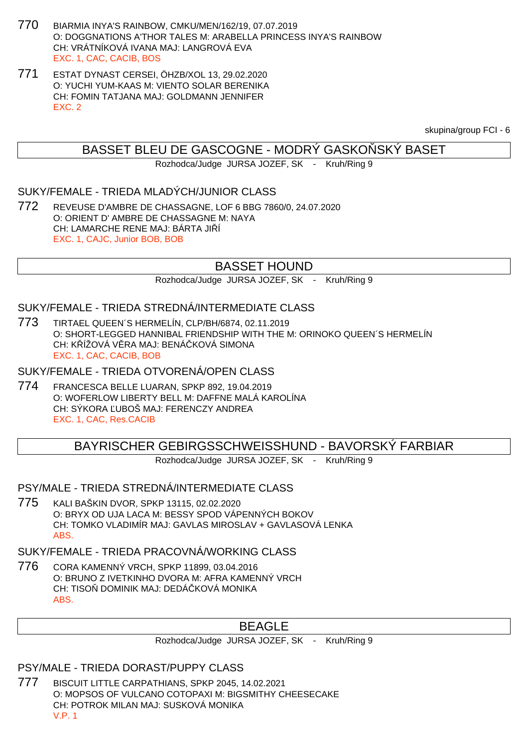- 770 BIARMIA INYA'S RAINBOW, CMKU/MEN/162/19, 07.07.2019 O: DOGGNATIONS A'THOR TALES M: ARABELLA PRINCESS INYA'S RAINBOW CH: VRÁTNÍKOVÁ IVANA MAJ: LANGROVÁ EVA EXC. 1, CAC, CACIB, BOS
- 771 ESTAT DYNAST CERSEI, ÖHZB/XOL 13, 29.02.2020 O: YUCHI YUM-KAAS M: VIENTO SOLAR BERENIKA CH: FOMIN TATJANA MAJ: GOLDMANN JENNIFER EXC. 2

skupina/group FCI - 6

## BASSET BLEU DE GASCOGNE - MODRÝ GASKO SKÝ BASET

Rozhodca/Judge JURSA JOZEF, SK - Kruh/Ring 9

### SUKY/FEMALE - TRIEDA MLADÝCH/JUNIOR CLASS

772 REVEUSE D'AMBRE DE CHASSAGNE, LOF 6 BBG 7860/0, 24.07.2020 O: ORIENT D' AMBRE DE CHASSAGNE M: NAYA CH: LAMARCHE RENE MAJ: BÁRTA JI Í EXC. 1, CAJC, Junior BOB, BOB

## BASSET HOUND

Rozhodca/Judge JURSA JOZEF, SK - Kruh/Ring 9

## SUKY/FEMALE - TRIEDA STREDNÁ/INTERMEDIATE CLASS

773 TIRTAEL QUEEN´S HERMELÍN, CLP/BH/6874, 02.11.2019 O: SHORT-LEGGED HANNIBAL FRIENDSHIP WITH THE M: ORINOKO QUEEN´S HERMELÍN CH: K ÍŽOVÁ V RA MAJ: BENÁ KOVÁ SIMONA EXC. 1, CAC, CACIB, BOB

#### SUKY/FEMALE - TRIEDA OTVORENÁ/OPEN CLASS

774 FRANCESCA BELLE LUARAN, SPKP 892, 19.04.2019 O: WOFERLOW LIBERTY BELL M: DAFFNE MALÁ KAROLÍNA CH: SÝKORA ĽUBOŠ MAJ: FERENCZY ANDREA EXC. 1, CAC, Res.CACIB

### BAYRISCHER GEBIRGSSCHWEISSHUND - BAVORSKÝ FARBIAR

Rozhodca/Judge JURSA JOZEF, SK - Kruh/Ring 9

#### PSY/MALE - TRIEDA STREDNÁ/INTERMEDIATE CLASS

775 KALI BAŠKIN DVOR, SPKP 13115, 02.02.2020 O: BRYX OD UJA LACA M: BESSY SPOD VÁPENNÝCH BOKOV CH: TOMKO VLADIMÍR MAJ: GAVLAS MIROSLAV + GAVLASOVÁ LENKA **ABS** 

## SUKY/FEMALE - TRIEDA PRACOVNÁ/WORKING CLASS

776 CORA KAMENNÝ VRCH, SPKP 11899, 03.04.2016 O: BRUNO Z IVETKINHO DVORA M: AFRA KAMENNÝ VRCH CH: TISO DOMINIK MAJ: DEDÁ KOVÁ MONIKA ABS.

## BEAGLE

Rozhodca/Judge JURSA JOZEF, SK - Kruh/Ring 9

#### PSY/MALE - TRIEDA DORAST/PUPPY CLASS

777 BISCUIT LITTLE CARPATHIANS, SPKP 2045, 14.02.2021 O: MOPSOS OF VULCANO COTOPAXI M: BIGSMITHY CHEESECAKE CH: POTROK MILAN MAJ: SUSKOVÁ MONIKA V.P. 1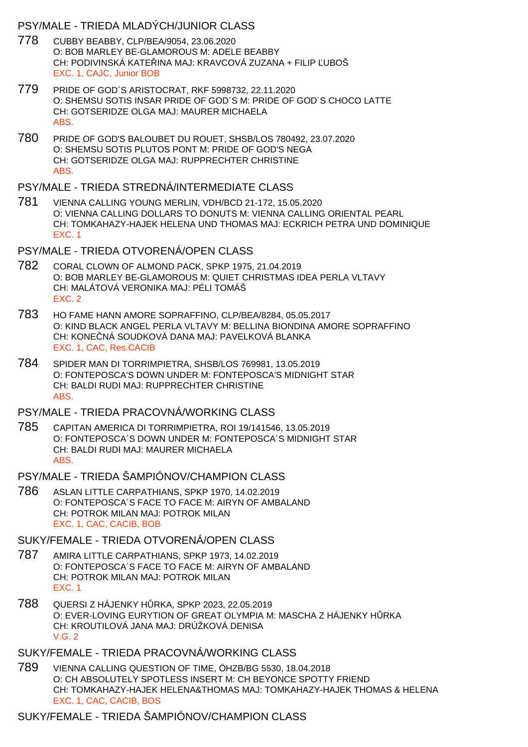### PSY/MALE - TRIEDA MLADÝCH/JUNIOR CLASS

- 778 CUBBY BEABBY, CLP/BEA/9054, 23.06.2020 O: BOB MARLEY BE-GLAMOROUS M: ADELE BEABBY CH: PODIVINSKÁ KATE INA MAJ: KRAVCOVÁ ZUZANA + FILIP UBOŠ EXC. 1, CAJC, Junior BOB
- 779 PRIDE OF GOD´S ARISTOCRAT, RKF 5998732, 22.11.2020 O: SHEMSU SOTIS INSAR PRIDE OF GOD´S M: PRIDE OF GOD´S CHOCO LATTE CH: GOTSERIDZE OLGA MAJ: MAURER MICHAELA ABS.
- 780 PRIDE OF GOD'S BALOUBET DU ROUET, SHSB/LOS 780492, 23.07.2020 O: SHEMSU SOTIS PLUTOS PONT M: PRIDE OF GOD'S NEGA CH: GOTSERIDZE OLGA MAJ: RUPPRECHTER CHRISTINE ABS.
- PSY/MALE TRIEDA STREDNÁ/INTERMEDIATE CLASS
- 781 VIENNA CALLING YOUNG MERLIN, VDH/BCD 21-172, 15.05.2020 O: VIENNA CALLING DOLLARS TO DONUTS M: VIENNA CALLING ORIENTAL PEARL CH: TOMKAHAZY-HAJEK HELENA UND THOMAS MAJ: ECKRICH PETRA UND DOMINIQUE EXC. 1
- PSY/MALE TRIEDA OTVORENÁ/OPEN CLASS
- 782 CORAL CLOWN OF ALMOND PACK, SPKP 1975, 21.04.2019 O: BOB MARLEY BE-GLAMOROUS M: QUIET CHRISTMAS IDEA PERLA VLTAVY CH: MALÁTOVÁ VERONIKA MAJ: PÉLI TOMÁŠ EXC. 2
- 783 HO FAME HANN AMORE SOPRAFFINO, CLP/BEA/8284, 05.05.2017 O: KIND BLACK ANGEL PERLA VLTAVY M: BELLINA BIONDINA AMORE SOPRAFFINO CH: KONE NÁ SOUDKOVÁ DANA MAJ: PAVELKOVÁ BLANKA EXC. 1, CAC, Res.CACIB
- 784 SPIDER MAN DI TORRIMPIETRA, SHSB/LOS 769981, 13.05.2019 O: FONTEPOSCA'S DOWN UNDER M: FONTEPOSCA'S MIDNIGHT STAR CH: BALDI RUDI MAJ: RUPPRECHTER CHRISTINE ABS.
- PSY/MALE TRIEDA PRACOVNÁ/WORKING CLASS
- 785 CAPITAN AMERICA DI TORRIMPIETRA, ROI 19/141546, 13.05.2019 O: FONTEPOSCA´S DOWN UNDER M: FONTEPOSCA´S MIDNIGHT STAR CH: BALDI RUDI MAJ: MAURER MICHAELA ABS.
- PSY/MALE TRIEDA ŠAMPIÓNOV/CHAMPION CLASS
- 786 ASLAN LITTLE CARPATHIANS, SPKP 1970, 14.02.2019 O: FONTEPOSCA´S FACE TO FACE M: AIRYN OF AMBALAND CH: POTROK MILAN MAJ: POTROK MILAN EXC. 1, CAC, CACIB, BOB

## SUKY/FEMALE - TRIEDA OTVORENÁ/OPEN CLASS

- 787 AMIRA LITTLE CARPATHIANS, SPKP 1973, 14.02.2019 O: FONTEPOSCA´S FACE TO FACE M: AIRYN OF AMBALAND CH: POTROK MILAN MAJ: POTROK MILAN EXC. 1
- 788 QUERSI Z HÁJENKY HŮRKA, SPKP 2023, 22.05.2019 O: EVER-LOVING EURYTION OF GREAT OLYMPIA M: MASCHA Z HÁJENKY H RKA CH: KROUTILOVÁ JANA MAJ: DRÚŽKOVÁ DENISA V.G. 2
- SUKY/FEMALE TRIEDA PRACOVNÁ/WORKING CLASS
- 789 VIENNA CALLING QUESTION OF TIME, ÖHZB/BG 5530, 18.04.2018 O: CH ABSOLUTELY SPOTLESS INSERT M: CH BEYONCE SPOTTY FRIEND CH: TOMKAHAZY-HAJEK HELENA&THOMAS MAJ: TOMKAHAZY-HAJEK THOMAS & HELENA EXC. 1, CAC, CACIB, BOS

## SUKY/FEMALE - TRIEDA ŠAMPIÓNOV/CHAMPION CLASS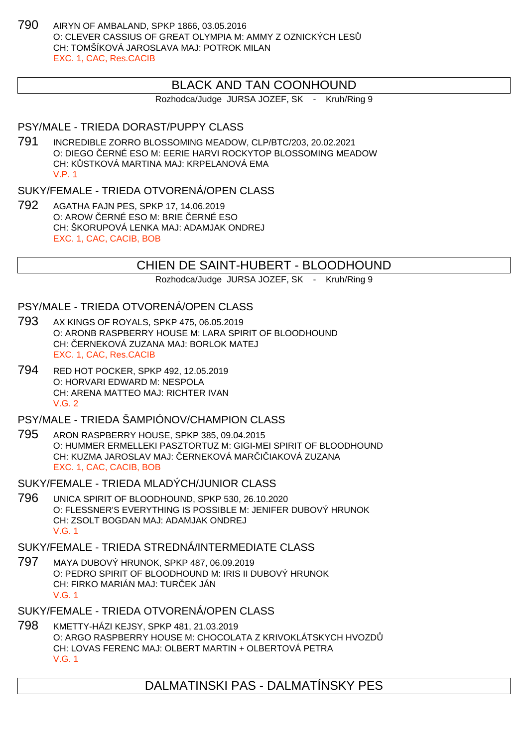790 AIRYN OF AMBALAND, SPKP 1866, 03.05.2016 O: CLEVER CASSIUS OF GREAT OLYMPIA M: AMMY Z OZNICKÝCH LESŮ CH: TOMŠÍKOVÁ JAROSLAVA MAJ: POTROK MILAN EXC. 1, CAC, Res.CACIB

## BLACK AND TAN COONHOUND

Rozhodca/Judge JURSA JOZEF, SK - Kruh/Ring 9

#### PSY/MALE - TRIEDA DORAST/PUPPY CLASS

791 INCREDIBLE ZORRO BLOSSOMING MEADOW, CLP/BTC/203, 20.02.2021 O: DIEGO ERNÉ ESO M: EERIE HARVI ROCKYTOP BLOSSOMING MEADOW CH: K STKOVÁ MARTINA MAJ: KRPELANOVÁ EMA V.P. 1

### SUKY/FEMALE - TRIEDA OTVORENÁ/OPEN CLASS

792 AGATHA FAJN PES, SPKP 17, 14.06.2019 O: AROW ERNÉ ESO M: BRIE ERNÉ ESO CH: ŠKORUPOVÁ LENKA MAJ: ADAMJAK ONDREJ EXC. 1, CAC, CACIB, BOB

## CHIEN DE SAINT-HUBERT - BLOODHOUND

Rozhodca/Judge JURSA JOZEF, SK - Kruh/Ring 9

#### PSY/MALE - TRIEDA OTVORENÁ/OPEN CLASS

- 793 AX KINGS OF ROYALS, SPKP 475, 06.05.2019 O: ARONB RASPBERRY HOUSE M: LARA SPIRIT OF BLOODHOUND CH: ERNEKOVÁ ZUZANA MAJ: BORLOK MATEJ EXC. 1, CAC, Res.CACIB
- 794 RED HOT POCKER, SPKP 492, 12.05.2019 O: HORVARI EDWARD M: NESPOLA CH: ARENA MATTEO MAJ: RICHTER IVAN V.G. 2

PSY/MALE - TRIEDA ŠAMPIÓNOV/CHAMPION CLASS

- 795 ARON RASPBERRY HOUSE, SPKP 385, 09.04.2015 O: HUMMER ERMELLEKI PASZTORTUZ M: GIGI-MEI SPIRIT OF BLOODHOUND CH: KUZMA JAROSLAV MAJ: ERNEKOVÁ MAR I IAKOVÁ ZUZANA EXC. 1, CAC, CACIB, BOB
- SUKY/FEMALE TRIEDA MLADÝCH/JUNIOR CLASS
- 796 UNICA SPIRIT OF BLOODHOUND, SPKP 530, 26.10.2020 O: FLESSNER'S EVERYTHING IS POSSIBLE M: JENIFER DUBOVÝ HRUNOK CH: ZSOLT BOGDAN MAJ: ADAMJAK ONDREJ V.G. 1

#### SUKY/FEMALE - TRIEDA STREDNÁ/INTERMEDIATE CLASS

797 MAYA DUBOVÝ HRUNOK, SPKP 487, 06.09.2019 O: PEDRO SPIRIT OF BLOODHOUND M: IRIS II DUBOVÝ HRUNOK CH: FIRKO MARIÁN MAJ: TUR EK JÁN V.G. 1

SUKY/FEMALE - TRIEDA OTVORENÁ/OPEN CLASS

798 KMETTY-HÁZI KEJSY, SPKP 481, 21.03.2019 O: ARGO RASPBERRY HOUSE M: CHOCOLATA Z KRIVOKLÁTSKYCH HVOZDŮ CH: LOVAS FERENC MAJ: OLBERT MARTIN + OLBERTOVÁ PETRA V.G. 1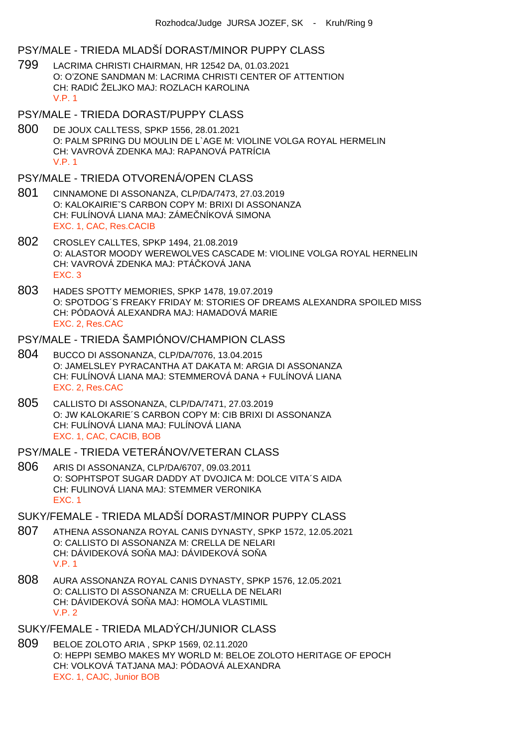### PSY/MALE - TRIEDA MLADŠÍ DORAST/MINOR PUPPY CLASS

- 799 LACRIMA CHRISTI CHAIRMAN, HR 12542 DA, 01.03.2021 O: O'ZONE SANDMAN M: LACRIMA CHRISTI CENTER OF ATTENTION CH: RADI ŽELJKO MAJ: ROZLACH KAROLINA V.P. 1
- PSY/MALE TRIEDA DORAST/PUPPY CLASS
- 800 DE JOUX CALLTESS, SPKP 1556, 28.01.2021 O: PALM SPRING DU MOULIN DE L`AGE M: VIOLINE VOLGA ROYAL HERMELIN CH: VAVROVÁ ZDENKA MAJ: RAPANOVÁ PATRÍCIA V.P. 1

### PSY/MALE - TRIEDA OTVORENÁ/OPEN CLASS

- 801 CINNAMONE DI ASSONANZA, CLP/DA/7473, 27.03.2019 O: KALOKAIRIEˇS CARBON COPY M: BRIXI DI ASSONANZA CH: FULÍNOVÁ LIANA MAJ: ZÁME NÍKOVÁ SIMONA EXC. 1, CAC, Res.CACIB
- 802 CROSLEY CALLTES, SPKP 1494, 21.08.2019 O: ALASTOR MOODY WEREWOLVES CASCADE M: VIOLINE VOLGA ROYAL HERNELIN CH: VAVROVÁ ZDENKA MAJ: PTÁ KOVÁ JANA EXC. 3
- 803 HADES SPOTTY MEMORIES, SPKP 1478, 19.07.2019 O: SPOTDOG´S FREAKY FRIDAY M: STORIES OF DREAMS ALEXANDRA SPOILED MISS CH: PÓDAOVÁ ALEXANDRA MAJ: HAMADOVÁ MARIE EXC. 2, Res.CAC

### PSY/MALE - TRIEDA ŠAMPIÓNOV/CHAMPION CLASS

- 804 BUCCO DI ASSONANZA, CLP/DA/7076, 13.04.2015 O: JAMELSLEY PYRACANTHA AT DAKATA M: ARGIA DI ASSONANZA CH: FULÍNOVÁ LIANA MAJ: STEMMEROVÁ DANA + FULÍNOVÁ LIANA EXC. 2, Res.CAC
- 805 CALLISTO DI ASSONANZA, CLP/DA/7471, 27.03.2019 O: JW KALOKARIE´S CARBON COPY M: CIB BRIXI DI ASSONANZA CH: FULÍNOVÁ LIANA MAJ: FULÍNOVÁ LIANA EXC. 1, CAC, CACIB, BOB

### PSY/MALE - TRIEDA VETERÁNOV/VETERAN CLASS

806 ARIS DI ASSONANZA, CLP/DA/6707, 09.03.2011 O: SOPHTSPOT SUGAR DADDY AT DVOJICA M: DOLCE VITA´S AIDA CH: FULINOVÁ LIANA MAJ: STEMMER VERONIKA EXC. 1

### SUKY/FEMALE - TRIEDA MLADŠÍ DORAST/MINOR PUPPY CLASS

- 807 ATHENA ASSONANZA ROYAL CANIS DYNASTY, SPKP 1572, 12.05.2021 O: CALLISTO DI ASSONANZA M: CRELLA DE NELARI CH: DÁVIDEKOVÁ SO A MAJ: DÁVIDEKOVÁ SO A V.P. 1
- 808 AURA ASSONANZA ROYAL CANIS DYNASTY, SPKP 1576, 12.05.2021 O: CALLISTO DI ASSONANZA M: CRUELLA DE NELARI CH: DÁVIDEKOVÁ SO A MAJ: HOMOLA VLASTIMIL V.P. 2

## SUKY/FEMALE - TRIEDA MLADÝCH/JUNIOR CLASS

809 BELOE ZOLOTO ARIA , SPKP 1569, 02.11.2020 O: HEPPI SEMBO MAKES MY WORLD M: BELOE ZOLOTO HERITAGE OF EPOCH CH: VOLKOVÁ TATJANA MAJ: PÓDAOVÁ ALEXANDRA EXC. 1, CAJC, Junior BOB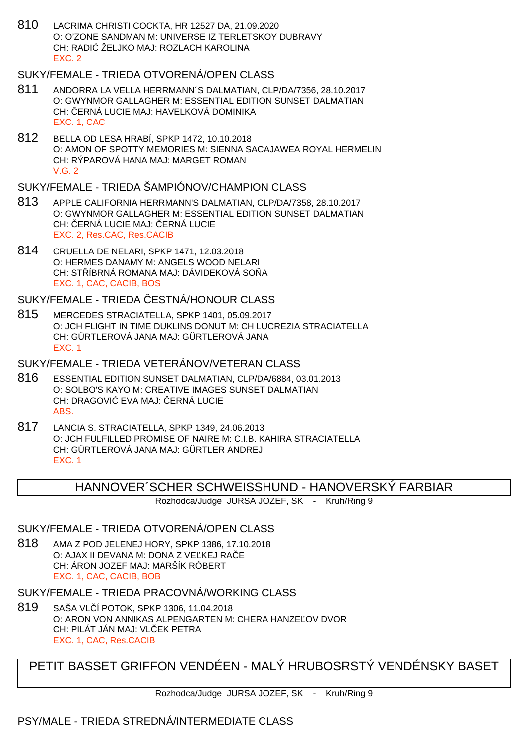810 LACRIMA CHRISTI COCKTA, HR 12527 DA, 21.09.2020 O: O'ZONE SANDMAN M: UNIVERSE IZ TERLETSKOY DUBRAVY CH: RADI ŽELJKO MAJ: ROZLACH KAROLINA EXC. 2

## SUKY/FEMALE - TRIEDA OTVORENÁ/OPEN CLASS

- 811 ANDORRA LA VELLA HERRMANN´S DALMATIAN, CLP/DA/7356, 28.10.2017 O: GWYNMOR GALLAGHER M: ESSENTIAL EDITION SUNSET DALMATIAN CH: ERNÁ LUCIE MAJ: HAVELKOVÁ DOMINIKA EXC. 1, CAC
- 812 BELLA OD LESA HRABÍ, SPKP 1472, 10.10.2018 O: AMON OF SPOTTY MEMORIES M: SIENNA SACAJAWEA ROYAL HERMELIN CH: RÝPAROVÁ HANA MAJ: MARGET ROMAN V.G. 2

## SUKY/FEMALE - TRIEDA ŠAMPIÓNOV/CHAMPION CLASS

- 813 APPLE CALIFORNIA HERRMANN'S DALMATIAN, CLP/DA/7358, 28.10.2017 O: GWYNMOR GALLAGHER M: ESSENTIAL EDITION SUNSET DALMATIAN CH: ERNÁ LUCIE MAJ: ERNÁ LUCIE EXC. 2, Res.CAC, Res.CACIB
- 814 CRUELLA DE NELARI, SPKP 1471, 12.03.2018 O: HERMES DANAMY M: ANGELS WOOD NELARI CH: STÍBRNÁ ROMANA MAJ: DÁVIDEKOVÁ SOŇA EXC. 1, CAC, CACIB, BOS

## SUKY/FEMALE - TRIEDA ESTNÁ/HONOUR CLASS

815 MERCEDES STRACIATELLA, SPKP 1401, 05.09.2017 O: JCH FLIGHT IN TIME DUKLINS DONUT M: CH LUCREZIA STRACIATELLA CH: GÜRTLEROVÁ JANA MAJ: GÜRTLEROVÁ JANA EXC. 1

## SUKY/FEMALE - TRIEDA VETERÁNOV/VETERAN CLASS

- 816 ESSENTIAL EDITION SUNSET DALMATIAN, CLP/DA/6884, 03.01.2013 O: SOLBO'S KAYO M: CREATIVE IMAGES SUNSET DALMATIAN CH: DRAGOVI EVA MAJ: ERNÁ LUCIE ABS.
- 817 LANCIA S. STRACIATELLA, SPKP 1349, 24.06.2013 O: JCH FULFILLED PROMISE OF NAIRE M: C.I.B. KAHIRA STRACIATELLA CH: GÜRTLEROVÁ JANA MAJ: GÜRTLER ANDREJ EXC. 1

## HANNOVER´SCHER SCHWEISSHUND - HANOVERSKÝ FARBIAR

Rozhodca/Judge JURSA JOZEF, SK - Kruh/Ring 9

## SUKY/FEMALE - TRIEDA OTVORENÁ/OPEN CLASS

818 AMA Z POD JELENEJ HORY, SPKP 1386, 17.10.2018 O: AJAX II DEVANA M: DONA Z VE KEJ RAČE CH: ÁRON JOZEF MAJ: MARŠÍK RÓBERT EXC. 1, CAC, CACIB, BOB

## SUKY/FEMALE - TRIEDA PRACOVNÁ/WORKING CLASS

819 SAŠA VLČÍ POTOK, SPKP 1306, 11.04.2018 O: ARON VON ANNIKAS ALPENGARTEN M: CHERA HANZE OV DVOR CH: PILÁT JÁN MAJ: VL EK PETRA EXC. 1, CAC, Res.CACIB

## PETIT BASSET GRIFFON VENDÉEN - MALÝ HRUBOSRSTÝ VENDÉNSKY BASET

Rozhodca/Judge JURSA JOZEF, SK - Kruh/Ring 9

## PSY/MALE - TRIEDA STREDNÁ/INTERMEDIATE CLASS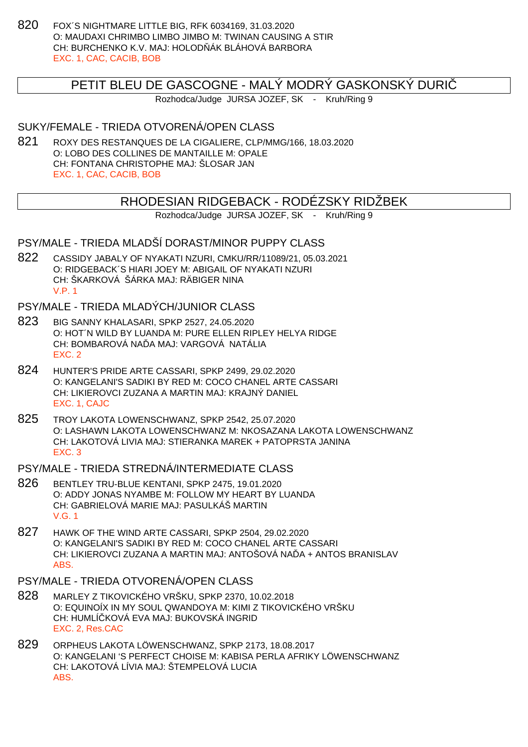820 FOX´S NIGHTMARE LITTLE BIG, RFK 6034169, 31.03.2020 O: MAUDAXI CHRIMBO LIMBO JIMBO M: TWINAN CAUSING A STIR CH: BURCHENKO K.V. MAJ: HOLOD ÁK BLÁHOVÁ BARBORA EXC. 1, CAC, CACIB, BOB

## PETIT BLEU DE GASCOGNE - MALÝ MODRÝ GASKONSKÝ DURIČ

Rozhodca/Judge JURSA JOZEF, SK - Kruh/Ring 9

## SUKY/FEMALE - TRIEDA OTVORENÁ/OPEN CLASS

821 ROXY DES RESTANQUES DE LA CIGALIERE, CLP/MMG/166, 18.03.2020 O: LOBO DES COLLINES DE MANTAILLE M: OPALE CH: FONTANA CHRISTOPHE MAJ: ŠLOSAR JAN EXC. 1, CAC, CACIB, BOB

## RHODESIAN RIDGEBACK - RODÉZSKY RIDŽBEK

Rozhodca/Judge JURSA JOZEF, SK - Kruh/Ring 9

## PSY/MALE - TRIEDA MLADŠÍ DORAST/MINOR PUPPY CLASS

822 CASSIDY JABALY OF NYAKATI NZURI, CMKU/RR/11089/21, 05.03.2021 O: RIDGEBACK´S HIARI JOEY M: ABIGAIL OF NYAKATI NZURI CH: ŠKARKOVÁ ŠÁRKA MAJ: RÄBIGER NINA V.P. 1

## PSY/MALE - TRIEDA MLADÝCH/JUNIOR CLASS

- 823 BIG SANNY KHALASARI, SPKP 2527, 24.05.2020 O: HOT´N WILD BY LUANDA M: PURE ELLEN RIPLEY HELYA RIDGE CH: BOMBAROVÁ NA A MAJ: VARGOVÁ NATÁLIA EXC. 2
- 824 HUNTER'S PRIDE ARTE CASSARI, SPKP 2499, 29.02.2020 O: KANGELANI'S SADIKI BY RED M: COCO CHANEL ARTE CASSARI CH: LIKIEROVCI ZUZANA A MARTIN MAJ: KRAJNÝ DANIEL EXC. 1, CAJC
- 825 TROY LAKOTA LOWENSCHWANZ, SPKP 2542, 25.07.2020 O: LASHAWN LAKOTA LOWENSCHWANZ M: NKOSAZANA LAKOTA LOWENSCHWANZ CH: LAKOTOVÁ LIVIA MAJ: STIERANKA MAREK + PATOPRSTA JANINA EXC. 3

#### PSY/MALE - TRIEDA STREDNÁ/INTERMEDIATE CLASS

- 826 BENTLEY TRU-BLUE KENTANI, SPKP 2475, 19.01.2020 O: ADDY JONAS NYAMBE M: FOLLOW MY HEART BY LUANDA CH: GABRIELOVÁ MARIE MAJ: PASULKÁŠ MARTIN V.G. 1
- 827 HAWK OF THE WIND ARTE CASSARI, SPKP 2504, 29.02.2020 O: KANGELANI'S SADIKI BY RED M: COCO CHANEL ARTE CASSARI CH: LIKIEROVCI ZUZANA A MARTIN MAJ: ANTOŠOVÁ NA Å + ANTOS BRANISLAV ABS.

## PSY/MALE - TRIEDA OTVORENÁ/OPEN CLASS

- 828 MARLEY Z TIKOVICKÉHO VRŠKU, SPKP 2370, 10.02.2018 O: EQUINOÍX IN MY SOUL QWANDOYA M: KIMI Z TIKOVICKÉHO VRŠKU CH: HUMLÍČKOVÁ EVA MAJ: BUKOVSKÁ INGRID EXC. 2, Res.CAC
- 829 ORPHEUS LAKOTA LÖWENSCHWANZ, SPKP 2173, 18.08.2017 O: KANGELANI 'S PERFECT CHOISE M: KABISA PERLA AFRIKY LÖWENSCHWANZ CH: LAKOTOVÁ LÍVIA MAJ: ŠTEMPELOVÁ LUCIA ABS.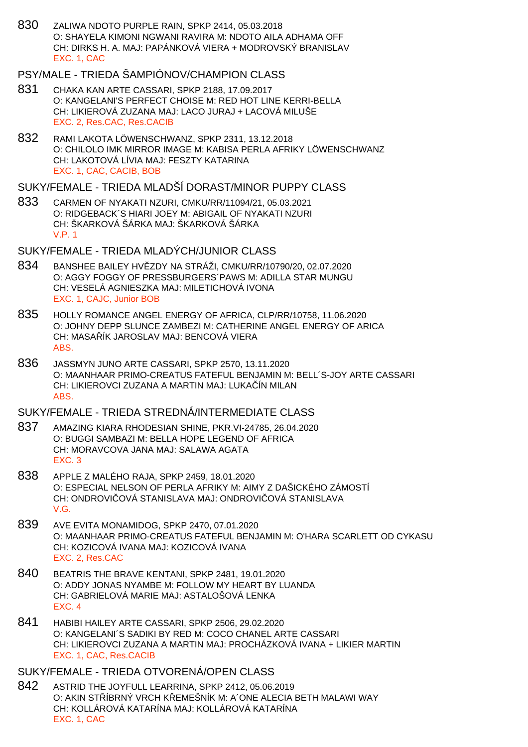830 ZALIWA NDOTO PURPLE RAIN, SPKP 2414, 05.03.2018 O: SHAYELA KIMONI NGWANI RAVIRA M: NDOTO AILA ADHAMA OFF CH: DIRKS H. A. MAJ: PAPÁNKOVÁ VIERA + MODROVSKÝ BRANISLAV EXC. 1, CAC

## PSY/MALE - TRIEDA ŠAMPIÓNOV/CHAMPION CLASS

- 831 CHAKA KAN ARTE CASSARI, SPKP 2188, 17.09.2017 O: KANGELANI'S PERFECT CHOISE M: RED HOT LINE KERRI-BELLA CH: LIKIEROVÁ ZUZANA MAJ: LACO JURAJ + LACOVÁ MILUŠE EXC. 2, Res.CAC, Res.CACIB
- 832 RAMI LAKOTA LÖWENSCHWANZ, SPKP 2311, 13.12.2018 O: CHILOLO IMK MIRROR IMAGE M: KABISA PERLA AFRIKY LÖWENSCHWANZ CH: LAKOTOVÁ LÍVIA MAJ: FESZTY KATARINA EXC. 1, CAC, CACIB, BOB

## SUKY/FEMALE - TRIEDA MLADŠÍ DORAST/MINOR PUPPY CLASS

833 CARMEN OF NYAKATI NZURI, CMKU/RR/11094/21, 05.03.2021 O: RIDGEBACK´S HIARI JOEY M: ABIGAIL OF NYAKATI NZURI CH: ŠKARKOVÁ ŠÁRKA MAJ: ŠKARKOVÁ ŠÁRKA V.P. 1

### SUKY/FEMALE - TRIEDA MLADÝCH/JUNIOR CLASS

- 834 BANSHEE BAILEY HV ZDY NA STRÁŽI, CMKU/RR/10790/20, 02.07.2020 O: AGGY FOGGY OF PRESSBURGERS´PAWS M: ADILLA STAR MUNGU CH: VESELÁ AGNIESZKA MAJ: MILETICHOVÁ IVONA EXC. 1, CAJC, Junior BOB
- 835 HOLLY ROMANCE ANGEL ENERGY OF AFRICA, CLP/RR/10758, 11.06.2020 O: JOHNY DEPP SLUNCE ZAMBEZI M: CATHERINE ANGEL ENERGY OF ARICA CH: MASA ÍK JAROSLAV MAJ: BENCOVÁ VIERA ABS.
- 836 JASSMYN JUNO ARTE CASSARI, SPKP 2570, 13.11.2020 O: MAANHAAR PRIMO-CREATUS FATEFUL BENJAMIN M: BELL´S-JOY ARTE CASSARI CH: LIKIEROVCI ZUZANA A MARTIN MAJ: LUKAČÍN MILAN ABS.

## SUKY/FEMALE - TRIEDA STREDNÁ/INTERMEDIATE CLASS

- 837 AMAZING KIARA RHODESIAN SHINE, PKR.VI-24785, 26.04.2020 O: BUGGI SAMBAZI M: BELLA HOPE LEGEND OF AFRICA CH: MORAVCOVA JANA MAJ: SALAWA AGATA EXC. 3
- 838 APPLE Z MALÉHO RAJA, SPKP 2459, 18.01.2020 O: ESPECIAL NELSON OF PERLA AFRIKY M: AIMY Z DAŠICKÉHO ZÁMOSTÍ CH: ONDROVICOVÁ STANISLAVA MAJ: ONDROVICOVÁ STANISLAVA V.G.
- 839 AVE EVITA MONAMIDOG, SPKP 2470, 07.01.2020 O: MAANHAAR PRIMO-CREATUS FATEFUL BENJAMIN M: O'HARA SCARLETT OD CYKASU CH: KOZICOVÁ IVANA MAJ: KOZICOVÁ IVANA EXC. 2, Res.CAC
- 840 BEATRIS THE BRAVE KENTANI, SPKP 2481, 19.01.2020 O: ADDY JONAS NYAMBE M: FOLLOW MY HEART BY LUANDA CH: GABRIELOVÁ MARIE MAJ: ASTALOŠOVÁ LENKA EXC. 4
- 841 HABIBI HAILEY ARTE CASSARI, SPKP 2506, 29.02.2020 O: KANGELANI´S SADIKI BY RED M: COCO CHANEL ARTE CASSARI CH: LIKIEROVCI ZUZANA A MARTIN MAJ: PROCHÁZKOVÁ IVANA + LIKIER MARTIN EXC. 1, CAC, Res.CACIB

#### SUKY/FEMALE - TRIEDA OTVORENÁ/OPEN CLASS

842 ASTRID THE JOYFULL LEARRINA, SPKP 2412, 05.06.2019 O: AKIN STÍBRNÝ VRCH KLEMEŠNÍK M: A´ONE ALECIA BETH MALAWI WAY CH: KOLLÁROVÁ KATARÍNA MAJ: KOLLÁROVÁ KATARÍNA EXC. 1, CAC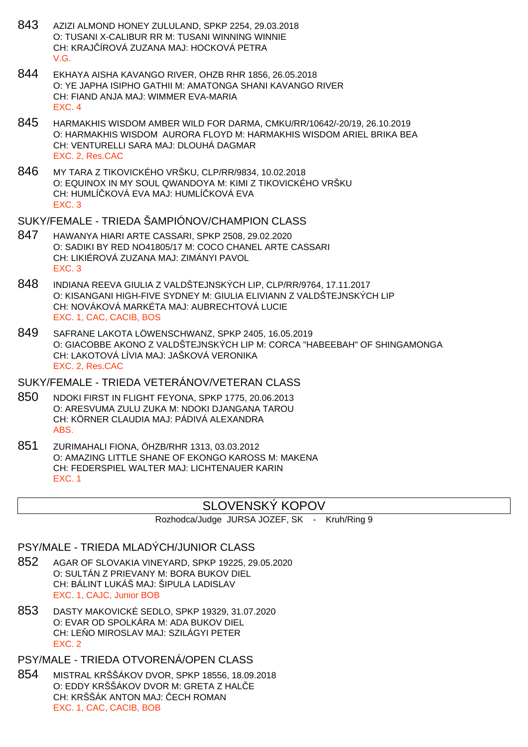- 843 AZIZI ALMOND HONEY ZULULAND, SPKP 2254, 29.03.2018 O: TUSANI X-CALIBUR RR M: TUSANI WINNING WINNIE CH: KRAJČÍROVÁ ZUZANA MAJ: HOCKOVÁ PETRA V.G.
- 844 EKHAYA AISHA KAVANGO RIVER, OHZB RHR 1856, 26.05.2018 O: YE JAPHA ISIPHO GATHII M: AMATONGA SHANI KAVANGO RIVER CH: FIAND ANJA MAJ: WIMMER EVA-MARIA EXC. 4
- 845 HARMAKHIS WISDOM AMBER WILD FOR DARMA, CMKU/RR/10642/-20/19, 26.10.2019 O: HARMAKHIS WISDOM AURORA FLOYD M: HARMAKHIS WISDOM ARIEL BRIKA BEA CH: VENTURELLI SARA MAJ: DLOUHÁ DAGMAR EXC. 2, Res.CAC
- 846 MY TARA Z TIKOVICKÉHO VRŠKU, CLP/RR/9834, 10.02.2018 O: EQUINOX IN MY SOUL QWANDOYA M: KIMI Z TIKOVICKÉHO VRŠKU CH: HUMLÍČKOVÁ EVA MAJ: HUMLÍČKOVÁ EVA EXC. 3

#### SUKY/FEMALE - TRIEDA ŠAMPIÓNOV/CHAMPION CLASS

- 847 HAWANYA HIARI ARTE CASSARI, SPKP 2508, 29.02.2020 O: SADIKI BY RED NO41805/17 M: COCO CHANEL ARTE CASSARI CH: LIKIÉROVÁ ZUZANA MAJ: ZIMÁNYI PAVOL EXC. 3
- 848 INDIANA REEVA GIULIA Z VALDŠTEJNSKÝCH LIP, CLP/RR/9764, 17.11.2017 O: KISANGANI HIGH-FIVE SYDNEY M: GIULIA ELIVIANN Z VALDŠTEJNSKÝCH LIP CH: NOVÁKOVÁ MARKÉTA MAJ: AUBRECHTOVÁ LUCIE EXC. 1, CAC, CACIB, BOS
- 849 SAFRANE LAKOTA LÖWENSCHWANZ, SPKP 2405, 16.05.2019 O: GIACOBBE AKONO Z VALDŠTEJNSKÝCH LIP M: CORCA "HABEEBAH" OF SHINGAMONGA CH: LAKOTOVÁ LÍVIA MAJ: JAŠKOVÁ VERONIKA EXC. 2, Res.CAC

### SUKY/FEMALE - TRIEDA VETERÁNOV/VETERAN CLASS

- 850 NDOKI FIRST IN FLIGHT FEYONA, SPKP 1775, 20.06.2013 O: ARESVUMA ZULU ZUKA M: NDOKI DJANGANA TAROU CH: KÖRNER CLAUDIA MAJ: PÁDIVÁ ALEXANDRA ABS.
- 851 ZURIMAHALI FIONA, ÖHZB/RHR 1313, 03.03.2012 O: AMAZING LITTLE SHANE OF EKONGO KAROSS M: MAKENA CH: FEDERSPIEL WALTER MAJ: LICHTENAUER KARIN EXC. 1

## SLOVENSKÝ KOPOV

Rozhodca/Judge JURSA JOZEF, SK - Kruh/Ring 9

#### PSY/MALE - TRIEDA MLADÝCH/JUNIOR CLASS

- 852 AGAR OF SLOVAKIA VINEYARD, SPKP 19225, 29.05.2020 O: SULTÁN Z PRIEVANY M: BORA BUKOV DIEL CH: BÁLINT LUKÁŠ MAJ: ŠIPULA LADISLAV EXC. 1, CAJC, Junior BOB
- 853 DASTY MAKOVICKÉ SEDLO, SPKP 19329, 31.07.2020 O: EVAR OD SPOLKÁRA M: ADA BUKOV DIEL CH: LE O MIROSLAV MAJ: SZILÁGYI PETER EXC. 2

## PSY/MALE - TRIEDA OTVORENÁ/OPEN CLASS

854 MISTRAL KRŠŠÁKOV DVOR, SPKP 18556, 18.09.2018 O: EDDY KRŠŠÁKOV DVOR M: GRETA Z HAL E CH: KRŠŠÁK ANTON MAJ: ECH ROMAN EXC. 1, CAC, CACIB, BOB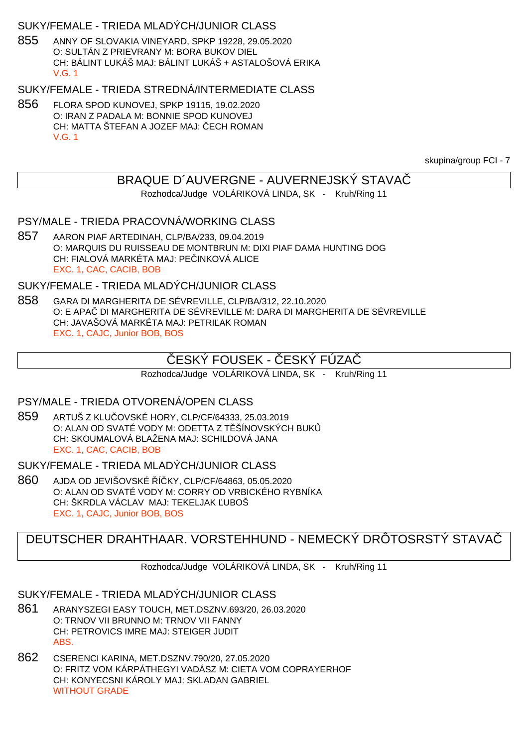## SUKY/FEMALE - TRIEDA MLADÝCH/JUNIOR CLASS

855 ANNY OF SLOVAKIA VINEYARD, SPKP 19228, 29.05.2020 O: SULTÁN Z PRIEVRANY M: BORA BUKOV DIEL CH: BÁLINT LUKÁŠ MAJ: BÁLINT LUKÁŠ + ASTALOŠOVÁ ERIKA V.G. 1

SUKY/FEMALE - TRIEDA STREDNÁ/INTERMEDIATE CLASS

856 FLORA SPOD KUNOVEJ, SPKP 19115, 19.02.2020 O: IRAN Z PADALA M: BONNIE SPOD KUNOVEJ CH: MATTA ŠTEFAN A JOZEF MAJ: ECH ROMAN V.G. 1

skupina/group FCI - 7

## BRAQUE D´AUVERGNE - AUVERNEJSKÝ STAVAČ

Rozhodca/Judge VOLÁRIKOVÁ LINDA, SK - Kruh/Ring 11

PSY/MALE - TRIEDA PRACOVNÁ/WORKING CLASS

857 AARON PIAF ARTEDINAH, CLP/BA/233, 09.04.2019 O: MARQUIS DU RUISSEAU DE MONTBRUN M: DIXI PIAF DAMA HUNTING DOG CH: FIALOVÁ MARKÉTA MAJ: PE INKOVÁ ALICE EXC. 1, CAC, CACIB, BOB

SUKY/FEMALE - TRIEDA MLADÝCH/JUNIOR CLASS

858 GARA DI MARGHERITA DE SÉVREVILLE, CLP/BA/312, 22.10.2020 O: E APAČ DI MARGHERITA DE SÉVREVILLE M: DARA DI MARGHERITA DE SÉVREVILLE CH: JAVAŠOVÁ MARKÉTA MAJ: PETRI AK ROMAN EXC. 1, CAJC, Junior BOB, BOS

## ESKÝ FOUSEK - ČESKÝ FÚZA

Rozhodca/Judge VOLÁRIKOVÁ LINDA, SK - Kruh/Ring 11

### PSY/MALE - TRIEDA OTVORENÁ/OPEN CLASS

859 ARTUŠ Z KLUČOVSKÉ HORY, CLP/CF/64333, 25.03.2019 O: ALAN OD SVATÉ VODY M: ODETTA Z T ŠÍNOVSKÝCH BUK CH: SKOUMALOVÁ BLAŽENA MAJ: SCHILDOVÁ JANA EXC. 1, CAC, CACIB, BOB

SUKY/FEMALE - TRIEDA MLADÝCH/JUNIOR CLASS

860 AJDA OD JEVIŠOVSKÉ Í KY, CLP/CF/64863, 05.05.2020 O: ALAN OD SVATÉ VODY M: CORRY OD VRBICKÉHO RYBNÍKA CH: ŠKRDLA VÁCLAV MAJ: TEKELJAK UBOŠ EXC. 1, CAJC, Junior BOB, BOS

## DEUTSCHER DRAHTHAAR. VORSTEHHUND - NEMECKÝ DRÔTOSRSTÝ STAVAČ

Rozhodca/Judge VOLÁRIKOVÁ LINDA, SK - Kruh/Ring 11

### SUKY/FEMALE - TRIEDA MLADÝCH/JUNIOR CLASS

- 861 ARANYSZEGI EASY TOUCH, MET.DSZNV.693/20, 26.03.2020 O: TRNOV VII BRUNNO M: TRNOV VII FANNY CH: PETROVICS IMRE MAJ: STEIGER JUDIT ABS.
- 862 CSERENCI KARINA, MET.DSZNV.790/20, 27.05.2020 O: FRITZ VOM KÁRPÁTHEGYI VADÁSZ M: CIETA VOM COPRAYERHOF CH: KONYECSNI KÁROLY MAJ: SKLADAN GABRIEL WITHOUT GRADE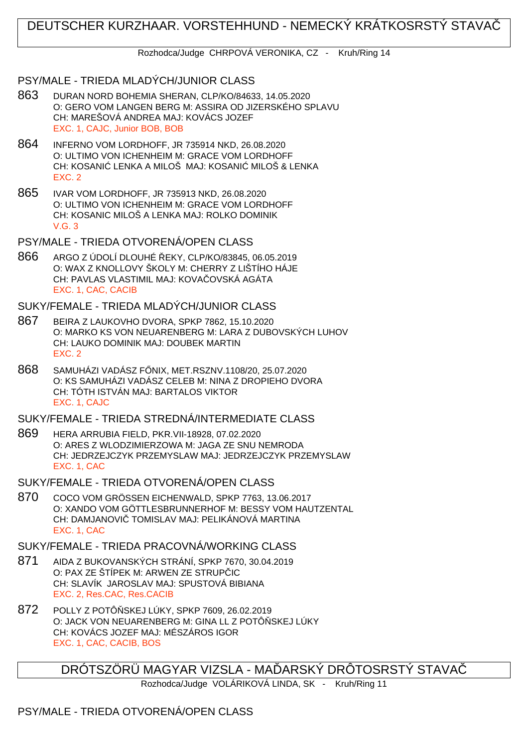## DEUTSCHER KURZHAAR. VORSTEHHUND - NEMECKÝ KRÁTKOSRSTÝ STAVAČ

Rozhodca/Judge CHRPOVÁ VERONIKA, CZ - Kruh/Ring 14

## PSY/MALE - TRIEDA MLADÝCH/JUNIOR CLASS

- 863 DURAN NORD BOHEMIA SHERAN, CLP/KO/84633, 14.05.2020 O: GERO VOM LANGEN BERG M: ASSIRA OD JIZERSKÉHO SPLAVU CH: MAREŠOVÁ ANDREA MAJ: KOVÁCS JOZEF EXC. 1, CAJC, Junior BOB, BOB
- 864 INFERNO VOM LORDHOFF, JR 735914 NKD, 26.08.2020 O: ULTIMO VON ICHENHEIM M: GRACE VOM LORDHOFF CH: KOSANI LENKA A MILOŠ MAJ: KOSANI MILOŠ & LENKA EXC. 2
- 865 IVAR VOM LORDHOFF, JR 735913 NKD, 26.08.2020 O: ULTIMO VON ICHENHEIM M: GRACE VOM LORDHOFF CH: KOSANIC MILOŠ A LENKA MAJ: ROLKO DOMINIK V.G. 3

PSY/MALE - TRIEDA OTVORENÁ/OPEN CLASS

866 ARGO Z ÚDOLÍ DLOUHÉ ŘEKY, CLP/KO/83845, 06.05.2019 O: WAX Z KNOLLOVY ŠKOLY M: CHERRY Z LIŠTÍHO HÁJE CH: PAVLAS VLASTIMIL MAJ: KOVA ČOVSKÁ AGÁTA EXC. 1, CAC, CACIB

SUKY/FEMALE - TRIEDA MLADÝCH/JUNIOR CLASS

- 867 BEIRA Z LAUKOVHO DVORA, SPKP 7862, 15.10.2020 O: MARKO KS VON NEUARENBERG M: LARA Z DUBOVSKÝCH LUHOV CH: LAUKO DOMINIK MAJ: DOUBEK MARTIN EXC. 2
- 868 SAMUHÁZI VADÁSZ F NIX, MET.RSZNV.1108/20, 25.07.2020 O: KS SAMUHÁZI VADÁSZ CELEB M: NINA Z DROPIEHO DVORA CH: TÓTH ISTVÁN MAJ: BARTALOS VIKTOR EXC. 1, CAJC

SUKY/FEMALE - TRIEDA STREDNÁ/INTERMEDIATE CLASS

- 869 HERA ARRUBIA FIELD, PKR.VII-18928, 07.02.2020 O: ARES Z WLODZIMIERZOWA M: JAGA ZE SNU NEMRODA CH: JEDRZEJCZYK PRZEMYSLAW MAJ: JEDRZEJCZYK PRZEMYSLAW EXC. 1, CAC
- SUKY/FEMALE TRIEDA OTVORENÁ/OPEN CLASS
- 870 COCO VOM GRÖSSEN EICHENWALD, SPKP 7763, 13.06.2017 O: XANDO VOM GÖTTLESBRUNNERHOF M: BESSY VOM HAUTZENTAL CH: DAMJANOVI TOMISLAV MAJ: PELIKÁNOVÁ MARTINA EXC. 1, CAC

## SUKY/FEMALE - TRIEDA PRACOVNÁ/WORKING CLASS

- 871 AIDA Z BUKOVANSKÝCH STRÁNÍ, SPKP 7670, 30.04.2019 O: PAX ZE ŠTÍPEK M: ARWEN ZE STRUP IC CH: SLAVÍK JAROSLAV MAJ: SPUSTOVÁ BIBIANA EXC. 2, Res.CAC, Res.CACIB
- 872 POLLY Z POTÔ SKEJ LÚKY, SPKP 7609, 26.02.2019 O: JACK VON NEUARENBERG M: GINA LL Z POTÔ SKEJ LÚKY CH: KOVÁCS JOZEF MAJ: MÉSZÁROS IGOR EXC. 1, CAC, CACIB, BOS

DRÓTSZÖRÜ MAGYAR VIZSLA - MA ÓARSKÝ DRÔTOSRSTÝ STAVA

Rozhodca/Judge VOLÁRIKOVÁ LINDA, SK - Kruh/Ring 11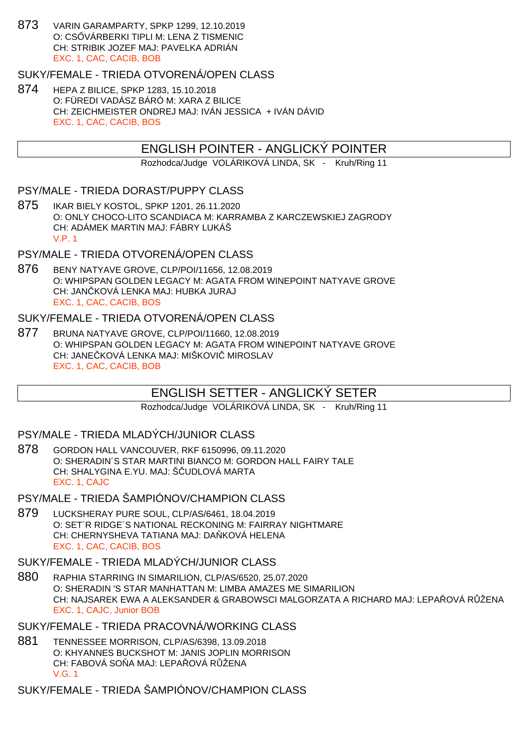873 VARIN GARAMPARTY, SPKP 1299, 12.10.2019 O: CS VÁRBERKI TIPLI M: LENA Z TISMENIC CH: STRIBIK JOZEF MAJ: PAVELKA ADRIÁN EXC. 1, CAC, CACIB, BOB

#### SUKY/FEMALE - TRIEDA OTVORENÁ/OPEN CLASS

874 HEPA Z BILICE, SPKP 1283, 15.10.2018 O: FÜREDI VADÁSZ BÁRÓ M: XARA Z BILICE CH: ZEICHMEISTER ONDREJ MAJ: IVÁN JESSICA + IVÁN DÁVID EXC. 1, CAC, CACIB, BOS

#### ENGLISH POINTER - ANGLICKÝ POINTER

Rozhodca/Judge VOLÁRIKOVÁ LINDA, SK - Kruh/Ring 11

#### PSY/MALE - TRIEDA DORAST/PUPPY CLASS

875 IKAR BIELY KOSTOL, SPKP 1201, 26.11.2020 O: ONLY CHOCO-LITO SCANDIACA M: KARRAMBA Z KARCZEWSKIEJ ZAGRODY CH: ADÁMEK MARTIN MAJ: FÁBRY LUKÁŠ V.P. 1

## PSY/MALE - TRIEDA OTVORENÁ/OPEN CLASS

876 BENY NATYAVE GROVE, CLP/POI/11656, 12.08.2019 O: WHIPSPAN GOLDEN LEGACY M: AGATA FROM WINEPOINT NATYAVE GROVE CH: JAN KOVÁ LENKA MAJ: HUBKA JURAJ EXC. 1, CAC, CACIB, BOS

## SUKY/FEMALE - TRIEDA OTVORENÁ/OPEN CLASS

877 BRUNA NATYAVE GROVE, CLP/POI/11660, 12.08.2019 O: WHIPSPAN GOLDEN LEGACY M: AGATA FROM WINEPOINT NATYAVE GROVE CH: JANE KOVÁ LENKA MAJ: MIŠKOVI MIROSLAV EXC. 1, CAC, CACIB, BOB

## ENGLISH SETTER - ANGLICKÝ SETER

Rozhodca/Judge VOLÁRIKOVÁ LINDA, SK - Kruh/Ring 11

#### PSY/MALE - TRIEDA MLADÝCH/JUNIOR CLASS

878 GORDON HALL VANCOUVER, RKF 6150996, 09.11.2020 O: SHERADIN´S STAR MARTINI BIANCO M: GORDON HALL FAIRY TALE CH: SHALYGINA E.YU. MAJ: Š UDLOVÁ MARTA EXC. 1, CAJC

#### PSY/MALE - TRIEDA ŠAMPIÓNOV/CHAMPION CLASS

879 LUCKSHERAY PURE SOUL, CLP/AS/6461, 18.04.2019 O: SET´R RIDGE´S NATIONAL RECKONING M: FAIRRAY NIGHTMARE CH: CHERNYSHEVA TATIANA MAJ: DA KOVÁ HELENA EXC. 1, CAC, CACIB, BOS

#### SUKY/FEMALE - TRIEDA MLADÝCH/JUNIOR CLASS

880 RAPHIA STARRING IN SIMARILION, CLP/AS/6520, 25.07.2020 O: SHERADIN 'S STAR MANHATTAN M: LIMBA AMAZES ME SIMARILION CH: NAJSAREK EWA A ALEKSANDER & GRABOWSCI MALGORZATA A RICHARD MAJ: LEPA VOVÁ RUŽENA EXC. 1, CAJC, Junior BOB

## SUKY/FEMALE - TRIEDA PRACOVNÁ/WORKING CLASS

881 TENNESSEE MORRISON, CLP/AS/6398, 13.09.2018 O: KHYANNES BUCKSHOT M: JANIS JOPLIN MORRISON CH: FABOVÁ SO A MAJ: LEPA QVÁ RŽENA V.G. 1

SUKY/FEMALE - TRIEDA ŠAMPIÓNOV/CHAMPION CLASS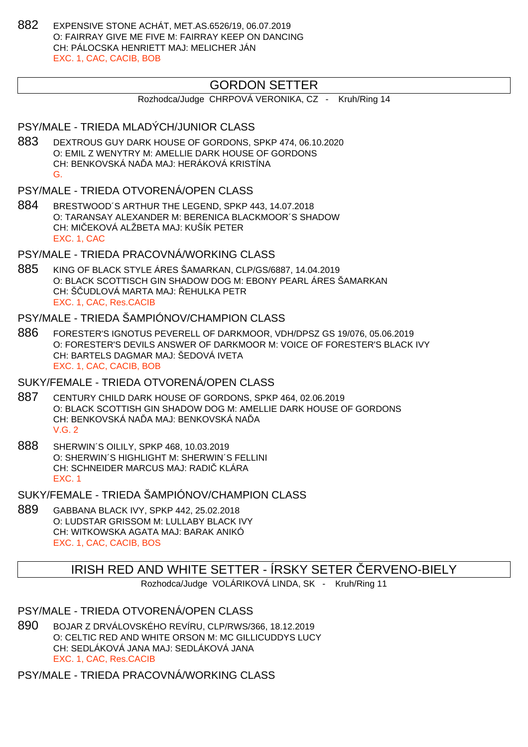882 EXPENSIVE STONE ACHÁT, MET.AS.6526/19, 06.07.2019 O: FAIRRAY GIVE ME FIVE M: FAIRRAY KEEP ON DANCING CH: PÁLOCSKA HENRIETT MAJ: MELICHER JÁN EXC. 1, CAC, CACIB, BOB

## GORDON SETTER

Rozhodca/Judge CHRPOVÁ VERONIKA, CZ - Kruh/Ring 14

### PSY/MALE - TRIEDA MLADÝCH/JUNIOR CLASS

- 883 DEXTROUS GUY DARK HOUSE OF GORDONS, SPKP 474, 06.10.2020 O: EMIL Z WENYTRY M: AMELLIE DARK HOUSE OF GORDONS CH: BENKOVSKÁ NA A MAJ: HERÁKOVÁ KRISTÍNA G.
- PSY/MALE TRIEDA OTVORENÁ/OPEN CLASS
- 884 BRESTWOOD´S ARTHUR THE LEGEND, SPKP 443, 14.07.2018 O: TARANSAY ALEXANDER M: BERENICA BLACKMOOR´S SHADOW CH: MI EKOVÁ ALŽBETA MAJ: KUŠÍK PETER EXC. 1, CAC

PSY/MALE - TRIEDA PRACOVNÁ/WORKING CLASS

885 KING OF BLACK STYLE ÁRES ŠAMARKAN, CLP/GS/6887, 14.04.2019 O: BLACK SCOTTISCH GIN SHADOW DOG M: EBONY PEARL ÁRES ŠAMARKAN CH: Š UDLOVÁ MARTA MAJ: EHULKA PETR EXC. 1, CAC, Res.CACIB

### PSY/MALE - TRIEDA ŠAMPIÓNOV/CHAMPION CLASS

886 FORESTER'S IGNOTUS PEVERELL OF DARKMOOR, VDH/DPSZ GS 19/076, 05.06.2019 O: FORESTER'S DEVILS ANSWER OF DARKMOOR M: VOICE OF FORESTER'S BLACK IVY CH: BARTELS DAGMAR MAJ: ŠEDOVÁ IVETA EXC. 1, CAC, CACIB, BOB

#### SUKY/FEMALE - TRIEDA OTVORENÁ/OPEN CLASS

- 887 CENTURY CHILD DARK HOUSE OF GORDONS, SPKP 464, 02.06.2019 O: BLACK SCOTTISH GIN SHADOW DOG M: AMELLIE DARK HOUSE OF GORDONS CH: BENKOVSKÁ NA LA MAJ: BENKOVSKÁ NA LA V.G. 2
- 888 SHERWIN´S OILILY, SPKP 468, 10.03.2019 O: SHERWIN´S HIGHLIGHT M: SHERWIN´S FELLINI CH: SCHNEIDER MARCUS MAJ: RADI KLÁRA EXC. 1

SUKY/FEMALE - TRIEDA ŠAMPIÓNOV/CHAMPION CLASS

889 GABBANA BLACK IVY, SPKP 442, 25.02.2018 O: LUDSTAR GRISSOM M: LULLABY BLACK IVY CH: WITKOWSKA AGATA MAJ: BARAK ANIKÓ EXC. 1, CAC, CACIB, BOS

## IRISH RED AND WHITE SETTER - ÍRSKY SETER ČERVENO-BIELY

Rozhodca/Judge VOLÁRIKOVÁ LINDA, SK - Kruh/Ring 11

PSY/MALE - TRIEDA OTVORENÁ/OPEN CLASS

890 BOJAR Z DRVÁLOVSKÉHO REVÍRU, CLP/RWS/366, 18.12.2019 O: CELTIC RED AND WHITE ORSON M: MC GILLICUDDYS LUCY CH: SEDLÁKOVÁ JANA MAJ: SEDLÁKOVÁ JANA EXC. 1, CAC, Res.CACIB

PSY/MALE - TRIEDA PRACOVNÁ/WORKING CLASS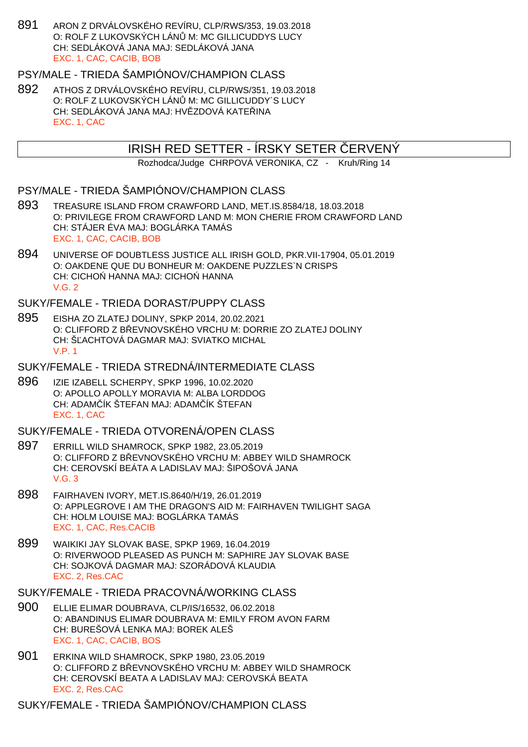891 ARON Z DRVÁLOVSKÉHO REVÍRU, CLP/RWS/353, 19.03.2018 O: ROLF Z LUKOVSKÝCH LÁN M: MC GILLICUDDYS LUCY CH: SEDLÁKOVÁ JANA MAJ: SEDLÁKOVÁ JANA EXC. 1, CAC, CACIB, BOB

## PSY/MALE - TRIEDA ŠAMPIÓNOV/CHAMPION CLASS

892 ATHOS Z DRVÁLOVSKÉHO REVÍRU, CLP/RWS/351, 19.03.2018 O: ROLF Z LUKOVSKÝCH LÁN M: MC GILLICUDDY´S LUCY CH: SEDLÁKOVÁ JANA MAJ: HV ZDOVÁ KATE INA EXC. 1, CAC

## IRISH RED SETTER - ÍRSKY SETER ERVENÝ

Rozhodca/Judge CHRPOVÁ VERONIKA, CZ - Kruh/Ring 14

- PSY/MALE TRIEDA ŠAMPIÓNOV/CHAMPION CLASS
- 893 TREASURE ISLAND FROM CRAWFORD LAND, MET.IS.8584/18, 18.03.2018 O: PRIVILEGE FROM CRAWFORD LAND M: MON CHERIE FROM CRAWFORD LAND CH: STÁJER ÉVA MAJ: BOGLÁRKA TAMÁS EXC. 1, CAC, CACIB, BOB
- 894 UNIVERSE OF DOUBTLESS JUSTICE ALL IRISH GOLD, PKR.VII-17904, 05.01.2019 O: OAKDENE QUE DU BONHEUR M: OAKDENE PUZZLES`N CRISPS CH: CICHO HANNA MAJ: CICHO HANNA V.G. 2

#### SUKY/FEMALE - TRIEDA DORAST/PUPPY CLASS

895 EISHA ZO ZLATEJ DOLINY, SPKP 2014, 20.02.2021 O: CLIFFORD Z BEVNOVSKÉHO VRCHU M: DORRIE ZO ZLATEJ DOLINY CH: Š ACHTOVÁ DAGMAR MAJ: SVIATKO MICHAL V.P. 1

#### SUKY/FEMALE - TRIEDA STREDNÁ/INTERMEDIATE CLASS

896 IZIE IZABELL SCHERPY, SPKP 1996, 10.02.2020 O: APOLLO APOLLY MORAVIA M: ALBA LORDDOG CH: ADAM ÍK ŠTEFAN MAJ: ADAM ÍK ŠTEFAN EXC. 1, CAC

#### SUKY/FEMALE - TRIEDA OTVORENÁ/OPEN CLASS

- 897 ERRILL WILD SHAMROCK, SPKP 1982, 23.05.2019 O: CLIFFORD Z B EVNOVSKÉHO VRCHU M: ABBEY WILD SHAMROCK CH: CEROVSKÍ BEÁTA A LADISLAV MAJ: ŠIPOŠOVÁ JANA V.G. 3
- 898 FAIRHAVEN IVORY, MET.IS.8640/H/19, 26.01.2019 O: APPLEGROVE I AM THE DRAGON'S AID M: FAIRHAVEN TWILIGHT SAGA CH: HOLM LOUISE MAJ: BOGLÁRKA TAMÁS EXC. 1, CAC, Res.CACIB
- 899 WAIKIKI JAY SLOVAK BASE, SPKP 1969, 16.04.2019 O: RIVERWOOD PLEASED AS PUNCH M: SAPHIRE JAY SLOVAK BASE CH: SOJKOVÁ DAGMAR MAJ: SZORÁDOVÁ KLAUDIA EXC. 2, Res.CAC

#### SUKY/FEMALE - TRIEDA PRACOVNÁ/WORKING CLASS

- 900 ELLIE ELIMAR DOUBRAVA, CLP/IS/16532, 06.02.2018 O: ABANDINUS ELIMAR DOUBRAVA M: EMILY FROM AVON FARM CH: BUREŠOVÁ LENKA MAJ: BOREK ALEŠ EXC. 1, CAC, CACIB, BOS
- 901 ERKINA WILD SHAMROCK, SPKP 1980, 23.05.2019 O: CLIFFORD Z BEVNOVSKÉHO VRCHU M: ABBEY WILD SHAMROCK CH: CEROVSKÍ BEATA A LADISLAV MAJ: CEROVSKÁ BEATA EXC. 2, Res.CAC

SUKY/FEMALE - TRIEDA ŠAMPIÓNOV/CHAMPION CLASS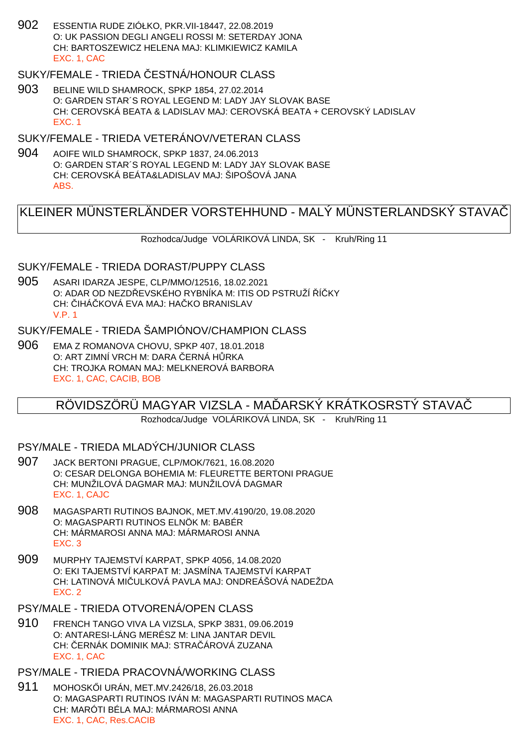902 ESSENTIA RUDE ZIÓŁKO, PKR.VII-18447, 22.08.2019 O: UK PASSION DEGLI ANGELI ROSSI M: SETERDAY JONA CH: BARTOSZEWICZ HELENA MAJ: KLIMKIEWICZ KAMILA EXC. 1, CAC

## SUKY/FEMALE - TRIEDA ESTNÁ/HONOUR CLASS

903 BELINE WILD SHAMROCK, SPKP 1854, 27.02.2014 O: GARDEN STAR´S ROYAL LEGEND M: LADY JAY SLOVAK BASE CH: CEROVSKÁ BEATA & LADISLAV MAJ: CEROVSKÁ BEATA + CEROVSKÝ LADISLAV EXC. 1

## SUKY/FEMALE - TRIEDA VETERÁNOV/VETERAN CLASS

904 AOIFE WILD SHAMROCK, SPKP 1837, 24.06.2013 O: GARDEN STAR´S ROYAL LEGEND M: LADY JAY SLOVAK BASE CH: CEROVSKÁ BEÁTA&LADISLAV MAJ: ŠIPOŠOVÁ JANA ABS.

## KLEINER MÜNSTERLÄNDER VORSTEHHUND - MALÝ MÜNSTERLANDSKÝ STAVAČ

Rozhodca/Judge VOLÁRIKOVÁ LINDA, SK - Kruh/Ring 11

#### SUKY/FEMALE - TRIEDA DORAST/PUPPY CLASS

905 ASARI IDARZA JESPE, CLP/MMO/12516, 18.02.2021 O: ADAR OD NEZDIEVSKÉHO RYBNÍKA M: ITIS OD PSTRUŽÍ Í KY CH: IHÁ KOVÁ EVA MAJ: HA KO BRANISLAV V.P. 1

## SUKY/FEMALE - TRIEDA ŠAMPIÓNOV/CHAMPION CLASS

906 EMA Z ROMANOVA CHOVU, SPKP 407, 18.01.2018 O: ART ZIMNÍ VRCH M: DARA ERNÁ H RKA CH: TROJKA ROMAN MAJ: MELKNEROVÁ BARBORA EXC. 1, CAC, CACIB, BOB

## RÖVIDSZÖRÜ MAGYAR VIZSLA - MA ÞARSKÝ KRÁTKOSRSTÝ STAVA

Rozhodca/Judge VOLÁRIKOVÁ LINDA, SK - Kruh/Ring 11

## PSY/MALE - TRIEDA MLADÝCH/JUNIOR CLASS

- 907 JACK BERTONI PRAGUE, CLP/MOK/7621, 16.08.2020 O: CESAR DELONGA BOHEMIA M: FLEURETTE BERTONI PRAGUE CH: MUNŽILOVÁ DAGMAR MAJ: MUNŽILOVÁ DAGMAR EXC. 1, CAJC
- 908 MAGASPARTI RUTINOS BAJNOK, MET.MV.4190/20, 19.08.2020 O: MAGASPARTI RUTINOS ELNÖK M: BABÉR CH: MÁRMAROSI ANNA MAJ: MÁRMAROSI ANNA EXC. 3
- 909 MURPHY TAJEMSTVÍ KARPAT, SPKP 4056, 14.08.2020 O: EKI TAJEMSTVÍ KARPAT M: JASMÍNA TAJEMSTVÍ KARPAT CH: LATINOVÁ MIČULKOVÁ PAVLA MAJ: ONDREÁŠOVÁ NADEŽDA EXC. 2
- PSY/MALE TRIEDA OTVORENÁ/OPEN CLASS
- 910 FRENCH TANGO VIVA LA VIZSLA, SPKP 3831, 09.06.2019 O: ANTARESI-LÁNG MERÉSZ M: LINA JANTAR DEVIL CH: ERNÁK DOMINIK MAJ: STRA ÁROVÁ ZUZANA EXC. 1, CAC

### PSY/MALE - TRIEDA PRACOVNÁ/WORKING CLASS

911 MOHOSK I URÁN, MET.MV.2426/18, 26.03.2018 O: MAGASPARTI RUTINOS IVÁN M: MAGASPARTI RUTINOS MACA CH: MARÓTI BÉLA MAJ: MÁRMAROSI ANNA EXC. 1, CAC, Res.CACIB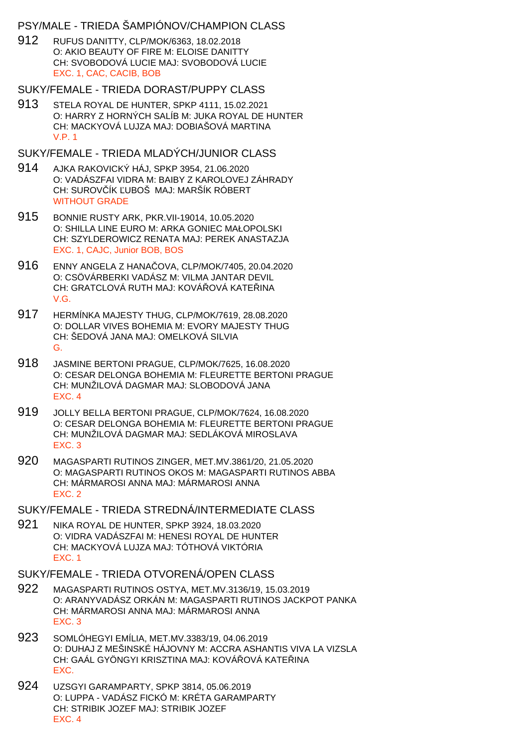## PSY/MALE - TRIEDA ŠAMPIÓNOV/CHAMPION CLASS

912 RUFUS DANITTY, CLP/MOK/6363, 18.02.2018 O: AKIO BEAUTY OF FIRE M: ELOISE DANITTY CH: SVOBODOVÁ LUCIE MAJ: SVOBODOVÁ LUCIE EXC. 1, CAC, CACIB, BOB

#### SUKY/FEMALE - TRIEDA DORAST/PUPPY CLASS

913 STELA ROYAL DE HUNTER, SPKP 4111, 15.02.2021 O: HARRY Z HORNÝCH SALÍB M: JUKA ROYAL DE HUNTER CH: MACKYOVÁ LUJZA MAJ: DOBIAŠOVÁ MARTINA V.P. 1

### SUKY/FEMALE - TRIEDA MLADÝCH/JUNIOR CLASS

- 914 AJKA RAKOVICKÝ HÁJ, SPKP 3954, 21.06.2020 O: VADÁSZFAI VIDRA M: BAIBY Z KAROLOVEJ ZÁHRADY CH: SUROVÍK UBOŠ MAJ: MARŠÍK RÓBERT WITHOUT GRADE
- 915 BONNIE RUSTY ARK, PKR.VII-19014, 10.05.2020 O: SHILLA LINE EURO M: ARKA GONIEC MAŁOPOLSKI CH: SZYLDEROWICZ RENATA MAJ: PEREK ANASTAZJA EXC. 1, CAJC, Junior BOB, BOS
- 916 ENNY ANGELA Z HANAČOVA, CLP/MOK/7405, 20.04.2020 O: CSÖVÁRBERKI VADÁSZ M: VILMA JANTAR DEVIL CH: GRATCLOVÁ RUTH MAJ: KOVÁ OVÁ KATE INA V.G.
- 917 HERMÍNKA MAJESTY THUG, CLP/MOK/7619, 28.08.2020 O: DOLLAR VIVES BOHEMIA M: EVORY MAJESTY THUG CH: ŠEDOVÁ JANA MAJ: OMELKOVÁ SILVIA G.
- 918 JASMINE BERTONI PRAGUE, CLP/MOK/7625, 16.08.2020 O: CESAR DELONGA BOHEMIA M: FLEURETTE BERTONI PRAGUE CH: MUNŽILOVÁ DAGMAR MAJ: SLOBODOVÁ JANA EXC. 4
- 919 JOLLY BELLA BERTONI PRAGUE, CLP/MOK/7624, 16.08.2020 O: CESAR DELONGA BOHEMIA M: FLEURETTE BERTONI PRAGUE CH: MUNŽILOVÁ DAGMAR MAJ: SEDLÁKOVÁ MIROSLAVA EXC. 3
- 920 MAGASPARTI RUTINOS ZINGER, MET.MV.3861/20, 21.05.2020 O: MAGASPARTI RUTINOS OKOS M: MAGASPARTI RUTINOS ABBA CH: MÁRMAROSI ANNA MAJ: MÁRMAROSI ANNA EXC. 2

### SUKY/FEMALE - TRIEDA STREDNÁ/INTERMEDIATE CLASS

921 NIKA ROYAL DE HUNTER, SPKP 3924, 18.03.2020 O: VIDRA VADÁSZFAI M: HENESI ROYAL DE HUNTER CH: MACKYOVÁ LUJZA MAJ: TÓTHOVÁ VIKTÓRIA EXC. 1

### SUKY/FEMALE - TRIEDA OTVORENÁ/OPEN CLASS

- 922 MAGASPARTI RUTINOS OSTYA, MET.MV.3136/19, 15.03.2019 O: ARANYVADÁSZ ORKÁN M: MAGASPARTI RUTINOS JACKPOT PANKA CH: MÁRMAROSI ANNA MAJ: MÁRMAROSI ANNA EXC. 3
- 923 SOMLÓHEGYI EMÍLIA, MET.MV.3383/19, 04.06.2019 O: DUHAJ Z MEŠINSKÉ HÁJOVNY M: ACCRA ASHANTIS VIVA LA VIZSLA CH: GAÁL GYÖNGYI KRISZTINA MAJ: KOVÁ OVÁ KATE INA EXC.
- 924 UZSGYI GARAMPARTY, SPKP 3814, 05.06.2019 O: LUPPA - VADÁSZ FICKÓ M: KRÉTA GARAMPARTY CH: STRIBIK JOZEF MAJ: STRIBIK JOZEF EXC. 4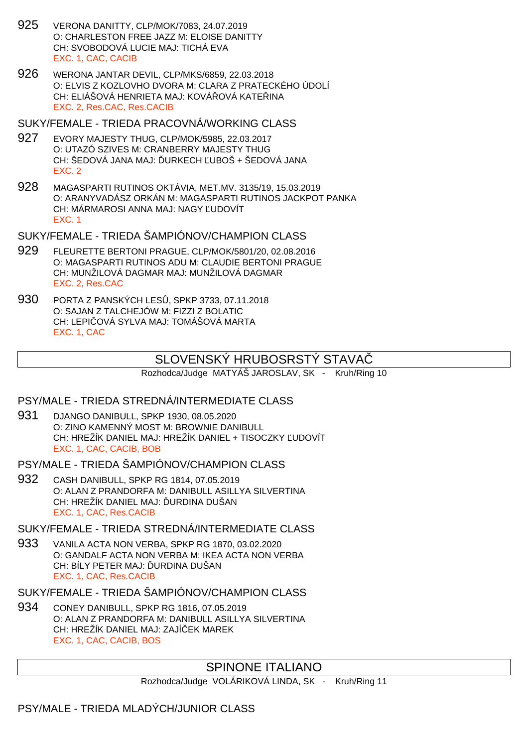- 925 VERONA DANITTY, CLP/MOK/7083, 24.07.2019 O: CHARLESTON FREE JAZZ M: ELOISE DANITTY CH: SVOBODOVÁ LUCIE MAJ: TICHÁ EVA EXC. 1, CAC, CACIB
- 926 WERONA JANTAR DEVIL, CLP/MKS/6859, 22.03.2018 O: ELVIS Z KOZLOVHO DVORA M: CLARA Z PRATECKÉHO ÚDOLÍ CH: ELIÁŠOVÁ HENRIETA MAJ: KOVÁ DVÁ KATE INA EXC. 2, Res.CAC, Res.CACIB
- SUKY/FEMALE TRIEDA PRACOVNÁ/WORKING CLASS
- 927 EVORY MAJESTY THUG, CLP/MOK/5985, 22.03.2017 O: UTAZÓ SZIVES M: CRANBERRY MAJESTY THUG CH: ŠEDOVÁ JANA MAJ: URKECH UBOŠ + ŠEDOVÁ JANA EXC. 2
- 928 MAGASPARTI RUTINOS OKTÁVIA, MET.MV. 3135/19, 15.03.2019 O: ARANYVADÁSZ ORKÁN M: MAGASPARTI RUTINOS JACKPOT PANKA CH: MÁRMAROSI ANNA MAJ: NAGY UDOVÍT EXC. 1
- SUKY/FEMALE TRIEDA ŠAMPIÓNOV/CHAMPION CLASS
- 929 FLEURETTE BERTONI PRAGUE, CLP/MOK/5801/20, 02.08.2016 O: MAGASPARTI RUTINOS ADU M: CLAUDIE BERTONI PRAGUE CH: MUNŽILOVÁ DAGMAR MAJ: MUNŽILOVÁ DAGMAR EXC. 2, Res.CAC
- 930 PORTA Z PANSKÝCH LES, SPKP 3733, 07.11.2018 O: SAJAN Z TALCHEJÓW M: FIZZI Z BOLATIC CH: LEPIČOVÁ SYLVA MAJ: TOMÁŠOVÁ MARTA EXC. 1, CAC

## SLOVENSKÝ HRUBOSRSTY STAVA

Rozhodca/Judge MATYÁŠ JAROSLAV, SK - Kruh/Ring 10

### PSY/MALE - TRIEDA STREDNÁ/INTERMEDIATE CLASS

- 931 DJANGO DANIBULL, SPKP 1930, 08.05.2020 O: ZINO KAMENNÝ MOST M: BROWNIE DANIBULL CH: HREŽÍK DANIEL MAJ: HREŽÍK DANIEL + TISOCZKY ĽUDOVÍT EXC. 1, CAC, CACIB, BOB
- PSY/MALE TRIEDA ŠAMPIÓNOV/CHAMPION CLASS
- 932 CASH DANIBULL, SPKP RG 1814, 07.05.2019 O: ALAN Z PRANDORFA M: DANIBULL ASILLYA SILVERTINA CH: HREŽÍK DANIEL MAJ: URDINA DUŠAN EXC. 1, CAC, Res.CACIB
- SUKY/FEMALE TRIEDA STREDNÁ/INTERMEDIATE CLASS
- 933 VANILA ACTA NON VERBA, SPKP RG 1870, 03.02.2020 O: GANDALF ACTA NON VERBA M: IKEA ACTA NON VERBA CH: BÍLY PETER MAJ: URDINA DUŠAN EXC. 1, CAC, Res.CACIB
- SUKY/FEMALE TRIEDA ŠAMPIÓNOV/CHAMPION CLASS
- 934 CONEY DANIBULL, SPKP RG 1816, 07.05.2019 O: ALAN Z PRANDORFA M: DANIBULL ASILLYA SILVERTINA CH: HREŽÍK DANIEL MAJ: ZAJÍČEK MAREK EXC. 1, CAC, CACIB, BOS

## SPINONE ITALIANO

Rozhodca/Judge VOLÁRIKOVÁ LINDA, SK - Kruh/Ring 11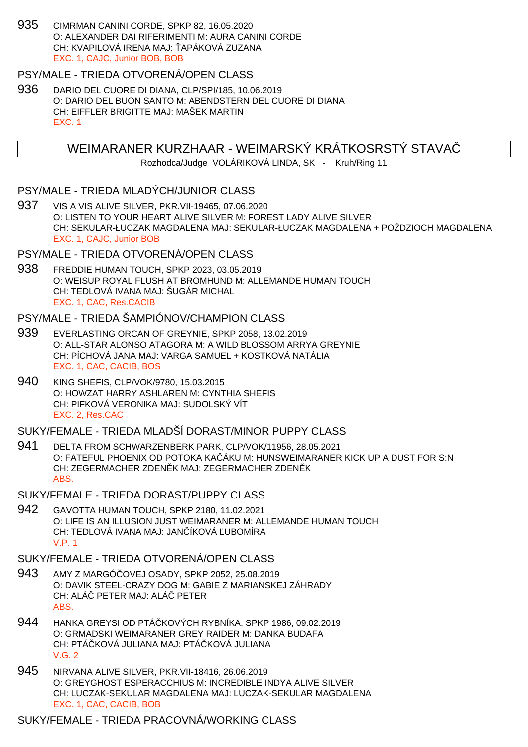935 CIMRMAN CANINI CORDE, SPKP 82, 16.05.2020 O: ALEXANDER DAI RIFERIMENTI M: AURA CANINI CORDE CH: KVAPILOVÁ IRENA MAJ: APÁKOVÁ ZUZANA EXC. 1, CAJC, Junior BOB, BOB

#### PSY/MALE - TRIEDA OTVORENÁ/OPEN CLASS

936 DARIO DEL CUORE DI DIANA, CLP/SPI/185, 10.06.2019 O: DARIO DEL BUON SANTO M: ABENDSTERN DEL CUORE DI DIANA CH: EIFFLER BRIGITTE MAJ: MAŠEK MARTIN EXC. 1

### WEIMARANER KURZHAAR - WEIMARSKÝ KRÁTKOSRSTÝ STAVAČ

Rozhodca/Judge VOLÁRIKOVÁ LINDA, SK - Kruh/Ring 11

### PSY/MALE - TRIEDA MLADÝCH/JUNIOR CLASS

937 VIS A VIS ALIVE SILVER, PKR.VII-19465, 07.06.2020 O: LISTEN TO YOUR HEART ALIVE SILVER M: FOREST LADY ALIVE SILVER CH: SEKULAR-ŁUCZAK MAGDALENA MAJ: SEKULAR-ŁUCZAK MAGDALENA + PO DZIOCH MAGDALENA EXC. 1, CAJC, Junior BOB

#### PSY/MALE - TRIEDA OTVORENÁ/OPEN CLASS

938 FREDDIE HUMAN TOUCH, SPKP 2023, 03.05.2019 O: WEISUP ROYAL FLUSH AT BROMHUND M: ALLEMANDE HUMAN TOUCH CH: TEDLOVÁ IVANA MAJ: ŠUGÁR MICHAL EXC. 1, CAC, Res.CACIB

### PSY/MALE - TRIEDA ŠAMPIÓNOV/CHAMPION CLASS

- 939 EVERLASTING ORCAN OF GREYNIE, SPKP 2058, 13.02.2019 O: ALL-STAR ALONSO ATAGORA M: A WILD BLOSSOM ARRYA GREYNIE CH: PÍCHOVÁ JANA MAJ: VARGA SAMUEL + KOSTKOVÁ NATÁLIA EXC. 1, CAC, CACIB, BOS
- 940 KING SHEFIS, CLP/VOK/9780, 15.03.2015 O: HOWZAT HARRY ASHLAREN M: CYNTHIA SHEFIS CH: PIFKOVÁ VERONIKA MAJ: SUDOLSKÝ VÍT EXC. 2, Res.CAC

#### SUKY/FEMALE - TRIEDA MLADŠÍ DORAST/MINOR PUPPY CLASS

- 941 DELTA FROM SCHWARZENBERK PARK, CLP/VOK/11956, 28.05.2021 O: FATEFUL PHOENIX OD POTOKA KAČÁKU M: HUNSWEIMARANER KICK UP A DUST FOR S:N CH: ZEGERMACHER ZDEN K MAJ: ZEGERMACHER ZDEN K ABS.
- SUKY/FEMALE TRIEDA DORAST/PUPPY CLASS
- 942 GAVOTTA HUMAN TOUCH, SPKP 2180, 11.02.2021 O: LIFE IS AN ILLUSION JUST WEIMARANER M: ALLEMANDE HUMAN TOUCH CH: TEDLOVÁ IVANA MAJ: JAN ÍKOVÁ UBOMÍRA V.P. 1

#### SUKY/FEMALE - TRIEDA OTVORENÁ/OPEN CLASS

- 943 AMY Z MARGÓČOVEJ OSADY, SPKP 2052, 25.08.2019 O: DAVIK STEEL-CRAZY DOG M: GABIE Z MARIANSKEJ ZÁHRADY CH: ALÁ PETER MAJ: ALÁ PETER ABS.
- 944 HANKA GREYSI OD PTÁ KOVÝCH RYBNÍKA, SPKP 1986, 09.02.2019 O: GRMADSKI WEIMARANER GREY RAIDER M: DANKA BUDAFA CH: PTÁ KOVÁ JULIANA MAJ: PTÁ KOVÁ JULIANA V.G. 2
- 945 NIRVANA ALIVE SILVER, PKR.VII-18416, 26.06.2019 O: GREYGHOST ESPERACCHIUS M: INCREDIBLE INDYA ALIVE SILVER CH: LUCZAK-SEKULAR MAGDALENA MAJ: LUCZAK-SEKULAR MAGDALENA EXC. 1, CAC, CACIB, BOB

#### SUKY/FEMALE - TRIEDA PRACOVNÁ/WORKING CLASS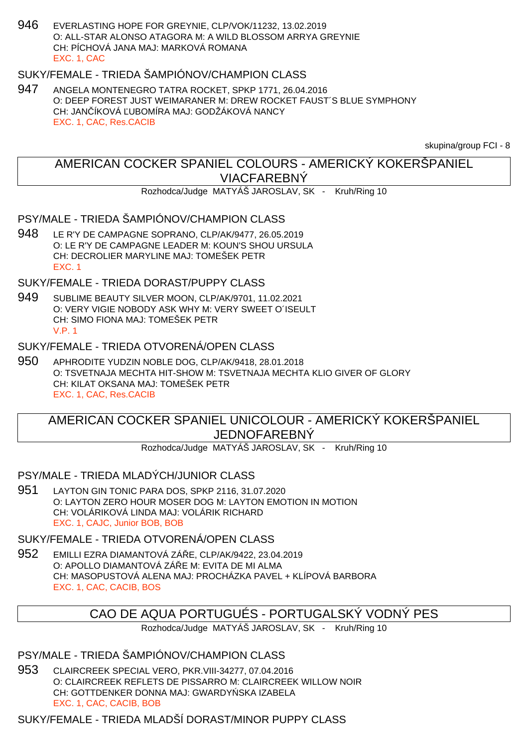946 EVERLASTING HOPE FOR GREYNIE, CLP/VOK/11232, 13.02.2019 O: ALL-STAR ALONSO ATAGORA M: A WILD BLOSSOM ARRYA GREYNIE CH: PÍCHOVÁ JANA MAJ: MARKOVÁ ROMANA EXC. 1, CAC

## SUKY/FEMALE - TRIEDA ŠAMPIÓNOV/CHAMPION CLASS

947 ANGELA MONTENEGRO TATRA ROCKET, SPKP 1771, 26.04.2016 O: DEEP FOREST JUST WEIMARANER M: DREW ROCKET FAUST´S BLUE SYMPHONY CH: JAN ÍKOVÁ UBOMÍRA MAJ: GODŽÁKOVÁ NANCY EXC. 1, CAC, Res.CACIB

skupina/group FCI - 8

## AMERICAN COCKER SPANIEL COLOURS - AMERICKÝ KOKERŠPANIEL VIACFAREBNÝ

Rozhodca/Judge MATYÁŠ JAROSLAV, SK - Kruh/Ring 10

### PSY/MALE - TRIEDA ŠAMPIÓNOV/CHAMPION CLASS

948 LE R'Y DE CAMPAGNE SOPRANO, CLP/AK/9477, 26.05.2019 O: LE R'Y DE CAMPAGNE LEADER M: KOUN'S SHOU URSULA CH: DECROLIER MARYLINE MAJ: TOMEŠEK PETR EXC. 1

SUKY/FEMALE - TRIEDA DORAST/PUPPY CLASS

949 SUBLIME BEAUTY SILVER MOON, CLP/AK/9701, 11.02.2021 O: VERY VIGIE NOBODY ASK WHY M: VERY SWEET O´ISEULT CH: SIMO FIONA MAJ: TOMEŠEK PETR V.P. 1

## SUKY/FEMALE - TRIEDA OTVORENÁ/OPEN CLASS

950 APHRODITE YUDZIN NOBLE DOG, CLP/AK/9418, 28.01.2018 O: TSVETNAJA MECHTA HIT-SHOW M: TSVETNAJA MECHTA KLIO GIVER OF GLORY CH: KILAT OKSANA MAJ: TOMEŠEK PETR EXC. 1, CAC, Res.CACIB

## AMERICAN COCKER SPANIEL UNICOLOUR - AMERICKÝ KOKERŠPANIEL JEDNOFAREBNÝ

Rozhodca/Judge MATYÁŠ JAROSLAV, SK - Kruh/Ring 10

### PSY/MALE - TRIEDA MLADÝCH/JUNIOR CLASS

951 LAYTON GIN TONIC PARA DOS, SPKP 2116, 31.07.2020 O: LAYTON ZERO HOUR MOSER DOG M: LAYTON EMOTION IN MOTION CH: VOLÁRIKOVÁ LINDA MAJ: VOLÁRIK RICHARD EXC. 1, CAJC, Junior BOB, BOB

SUKY/FEMALE - TRIEDA OTVORENÁ/OPEN CLASS

952 EMILLI EZRA DIAMANTOVÁ ZÁ E, CLP/AK/9422, 23.04.2019 O: APOLLO DIAMANTOVÁ ZÁ E M: EVITA DE MI ALMA CH: MASOPUSTOVÁ ALENA MAJ: PROCHÁZKA PAVEL + KLÍPOVÁ BARBORA EXC. 1, CAC, CACIB, BOS

## CAO DE AQUA PORTUGUÉS - PORTUGALSKÝ VODNÝ PES

Rozhodca/Judge MATYÁŠ JAROSLAV, SK - Kruh/Ring 10

PSY/MALE - TRIEDA ŠAMPIÓNOV/CHAMPION CLASS

953 CLAIRCREEK SPECIAL VERO, PKR.VIII-34277, 07.04.2016 O: CLAIRCREEK REFLETS DE PISSARRO M: CLAIRCREEK WILLOW NOIR CH: GOTTDENKER DONNA MAJ: GWARDY SKA IZABELA EXC. 1, CAC, CACIB, BOB

SUKY/FEMALE - TRIEDA MLADŠÍ DORAST/MINOR PUPPY CLASS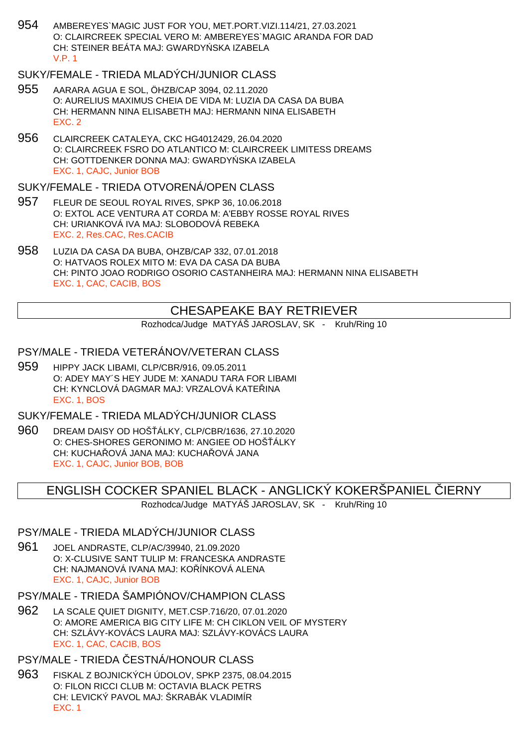954 AMBEREYES`MAGIC JUST FOR YOU, MET.PORT.VIZI.114/21, 27.03.2021 O: CLAIRCREEK SPECIAL VERO M: AMBEREYES`MAGIC ARANDA FOR DAD CH: STEINER BEÁTA MAJ: GWARDY SKA IZABELA V.P. 1

## SUKY/FEMALE - TRIEDA MLADÝCH/JUNIOR CLASS

- 955 AARARA AGUA E SOL, ÖHZB/CAP 3094, 02.11.2020 O: AURELIUS MAXIMUS CHEIA DE VIDA M: LUZIA DA CASA DA BUBA CH: HERMANN NINA ELISABETH MAJ: HERMANN NINA ELISABETH EXC. 2
- 956 CLAIRCREEK CATALEYA, CKC HG4012429, 26.04.2020 O: CLAIRCREEK FSRO DO ATLANTICO M: CLAIRCREEK LIMITESS DREAMS CH: GOTTDENKER DONNA MAJ: GWARDY SKA IZABELA EXC. 1, CAJC, Junior BOB

#### SUKY/FEMALE - TRIEDA OTVORENÁ/OPEN CLASS

- 957 FLEUR DE SEOUL ROYAL RIVES, SPKP 36, 10.06.2018 O: EXTOL ACE VENTURA AT CORDA M: A'EBBY ROSSE ROYAL RIVES CH: URIANKOVÁ IVA MAJ: SLOBODOVÁ REBEKA EXC. 2, Res.CAC, Res.CACIB
- 958 LUZIA DA CASA DA BUBA, OHZB/CAP 332, 07.01.2018 O: HATVAOS ROLEX MITO M: EVA DA CASA DA BUBA CH: PINTO JOAO RODRIGO OSORIO CASTANHEIRA MAJ: HERMANN NINA ELISABETH EXC. 1, CAC, CACIB, BOS

## CHESAPEAKE BAY RETRIEVER

Rozhodca/Judge MATYÁŠ JAROSLAV, SK - Kruh/Ring 10

### PSY/MALE - TRIEDA VETERÁNOV/VETERAN CLASS

959 HIPPY JACK LIBAMI, CLP/CBR/916, 09.05.2011 O: ADEY MAY´S HEY JUDE M: XANADU TARA FOR LIBAMI CH: KYNCLOVÁ DAGMAR MAJ: VRZALOVÁ KATEŘINA EXC. 1, BOS

## SUKY/FEMALE - TRIEDA MLADÝCH/JUNIOR CLASS

960 DREAM DAISY OD HOŠÁLKY, CLP/CBR/1636, 27.10.2020 O: CHES-SHORES GERONIMO M: ANGIEE OD HOŠ ÁLKY CH: KUCHA QVÁ JANA MAJ: KUCHA QVÁ JANA EXC. 1, CAJC, Junior BOB, BOB

### ENGLISH COCKER SPANIEL BLACK - ANGLICKÝ KOKERŠPANIEL ČIERNY

Rozhodca/Judge MATYÁŠ JAROSLAV, SK - Kruh/Ring 10

#### PSY/MALE - TRIEDA MLADÝCH/JUNIOR CLASS

961 JOEL ANDRASTE, CLP/AC/39940, 21.09.2020 O: X-CLUSIVE SANT TULIP M: FRANCESKA ANDRASTE CH: NAJMANOVÁ IVANA MAJ: KOLÍNKOVÁ ALENA EXC. 1, CAJC, Junior BOB

## PSY/MALE - TRIEDA ŠAMPIÓNOV/CHAMPION CLASS

962 LA SCALE QUIET DIGNITY, MET.CSP.716/20, 07.01.2020 O: AMORE AMERICA BIG CITY LIFE M: CH CIKLON VEIL OF MYSTERY CH: SZLÁVY-KOVÁCS LAURA MAJ: SZLÁVY-KOVÁCS LAURA EXC. 1, CAC, CACIB, BOS

#### PSY/MALE - TRIEDA ESTNÁ/HONOUR CLASS

963 FISKAL Z BOJNICKÝCH ÚDOLOV, SPKP 2375, 08.04.2015 O: FILON RICCI CLUB M: OCTAVIA BLACK PETRS CH: LEVICKÝ PAVOL MAJ: ŠKRABÁK VLADIMÍR EXC. 1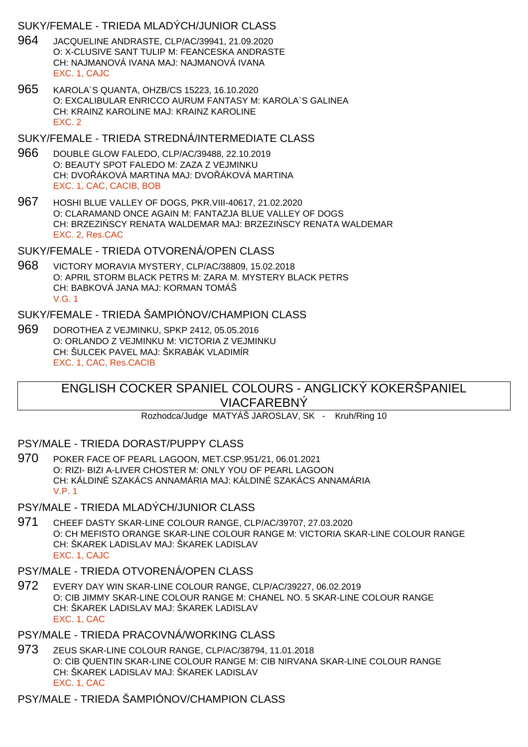### SUKY/FEMALE - TRIEDA MLADÝCH/JUNIOR CLASS

- 964 JACQUELINE ANDRASTE, CLP/AC/39941, 21.09.2020 O: X-CLUSIVE SANT TULIP M: FEANCESKA ANDRASTE CH: NAJMANOVÁ IVANA MAJ: NAJMANOVÁ IVANA EXC. 1, CAJC
- 965 KAROLA´S QUANTA, OHZB/CS 15223, 16.10.2020 O: EXCALIBULAR ENRICCO AURUM FANTASY M: KAROLA`S GALINEA CH: KRAINZ KAROLINE MAJ: KRAINZ KAROLINE EXC. 2

### SUKY/FEMALE - TRIEDA STREDNÁ/INTERMEDIATE CLASS

- 966 DOUBLE GLOW FALEDO, CLP/AC/39488, 22.10.2019 O: BEAUTY SPOT FALEDO M: ZAZA Z VEJMINKU CH: DVO ÁKOVÁ MARTINA MAJ: DVO ÁKOVÁ MARTINA EXC. 1, CAC, CACIB, BOB
- 967 HOSHI BLUE VALLEY OF DOGS, PKR.VIII-40617, 21.02.2020 O: CLARAMAND ONCE AGAIN M: FANTAZJA BLUE VALLEY OF DOGS CH: BRZEZI SCY RENATA WALDEMAR MAJ: BRZEZI SCY RENATA WALDEMAR EXC. 2, Res.CAC

## SUKY/FEMALE - TRIEDA OTVORENÁ/OPEN CLASS

968 VICTORY MORAVIA MYSTERY, CLP/AC/38809, 15.02.2018 O: APRIL STORM BLACK PETRS M: ZARA M. MYSTERY BLACK PETRS CH: BABKOVÁ JANA MAJ: KORMAN TOMÁŠ V.G. 1

## SUKY/FEMALE - TRIEDA ŠAMPIÓNOV/CHAMPION CLASS

969 DOROTHEA Z VEJMINKU, SPKP 2412, 05.05.2016 O: ORLANDO Z VEJMINKU M: VICTORIA Z VEJMINKU CH: ŠULCEK PAVEL MAJ: ŠKRABÁK VLADIMÍR EXC. 1, CAC, Res.CACIB

## ENGLISH COCKER SPANIEL COLOURS - ANGLICKÝ KOKERŠPANIEL VIACFAREBNÝ

Rozhodca/Judge MATYÁŠ JAROSLAV, SK - Kruh/Ring 10

### PSY/MALE - TRIEDA DORAST/PUPPY CLASS

970 POKER FACE OF PEARL LAGOON, MET.CSP.951/21, 06.01.2021 O: RIZI- BIZI A-LIVER CHOSTER M: ONLY YOU OF PEARL LAGOON CH: KÁLDINÉ SZAKÁCS ANNAMÁRIA MAJ: KÁLDINÉ SZAKÁCS ANNAMÁRIA V.P. 1

## PSY/MALE - TRIEDA MLADÝCH/JUNIOR CLASS

971 CHEEF DASTY SKAR-LINE COLOUR RANGE, CLP/AC/39707, 27.03.2020 O: CH MEFISTO ORANGE SKAR-LINE COLOUR RANGE M: VICTORIA SKAR-LINE COLOUR RANGE CH: ŠKAREK LADISLAV MAJ: ŠKAREK LADISLAV EXC. 1, CAJC

## PSY/MALE - TRIEDA OTVORENÁ/OPEN CLASS

972 EVERY DAY WIN SKAR-LINE COLOUR RANGE, CLP/AC/39227, 06.02.2019 O: CIB JIMMY SKAR-LINE COLOUR RANGE M: CHANEL NO. 5 SKAR-LINE COLOUR RANGE CH: ŠKAREK LADISLAV MAJ: ŠKAREK LADISLAV EXC. 1, CAC

## PSY/MALE - TRIEDA PRACOVNÁ/WORKING CLASS

973 ZEUS SKAR-LINE COLOUR RANGE, CLP/AC/38794, 11.01.2018 O: CIB QUENTIN SKAR-LINE COLOUR RANGE M: CIB NIRVANA SKAR-LINE COLOUR RANGE CH: ŠKAREK LADISLAV MAJ: ŠKAREK LADISLAV EXC. 1, CAC

## PSY/MALE - TRIEDA ŠAMPIÓNOV/CHAMPION CLASS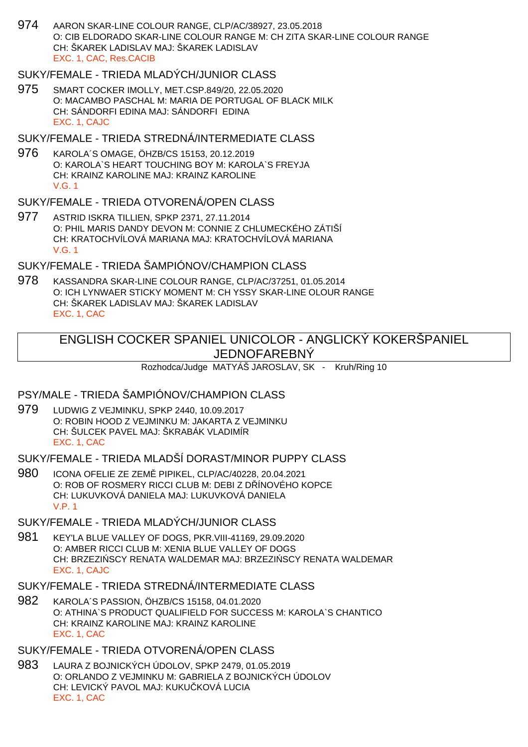974 AARON SKAR-LINE COLOUR RANGE, CLP/AC/38927, 23.05.2018 O: CIB ELDORADO SKAR-LINE COLOUR RANGE M: CH ZITA SKAR-LINE COLOUR RANGE CH: ŠKAREK LADISLAV MAJ: ŠKAREK LADISLAV EXC. 1, CAC, Res.CACIB

## SUKY/FEMALE - TRIEDA MLADÝCH/JUNIOR CLASS

975 SMART COCKER IMOLLY, MET.CSP.849/20, 22.05.2020 O: MACAMBO PASCHAL M: MARIA DE PORTUGAL OF BLACK MILK CH: SÁNDORFI EDINA MAJ: SÁNDORFI EDINA EXC. 1, CAJC

SUKY/FEMALE - TRIEDA STREDNÁ/INTERMEDIATE CLASS

976 KAROLA´S OMAGE, ÖHZB/CS 15153, 20.12.2019 O: KAROLA`S HEART TOUCHING BOY M: KAROLA`S FREYJA CH: KRAINZ KAROLINE MAJ: KRAINZ KAROLINE V.G. 1

### SUKY/FEMALE - TRIEDA OTVORENÁ/OPEN CLASS

977 ASTRID ISKRA TILLIEN, SPKP 2371, 27.11.2014 O: PHIL MARIS DANDY DEVON M: CONNIE Z CHLUMECKÉHO ZÁTIŠÍ CH: KRATOCHVÍLOVÁ MARIANA MAJ: KRATOCHVÍLOVÁ MARIANA V.G. 1

### SUKY/FEMALE - TRIEDA ŠAMPIÓNOV/CHAMPION CLASS

978 KASSANDRA SKAR-LINE COLOUR RANGE, CLP/AC/37251, 01.05.2014 O: ICH LYNWAER STICKY MOMENT M: CH YSSY SKAR-LINE OLOUR RANGE CH: ŠKAREK LADISLAV MAJ: ŠKAREK LADISLAV EXC. 1, CAC

## ENGLISH COCKER SPANIEL UNICOLOR - ANGLICKÝ KOKERŠPANIEL JEDNOFAREBNÝ

Rozhodca/Judge MATYÁŠ JAROSLAV, SK - Kruh/Ring 10

### PSY/MALE - TRIEDA ŠAMPIÓNOV/CHAMPION CLASS

979 LUDWIG Z VEJMINKU, SPKP 2440, 10.09.2017 O: ROBIN HOOD Z VEJMINKU M: JAKARTA Z VEJMINKU CH: ŠULCEK PAVEL MAJ: ŠKRABÁK VLADIMÍR EXC. 1, CAC

SUKY/FEMALE - TRIEDA MLADŠÍ DORAST/MINOR PUPPY CLASS

980 ICONA OFELIE ZE ZEMĚ PIPIKEL, CLP/AC/40228, 20.04.2021 O: ROB OF ROSMERY RICCI CLUB M: DEBI Z D ÍNOVÉHO KOPCE CH: LUKUVKOVÁ DANIELA MAJ: LUKUVKOVÁ DANIELA V.P. 1

## SUKY/FEMALE - TRIEDA MLADÝCH/JUNIOR CLASS

981 KEY'LA BLUE VALLEY OF DOGS, PKR.VIII-41169, 29.09.2020 O: AMBER RICCI CLUB M: XENIA BLUE VALLEY OF DOGS CH: BRZEZI SCY RENATA WALDEMAR MAJ: BRZEZI SCY RENATA WALDEMAR EXC. 1, CAJC

#### SUKY/FEMALE - TRIEDA STREDNÁ/INTERMEDIATE CLASS

982 KAROLA´S PASSION, ÖHZB/CS 15158, 04.01.2020 O: ATHINA`S PRODUCT QUALIFIELD FOR SUCCESS M: KAROLA`S CHANTICO CH: KRAINZ KAROLINE MAJ: KRAINZ KAROLINE EXC. 1, CAC

## SUKY/FEMALE - TRIEDA OTVORENÁ/OPEN CLASS

983 LAURA Z BOJNICKÝCH ÚDOLOV, SPKP 2479, 01.05.2019 O: ORLANDO Z VEJMINKU M: GABRIELA Z BOJNICKÝCH ÚDOLOV CH: LEVICKÝ PAVOL MAJ: KUKU KOVÁ LUCIA EXC. 1, CAC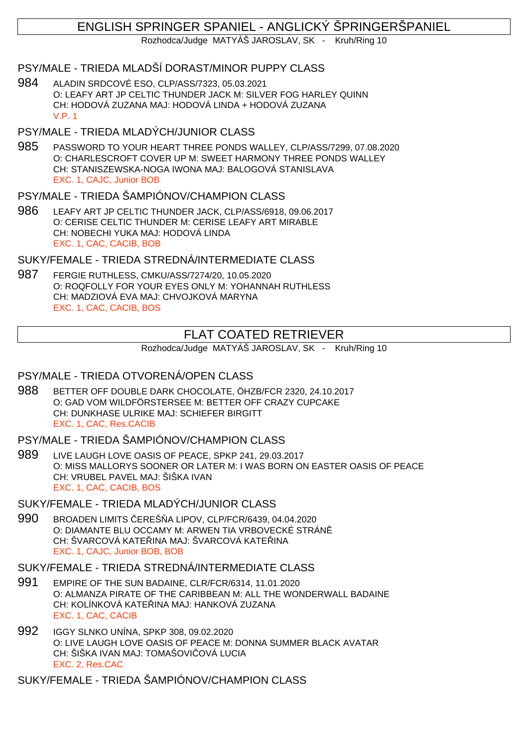## ENGLISH SPRINGER SPANIEL - ANGLICKÝ ŠPRINGERŠPANIEL

Rozhodca/Judge MATYÁŠ JAROSLAV, SK - Kruh/Ring 10

### PSY/MALE - TRIEDA MLADŠÍ DORAST/MINOR PUPPY CLASS

984 ALADIN SRDCOVÉ ESO, CLP/ASS/7323, 05.03.2021 O: LEAFY ART JP CELTIC THUNDER JACK M: SILVER FOG HARLEY QUINN CH: HODOVÁ ZUZANA MAJ: HODOVÁ LINDA + HODOVÁ ZUZANA V.P. 1

## PSY/MALE - TRIEDA MLADÝCH/JUNIOR CLASS

985 PASSWORD TO YOUR HEART THREE PONDS WALLEY, CLP/ASS/7299, 07.08.2020 O: CHARLESCROFT COVER UP M: SWEET HARMONY THREE PONDS WALLEY CH: STANISZEWSKA-NOGA IWONA MAJ: BALOGOVÁ STANISLAVA EXC. 1, CAJC, Junior BOB

## PSY/MALE - TRIEDA ŠAMPIÓNOV/CHAMPION CLASS

986 LEAFY ART JP CELTIC THUNDER JACK, CLP/ASS/6918, 09.06.2017 O: CERISE CELTIC THUNDER M: CERISE LEAFY ART MIRABLE CH: NOBECHI YUKA MAJ: HODOVÁ LINDA EXC. 1, CAC, CACIB, BOB

SUKY/FEMALE - TRIEDA STREDNÁ/INTERMEDIATE CLASS

987 FERGIE RUTHLESS, CMKU/ASS/7274/20, 10.05.2020 O: ROQFOLLY FOR YOUR EYES ONLY M: YOHANNAH RUTHLESS CH: MADZIOVÁ EVA MAJ: CHVOJKOVÁ MARYNA EXC. 1, CAC, CACIB, BOS

## FLAT COATED RETRIEVER

Rozhodca/Judge MATYÁŠ JAROSLAV, SK - Kruh/Ring 10

## PSY/MALE - TRIEDA OTVORENÁ/OPEN CLASS

988 BETTER OFF DOUBLE DARK CHOCOLATE, ÖHZB/FCR 2320, 24.10.2017 O: GAD VOM WILDFÖRSTERSEE M: BETTER OFF CRAZY CUPCAKE CH: DUNKHASE ULRIKE MAJ: SCHIEFER BIRGITT EXC. 1, CAC, Res.CACIB

PSY/MALE - TRIEDA ŠAMPIÓNOV/CHAMPION CLASS

989 LIVE LAUGH LOVE OASIS OF PEACE, SPKP 241, 29.03.2017 O: MISS MALLORYS SOONER OR LATER M: I WAS BORN ON EASTER OASIS OF PEACE CH: VRUBEL PAVEL MAJ: ŠIŠKA IVAN EXC. 1, CAC, CACIB, BOS

SUKY/FEMALE - TRIEDA MLADÝCH/JUNIOR CLASS

990 BROADEN LIMITS EREŠ A LIPOV, CLP/FCR/6439, 04.04.2020 O: DIAMANTE BLU OCCAMY M: ARWEN TIA VRBOVECKÉ STRÁN CH: ŠVARCOVÁ KATELINA MAJ: ŠVARCOVÁ KATELINA EXC. 1, CAJC, Junior BOB, BOB

## SUKY/FEMALE - TRIEDA STREDNÁ/INTERMEDIATE CLASS

- 991 EMPIRE OF THE SUN BADAINE, CLR/FCR/6314, 11.01.2020 O: ALMANZA PIRATE OF THE CARIBBEAN M: ALL THE WONDERWALL BADAINE CH: KOLÍNKOVÁ KATE INA MAJ: HANKOVÁ ZUZANA EXC. 1, CAC, CACIB
- 992 IGGY SLNKO UNÍNA, SPKP 308, 09.02.2020 O: LIVE LAUGH LOVE OASIS OF PEACE M: DONNA SUMMER BLACK AVATAR CH: ŠIŠKA IVAN MAJ: TOMAŠOVI OVÁ LUCIA EXC. 2, Res.CAC

SUKY/FEMALE - TRIEDA ŠAMPIÓNOV/CHAMPION CLASS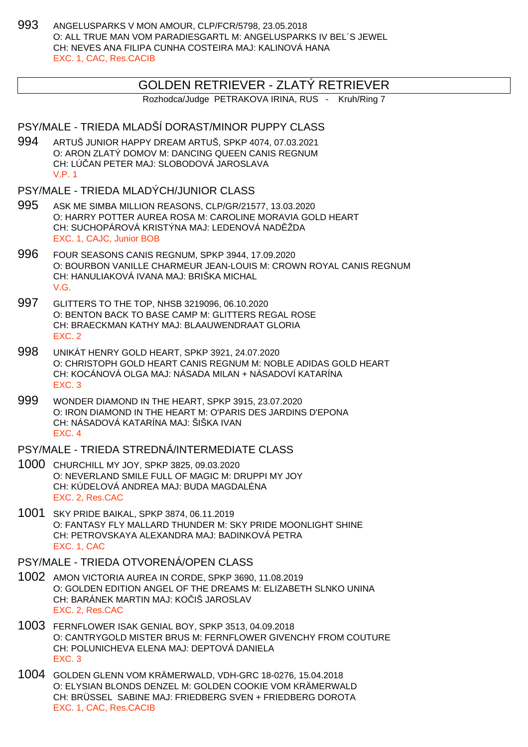993 ANGELUSPARKS V MON AMOUR, CLP/FCR/5798, 23.05.2018 O: ALL TRUE MAN VOM PARADIESGARTL M: ANGELUSPARKS IV BEL´S JEWEL CH: NEVES ANA FILIPA CUNHA COSTEIRA MAJ: KALINOVÁ HANA EXC. 1, CAC, Res.CACIB

#### GOLDEN RETRIEVER - ZLATÝ RETRIEVER

Rozhodca/Judge PETRAKOVA IRINA, RUS - Kruh/Ring 7

### PSY/MALE - TRIEDA MLADŠÍ DORAST/MINOR PUPPY CLASS

994 ARTUŠ JUNIOR HAPPY DREAM ARTUŠ, SPKP 4074, 07.03.2021 O: ARON ZLATÝ DOMOV M: DANCING QUEEN CANIS REGNUM CH: LÚČAN PETER MAJ: SLOBODOVÁ JAROSLAVA V.P. 1

#### PSY/MALE - TRIEDA MLADÝCH/JUNIOR CLASS

- 995 ASK ME SIMBA MILLION REASONS, CLP/GR/21577, 13.03.2020 O: HARRY POTTER AUREA ROSA M: CAROLINE MORAVIA GOLD HEART CH: SUCHOPÁROVÁ KRISTÝNA MAJ: LEDENOVÁ NAD ŽDA EXC. 1, CAJC, Junior BOB
- 996 FOUR SEASONS CANIS REGNUM, SPKP 3944, 17.09.2020 O: BOURBON VANILLE CHARMEUR JEAN-LOUIS M: CROWN ROYAL CANIS REGNUM CH: HANULIAKOVÁ IVANA MAJ: BRIŠKA MICHAL V.G.
- 997 GLITTERS TO THE TOP, NHSB 3219096, 06.10.2020 O: BENTON BACK TO BASE CAMP M: GLITTERS REGAL ROSE CH: BRAECKMAN KATHY MAJ: BLAAUWENDRAAT GLORIA EXC. 2
- 998 UNIKÁT HENRY GOLD HEART, SPKP 3921, 24.07.2020 O: CHRISTOPH GOLD HEART CANIS REGNUM M: NOBLE ADIDAS GOLD HEART CH: KOCÁNOVÁ OLGA MAJ: NÁSADA MILAN + NÁSADOVÍ KATARÍNA EXC. 3
- 999 WONDER DIAMOND IN THE HEART, SPKP 3915, 23.07.2020 O: IRON DIAMOND IN THE HEART M: O'PARIS DES JARDINS D'EPONA CH: NÁSADOVÁ KATARÍNA MAJ: ŠIŠKA IVAN EXC. 4

#### PSY/MALE - TRIEDA STREDNÁ/INTERMEDIATE CLASS

- 1000 CHURCHILL MY JOY, SPKP 3825, 09.03.2020 O: NEVERLAND SMILE FULL OF MAGIC M: DRUPPI MY JOY CH: KÚDELOVÁ ANDREA MAJ: BUDA MAGDALÉNA EXC. 2, Res.CAC
- 1001 SKY PRIDE BAIKAL, SPKP 3874, 06.11.2019 O: FANTASY FLY MALLARD THUNDER M: SKY PRIDE MOONLIGHT SHINE CH: PETROVSKAYA ALEXANDRA MAJ: BADINKOVÁ PETRA EXC. 1, CAC
- PSY/MALE TRIEDA OTVORENÁ/OPEN CLASS
- 1002 AMON VICTORIA AUREA IN CORDE, SPKP 3690, 11.08.2019 O: GOLDEN EDITION ANGEL OF THE DREAMS M: ELIZABETH SLNKO UNINA CH: BARÁNEK MARTIN MAJ: KO IŠ JAROSLAV EXC. 2, Res.CAC
- 1003 FERNFLOWER ISAK GENIAL BOY, SPKP 3513, 04.09.2018 O: CANTRYGOLD MISTER BRUS M: FERNFLOWER GIVENCHY FROM COUTURE CH: POLUNICHEVA ELENA MAJ: DEPTOVÁ DANIELA EXC. 3
- 1004 GOLDEN GLENN VOM KRÄMERWALD, VDH-GRC 18-0276, 15.04.2018 O: ELYSIAN BLONDS DENZEL M: GOLDEN COOKIE VOM KRÄMERWALD CH: BRÜSSEL SABINE MAJ: FRIEDBERG SVEN + FRIEDBERG DOROTA EXC. 1, CAC, Res.CACIB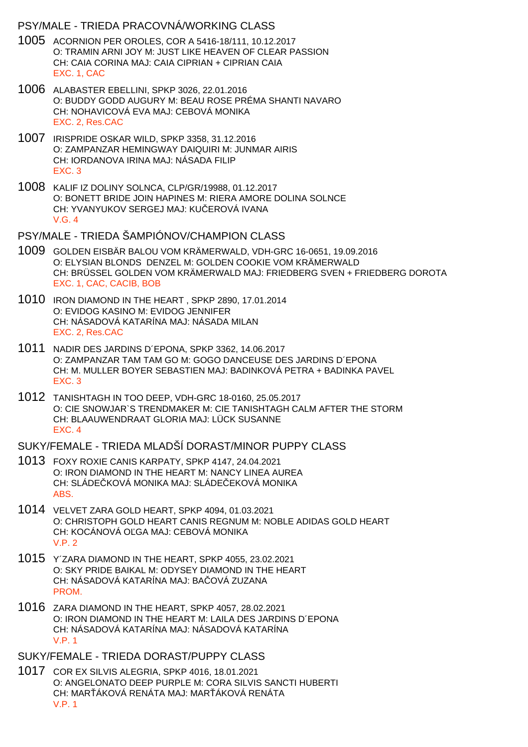### PSY/MALE - TRIEDA PRACOVNÁ/WORKING CLASS

- 1005 ACORNION PER OROLES, COR A 5416-18/111, 10.12.2017 O: TRAMIN ARNI JOY M: JUST LIKE HEAVEN OF CLEAR PASSION CH: CAIA CORINA MAJ: CAIA CIPRIAN + CIPRIAN CAIA EXC. 1, CAC
- 1006 ALABASTER EBELLINI, SPKP 3026, 22.01.2016 O: BUDDY GODD AUGURY M: BEAU ROSE PRÉMA SHANTI NAVARO CH: NOHAVICOVÁ EVA MAJ: CEBOVÁ MONIKA EXC. 2, Res.CAC
- 1007 IRISPRIDE OSKAR WILD, SPKP 3358, 31.12.2016 O: ZAMPANZAR HEMINGWAY DAIQUIRI M: JUNMAR AIRIS CH: IORDANOVA IRINA MAJ: NÁSADA FILIP EXC. 3
- 1008 KALIF IZ DOLINY SOLNCA, CLP/GR/19988, 01.12.2017 O: BONETT BRIDE JOIN HAPINES M: RIERA AMORE DOLINA SOLNCE CH: YVANYUKOV SERGEJ MAJ: KU EROVÁ IVANA  $V$  G  $A$
- PSY/MALE TRIEDA ŠAMPIÓNOV/CHAMPION CLASS
- 1009 GOLDEN EISBÄR BALOU VOM KRÄMERWALD, VDH-GRC 16-0651, 19.09.2016 O: ELYSIAN BLONDS DENZEL M: GOLDEN COOKIE VOM KRÄMERWALD CH: BRÜSSEL GOLDEN VOM KRÄMERWALD MAJ: FRIEDBERG SVEN + FRIEDBERG DOROTA EXC. 1, CAC, CACIB, BOB
- 1010 IRON DIAMOND IN THE HEART , SPKP 2890, 17.01.2014 O: EVIDOG KASINO M: EVIDOG JENNIFER CH: NÁSADOVÁ KATARÍNA MAJ: NÁSADA MILAN EXC. 2, Res.CAC
- 1011 NADIR DES JARDINS D´EPONA, SPKP 3362, 14.06.2017 O: ZAMPANZAR TAM TAM GO M: GOGO DANCEUSE DES JARDINS D´EPONA CH: M. MULLER BOYER SEBASTIEN MAJ: BADINKOVÁ PETRA + BADINKA PAVEL EXC. 3
- 1012 TANISHTAGH IN TOO DEEP, VDH-GRC 18-0160, 25.05.2017 O: CIE SNOWJAR`S TRENDMAKER M: CIE TANISHTAGH CALM AFTER THE STORM CH: BLAAUWENDRAAT GLORIA MAJ: LÜCK SUSANNE EXC. 4

## SUKY/FEMALE - TRIEDA MLADŠÍ DORAST/MINOR PUPPY CI ASS

- 1013 FOXY ROXIE CANIS KARPATY, SPKP 4147, 24.04.2021 O: IRON DIAMOND IN THE HEART M: NANCY LINEA AUREA CH: SLÁDE KOVÁ MONIKA MAJ: SLÁDE EKOVÁ MONIKA ABS.
- 1014 VELVET ZARA GOLD HEART, SPKP 4094, 01.03.2021 O: CHRISTOPH GOLD HEART CANIS REGNUM M: NOBLE ADIDAS GOLD HEART CH: KOCÁNOVÁ O GA MAJ: CEBOVÁ MONIKA V.P. 2
- 1015 Y´ZARA DIAMOND IN THE HEART, SPKP 4055, 23.02.2021 O: SKY PRIDE BAIKAL M: ODYSEY DIAMOND IN THE HEART CH: NÁSADOVÁ KATARÍNA MAJ: BA OVÁ ZUZANA PROM.
- 1016 ZARA DIAMOND IN THE HEART, SPKP 4057, 28.02.2021 O: IRON DIAMOND IN THE HEART M: LAILA DES JARDINS D´EPONA CH: NÁSADOVÁ KATARÍNA MAJ: NÁSADOVÁ KATARÍNA V.P. 1
- SUKY/FEMALE TRIEDA DORAST/PUPPY CLASS
- 1017 COR EX SILVIS ALEGRIA, SPKP 4016, 18.01.2021 O: ANGELONATO DEEP PURPLE M: CORA SILVIS SANCTI HUBERTI CH: MAR ÁKOVÁ RENÁTA MAJ: MAR ÁKOVÁ RENÁTA V.P. 1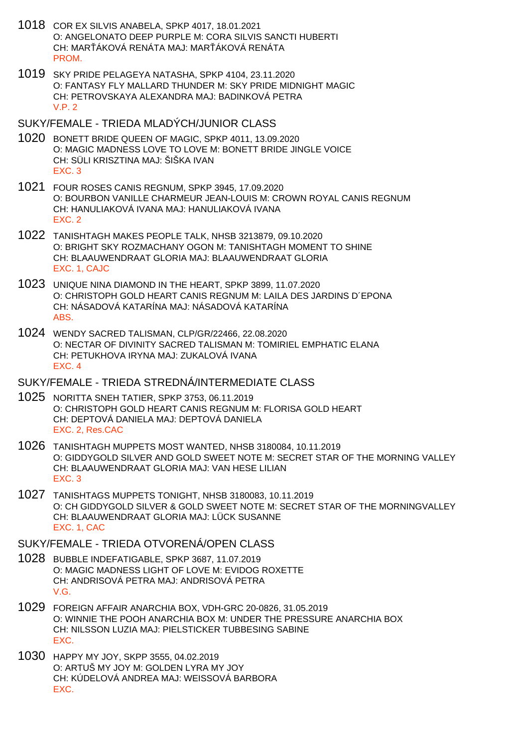- 1018 COR EX SILVIS ANABELA, SPKP 4017, 18.01.2021 O: ANGELONATO DEEP PURPLE M: CORA SILVIS SANCTI HUBERTI CH: MAR ÁKOVÁ RENÁTA MAJ: MAR ÁKOVÁ RENÁTA **PROM**
- 1019 SKY PRIDE PELAGEYA NATASHA, SPKP 4104, 23.11.2020 O: FANTASY FLY MALLARD THUNDER M: SKY PRIDE MIDNIGHT MAGIC CH: PETROVSKAYA ALEXANDRA MAJ: BADINKOVÁ PETRA V.P. 2
- SUKY/FEMALE TRIEDA MLADÝCH/JUNIOR CLASS
- 1020 BONETT BRIDE QUEEN OF MAGIC, SPKP 4011, 13.09.2020 O: MAGIC MADNESS LOVE TO LOVE M: BONETT BRIDE JINGLE VOICE CH: SÜLI KRISZTINA MAJ: ŠIŠKA IVAN EXC. 3
- 1021 FOUR ROSES CANIS REGNUM, SPKP 3945, 17.09.2020 O: BOURBON VANILLE CHARMEUR JEAN-LOUIS M: CROWN ROYAL CANIS REGNUM CH: HANULIAKOVÁ IVANA MAJ: HANULIAKOVÁ IVANA EXC. 2
- 1022 TANISHTAGH MAKES PEOPLE TALK, NHSB 3213879, 09.10.2020 O: BRIGHT SKY ROZMACHANY OGON M: TANISHTAGH MOMENT TO SHINE CH: BLAAUWENDRAAT GLORIA MAJ: BLAAUWENDRAAT GLORIA EXC. 1, CAJC
- 1023 UNIQUE NINA DIAMOND IN THE HEART, SPKP 3899, 11.07.2020 O: CHRISTOPH GOLD HEART CANIS REGNUM M: LAILA DES JARDINS D´EPONA CH: NÁSADOVÁ KATARÍNA MAJ: NÁSADOVÁ KATARÍNA ABS.
- 1024 WENDY SACRED TALISMAN, CLP/GR/22466, 22.08.2020 O: NECTAR OF DIVINITY SACRED TALISMAN M: TOMIRIEL EMPHATIC ELANA CH: PETUKHOVA IRYNA MAJ: ZUKALOVÁ IVANA EXC. 4

#### SUKY/FEMALE - TRIEDA STREDNÁ/INTERMEDIATE CLASS

- 1025 NORITTA SNEH TATIER, SPKP 3753, 06.11.2019 O: CHRISTOPH GOLD HEART CANIS REGNUM M: FLORISA GOLD HEART CH: DEPTOVÁ DANIELA MAJ: DEPTOVÁ DANIELA EXC. 2, Res.CAC
- 1026 TANISHTAGH MUPPETS MOST WANTED, NHSB 3180084, 10.11.2019 O: GIDDYGOLD SILVER AND GOLD SWEET NOTE M: SECRET STAR OF THE MORNING VALLEY CH: BLAAUWENDRAAT GLORIA MAJ: VAN HESE LILIAN EXC. 3
- 1027 TANISHTAGS MUPPETS TONIGHT, NHSB 3180083, 10.11.2019 O: CH GIDDYGOLD SILVER & GOLD SWEET NOTE M: SECRET STAR OF THE MORNINGVALLEY CH: BLAAUWENDRAAT GLORIA MAJ: LÜCK SUSANNE EXC. 1, CAC

#### SUKY/FEMALE - TRIEDA OTVORENÁ/OPEN CLASS

- 1028 BUBBLE INDEFATIGABLE, SPKP 3687, 11.07.2019 O: MAGIC MADNESS LIGHT OF LOVE M: EVIDOG ROXETTE CH: ANDRISOVÁ PETRA MAJ: ANDRISOVÁ PETRA V.G.
- 1029 FOREIGN AFFAIR ANARCHIA BOX, VDH-GRC 20-0826, 31.05.2019 O: WINNIE THE POOH ANARCHIA BOX M: UNDER THE PRESSURE ANARCHIA BOX CH: NILSSON LUZIA MAJ: PIELSTICKER TUBBESING SABINE EXC.
- 1030 HAPPY MY JOY, SKPP 3555, 04.02.2019 O: ARTUŠ MY JOY M: GOLDEN LYRA MY JOY CH: KÚDELOVÁ ANDREA MAJ: WEISSOVÁ BARBORA EXC.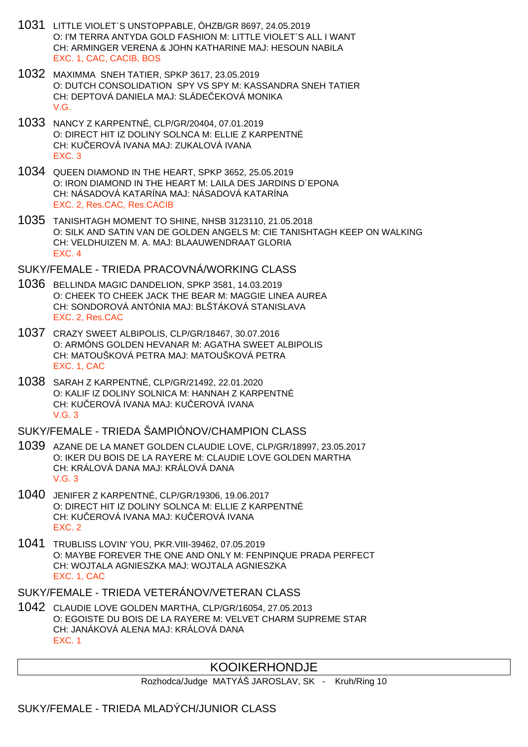- 1031 LITTLE VIOLET`S UNSTOPPABLE, ÖHZB/GR 8697, 24.05.2019 O: I'M TERRA ANTYDA GOLD FASHION M: LITTLE VIOLET`S ALL I WANT CH: ARMINGER VERENA & JOHN KATHARINE MAJ: HESOUN NABILA EXC. 1, CAC, CACIB, BOS
- 1032 MAXIMMA SNEH TATIER, SPKP 3617, 23.05.2019 O: DUTCH CONSOLIDATION SPY VS SPY M: KASSANDRA SNEH TATIER CH: DEPTOVÁ DANIELA MAJ: SLÁDE EKOVÁ MONIKA V.G.
- 1033 NANCY Z KARPENTNÉ, CLP/GR/20404, 07.01.2019 O: DIRECT HIT IZ DOLINY SOLNCA M: ELLIE Z KARPENTNÉ CH: KU EROVÁ IVANA MAJ: ZUKALOVÁ IVANA EXC. 3
- 1034 QUEEN DIAMOND IN THE HEART, SPKP 3652, 25.05.2019 O: IRON DIAMOND IN THE HEART M: LAILA DES JARDINS D´EPONA CH: NÁSADOVÁ KATARÍNA MAJ: NÁSADOVÁ KATARÍNA EXC. 2, Res.CAC, Res.CACIB
- 1035 TANISHTAGH MOMENT TO SHINE, NHSB 3123110, 21.05.2018 O: SILK AND SATIN VAN DE GOLDEN ANGELS M: CIE TANISHTAGH KEEP ON WALKING CH: VELDHUIZEN M. A. MAJ: BLAAUWENDRAAT GLORIA EXC. 4

SUKY/FEMALE - TRIEDA PRACOVNÁ/WORKING CLASS

- 1036 BELLINDA MAGIC DANDELION, SPKP 3581, 14.03.2019 O: CHEEK TO CHEEK JACK THE BEAR M: MAGGIE LINEA AUREA CH: SONDOROVÁ ANTÓNIA MAJ: BLŠTÁKOVÁ STANISLAVA EXC. 2, Res.CAC
- 1037 CRAZY SWEET ALBIPOLIS, CLP/GR/18467, 30.07.2016 O: ARMÓNS GOLDEN HEVANAR M: AGATHA SWEET ALBIPOLIS CH: MATOUŠKOVÁ PETRA MAJ: MATOUŠKOVÁ PETRA EXC. 1, CAC
- 1038 SARAH Z KARPENTNÉ, CLP/GR/21492, 22.01.2020 O: KALIF IZ DOLINY SOLNICA M: HANNAH Z KARPENTNÉ CH: KU EROVÁ IVANA MAJ: KU EROVÁ IVANA V.G. 3

SUKY/FEMALE - TRIEDA ŠAMPIÓNOV/CHAMPION CLASS

- 1039 AZANE DE LA MANET GOLDEN CLAUDIE LOVE, CLP/GR/18997, 23.05.2017 O: IKER DU BOIS DE LA RAYERE M: CLAUDIE LOVE GOLDEN MARTHA CH: KRÁLOVÁ DANA MAJ: KRÁLOVÁ DANA V.G. 3
- 1040 JENIFER Z KARPENTNÉ, CLP/GR/19306, 19.06.2017 O: DIRECT HIT IZ DOLINY SOLNCA M: ELLIE Z KARPENTNÉ CH: KU EROVÁ IVANA MAJ: KU EROVÁ IVANA EXC. 2
- 1041 TRUBLISS LOVIN' YOU, PKR.VIII-39462, 07.05.2019 O: MAYBE FOREVER THE ONE AND ONLY M: FENPINQUE PRADA PERFECT CH: WOJTALA AGNIESZKA MAJ: WOJTALA AGNIESZKA EXC. 1, CAC

SUKY/FEMALE - TRIEDA VETERÁNOV/VETERAN CLASS

1042 CLAUDIE LOVE GOLDEN MARTHA, CLP/GR/16054, 27.05.2013 O: EGOISTE DU BOIS DE LA RAYERE M: VELVET CHARM SUPREME STAR CH: JANÁKOVÁ ALENA MAJ: KRÁLOVÁ DANA EXC. 1

## KOOIKERHONDJE

Rozhodca/Judge MATYÁŠ JAROSLAV, SK - Kruh/Ring 10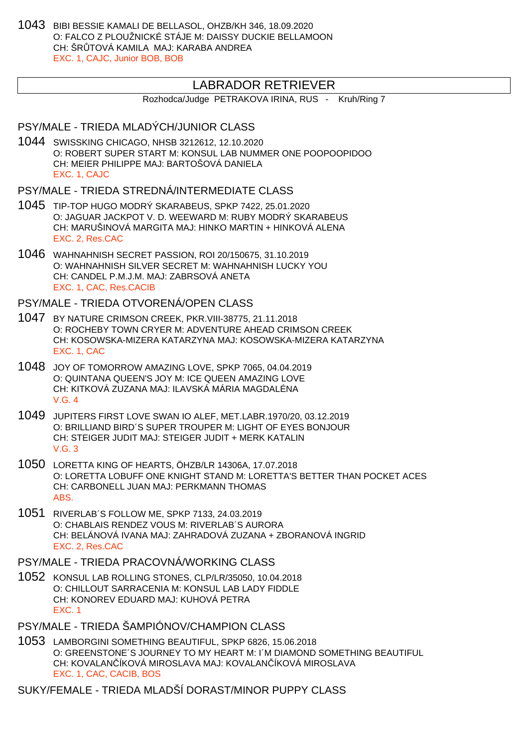1043 BIBI BESSIE KAMALI DE BELLASOL, OHZB/KH 346, 18.09.2020 O: FALCO Z PLOUŽNICKÉ STÁJE M: DAISSY DUCKIE BELLAMOON CH: ŠR TOVÁ KAMILA MAJ: KARABA ANDREA EXC. 1, CAJC, Junior BOB, BOB

## LABRADOR RETRIEVER

Rozhodca/Judge PETRAKOVA IRINA, RUS - Kruh/Ring 7

## PSY/MALE - TRIEDA MLADÝCH/JUNIOR CLASS

1044 SWISSKING CHICAGO, NHSB 3212612, 12.10.2020 O: ROBERT SUPER START M: KONSUL LAB NUMMER ONE POOPOOPIDOO CH: MEIER PHILIPPE MAJ: BARTOŠOVÁ DANIELA EXC. 1, CAJC

#### PSY/MALE - TRIEDA STREDNÁ/INTERMEDIATE CLASS

- 1045 TIP-TOP HUGO MODRÝ SKARABEUS, SPKP 7422, 25.01.2020 O: JAGUAR JACKPOT V. D. WEEWARD M: RUBY MODRÝ SKARABEUS CH: MARUŠINOVÁ MARGITA MAJ: HINKO MARTIN + HINKOVÁ ALENA EXC. 2, Res.CAC
- 1046 WAHNAHNISH SECRET PASSION, ROI 20/150675, 31.10.2019 O: WAHNAHNISH SILVER SECRET M: WAHNAHNISH LUCKY YOU CH: CANDEL P.M.J.M. MAJ: ZABRSOVÁ ANETA EXC. 1, CAC, Res.CACIB

## PSY/MALE - TRIEDA OTVORENÁ/OPEN CLASS

- 1047 BY NATURE CRIMSON CREEK, PKR.VIII-38775, 21.11.2018 O: ROCHEBY TOWN CRYER M: ADVENTURE AHEAD CRIMSON CREEK CH: KOSOWSKA-MIZERA KATARZYNA MAJ: KOSOWSKA-MIZERA KATARZYNA EXC. 1, CAC
- 1048 JOY OF TOMORROW AMAZING LOVE, SPKP 7065, 04.04.2019 O: QUINTANA QUEEN'S JOY M: ICE QUEEN AMAZING LOVE CH: KITKOVÁ ZUZANA MAJ: ILAVSKÁ MÁRIA MAGDALÉNA V.G. 4
- 1049 JUPITERS FIRST LOVE SWAN IO ALEF, MET.LABR.1970/20, 03.12.2019 O: BRILLIAND BIRD´S SUPER TROUPER M: LIGHT OF EYES BONJOUR CH: STEIGER JUDIT MAJ: STEIGER JUDIT + MERK KATALIN V.G. 3
- 1050 LORETTA KING OF HEARTS, ÖHZB/LR 14306A, 17.07.2018 O: LORETTA LOBUFF ONE KNIGHT STAND M: LORETTA'S BETTER THAN POCKET ACES CH: CARBONELL JUAN MAJ: PERKMANN THOMAS ABS.
- 1051 RIVERLAB´S FOLLOW ME, SPKP 7133, 24.03.2019 O: CHABLAIS RENDEZ VOUS M: RIVERLAB´S AURORA CH: BELÁNOVÁ IVANA MAJ: ZAHRADOVÁ ZUZANA + ZBORANOVÁ INGRID EXC. 2, Res.CAC
- PSY/MALE TRIEDA PRACOVNÁ/WORKING CLASS
- 1052 KONSUL LAB ROLLING STONES, CLP/LR/35050, 10.04.2018 O: CHILLOUT SARRACENIA M: KONSUL LAB LADY FIDDLE CH: KONOREV EDUARD MAJ: KUHOVÁ PETRA EXC. 1
- PSY/MALE TRIEDA ŠAMPIÓNOV/CHAMPION CLASS
- 1053 LAMBORGINI SOMETHING BEAUTIFUL, SPKP 6826, 15.06.2018 O: GREENSTONE´S JOURNEY TO MY HEART M: I´M DIAMOND SOMETHING BEAUTIFUL CH: KOVALAN ÍKOVÁ MIROSLAVA MAJ: KOVALAN ÍKOVÁ MIROSLAVA EXC. 1, CAC, CACIB, BOS

SUKY/FEMALE - TRIEDA MLADŠÍ DORAST/MINOR PUPPY CLASS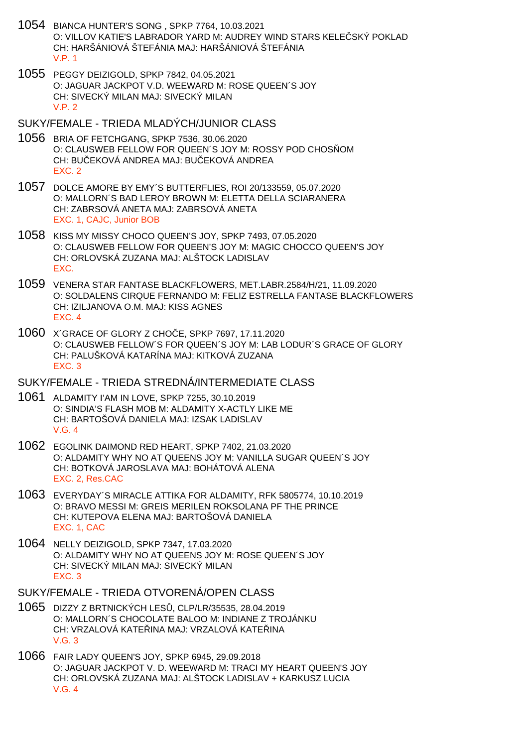- 1054 BIANCA HUNTER'S SONG , SPKP 7764, 10.03.2021 O: VILLOV KATIE'S LABRADOR YARD M: AUDREY WIND STARS KELE SKÝ POKLAD CH: HARŠÁNIOVÁ ŠTEFÁNIA MAJ: HARŠÁNIOVÁ ŠTEFÁNIA V.P. 1
- 1055 PEGGY DEIZIGOLD, SPKP 7842, 04.05.2021 O: JAGUAR JACKPOT V.D. WEEWARD M: ROSE QUEEN´S JOY CH: SIVECKÝ MILAN MAJ: SIVECKÝ MILAN  $V.P. 2$
- SUKY/FEMALE TRIEDA MLADÝCH/JUNIOR CLASS
- 1056 BRIA OF FETCHGANG, SPKP 7536, 30.06.2020 O: CLAUSWEB FELLOW FOR QUEEN'S JOY M: ROSSY POD CHOS OM CH: BU EKOVÁ ANDREA MAJ: BU EKOVÁ ANDREA EXC. 2
- 1057 DOLCE AMORE BY EMY´S BUTTERFLIES, ROI 20/133559, 05.07.2020 O: MALLORN´S BAD LEROY BROWN M: ELETTA DELLA SCIARANERA CH: ZABRSOVÁ ANETA MAJ: ZABRSOVÁ ANETA EXC. 1, CAJC, Junior BOB
- 1058 KISS MY MISSY CHOCO QUEEN'S JOY, SPKP 7493, 07.05.2020 O: CLAUSWEB FELLOW FOR QUEEN'S JOY M: MAGIC CHOCCO QUEEN'S JOY CH: ORLOVSKÁ ZUZANA MAJ: ALŠTOCK LADISLAV EXC.
- 1059 VENERA STAR FANTASE BLACKFLOWERS, MET.LABR.2584/H/21, 11.09.2020 O: SOLDALENS CIRQUE FERNANDO M: FELIZ ESTRELLA FANTASE BLACKFLOWERS CH: IZILJANOVA O.M. MAJ: KISS AGNES EXC. 4
- 1060 X´GRACE OF GLORY Z CHOČE, SPKP 7697, 17.11.2020 O: CLAUSWEB FELLOW´S FOR QUEEN´S JOY M: LAB LODUR´S GRACE OF GLORY CH: PALUŠKOVÁ KATARÍNA MAJ: KITKOVÁ ZUZANA EXC. 3
- SUKY/FEMALE TRIEDA STREDNÁ/INTERMEDIATE CLASS
- 1061 ALDAMITY I'AM IN LOVE, SPKP 7255, 30.10.2019 O: SINDIA'S FLASH MOB M: ALDAMITY X-ACTLY LIKE ME CH: BARTOŠOVÁ DANIELA MAJ: IZSAK LADISLAV V.G. 4
- 1062 EGOLINK DAIMOND RED HEART, SPKP 7402, 21.03.2020 O: ALDAMITY WHY NO AT QUEENS JOY M: VANILLA SUGAR QUEEN´S JOY CH: BOTKOVÁ JAROSLAVA MAJ: BOHÁTOVÁ ALENA EXC. 2, Res.CAC
- 1063 EVERYDAY´S MIRACLE ATTIKA FOR ALDAMITY, RFK 5805774, 10.10.2019 O: BRAVO MESSI M: GREIS MERILEN ROKSOLANA PF THE PRINCE CH: KUTEPOVA ELENA MAJ: BARTOŠOVÁ DANIELA EXC. 1, CAC
- 1064 NELLY DEIZIGOLD, SPKP 7347, 17.03.2020 O: ALDAMITY WHY NO AT QUEENS JOY M: ROSE QUEEN´S JOY CH: SIVECKÝ MILAN MAJ: SIVECKÝ MILAN EXC. 3
- SUKY/FEMALE TRIEDA OTVORENÁ/OPEN CLASS
- 1065 DIZZY Z BRTNICKÝCH LESŮ, CLP/LR/35535, 28.04.2019 O: MALLORN´S CHOCOLATE BALOO M: INDIANE Z TROJÁNKU CH: VRZALOVÁ KATEŘINA MAJ: VRZALOVÁ KATEŘINA V.G. 3
- 1066 FAIR LADY QUEEN'S JOY, SPKP 6945, 29.09.2018 O: JAGUAR JACKPOT V. D. WEEWARD M: TRACI MY HEART QUEEN'S JOY CH: ORLOVSKÁ ZUZANA MAJ: ALŠTOCK LADISLAV + KARKUSZ LUCIA V.G. 4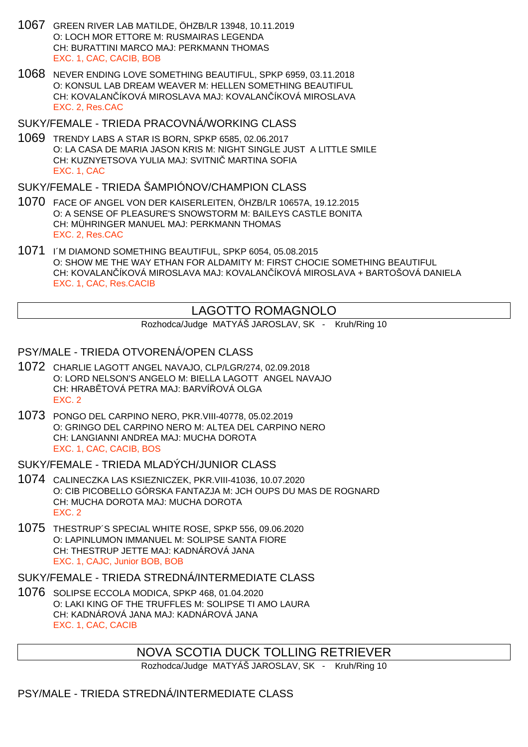- 1067 GREEN RIVER LAB MATILDE, ÖHZB/LR 13948, 10.11.2019 O: LOCH MOR ETTORE M: RUSMAIRAS LEGENDA CH: BURATTINI MARCO MAJ: PERKMANN THOMAS EXC. 1, CAC, CACIB, BOB
- 1068 NEVER ENDING LOVE SOMETHING BEAUTIFUL, SPKP 6959, 03.11.2018 O: KONSUL LAB DREAM WEAVER M: HELLEN SOMETHING BEAUTIFUL CH: KOVALAN, ÍKOVÁ MIROSLAVA MAJ: KOVALAN, ÍKOVÁ MIROSLAVA EXC. 2, Res.CAC

SUKY/FEMALE - TRIEDA PRACOVNÁ/WORKING CLASS

1069 TRENDY LABS A STAR IS BORN, SPKP 6585, 02.06.2017 O: LA CASA DE MARIA JASON KRIS M: NIGHT SINGLE JUST A LITTLE SMILE CH: KUZNYETSOVA YULIA MAJ: SVITNI MARTINA SOFIA EXC. 1, CAC

SUKY/FEMALE - TRIEDA ŠAMPIÓNOV/CHAMPION CLASS

- 1070 FACE OF ANGEL VON DER KAISERLEITEN, ÖHZB/LR 10657A, 19.12.2015 O: A SENSE OF PLEASURE'S SNOWSTORM M: BAILEYS CASTLE BONITA CH: MÜHRINGER MANUEL MAJ: PERKMANN THOMAS EXC. 2, Res.CAC
- 1071 I´M DIAMOND SOMETHING BEAUTIFUL, SPKP 6054, 05.08.2015 O: SHOW ME THE WAY ETHAN FOR ALDAMITY M: FIRST CHOCIE SOMETHING BEAUTIFUL CH: KOVALAN ÍKOVÁ MIROSLAVA MAJ: KOVALAN ÍKOVÁ MIROSLAVA + BARTOŠOVÁ DANIELA EXC. 1, CAC, Res.CACIB

## LAGOTTO ROMAGNOLO

Rozhodca/Judge MATYÁŠ JAROSLAV, SK - Kruh/Ring 10

## PSY/MALE - TRIEDA OTVORENÁ/OPEN CLASS

- 1072 CHARLIE LAGOTT ANGEL NAVAJO, CLP/LGR/274, 02.09.2018 O: LORD NELSON'S ANGELO M: BIELLA LAGOTT ANGEL NAVAJO CH: HRAB TOVÁ PETRA MAJ: BARVÍ OVÁ OLGA EXC. 2
- 1073 PONGO DEL CARPINO NERO, PKR.VIII-40778, 05.02.2019 O: GRINGO DEL CARPINO NERO M: ALTEA DEL CARPINO NERO CH: LANGIANNI ANDREA MAJ: MUCHA DOROTA EXC. 1, CAC, CACIB, BOS

SUKY/FEMALE - TRIEDA MLADÝCH/JUNIOR CLASS

- 1074 CALINECZKA LAS KSIEZNICZEK, PKR.VIII-41036, 10.07.2020 O: CIB PICOBELLO GÓRSKA FANTAZJA M: JCH OUPS DU MAS DE ROGNARD CH: MUCHA DOROTA MAJ: MUCHA DOROTA EXC. 2
- 1075 THESTRUP´S SPECIAL WHITE ROSE, SPKP 556, 09.06.2020 O: LAPINLUMON IMMANUEL M: SOLIPSE SANTA FIORE CH: THESTRUP JETTE MAJ: KADNÁROVÁ JANA EXC. 1, CAJC, Junior BOB, BOB

SUKY/FEMALE - TRIEDA STREDNÁ/INTERMEDIATE CLASS

1076 SOLIPSE ECCOLA MODICA, SPKP 468, 01.04.2020 O: LAKI KING OF THE TRUFFLES M: SOLIPSE TI AMO LAURA CH: KADNÁROVÁ JANA MAJ: KADNÁROVÁ JANA EXC. 1, CAC, CACIB

## NOVA SCOTIA DUCK TOLLING RETRIEVER

Rozhodca/Judge MATYÁŠ JAROSLAV, SK - Kruh/Ring 10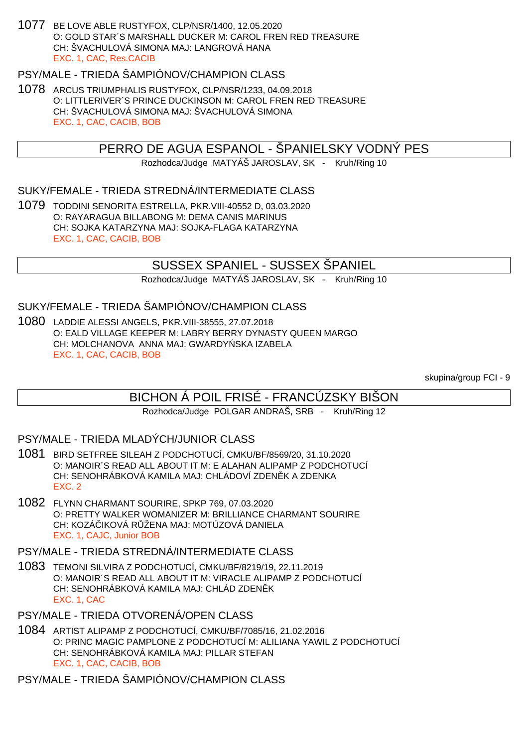1077 BE LOVE ABLE RUSTYFOX, CLP/NSR/1400, 12.05.2020 O: GOLD STAR´S MARSHALL DUCKER M: CAROL FREN RED TREASURE CH: ŠVACHULOVÁ SIMONA MAJ: LANGROVÁ HANA EXC. 1, CAC, Res.CACIB

## PSY/MALE - TRIEDA ŠAMPIÓNOV/CHAMPION CLASS

1078 ARCUS TRIUMPHALIS RUSTYFOX, CLP/NSR/1233, 04.09.2018 O: LITTLERIVER´S PRINCE DUCKINSON M: CAROL FREN RED TREASURE CH: ŠVACHULOVÁ SIMONA MAJ: ŠVACHULOVÁ SIMONA EXC. 1, CAC, CACIB, BOB

## PERRO DE AGUA ESPANOL - ŠPANIELSKY VODNÝ PES

Rozhodca/Judge MATYÁŠ JAROSLAV, SK - Kruh/Ring 10

### SUKY/FEMALE - TRIEDA STREDNÁ/INTERMEDIATE CLASS

1079 TODDINI SENORITA ESTRELLA, PKR.VIII-40552 D, 03.03.2020 O: RAYARAGUA BILLABONG M: DEMA CANIS MARINUS CH: SOJKA KATARZYNA MAJ: SOJKA-FLAGA KATARZYNA EXC. 1, CAC, CACIB, BOB

## SUSSEX SPANIEL - SUSSEX ŠPANIEL

Rozhodca/Judge MATYÁŠ JAROSLAV, SK - Kruh/Ring 10

SUKY/FEMALE - TRIEDA ŠAMPIÓNOV/CHAMPION CLASS

1080 LADDIE ALESSI ANGELS, PKR.VIII-38555, 27.07.2018 O: EALD VILLAGE KEEPER M: LABRY BERRY DYNASTY QUEEN MARGO CH: MOLCHANOVA ANNA MAJ: GWARDY SKA IZABELA EXC. 1, CAC, CACIB, BOB

skupina/group FCI - 9

## BICHON Á POIL FRISÉ - FRANCÚZSKY BIŠON

Rozhodca/Judge POLGAR ANDRAŠ, SRB - Kruh/Ring 12

#### PSY/MALE - TRIEDA MLADÝCH/JUNIOR CLASS

- 1081 BIRD SETFREE SILEAH Z PODCHOTUCÍ, CMKU/BF/8569/20, 31.10.2020 O: MANOIR´S READ ALL ABOUT IT M: E ALAHAN ALIPAMP Z PODCHOTUCÍ CH: SENOHRÁBKOVÁ KAMILA MAJ: CHLÁDOVÍ ZDEN K A ZDENKA EXC. 2
- 1082 FLYNN CHARMANT SOURIRE, SPKP 769, 07.03.2020 O: PRETTY WALKER WOMANIZER M: BRILLIANCE CHARMANT SOURIRE CH: KOZÁ IKOVÁ R ŽENA MAJ: MOTÚZOVÁ DANIELA EXC. 1, CAJC, Junior BOB

PSY/MALE - TRIEDA STREDNÁ/INTERMEDIATE CLASS

1083 TEMONI SILVIRA Z PODCHOTUCÍ, CMKU/BF/8219/19, 22.11.2019 O: MANOIR´S READ ALL ABOUT IT M: VIRACLE ALIPAMP Z PODCHOTUCÍ CH: SENOHRÁBKOVÁ KAMILA MAJ: CHLÁD ZDEN K EXC. 1, CAC

PSY/MALE - TRIEDA OTVORENÁ/OPEN CLASS

1084 ARTIST ALIPAMP Z PODCHOTUCÍ, CMKU/BF/7085/16, 21.02.2016 O: PRINC MAGIC PAMPLONE Z PODCHOTUCÍ M: ALILIANA YAWIL Z PODCHOTUCÍ CH: SENOHRÁBKOVÁ KAMILA MAJ: PILLAR STEFAN EXC. 1, CAC, CACIB, BOB

PSY/MALE - TRIEDA ŠAMPIÓNOV/CHAMPION CLASS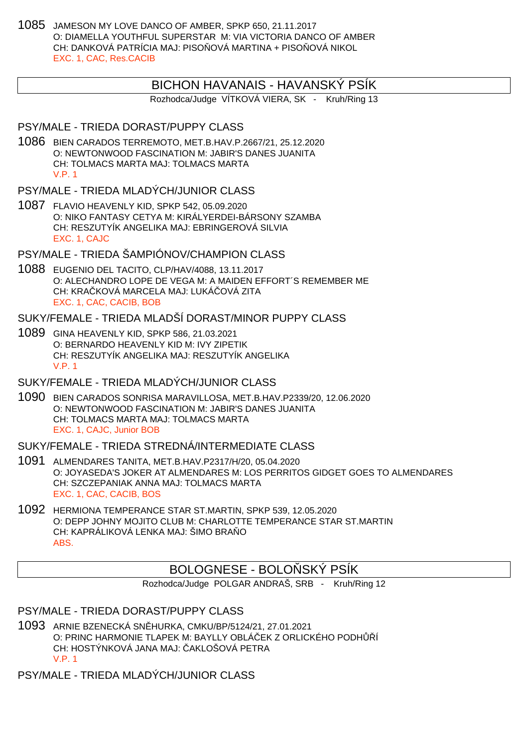1085 JAMESON MY LOVE DANCO OF AMBER, SPKP 650, 21.11.2017 O: DIAMELLA YOUTHFUL SUPERSTAR M: VIA VICTORIA DANCO OF AMBER CH: DANKOVÁ PATRÍCIA MAJ: PISO OVÁ MARTINA + PISO OVÁ NIKOL EXC. 1, CAC, Res.CACIB

#### BICHON HAVANAIS - HAVANSKÝ PSÍK

Rozhodca/Judge VÍTKOVÁ VIERA, SK - Kruh/Ring 13

#### PSY/MALE - TRIEDA DORAST/PUPPY CLASS

1086 BIEN CARADOS TERREMOTO, MET.B.HAV.P.2667/21, 25.12.2020 O: NEWTONWOOD FASCINATION M: JABIR'S DANES JUANITA CH: TOLMACS MARTA MAJ: TOLMACS MARTA V.P. 1

#### PSY/MALE - TRIEDA MLADÝCH/JUNIOR CLASS

1087 FLAVIO HEAVENLY KID, SPKP 542, 05.09.2020 O: NIKO FANTASY CETYA M: KIRÁLYERDEI-BÁRSONY SZAMBA CH: RESZUTYÍK ANGELIKA MAJ: EBRINGEROVÁ SILVIA EXC. 1, CAJC

PSY/MALE - TRIEDA ŠAMPIÓNOV/CHAMPION CLASS

1088 EUGENIO DEL TACITO, CLP/HAV/4088, 13.11.2017 O: ALECHANDRO LOPE DE VEGA M: A MAIDEN EFFORT´S REMEMBER ME CH: KRAL KOVÁ MARCELA MAJ: LUKÁ LOVÁ ZITA EXC. 1, CAC, CACIB, BOB

## SUKY/FEMALE - TRIEDA MLADŠÍ DORAST/MINOR PUPPY CI ASS

1089 GINA HEAVENLY KID, SPKP 586, 21.03.2021 O: BERNARDO HEAVENLY KID M: IVY ZIPETIK CH: RESZUTYÍK ANGELIKA MAJ: RESZUTYÍK ANGELIKA V.P. 1

#### SUKY/FEMALE - TRIEDA MLADÝCH/JUNIOR CLASS

1090 BIEN CARADOS SONRISA MARAVILLOSA, MET.B.HAV.P2339/20, 12.06.2020 O: NEWTONWOOD FASCINATION M: JABIR'S DANES JUANITA CH: TOLMACS MARTA MAJ: TOLMACS MARTA EXC. 1, CAJC, Junior BOB

#### SUKY/FEMALE - TRIEDA STREDNÁ/INTERMEDIATE CLASS

- 1091 ALMENDARES TANITA, MET.B.HAV.P2317/H/20, 05.04.2020 O: JOYASEDA'S JOKER AT ALMENDARES M: LOS PERRITOS GIDGET GOES TO ALMENDARES CH: SZCZEPANIAK ANNA MAJ: TOLMACS MARTA EXC. 1, CAC, CACIB, BOS
- 1092 HERMIONA TEMPERANCE STAR ST.MARTIN, SPKP 539, 12.05.2020 O: DEPP JOHNY MOJITO CLUB M: CHARLOTTE TEMPERANCE STAR ST.MARTIN CH: KAPRÁLIKOVÁ LENKA MAJ: ŠIMO BRA ABS.

### BOLOGNESE - BOLO SKÝ PSÍK

Rozhodca/Judge POLGAR ANDRAŠ, SRB - Kruh/Ring 12

PSY/MALE - TRIEDA DORAST/PUPPY CLASS

1093 ARNIE BZENECKÁ SNĚHURKA, CMKU/BP/5124/21, 27.01.2021 O: PRINC HARMONIE TLAPEK M: BAYLLY OBLÁ EK Z ORLICKÉHO PODHÓ CH: HOSTÝNKOVÁ JANA MAJ: AKLOŠOVÁ PETRA V.P. 1

PSY/MALE - TRIEDA MLADÝCH/JUNIOR CLASS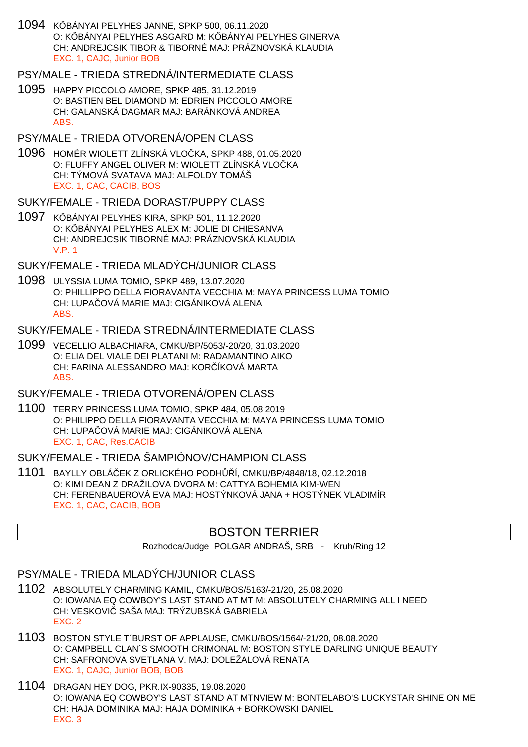1094 K BÁNYAI PELYHES JANNE, SPKP 500, 06.11.2020 O: KÖBÁNYAI PELYHES ASGARD M: KÖBÁNYAI PELYHES GINERVA CH: ANDREJCSIK TIBOR & TIBORNÉ MAJ: PRÁZNOVSKÁ KLAUDIA EXC. 1, CAJC, Junior BOB

#### PSY/MALE - TRIEDA STREDNÁ/INTERMEDIATE CLASS

1095 HAPPY PICCOLO AMORE, SPKP 485, 31.12.2019 O: BASTIEN BEL DIAMOND M: EDRIEN PICCOLO AMORE CH: GALANSKÁ DAGMAR MAJ: BARÁNKOVÁ ANDREA ABS.

#### PSY/MALE - TRIEDA OTVORENÁ/OPEN CLASS

1096 HOMÉR WIOLETT ZLÍNSKÁ VLOČKA, SPKP 488, 01.05.2020 O: FLUFFY ANGEL OLIVER M: WIOLETT ZLÍNSKÁ VLOČKA CH: TÝMOVÁ SVATAVA MAJ: ALFOLDY TOMÁŠ EXC. 1, CAC, CACIB, BOS

#### SUKY/FEMALE - TRIEDA DORAST/PUPPY CLASS

1097 K BÁNYAI PELYHES KIRA, SPKP 501, 11.12.2020 O: KÕBÁNYAI PELYHES ALEX M: JOLIE DI CHIESANVA CH: ANDREJCSIK TIBORNÉ MAJ: PRÁZNOVSKÁ KLAUDIA V.P. 1

#### SUKY/FEMALE - TRIEDA MLADÝCH/JUNIOR CLASS

1098 ULYSSIA LUMA TOMIO, SPKP 489, 13.07.2020 O: PHILLIPPO DELLA FIORAVANTA VECCHIA M: MAYA PRINCESS LUMA TOMIO CH: LUPA OVÁ MARIE MAJ: CIGÁNIKOVÁ ALENA ABS.

#### SUKY/FEMALE - TRIEDA STREDNÁ/INTERMEDIATE CLASS

1099 VECELLIO ALBACHIARA, CMKU/BP/5053/-20/20, 31.03.2020 O: ELIA DEL VIALE DEI PLATANI M: RADAMANTINO AIKO CH: FARINA ALESSANDRO MAJ: KOR ÍKOVÁ MARTA ABS.

### SUKY/FEMALE - TRIEDA OTVORENÁ/OPEN CLASS

1100 TERRY PRINCESS LUMA TOMIO, SPKP 484, 05.08.2019 O: PHILIPPO DELLA FIORAVANTA VECCHIA M: MAYA PRINCESS LUMA TOMIO CH: LUPA OVÁ MARIE MAJ: CIGÁNIKOVÁ ALENA EXC. 1, CAC, Res.CACIB

#### SUKY/FEMALE - TRIEDA ŠAMPIÓNOV/CHAMPION CLASS

1101 BAYLLY OBLÁČEK Z ORLICKÉHO PODHŮŘÍ, CMKU/BP/4848/18, 02.12.2018 O: KIMI DEAN Z DRAŽILOVA DVORA M: CATTYA BOHEMIA KIM-WEN CH: FERENBAUEROVÁ EVA MAJ: HOSTÝNKOVÁ JANA + HOSTÝNEK VLADIMÍR EXC. 1, CAC, CACIB, BOB

# BOSTON TERRIER

Rozhodca/Judge POLGAR ANDRAŠ, SRB - Kruh/Ring 12

### PSY/MALE - TRIEDA MLADÝCH/JUNIOR CLASS

- 1102 ABSOLUTELY CHARMING KAMIL, CMKU/BOS/5163/-21/20, 25.08.2020 O: IOWANA EQ COWBOY'S LAST STAND AT MT M: ABSOLUTELY CHARMING ALL I NEED CH: VESKOVI SAŠA MAJ: TRÝZUBSKÁ GABRIELA EXC. 2
- 1103 BOSTON STYLE T´BURST OF APPLAUSE, CMKU/BOS/1564/-21/20, 08.08.2020 O: CAMPBELL CLAN´S SMOOTH CRIMONAL M: BOSTON STYLE DARLING UNIQUE BEAUTY CH: SAFRONOVA SVETLANA V. MAJ: DOLEŽALOVÁ RENATA EXC. 1, CAJC, Junior BOB, BOB
- 1104 DRAGAN HEY DOG, PKR.IX-90335, 19.08.2020 O: IOWANA EQ COWBOY'S LAST STAND AT MTNVIEW M: BONTELABO'S LUCKYSTAR SHINE ON ME CH: HAJA DOMINIKA MAJ: HAJA DOMINIKA + BORKOWSKI DANIEL EXC. 3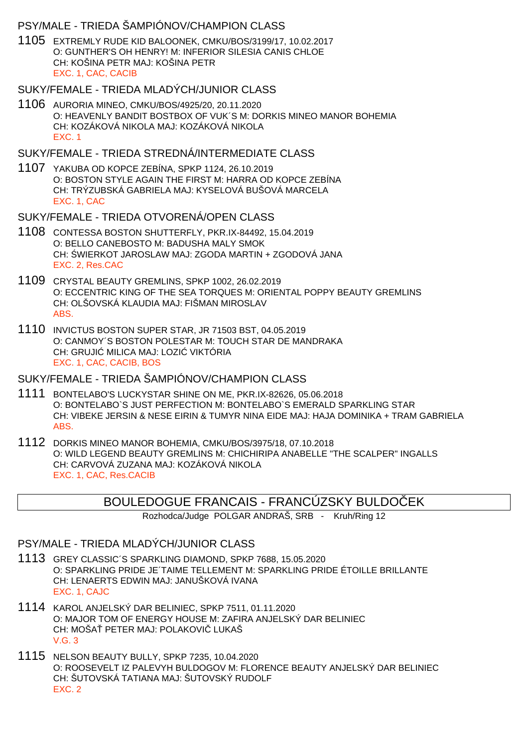### PSY/MALE - TRIEDA ŠAMPIÓNOV/CHAMPION CLASS

1105 EXTREMLY RUDE KID BALOONEK, CMKU/BOS/3199/17, 10.02.2017 O: GUNTHER'S OH HENRY! M: INFERIOR SILESIA CANIS CHLOE CH: KOŠINA PETR MAJ: KOŠINA PETR EXC. 1, CAC, CACIB

#### SUKY/FEMALE - TRIEDA MLADÝCH/JUNIOR CLASS

1106 AURORIA MINEO, CMKU/BOS/4925/20, 20.11.2020 O: HEAVENLY BANDIT BOSTBOX OF VUK´S M: DORKIS MINEO MANOR BOHEMIA CH: KOZÁKOVÁ NIKOLA MAJ: KOZÁKOVÁ NIKOLA EXC. 1

#### SUKY/FEMALE - TRIEDA STREDNÁ/INTERMEDIATE CI ASS

1107 YAKUBA OD KOPCE ZEBÍNA, SPKP 1124, 26.10.2019 O: BOSTON STYLE AGAIN THE FIRST M: HARRA OD KOPCE ZEBÍNA CH: TRÝZUBSKÁ GABRIELA MAJ: KYSELOVÁ BUŠOVÁ MARCELA EXC. 1, CAC

#### SUKY/FEMALE - TRIEDA OTVORENÁ/OPEN CLASS

- 1108 CONTESSA BOSTON SHUTTERFLY, PKR.IX-84492, 15.04.2019 O: BELLO CANEBOSTO M: BADUSHA MALY SMOK CH: WIERKOT JAROSLAW MAJ: ZGODA MARTIN + ZGODOVÁ JANA EXC. 2, Res.CAC
- 1109 CRYSTAL BEAUTY GREMLINS, SPKP 1002, 26.02.2019 O: ECCENTRIC KING OF THE SEA TORQUES M: ORIENTAL POPPY BEAUTY GREMLINS CH: OLŠOVSKÁ KLAUDIA MAJ: FIŠMAN MIROSLAV ABS.
- 1110 INVICTUS BOSTON SUPER STAR, JR 71503 BST, 04.05.2019 O: CANMOY´S BOSTON POLESTAR M: TOUCH STAR DE MANDRAKA CH: GRUJI MILICA MAJ: LOZI VIKTÓRIA EXC. 1, CAC, CACIB, BOS

#### SUKY/FEMALE - TRIEDA ŠAMPIÓNOV/CHAMPION CLASS

- 1111 BONTELABO'S LUCKYSTAR SHINE ON ME, PKR.IX-82626, 05.06.2018 O: BONTELABO`S JUST PERFECTION M: BONTELABO`S EMERALD SPARKLING STAR CH: VIBEKE JERSIN & NESE EIRIN & TUMYR NINA EIDE MAJ: HAJA DOMINIKA + TRAM GABRIELA ABS.
- 1112 DORKIS MINEO MANOR BOHEMIA, CMKU/BOS/3975/18, 07.10.2018 O: WILD LEGEND BEAUTY GREMLINS M: CHICHIRIPA ANABELLE "THE SCALPER" INGALLS CH: CARVOVÁ ZUZANA MAJ: KOZÁKOVÁ NIKOLA EXC. 1, CAC, Res.CACIB

### BOULEDOGUE FRANCAIS - FRANCÚZSKY BULDOČEK

Rozhodca/Judge POLGAR ANDRAŠ, SRB - Kruh/Ring 12

#### PSY/MALE - TRIEDA MLADÝCH/JUNIOR CLASS

- 1113 GREY CLASSIC´S SPARKLING DIAMOND, SPKP 7688, 15.05.2020 O: SPARKLING PRIDE JE´TAIME TELLEMENT M: SPARKLING PRIDE ÉTOILLE BRILLANTE CH: LENAERTS EDWIN MAJ: JANUŠKOVÁ IVANA EXC. 1, CAJC
- 1114 KAROL ANJELSKÝ DAR BELINIEC, SPKP 7511, 01.11.2020 O: MAJOR TOM OF ENERGY HOUSE M: ZAFIRA ANJELSKÝ DAR BELINIEC CH: MOŠA PETER MAJ: POLAKOVI LUKAŠ V.G. 3
- 1115 NELSON BEAUTY BULLY, SPKP 7235, 10.04.2020 O: ROOSEVELT IZ PALEVYH BULDOGOV M: FLORENCE BEAUTY ANJELSKÝ DAR BELINIEC CH: ŠUTOVSKÁ TATIANA MAJ: ŠUTOVSKÝ RUDOLF EXC. 2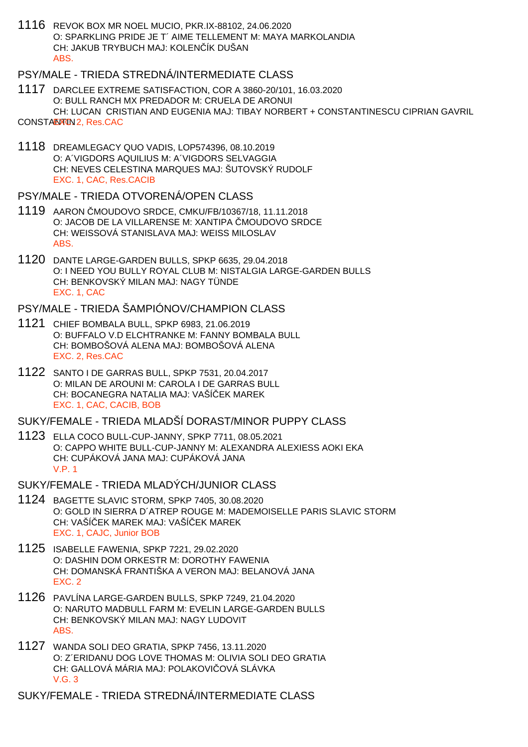1116 REVOK BOX MR NOEL MUCIO, PKR.IX-88102, 24.06.2020 O: SPARKLING PRIDE JE T´ AIME TELLEMENT M: MAYA MARKOLANDIA CH: JAKUB TRYBUCH MAJ: KOLENÍK DUŠAN ABS.

### PSY/MALE - TRIEDA STREDNÁ/INTERMEDIATE CLASS

1117 DARCLEE EXTREME SATISFACTION, COR A 3860-20/101, 16.03.2020 O: BULL RANCH MX PREDADOR M: CRUELA DE ARONUI CH: LUCAN CRISTIAN AND EUGENIA MAJ: TIBAY NORBERT + CONSTANTINESCU CIPRIAN GAVRIL

CONSTARNUM 2, Res. CAC

1118 DREAMLEGACY QUO VADIS, LOP574396, 08.10.2019 O: A´VIGDORS AQUILIUS M: A´VIGDORS SELVAGGIA CH: NEVES CELESTINA MARQUES MAJ: ŠUTOVSKÝ RUDOLF EXC. 1, CAC, Res.CACIB

#### PSY/MALE - TRIEDA OTVORENÁ/OPEN CLASS

- 1119 AARON MOUDOVO SRDCE, CMKU/FB/10367/18, 11.11.2018 O: JACOB DE LA VILLARENSE M: XANTIPA MOUDOVO SRDCE CH: WEISSOVÁ STANISLAVA MAJ: WEISS MILOSLAV ABS.
- 1120 DANTE LARGE-GARDEN BULLS, SPKP 6635, 29.04.2018 O: I NEED YOU BULLY ROYAL CLUB M: NISTALGIA LARGE-GARDEN BULLS CH: BENKOVSKÝ MILAN MAJ: NAGY TÜNDE EXC. 1, CAC

## PSY/MALE - TRIEDA ŠAMPIÓNOV/CHAMPION CLASS

- 1121 CHIEF BOMBALA BULL, SPKP 6983, 21.06.2019 O: BUFFALO V.D ELCHTRANKE M: FANNY BOMBALA BULL CH: BOMBOŠOVÁ ALENA MAJ: BOMBOŠOVÁ ALENA EXC. 2, Res.CAC
- 1122 SANTO I DE GARRAS BULL, SPKP 7531, 20.04.2017 O: MILAN DE AROUNI M: CAROLA I DE GARRAS BULL CH: BOCANEGRA NATALIA MAJ: VAŠÍČEK MAREK EXC. 1, CAC, CACIB, BOB

#### SUKY/FEMALE - TRIEDA MLADŠÍ DORAST/MINOR PUPPY CLASS

1123 ELLA COCO BULL-CUP-JANNY, SPKP 7711, 08.05.2021 O: CAPPO WHITE BULL-CUP-JANNY M: ALEXANDRA ALEXIESS AOKI EKA CH: CUPÁKOVÁ JANA MAJ: CUPÁKOVÁ JANA V.P. 1

#### SUKY/FEMALE - TRIEDA MLADÝCH/JUNIOR CLASS

- 1124 BAGETTE SLAVIC STORM, SPKP 7405, 30.08.2020 O: GOLD IN SIERRA D´ATREP ROUGE M: MADEMOISELLE PARIS SLAVIC STORM CH: VAŠÍ EK MAREK MAJ: VAŠÍ EK MAREK EXC. 1, CAJC, Junior BOB
- 1125 ISABELLE FAWENIA, SPKP 7221, 29.02.2020 O: DASHIN DOM ORKESTR M: DOROTHY FAWENIA CH: DOMANSKÁ FRANTIŠKA A VERON MAJ: BELANOVÁ JANA EXC. 2
- 1126 PAVLÍNA LARGE-GARDEN BULLS, SPKP 7249, 21.04.2020 O: NARUTO MADBULL FARM M: EVELIN LARGE-GARDEN BULLS CH: BENKOVSKÝ MILAN MAJ: NAGY LUDOVIT ABS.
- 1127 WANDA SOLI DEO GRATIA, SPKP 7456, 13.11.2020 O: Z´ERIDANU DOG LOVE THOMAS M: OLIVIA SOLI DEO GRATIA CH: GALLOVÁ MÁRIA MAJ: POLAKOVI OVÁ SLÁVKA V.G. 3

SUKY/FEMALE - TRIEDA STREDNÁ/INTERMEDIATE CLASS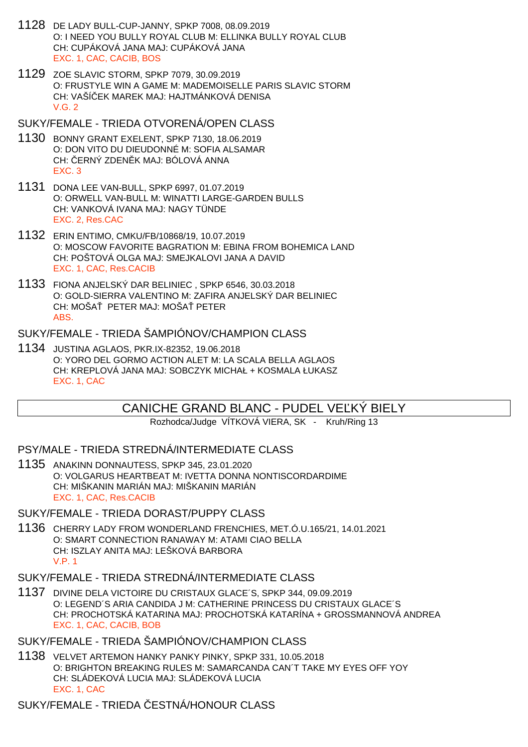- 1128 DE LADY BULL-CUP-JANNY, SPKP 7008, 08.09.2019 O: I NEED YOU BULLY ROYAL CLUB M: ELLINKA BULLY ROYAL CLUB CH: CUPÁKOVÁ JANA MAJ: CUPÁKOVÁ JANA EXC. 1, CAC, CACIB, BOS
- 1129 ZOE SLAVIC STORM, SPKP 7079, 30.09.2019 O: FRUSTYLE WIN A GAME M: MADEMOISELLE PARIS SLAVIC STORM CH: VAŠÍ–EK MAREK MAJ: HAJTMÁNKOVÁ DENISA  $V$  G  $2$
- SUKY/FEMALE TRIEDA OTVORENÁ/OPEN CLASS
- 1130 BONNY GRANT EXELENT, SPKP 7130, 18.06.2019 O: DON VITO DU DIEUDONNÉ M: SOFIA ALSAMAR CH: ERNÝ ZDEN K MAJ: BÓLOVÁ ANNA EXC. 3
- 1131 DONA LEE VAN-BULL, SPKP 6997, 01.07.2019 O: ORWELL VAN-BULL M: WINATTI LARGE-GARDEN BULLS CH: VANKOVÁ IVANA MAJ: NAGY TÜNDE EXC. 2, Res.CAC
- 1132 ERIN ENTIMO, CMKU/FB/10868/19, 10.07.2019 O: MOSCOW FAVORITE BAGRATION M: EBINA FROM BOHEMICA LAND CH: POŠTOVÁ OLGA MAJ: SMEJKALOVI JANA A DAVID EXC. 1, CAC, Res.CACIB
- 1133 FIONA ANJELSKÝ DAR BELINIEC , SPKP 6546, 30.03.2018 O: GOLD-SIERRA VALENTINO M: ZAFIRA ANJELSKÝ DAR BELINIEC CH: MOŠA PETER MAJ: MOŠA PETER ABS.

#### SUKY/FEMALE - TRIEDA ŠAMPIÓNOV/CHAMPION CLASS

1134 JUSTINA AGLAOS, PKR.IX-82352, 19.06.2018 O: YORO DEL GORMO ACTION ALET M: LA SCALA BELLA AGLAOS CH: KREPLOVÁ JANA MAJ: SOBCZYK MICHAŁ + KOSMALA ŁUKASZ EXC. 1, CAC

# CANICHE GRAND BLANC - PUDEL VE KÝ BIELY

Rozhodca/Judge VÍTKOVÁ VIERA, SK - Kruh/Ring 13

#### PSY/MALE - TRIEDA STREDNÁ/INTERMEDIATE CLASS

1135 ANAKINN DONNAUTESS, SPKP 345, 23.01.2020 O: VOLGARUS HEARTBEAT M: IVETTA DONNA NONTISCORDARDIME CH: MIŠKANIN MARIÁN MAJ: MIŠKANIN MARIÁN EXC. 1, CAC, Res.CACIB

#### SUKY/FEMALE - TRIEDA DORAST/PUPPY CLASS

1136 CHERRY LADY FROM WONDERLAND FRENCHIES, MET.Ó.U.165/21, 14.01.2021 O: SMART CONNECTION RANAWAY M: ATAMI CIAO BELLA CH: ISZLAY ANITA MAJ: LEŠKOVÁ BARBORA V.P. 1

#### SUKY/FEMALE - TRIEDA STREDNÁ/INTERMEDIATE CLASS

1137 DIVINE DELA VICTOIRE DU CRISTAUX GLACE´S, SPKP 344, 09.09.2019 O: LEGEND´S ARIA CANDIDA J M: CATHERINE PRINCESS DU CRISTAUX GLACE´S CH: PROCHOTSKÁ KATARINA MAJ: PROCHOTSKÁ KATARÍNA + GROSSMANNOVÁ ANDREA EXC. 1, CAC, CACIB, BOB

### SUKY/FEMALE - TRIEDA ŠAMPIÓNOV/CHAMPION CLASS

1138 VELVET ARTEMON HANKY PANKY PINKY, SPKP 331, 10.05.2018 O: BRIGHTON BREAKING RULES M: SAMARCANDA CAN´T TAKE MY EYES OFF YOY CH: SLÁDEKOVÁ LUCIA MAJ: SLÁDEKOVÁ LUCIA EXC. 1, CAC

SUKY/FEMALE - TRIEDA ESTNÁ/HONOUR CLASS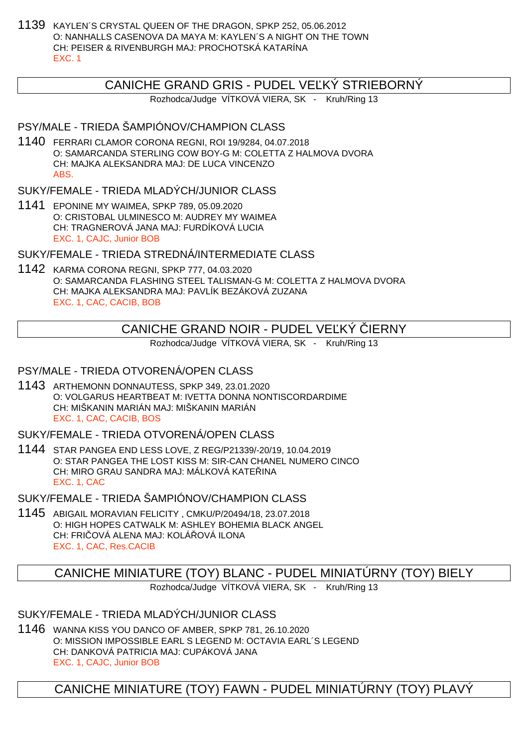1139 KAYLEN´S CRYSTAL QUEEN OF THE DRAGON, SPKP 252, 05.06.2012 O: NANHALLS CASENOVA DA MAYA M: KAYLEN´S A NIGHT ON THE TOWN CH: PEISER & RIVENBURGH MAJ: PROCHOTSKÁ KATARÍNA EXC. 1

## CANICHE GRAND GRIS - PUDEL VEĽKÝ STRIEBORNÝ

Rozhodca/Judge VÍTKOVÁ VIERA, SK - Kruh/Ring 13

## PSY/MALE - TRIEDA ŠAMPIÓNOV/CHAMPION CLASS

1140 FERRARI CLAMOR CORONA REGNI, ROI 19/9284, 04.07.2018 O: SAMARCANDA STERLING COW BOY-G M: COLETTA Z HALMOVA DVORA CH: MAJKA ALEKSANDRA MAJ: DE LUCA VINCENZO ABS.

SUKY/FEMALE - TRIEDA MLADÝCH/JUNIOR CLASS

1141 EPONINE MY WAIMEA, SPKP 789, 05.09.2020 O: CRISTOBAL ULMINESCO M: AUDREY MY WAIMEA CH: TRAGNEROVÁ JANA MAJ: FURDÍKOVÁ LUCIA EXC. 1, CAJC, Junior BOB

SUKY/FEMALE - TRIEDA STREDNÁ/INTERMEDIATE CLASS

1142 KARMA CORONA REGNI, SPKP 777, 04.03.2020 O: SAMARCANDA FLASHING STEEL TALISMAN-G M: COLETTA Z HALMOVA DVORA CH: MAJKA ALEKSANDRA MAJ: PAVLÍK BEZÁKOVÁ ZUZANA EXC. 1, CAC, CACIB, BOB

# CANICHE GRAND NOIR - PUDEL VE KÝ LERNY

Rozhodca/Judge VÍTKOVÁ VIERA, SK - Kruh/Ring 13

### PSY/MALE - TRIEDA OTVORENÁ/OPEN CLASS

1143 ARTHEMONN DONNAUTESS, SPKP 349, 23.01.2020 O: VOLGARUS HEARTBEAT M: IVETTA DONNA NONTISCORDARDIME CH: MIŠKANIN MARIÁN MAJ: MIŠKANIN MARIÁN EXC. 1, CAC, CACIB, BOS

SUKY/FEMALE - TRIEDA OTVORENÁ/OPEN CLASS

1144 STAR PANGEA END LESS LOVE, Z REG/P21339/-20/19, 10.04.2019 O: STAR PANGEA THE LOST KISS M: SIR-CAN CHANEL NUMERO CINCO CH: MIRO GRAU SANDRA MAJ: MÁLKOVÁ KATELINA EXC. 1, CAC

SUKY/FEMALE - TRIEDA ŠAMPIÓNOV/CHAMPION CLASS

1145 ABIGAIL MORAVIAN FELICITY , CMKU/P/20494/18, 23.07.2018 O: HIGH HOPES CATWALK M: ASHLEY BOHEMIA BLACK ANGEL CH: FRICOVÁ ALENA MAJ: KOLÁ LOVÁ ILONA EXC. 1, CAC, Res.CACIB

CANICHE MINIATURE (TOY) BLANC - PUDEL MINIATÚRNY (TOY) BIELY

Rozhodca/Judge VÍTKOVÁ VIERA, SK - Kruh/Ring 13

SUKY/FEMALE - TRIEDA MLADÝCH/JUNIOR CLASS

1146 WANNA KISS YOU DANCO OF AMBER, SPKP 781, 26.10.2020 O: MISSION IMPOSSIBLE EARL S LEGEND M: OCTAVIA EARL´S LEGEND CH: DANKOVÁ PATRICIA MAJ: CUPÁKOVÁ JANA EXC. 1, CAJC, Junior BOB

CANICHE MINIATURE (TOY) FAWN - PUDEL MINIATÚRNY (TOY) PLAVÝ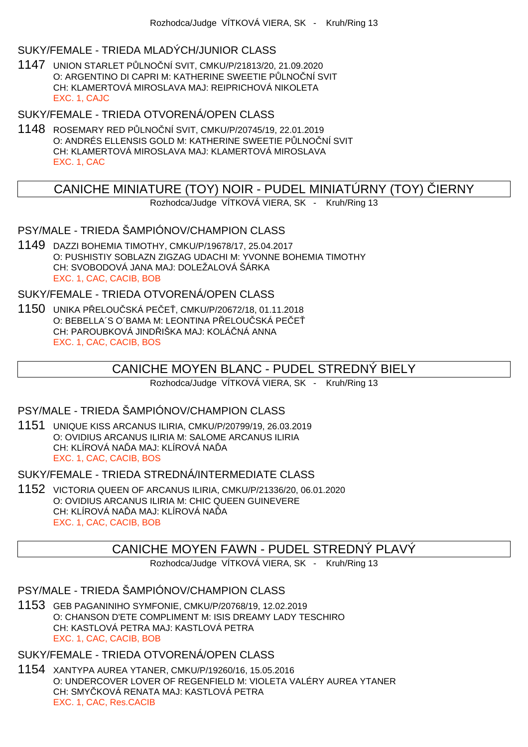#### SUKY/FEMALE - TRIEDA MLADÝCH/JUNIOR CLASS

1147 UNION STARLET PŮLNOČNÍ SVIT, CMKU/P/21813/20, 21.09.2020 O: ARGENTINO DI CAPRI M: KATHERINE SWEETIE P LNO NÍ SVIT CH: KLAMERTOVÁ MIROSLAVA MAJ: REIPRICHOVÁ NIKOLETA EXC. 1, CAJC

SUKY/FEMALE - TRIEDA OTVORENÁ/OPEN CLASS

1148 ROSEMARY RED PŮLNOČNÍ SVIT, CMKU/P/20745/19, 22.01.2019 O: ANDRÉS ELLENSIS GOLD M: KATHERINE SWEETIE P LNO NÍ SVIT CH: KLAMERTOVÁ MIROSLAVA MAJ: KLAMERTOVÁ MIROSLAVA EXC. 1, CAC

# CANICHE MINIATURE (TOY) NOIR - PUDEL MINIATÚRNY (TOY) LERNY

Rozhodca/Judge VÍTKOVÁ VIERA, SK - Kruh/Ring 13

## PSY/MALE - TRIEDA ŠAMPIÓNOV/CHAMPION CLASS

1149 DAZZI BOHEMIA TIMOTHY, CMKU/P/19678/17, 25.04.2017 O: PUSHISTIY SOBLAZN ZIGZAG UDACHI M: YVONNE BOHEMIA TIMOTHY CH: SVOBODOVÁ JANA MAJ: DOLEŽALOVÁ ŠÁRKA EXC. 1, CAC, CACIB, BOB

SUKY/FEMALE - TRIEDA OTVORENÁ/OPEN CLASS

1150 UNIKA P ELOU SKÁ PE E, CMKU/P/20672/18, 01.11.2018 O: BEBELLA´S O´BAMA M: LEONTINA P ELOU SKÁ PE E CH: PAROUBKOVÁ JIND IŠKA MAJ: KOLÁ NÁ ANNA EXC. 1, CAC, CACIB, BOS

# CANICHE MOYEN BLANC - PUDEL STREDNÝ BIELY

Rozhodca/Judge VÍTKOVÁ VIERA, SK - Kruh/Ring 13

#### PSY/MALE - TRIEDA ŠAMPIÓNOV/CHAMPION CLASS

1151 UNIQUE KISS ARCANUS ILIRIA, CMKU/P/20799/19, 26.03.2019 O: OVIDIUS ARCANUS ILIRIA M: SALOME ARCANUS ILIRIA CH: KLÍROVÁ NA A MAJ: KLÍROVÁ NA A EXC. 1, CAC, CACIB, BOS

SUKY/FEMALE - TRIEDA STREDNÁ/INTERMEDIATE CLASS

1152 VICTORIA QUEEN OF ARCANUS ILIRIA, CMKU/P/21336/20, 06.01.2020 O: OVIDIUS ARCANUS ILIRIA M: CHIC QUEEN GUINEVERE CH: KLÍROVÁ NA A MAJ: KLÍROVÁ NA A EXC. 1, CAC, CACIB, BOB

### CANICHE MOYEN FAWN - PUDEL STREDNÝ PLAVÝ

Rozhodca/Judge VÍTKOVÁ VIERA, SK - Kruh/Ring 13

PSY/MALE - TRIEDA ŠAMPIÓNOV/CHAMPION CLASS

1153 GEB PAGANINIHO SYMFONIE, CMKU/P/20768/19, 12.02.2019 O: CHANSON D'ETE COMPLIMENT M: ISIS DREAMY LADY TESCHIRO CH: KASTLOVÁ PETRA MAJ: KASTLOVÁ PETRA EXC. 1, CAC, CACIB, BOB

SUKY/FEMALE - TRIEDA OTVORENÁ/OPEN CLASS

1154 XANTYPA AUREA YTANER, CMKU/P/19260/16, 15.05.2016 O: UNDERCOVER LOVER OF REGENFIELD M: VIOLETA VALÉRY AUREA YTANER CH: SMY KOVÁ RENATA MAJ: KASTLOVÁ PETRA EXC. 1, CAC, Res.CACIB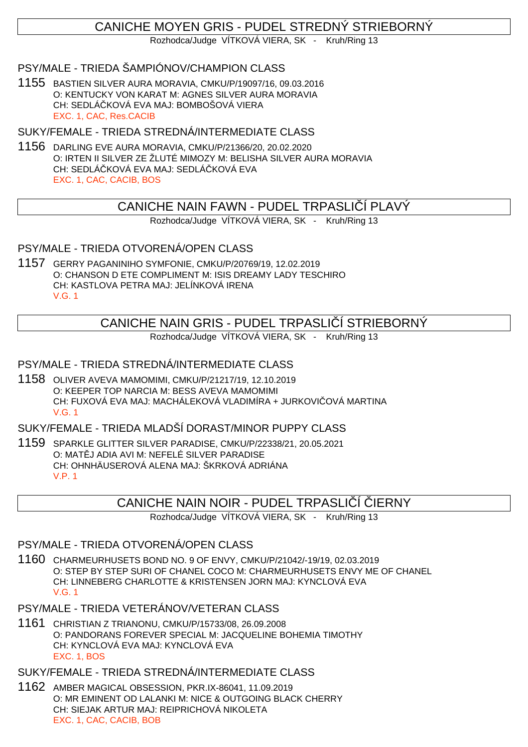# CANICHE MOYEN GRIS - PUDEL STREDNÝ STRIEBORNÝ

Rozhodca/Judge VÍTKOVÁ VIERA, SK - Kruh/Ring 13

### PSY/MALE - TRIEDA ŠAMPIÓNOV/CHAMPION CLASS

1155 BASTIEN SILVER AURA MORAVIA, CMKU/P/19097/16, 09.03.2016 O: KENTUCKY VON KARAT M: AGNES SILVER AURA MORAVIA CH: SEDLÁČKOVÁ EVA MAJ: BOMBOŠOVÁ VIERA EXC. 1, CAC, Res.CACIB

SUKY/FEMALE - TRIEDA STREDNÁ/INTERMEDIATE CLASS

1156 DARLING EVE AURA MORAVIA, CMKU/P/21366/20, 20.02.2020 O: IRTEN II SILVER ZE ŽLUTÉ MIMOZY M: BELISHA SILVER AURA MORAVIA CH: SEDLÁ KOVÁ EVA MAJ: SEDLÁ KOVÁ EVA EXC. 1, CAC, CACIB, BOS

# CANICHE NAIN FAWN - PUDEL TRPASLIČÍ PLAVÝ

Rozhodca/Judge VÍTKOVÁ VIERA, SK - Kruh/Ring 13

#### PSY/MALE - TRIEDA OTVORENÁ/OPEN CLASS

1157 GERRY PAGANINIHO SYMFONIE, CMKU/P/20769/19, 12.02.2019 O: CHANSON D ETE COMPLIMENT M: ISIS DREAMY LADY TESCHIRO CH: KASTLOVA PETRA MAJ: JELÍNKOVÁ IRENA V.G. 1

# CANICHE NAIN GRIS - PUDEL TRPASLI Í STRIEBORNÝ

Rozhodca/Judge VÍTKOVÁ VIERA, SK - Kruh/Ring 13

### PSY/MALE - TRIEDA STREDNÁ/INTERMEDIATE CLASS

1158 OLIVER AVEVA MAMOMIMI, CMKU/P/21217/19, 12.10.2019 O: KEEPER TOP NARCIA M: BESS AVEVA MAMOMIMI CH: FUXOVÁ EVA MAJ: MACHÁLEKOVÁ VLADIMÍRA + JURKOVI OVÁ MARTINA V.G. 1

SUKY/FEMALE - TRIEDA MLADŠÍ DORAST/MINOR PUPPY CLASS

1159 SPARKLE GLITTER SILVER PARADISE, CMKU/P/22338/21, 20.05.2021 O: MAT J ADIA AVI M: NEFELÉ SILVER PARADISE CH: OHNHÄUSEROVÁ ALENA MAJ: ŠKRKOVÁ ADRIÁNA V.P. 1

### CANICHE NAIN NOIR - PUDEL TRPASLI Í JERNY

Rozhodca/Judge VÍTKOVÁ VIERA, SK - Kruh/Ring 13

### PSY/MALE - TRIEDA OTVORENÁ/OPEN CLASS

1160 CHARMEURHUSETS BOND NO. 9 OF ENVY, CMKU/P/21042/-19/19, 02.03.2019 O: STEP BY STEP SURI OF CHANEL COCO M: CHARMEURHUSETS ENVY ME OF CHANEL CH: LINNEBERG CHARLOTTE & KRISTENSEN JORN MAJ: KYNCLOVÁ EVA V.G. 1

- PSY/MALE TRIEDA VETERÁNOV/VETERAN CLASS
- 1161 CHRISTIAN Z TRIANONU, CMKU/P/15733/08, 26.09.2008 O: PANDORANS FOREVER SPECIAL M: JACQUELINE BOHEMIA TIMOTHY CH: KYNCLOVÁ EVA MAJ: KYNCLOVÁ EVA EXC. 1, BOS

SUKY/FEMALE - TRIEDA STREDNÁ/INTERMEDIATE CLASS

1162 AMBER MAGICAL OBSESSION, PKR.IX-86041, 11.09.2019 O: MR EMINENT OD LALANKI M: NICE & OUTGOING BLACK CHERRY CH: SIEJAK ARTUR MAJ: REIPRICHOVÁ NIKOLETA EXC. 1, CAC, CACIB, BOB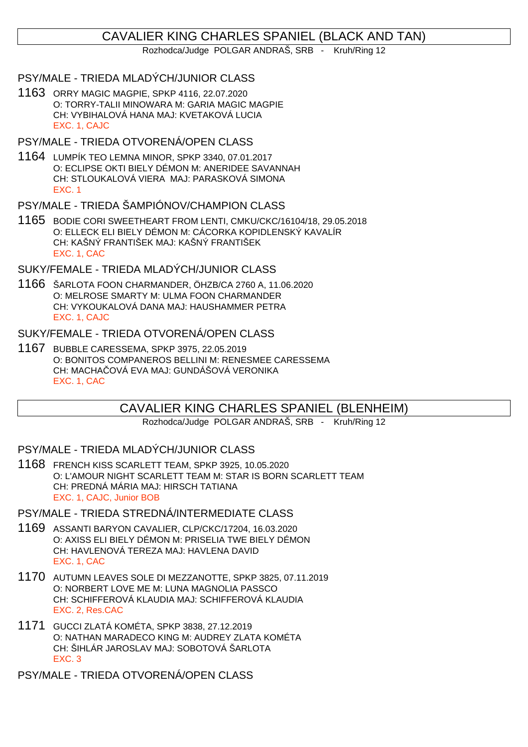# CAVALIER KING CHARLES SPANIEL (BLACK AND TAN)

Rozhodca/Judge POLGAR ANDRAŠ, SRB - Kruh/Ring 12

#### PSY/MALE - TRIEDA MLADÝCH/JUNIOR CLASS

1163 ORRY MAGIC MAGPIE, SPKP 4116, 22.07.2020 O: TORRY-TALII MINOWARA M: GARIA MAGIC MAGPIE CH: VYBIHALOVÁ HANA MAJ: KVETAKOVÁ LUCIA EXC. 1, CAJC

PSY/MALE - TRIEDA OTVORENÁ/OPEN CLASS

1164 LUMPÍK TEO LEMNA MINOR, SPKP 3340, 07.01.2017 O: ECLIPSE OKTI BIELY DÉMON M: ANERIDEE SAVANNAH CH: STLOUKALOVÁ VIERA MAJ: PARASKOVÁ SIMONA EXC. 1

PSY/MALE - TRIEDA ŠAMPIÓNOV/CHAMPION CLASS

1165 BODIE CORI SWEETHEART FROM LENTI, CMKU/CKC/16104/18, 29.05.2018 O: ELLECK ELI BIELY DÉMON M: CÁCORKA KOPIDLENSKÝ KAVALÍR CH: KAŠNÝ FRANTIŠEK MAJ: KAŠNÝ FRANTIŠEK EXC. 1, CAC

SUKY/FEMALE - TRIEDA MLADÝCH/JUNIOR CLASS

1166 ŠARLOTA FOON CHARMANDER, ÖHZB/CA 2760 A, 11.06.2020 O: MELROSE SMARTY M: ULMA FOON CHARMANDER CH: VYKOUKALOVÁ DANA MAJ: HAUSHAMMER PETRA EXC. 1, CAJC

#### SUKY/FEMALE - TRIEDA OTVORENÁ/OPEN CLASS

1167 BUBBLE CARESSEMA, SPKP 3975, 22.05.2019 O: BONITOS COMPANEROS BELLINI M: RENESMEE CARESSEMA CH: MACHA OVÁ EVA MAJ: GUNDÁŠOVÁ VERONIKA EXC. 1, CAC

# CAVALIER KING CHARLES SPANIEL (BLENHEIM)

Rozhodca/Judge POLGAR ANDRAŠ, SRB - Kruh/Ring 12

#### PSY/MALE - TRIEDA MLADÝCH/JUNIOR CLASS

1168 FRENCH KISS SCARLETT TEAM, SPKP 3925, 10.05.2020 O: L'AMOUR NIGHT SCARLETT TEAM M: STAR IS BORN SCARLETT TEAM CH: PREDNÁ MÁRIA MAJ: HIRSCH TATIANA EXC. 1, CAJC, Junior BOB

#### PSY/MALE - TRIEDA STREDNÁ/INTERMEDIATE CLASS

- 1169 ASSANTI BARYON CAVALIER, CLP/CKC/17204, 16.03.2020 O: AXISS ELI BIELY DÉMON M: PRISELIA TWE BIELY DÉMON CH: HAVLENOVÁ TEREZA MAJ: HAVLENA DAVID EXC. 1, CAC
- 1170 AUTUMN LEAVES SOLE DI MEZZANOTTE, SPKP 3825, 07.11.2019 O: NORBERT LOVE ME M: LUNA MAGNOLIA PASSCO CH: SCHIFFEROVÁ KLAUDIA MAJ: SCHIFFEROVÁ KLAUDIA EXC. 2, Res.CAC
- 1171 GUCCI ZLATÁ KOMÉTA, SPKP 3838, 27.12.2019 O: NATHAN MARADECO KING M: AUDREY ZLATA KOMÉTA CH: ŠIHLÁR JAROSLAV MAJ: SOBOTOVÁ ŠARLOTA EXC. 3

PSY/MALE - TRIEDA OTVORENÁ/OPEN CLASS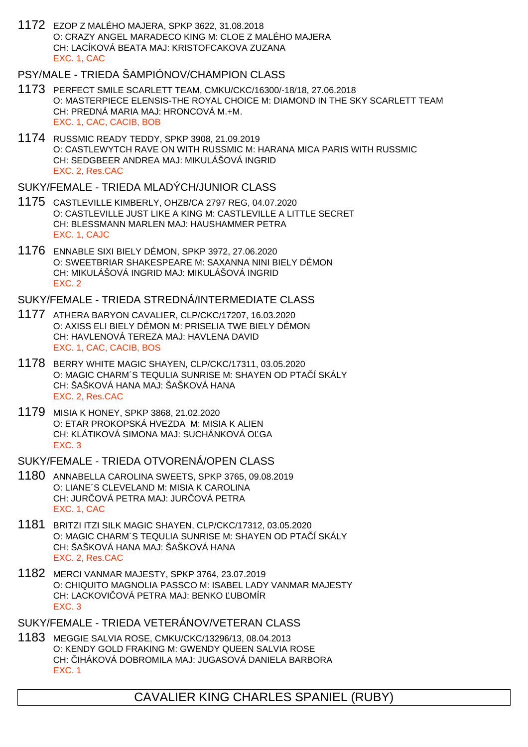1172 EZOP Z MALÉHO MAJERA, SPKP 3622, 31.08.2018 O: CRAZY ANGEL MARADECO KING M: CLOE Z MALÉHO MAJERA CH: LACÍKOVÁ BEATA MAJ: KRISTOFCAKOVA ZUZANA EXC. 1, CAC

# PSY/MALE - TRIEDA ŠAMPIÓNOV/CHAMPION CLASS

- 1173 PERFECT SMILE SCARLETT TEAM, CMKU/CKC/16300/-18/18, 27.06.2018 O: MASTERPIECE ELENSIS-THE ROYAL CHOICE M: DIAMOND IN THE SKY SCARLETT TEAM CH: PREDNÁ MARIA MAJ: HRONCOVÁ M.+M. EXC. 1, CAC, CACIB, BOB
- 1174 RUSSMIC READY TEDDY, SPKP 3908, 21.09.2019 O: CASTLEWYTCH RAVE ON WITH RUSSMIC M: HARANA MICA PARIS WITH RUSSMIC CH: SEDGBEER ANDREA MAJ: MIKULÁŠOVÁ INGRID EXC. 2, Res.CAC

#### SUKY/FEMALE - TRIEDA MLADÝCH/JUNIOR CLASS

- 1175 CASTLEVILLE KIMBERLY, OHZB/CA 2797 REG, 04.07.2020 O: CASTLEVILLE JUST LIKE A KING M: CASTLEVILLE A LITTLE SECRET CH: BLESSMANN MARLEN MAJ: HAUSHAMMER PETRA EXC. 1, CAJC
- 1176 ENNABLE SIXI BIELY DÉMON, SPKP 3972, 27.06.2020 O: SWEETBRIAR SHAKESPEARE M: SAXANNA NINI BIELY DÉMON CH: MIKULÁŠOVÁ INGRID MAJ: MIKULÁŠOVÁ INGRID EXC. 2

#### SUKY/FEMALE - TRIEDA STREDNÁ/INTERMEDIATE CLASS

- 1177 ATHERA BARYON CAVALIER, CLP/CKC/17207, 16.03.2020 O: AXISS ELI BIELY DÉMON M: PRISELIA TWE BIELY DÉMON CH: HAVLENOVÁ TEREZA MAJ: HAVLENA DAVID EXC. 1, CAC, CACIB, BOS
- 1178 BERRY WHITE MAGIC SHAYEN, CLP/CKC/17311, 03.05.2020 O: MAGIC CHARM´S TEQULIA SUNRISE M: SHAYEN OD PTA Í SKÁLY CH: ŠAŠKOVÁ HANA MAJ: ŠAŠKOVÁ HANA EXC. 2, Res.CAC
- 1179 MISIA K HONEY, SPKP 3868, 21.02.2020 O: ETAR PROKOPSKÁ HVEZDA M: MISIA K ALIEN CH: KLÁTIKOVÁ SIMONA MAJ: SUCHÁNKOVÁ OĽGA EXC. 3

### SUKY/FEMALE - TRIEDA OTVORENÁ/OPEN CLASS

- 1180 ANNABELLA CAROLINA SWEETS, SPKP 3765, 09.08.2019 O: LIANE´S CLEVELAND M: MISIA K CAROLINA CH: JUR OVÁ PETRA MAJ: JUR OVÁ PETRA EXC. 1, CAC
- 1181 BRITZI ITZI SILK MAGIC SHAYEN, CLP/CKC/17312, 03.05.2020 O: MAGIC CHARM´S TEQULIA SUNRISE M: SHAYEN OD PTA Í SKÁLY CH: ŠAŠKOVÁ HANA MAJ: ŠAŠKOVÁ HANA EXC. 2, Res.CAC
- 1182 MERCI VANMAR MAJESTY, SPKP 3764, 23.07.2019 O: CHIQUITO MAGNOLIA PASSCO M: ISABEL LADY VANMAR MAJESTY CH: LACKOVI OVÁ PETRA MAJ: BENKO UBOMÍR EXC. 3
- SUKY/FEMALE TRIEDA VETERÁNOV/VETERAN CLASS
- 1183 MEGGIE SALVIA ROSE, CMKU/CKC/13296/13, 08.04.2013 O: KENDY GOLD FRAKING M: GWENDY QUEEN SALVIA ROSE CH: IHÁKOVÁ DOBROMILA MAJ: JUGASOVÁ DANIELA BARBORA EXC. 1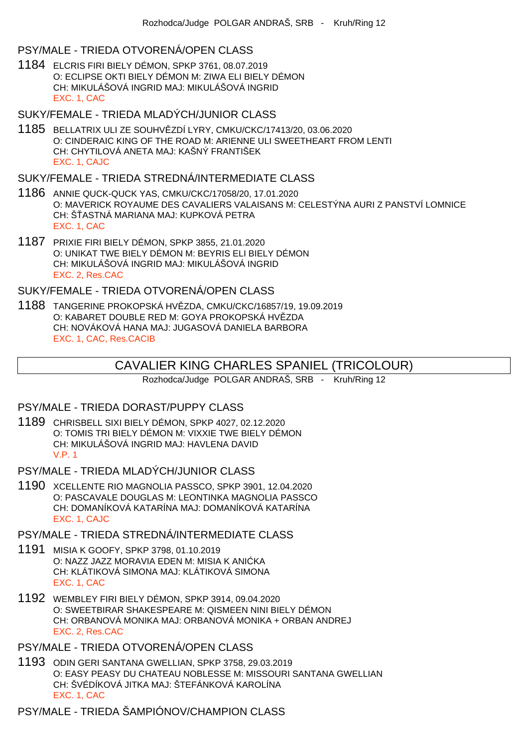### PSY/MALE - TRIEDA OTVORENÁ/OPEN CLASS

1184 ELCRIS FIRI BIELY DÉMON, SPKP 3761, 08.07.2019 O: ECLIPSE OKTI BIELY DÉMON M: ZIWA ELI BIELY DÉMON CH: MIKULÁŠOVÁ INGRID MAJ: MIKULÁŠOVÁ INGRID EXC. 1, CAC

#### SUKY/FEMALE - TRIEDA MLADÝCH/JUNIOR CLASS

1185 BELLATRIX ULI ZE SOUHVĚZDÍ LYRY, CMKU/CKC/17413/20, 03.06.2020 O: CINDERAIC KING OF THE ROAD M: ARIENNE ULI SWEETHEART FROM LENTI CH: CHYTILOVÁ ANETA MAJ: KAŠNÝ FRANTIŠEK EXC. 1, CAJC

#### SUKY/FEMALE - TRIEDA STREDNÁ/INTERMEDIATE CLASS

- 1186 ANNIE QUCK-QUCK YAS, CMKU/CKC/17058/20, 17.01.2020 O: MAVERICK ROYAUME DES CAVALIERS VALAISANS M: CELESTÝNA AURI Z PANSTVÍ LOMNICE CH: Š ASTNÁ MARIANA MAJ: KUPKOVÁ PETRA EXC. 1, CAC
- 1187 PRIXIE FIRI BIELY DÉMON, SPKP 3855, 21.01.2020 O: UNIKAT TWE BIELY DÉMON M: BEYRIS ELI BIELY DÉMON CH: MIKULÁŠOVÁ INGRID MAJ: MIKULÁŠOVÁ INGRID EXC. 2, Res.CAC

#### SUKY/FEMALE - TRIEDA OTVORENÁ/OPEN CLASS

1188 TANGERINE PROKOPSKÁ HVĚZDA, CMKU/CKC/16857/19, 19.09.2019 O: KABARET DOUBLE RED M: GOYA PROKOPSKÁ HVÍZDA CH: NOVÁKOVÁ HANA MAJ: JUGASOVÁ DANIELA BARBORA EXC. 1, CAC, Res.CACIB

# CAVALIER KING CHARLES SPANIEL (TRICOLOUR)

Rozhodca/Judge POLGAR ANDRAŠ, SRB - Kruh/Ring 12

#### PSY/MALE - TRIEDA DORAST/PUPPY CLASS

- 1189 CHRISBELL SIXI BIELY DÉMON, SPKP 4027, 02.12.2020 O: TOMIS TRI BIELY DÉMON M: VIXXIE TWE BIELY DÉMON CH: MIKULÁŠOVÁ INGRID MAJ: HAVLENA DAVID V.P. 1
- PSY/MALE TRIEDA MLADÝCH/JUNIOR CLASS
- 1190 XCELLENTE RIO MAGNOLIA PASSCO, SPKP 3901, 12.04.2020 O: PASCAVALE DOUGLAS M: LEONTINKA MAGNOLIA PASSCO CH: DOMANÍKOVÁ KATARÍNA MAJ: DOMANÍKOVÁ KATARÍNA EXC. 1, CAJC

#### PSY/MALE - TRIEDA STREDNÁ/INTERMEDIATE CLASS

- 1191 MISIA K GOOFY, SPKP 3798, 01.10.2019 O: NAZZ JAZZ MORAVIA EDEN M: MISIA K ANI KA CH: KLÁTIKOVÁ SIMONA MAJ: KLÁTIKOVÁ SIMONA EXC. 1, CAC
- 1192 WEMBLEY FIRI BIELY DÉMON, SPKP 3914, 09.04.2020 O: SWEETBIRAR SHAKESPEARE M: QISMEEN NINI BIELY DÉMON CH: ORBANOVÁ MONIKA MAJ: ORBANOVÁ MONIKA + ORBAN ANDREJ EXC. 2, Res.CAC

### PSY/MALE - TRIEDA OTVORENÁ/OPEN CLASS

1193 ODIN GERI SANTANA GWELLIAN, SPKP 3758, 29.03.2019 O: EASY PEASY DU CHATEAU NOBLESSE M: MISSOURI SANTANA GWELLIAN CH: ŠVÉDÍKOVÁ JITKA MAJ: ŠTEFÁNKOVÁ KAROLÍNA EXC. 1, CAC

PSY/MALE - TRIEDA ŠAMPIÓNOV/CHAMPION CLASS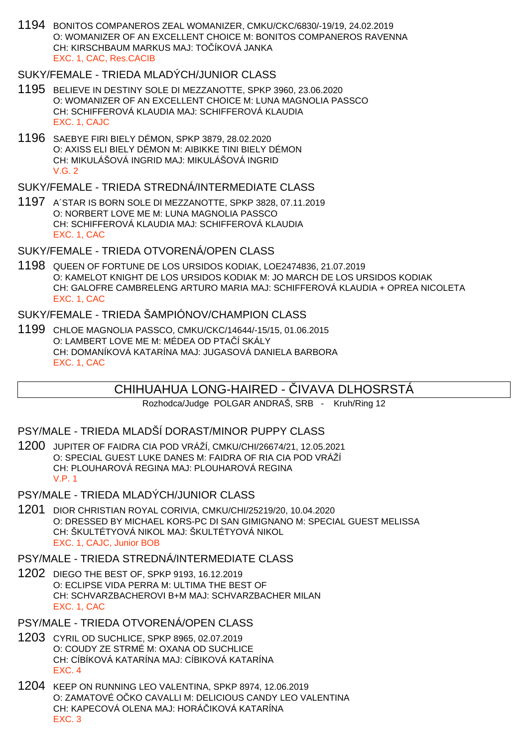1194 BONITOS COMPANEROS ZEAL WOMANIZER, CMKU/CKC/6830/-19/19, 24.02.2019 O: WOMANIZER OF AN EXCELLENT CHOICE M: BONITOS COMPANEROS RAVENNA CH: KIRSCHBAUM MARKUS MAJ: TO ÍKOVÁ JANKA EXC. 1, CAC, Res.CACIB

### SUKY/FEMALE - TRIEDA MLADÝCH/JUNIOR CLASS

- 1195 BELIEVE IN DESTINY SOLE DI MEZZANOTTE, SPKP 3960, 23.06.2020 O: WOMANIZER OF AN EXCELLENT CHOICE M: LUNA MAGNOLIA PASSCO CH: SCHIFFEROVÁ KLAUDIA MAJ: SCHIFFEROVÁ KLAUDIA EXC. 1, CAJC
- 1196 SAEBYE FIRI BIELY DÉMON, SPKP 3879, 28.02.2020 O: AXISS ELI BIELY DÉMON M: AIBIKKE TINI BIELY DÉMON CH: MIKULÁŠOVÁ INGRID MAJ: MIKULÁŠOVÁ INGRID V.G. 2

#### SUKY/FEMALE - TRIEDA STREDNÁ/INTERMEDIATE CLASS

1197 A´STAR IS BORN SOLE DI MEZZANOTTE, SPKP 3828, 07.11.2019 O: NORBERT LOVE ME M: LUNA MAGNOLIA PASSCO CH: SCHIFFEROVÁ KLAUDIA MAJ: SCHIFFEROVÁ KLAUDIA EXC. 1, CAC

#### SUKY/FEMALE - TRIEDA OTVORENÁ/OPEN CLASS

1198 QUEEN OF FORTUNE DE LOS URSIDOS KODIAK, LOE2474836, 21.07.2019 O: KAMELOT KNIGHT DE LOS URSIDOS KODIAK M: JO MARCH DE LOS URSIDOS KODIAK CH: GALOFRE CAMBRELENG ARTURO MARIA MAJ: SCHIFFEROVÁ KLAUDIA + OPREA NICOLETA EXC. 1, CAC

### SUKY/FEMALE - TRIEDA ŠAMPIÓNOV/CHAMPION CLASS

1199 CHLOE MAGNOLIA PASSCO, CMKU/CKC/14644/-15/15, 01.06.2015 O: LAMBERT LOVE ME M: MÉDEA OD PTA Í SKÁLY CH: DOMANÍKOVÁ KATARÍNA MAJ: JUGASOVÁ DANIELA BARBORA EXC. 1, CAC

# CHIHUAHUA LONG-HAIRED - VAAVA DLHOSRSTÁ

Rozhodca/Judge POLGAR ANDRAŠ, SRB - Kruh/Ring 12

#### PSY/MALE - TRIEDA MLADŠÍ DORAST/MINOR PUPPY CLASS

- 1200 JUPITER OF FAIDRA CIA POD VRÁŽÍ, CMKU/CHI/26674/21, 12.05.2021 O: SPECIAL GUEST LUKE DANES M: FAIDRA OF RIA CIA POD VRÁŽÍ CH: PLOUHAROVÁ REGINA MAJ: PLOUHAROVÁ REGINA V.P. 1
- PSY/MALE TRIEDA MLADÝCH/JUNIOR CLASS
- 1201 DIOR CHRISTIAN ROYAL CORIVIA, CMKU/CHI/25219/20, 10.04.2020 O: DRESSED BY MICHAEL KORS-PC DI SAN GIMIGNANO M: SPECIAL GUEST MELISSA CH: ŠKULTÉTYOVÁ NIKOL MAJ: ŠKULTÉTYOVÁ NIKOL EXC. 1, CAJC, Junior BOB

#### PSY/MALE - TRIEDA STREDNÁ/INTERMEDIATE CLASS

1202 DIEGO THE BEST OF, SPKP 9193, 16.12.2019 O: ECLIPSE VIDA PERRA M: ULTIMA THE BEST OF CH: SCHVARZBACHEROVI B+M MAJ: SCHVARZBACHER MILAN EXC. 1, CAC

#### PSY/MALE - TRIEDA OTVORENÁ/OPEN CLASS

- 1203 CYRIL OD SUCHLICE, SPKP 8965, 02.07.2019 O: COUDY ZE STRMÉ M: OXANA OD SUCHLICE CH: CÍBÍKOVÁ KATARÍNA MAJ: CÍBIKOVÁ KATARÍNA EXC. 4
- 1204 KEEP ON RUNNING LEO VALENTINA, SPKP 8974, 12.06.2019 O: ZAMATOVÉ O KO CAVALLI M: DELICIOUS CANDY LEO VALENTINA CH: KAPECOVÁ OLENA MAJ: HORÁ IKOVÁ KATARÍNA EXC. 3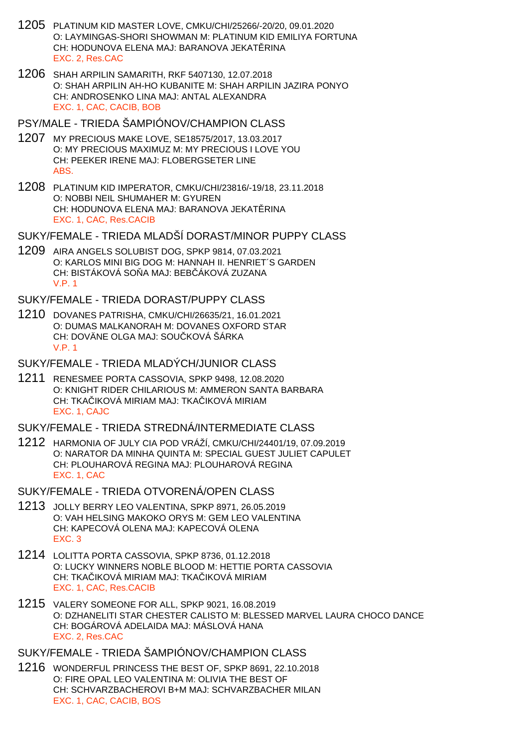- 1205 PLATINUM KID MASTER LOVE, CMKU/CHI/25266/-20/20, 09.01.2020 O: LAYMINGAS-SHORI SHOWMAN M: PLATINUM KID EMILIYA FORTUNA CH: HODUNOVA ELENA MAJ: BARANOVA JEKATERINA EXC. 2, Res.CAC
- 1206 SHAH ARPILIN SAMARITH, RKF 5407130, 12.07.2018 O: SHAH ARPILIN AH-HO KUBANITE M: SHAH ARPILIN JAZIRA PONYO CH: ANDROSENKO LINA MAJ: ANTAL ALEXANDRA EXC. 1, CAC, CACIB, BOB
- PSY/MALE TRIEDA ŠAMPIÓNOV/CHAMPION CLASS
- 1207 MY PRECIOUS MAKE LOVE, SE18575/2017, 13.03.2017 O: MY PRECIOUS MAXIMUZ M: MY PRECIOUS I LOVE YOU CH: PEEKER IRENE MAJ: FLOBERGSETER LINE ABS.
- 1208 PLATINUM KID IMPERATOR, CMKU/CHI/23816/-19/18, 23.11.2018 O: NOBBI NEIL SHUMAHER M: GYUREN CH: HODUNOVA ELENA MAJ: BARANOVA JEKAT RINA EXC. 1, CAC, Res.CACIB
- SUKY/FEMALE TRIEDA MLADŠÍ DORAST/MINOR PUPPY CLASS
- 1209 AIRA ANGELS SOLUBIST DOG, SPKP 9814, 07.03.2021 O: KARLOS MINI BIG DOG M: HANNAH II. HENRIET´S GARDEN CH: BISTÁKOVÁ SO A MAJ: BEB ÁKOVÁ ZUZANA V.P. 1

SUKY/FEMALE - TRIEDA DORAST/PUPPY CLASS

1210 DOVANES PATRISHA, CMKU/CHI/26635/21, 16.01.2021 O: DUMAS MALKANORAH M: DOVANES OXFORD STAR CH: DOVÄNE OLGA MAJ: SOU KOVÁ ŠÁRKA V.P. 1

SUKY/FEMALE - TRIEDA MLADÝCH/JUNIOR CLASS

1211 RENESMEE PORTA CASSOVIA, SPKP 9498, 12.08.2020 O: KNIGHT RIDER CHILARIOUS M: AMMERON SANTA BARBARA CH: TKA IKOVÁ MIRIAM MAJ: TKA IKOVÁ MIRIAM EXC. 1, CAJC

SUKY/FEMALE - TRIEDA STREDNÁ/INTERMEDIATE CLASS

1212 HARMONIA OF JULY CIA POD VRÁŽÍ, CMKU/CHI/24401/19, 07.09.2019 O: NARATOR DA MINHA QUINTA M: SPECIAL GUEST JULIET CAPULET CH: PLOUHAROVÁ REGINA MAJ: PLOUHAROVÁ REGINA EXC. 1, CAC

SUKY/FEMALE - TRIEDA OTVORENÁ/OPEN CLASS

- 1213 JOLLY BERRY LEO VALENTINA, SPKP 8971, 26.05.2019 O: VAH HELSING MAKOKO ORYS M: GEM LEO VALENTINA CH: KAPECOVÁ OLENA MAJ: KAPECOVÁ OLENA EXC. 3
- 1214 LOLITTA PORTA CASSOVIA, SPKP 8736, 01.12.2018 O: LUCKY WINNERS NOBLE BLOOD M: HETTIE PORTA CASSOVIA CH: TKA IKOVÁ MIRIAM MAJ: TKA IKOVÁ MIRIAM EXC. 1, CAC, Res.CACIB
- 1215 VALERY SOMEONE FOR ALL, SPKP 9021, 16.08.2019 O: DZHANELITI STAR CHESTER CALISTO M: BLESSED MARVEL LAURA CHOCO DANCE CH: BOGÁROVÁ ADELAIDA MAJ: MÁSLOVÁ HANA EXC. 2, Res.CAC

SUKY/FEMALE - TRIEDA ŠAMPIÓNOV/CHAMPION CLASS

1216 WONDERFUL PRINCESS THE BEST OF, SPKP 8691, 22.10.2018 O: FIRE OPAL LEO VALENTINA M: OLIVIA THE BEST OF CH: SCHVARZBACHEROVI B+M MAJ: SCHVARZBACHER MILAN EXC. 1, CAC, CACIB, BOS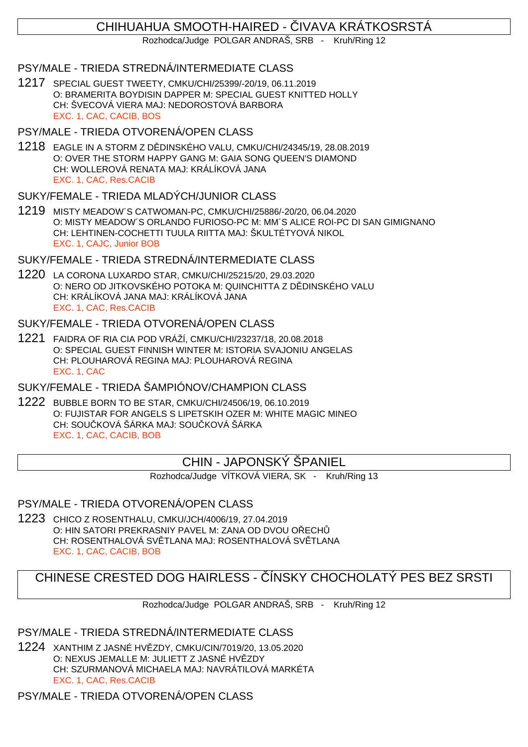# CHIHUAHUA SMOOTH-HAIRED - VAVA KRÁTKOSRSTÁ

Rozhodca/Judge POLGAR ANDRAŠ, SRB - Kruh/Ring 12

### PSY/MALE - TRIEDA STREDNÁ/INTERMEDIATE CLASS

1217 SPECIAL GUEST TWEETY, CMKU/CHI/25399/-20/19, 06.11.2019 O: BRAMERITA BOYDISIN DAPPER M: SPECIAL GUEST KNITTED HOLLY CH: ŠVECOVÁ VIERA MAJ: NEDOROSTOVÁ BARBORA EXC. 1, CAC, CACIB, BOS

#### PSY/MALE - TRIEDA OTVORENÁ/OPEN CLASS

1218 EAGLE IN A STORM Z D DINSKÉHO VALU, CMKU/CHI/24345/19, 28.08.2019 O: OVER THE STORM HAPPY GANG M: GAIA SONG QUEEN'S DIAMOND CH: WOLLEROVÁ RENATA MAJ: KRÁLÍKOVÁ JANA EXC. 1, CAC, Res.CACIB

### SUKY/FEMALE - TRIEDA MLADÝCH/JUNIOR CLASS

1219 MISTY MEADOW´S CATWOMAN-PC, CMKU/CHI/25886/-20/20, 06.04.2020 O: MISTY MEADOW´S ORLANDO FURIOSO-PC M: MM´S ALICE ROI-PC DI SAN GIMIGNANO CH: LEHTINEN-COCHETTI TUULA RIITTA MAJ: ŠKULTÉTYOVÁ NIKOL EXC. 1, CAJC, Junior BOB

### SUKY/FEMALE - TRIEDA STREDNÁ/INTERMEDIATE CLASS

1220 LA CORONA LUXARDO STAR, CMKU/CHI/25215/20, 29.03.2020 O: NERO OD JITKOVSKÉHO POTOKA M: QUINCHITTA Z D DINSKÉHO VALU CH: KRÁLÍKOVÁ JANA MAJ: KRÁLÍKOVÁ JANA EXC. 1, CAC, Res.CACIB

# SUKY/FEMALE - TRIEDA OTVORENÁ/OPEN CLASS

1221 FAIDRA OF RIA CIA POD VRÁŽÍ, CMKU/CHI/23237/18, 20.08.2018 O: SPECIAL GUEST FINNISH WINTER M: ISTORIA SVAJONIU ANGELAS CH: PLOUHAROVÁ REGINA MAJ: PLOUHAROVÁ REGINA EXC. 1, CAC

# SUKY/FEMALE - TRIEDA ŠAMPIÓNOV/CHAMPION CLASS

1222 BUBBLE BORN TO BE STAR, CMKU/CHI/24506/19, 06.10.2019 O: FUJISTAR FOR ANGELS S LIPETSKIH OZER M: WHITE MAGIC MINEO CH: SOU KOVÁ ŠÁRKA MAJ: SOU KOVÁ ŠÁRKA EXC. 1, CAC, CACIB, BOB

# CHIN - JAPONSKÝ ŠPANIEL

Rozhodca/Judge VÍTKOVÁ VIERA, SK - Kruh/Ring 13

### PSY/MALE - TRIEDA OTVORENÁ/OPEN CLASS

1223 CHICO Z ROSENTHALU, CMKU/JCH/4006/19, 27.04.2019 O: HIN SATORI PREKRASNIY PAVEL M: ZANA OD DVOU OLECH CH: ROSENTHALOVÁ SVÍTLANA MAJ: ROSENTHALOVÁ SVÍTLANA EXC. 1, CAC, CACIB, BOB

# CHINESE CRESTED DOG HAIRLESS - ÍNSKY CHOCHOLATÝ PES BEZ SRSTI

Rozhodca/Judge POLGAR ANDRAŠ, SRB - Kruh/Ring 12

### PSY/MALE - TRIEDA STREDNÁ/INTERMEDIATE CLASS

1224 XANTHIM Z JASNÉ HVĚZDY, CMKU/CIN/7019/20, 13.05.2020 O: NEXUS JEMALLE M: JULIETT Z JASNÉ HV ZDY CH: SZURMANOVÁ MICHAELA MAJ: NAVRÁTILOVÁ MARKÉTA EXC. 1, CAC, Res.CACIB

PSY/MALE - TRIEDA OTVORENÁ/OPEN CLASS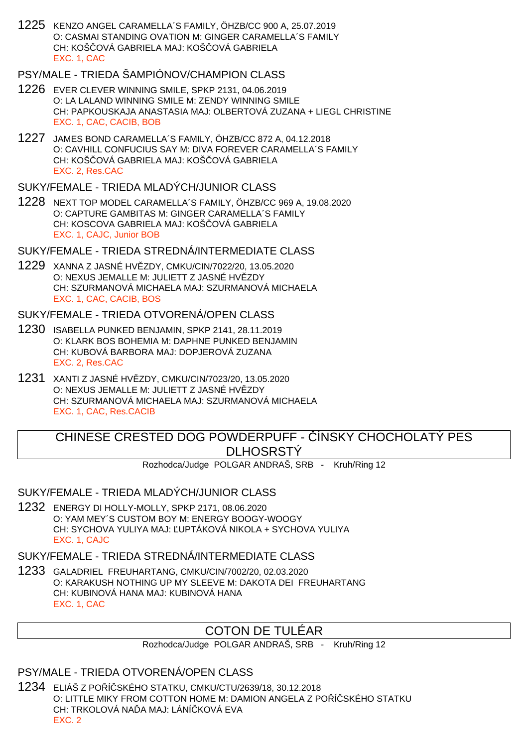1225 KENZO ANGEL CARAMELLA´S FAMILY, ÖHZB/CC 900 A, 25.07.2019 O: CASMAI STANDING OVATION M: GINGER CARAMELLA´S FAMILY CH: KOŠ, OVÁ GABRIELA MAJ: KOŠ, OVÁ GABRIELA EXC. 1, CAC

# PSY/MALE - TRIEDA ŠAMPIÓNOV/CHAMPION CLASS

- 1226 EVER CLEVER WINNING SMILE, SPKP 2131, 04.06.2019 O: LA LALAND WINNING SMILE M: ZENDY WINNING SMILE CH: PAPKOUSKAJA ANASTASIA MAJ: OLBERTOVÁ ZUZANA + LIEGL CHRISTINE EXC. 1, CAC, CACIB, BOB
- 1227 JAMES BOND CARAMELLA´S FAMILY, ÖHZB/CC 872 A, 04.12.2018 O: CAVHILL CONFUCIUS SAY M: DIVA FOREVER CARAMELLA´S FAMILY CH: KOŠ OVÁ GABRIELA MAJ: KOŠ OVÁ GABRIELA EXC. 2, Res.CAC

## SUKY/FEMALE - TRIEDA MLADÝCH/JUNIOR CLASS

1228 NEXT TOP MODEL CARAMELLA´S FAMILY, ÖHZB/CC 969 A, 19.08.2020 O: CAPTURE GAMBITAS M: GINGER CARAMELLA´S FAMILY CH: KOSCOVA GABRIELA MAJ: KOŠ OVÁ GABRIELA EXC. 1, CAJC, Junior BOB

#### SUKY/FEMALE - TRIEDA STREDNÁ/INTERMEDIATE CLASS

1229 XANNA Z JASNÉ HVĚZDY, CMKU/CIN/7022/20, 13.05.2020 O: NEXUS JEMALLE M: JULIETT Z JASNÉ HV ZDY CH: SZURMANOVÁ MICHAELA MAJ: SZURMANOVÁ MICHAELA EXC. 1, CAC, CACIB, BOS

#### SUKY/FEMALE - TRIEDA OTVORENÁ/OPEN CLASS

- 1230 ISABELLA PUNKED BENJAMIN, SPKP 2141, 28.11.2019 O: KLARK BOS BOHEMIA M: DAPHNE PUNKED BENJAMIN CH: KUBOVÁ BARBORA MAJ: DOPJEROVÁ ZUZANA EXC. 2, Res.CAC
- 1231 XANTI Z JASNÉ HVĚZDY, CMKU/CIN/7023/20, 13.05.2020 O: NEXUS JEMALLE M: JULIETT Z JASNÉ HV ZDY CH: SZURMANOVÁ MICHAELA MAJ: SZURMANOVÁ MICHAELA EXC. 1, CAC, Res.CACIB

# CHINESE CRESTED DOG POWDERPUFF - ÍNSKY CHOCHOLATÝ PES **DLHOSRSTÝ**

Rozhodca/Judge POLGAR ANDRAŠ, SRB - Kruh/Ring 12

### SUKY/FEMALE - TRIEDA MLADÝCH/JUNIOR CLASS

1232 ENERGY DI HOLLY-MOLLY, SPKP 2171, 08.06.2020 O: YAM MEY´S CUSTOM BOY M: ENERGY BOOGY-WOOGY CH: SYCHOVA YULIYA MAJ: UPTÁKOVÁ NIKOLA + SYCHOVA YULIYA EXC. 1, CAJC

# SUKY/FEMALE - TRIEDA STREDNÁ/INTERMEDIATE CLASS

1233 GALADRIEL FREUHARTANG, CMKU/CIN/7002/20, 02.03.2020 O: KARAKUSH NOTHING UP MY SLEEVE M: DAKOTA DEI FREUHARTANG CH: KUBINOVÁ HANA MAJ: KUBINOVÁ HANA EXC. 1, CAC

# COTON DE TULÉAR

Rozhodca/Judge POLGAR ANDRAŠ, SRB - Kruh/Ring 12

# PSY/MALE - TRIEDA OTVORENÁ/OPEN CLASS

1234 ELIÁŠ Z POŘÍČSKÉHO STATKU, CMKU/CTU/2639/18, 30.12.2018 O: LITTLE MIKY FROM COTTON HOME M: DAMION ANGELA Z PO Í SKÉHO STATKU CH: TRKOLOVÁ NA LA MAJ: LÁNÍ KOVÁ EVA EXC. 2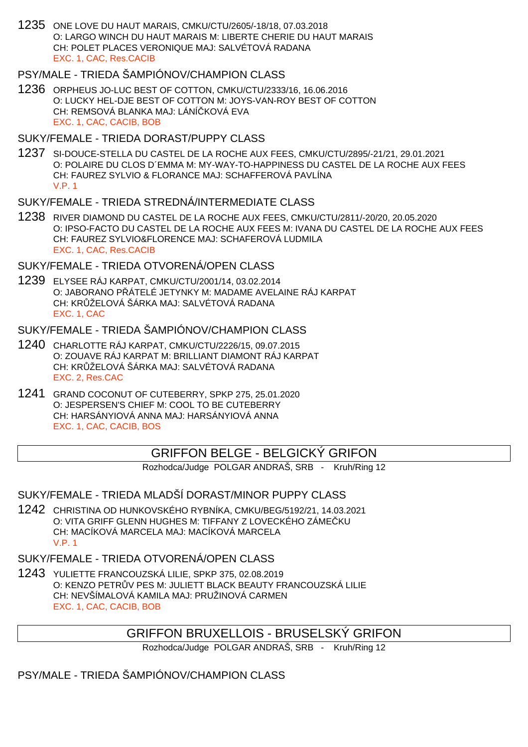1235 ONE LOVE DU HAUT MARAIS, CMKU/CTU/2605/-18/18, 07.03.2018 O: LARGO WINCH DU HAUT MARAIS M: LIBERTE CHERIE DU HAUT MARAIS CH: POLET PLACES VERONIQUE MAJ: SALVÉTOVÁ RADANA EXC. 1, CAC, Res.CACIB

# PSY/MALE - TRIEDA ŠAMPIÓNOV/CHAMPION CLASS

1236 ORPHEUS JO-LUC BEST OF COTTON, CMKU/CTU/2333/16, 16.06.2016 O: LUCKY HEL-DJE BEST OF COTTON M: JOYS-VAN-ROY BEST OF COTTON CH: REMSOVÁ BLANKA MAJ: LÁNÍ KOVÁ EVA EXC. 1, CAC, CACIB, BOB

#### SUKY/FEMALE - TRIEDA DORAST/PUPPY CLASS

1237 SI-DOUCE-STELLA DU CASTEL DE LA ROCHE AUX FEES, CMKU/CTU/2895/-21/21, 29.01.2021 O: POLAIRE DU CLOS D´EMMA M: MY-WAY-TO-HAPPINESS DU CASTEL DE LA ROCHE AUX FEES CH: FAUREZ SYLVIO & FLORANCE MAJ: SCHAFFEROVÁ PAVLÍNA V.P. 1

#### SUKY/FEMALE - TRIEDA STREDNÁ/INTERMEDIATE CLASS

1238 RIVER DIAMOND DU CASTEL DE LA ROCHE AUX FEES, CMKU/CTU/2811/-20/20, 20.05.2020 O: IPSO-FACTO DU CASTEL DE LA ROCHE AUX FEES M: IVANA DU CASTEL DE LA ROCHE AUX FEES CH: FAUREZ SYLVIO&FLORENCE MAJ: SCHAFEROVÁ LUDMILA EXC. 1, CAC, Res.CACIB

#### SUKY/FEMALE - TRIEDA OTVORENÁ/OPEN CLASS

1239 ELYSEE RÁJ KARPAT, CMKU/CTU/2001/14, 03.02.2014 O: JABORANO PÁTELÉ JETYNKY M: MADAME AVELAINE RÁJ KARPAT CH: KR ŽELOVÁ ŠÁRKA MAJ: SALVÉTOVÁ RADANA EXC. 1, CAC

#### SUKY/FEMALE - TRIEDA ŠAMPIÓNOV/CHAMPION CLASS

- 1240 CHARLOTTE RÁJ KARPAT, CMKU/CTU/2226/15, 09.07.2015 O: ZOUAVE RÁJ KARPAT M: BRILLIANT DIAMONT RÁJ KARPAT CH: KR ŽELOVÁ ŠÁRKA MAJ: SALVÉTOVÁ RADANA EXC. 2, Res.CAC
- 1241 GRAND COCONUT OF CUTEBERRY, SPKP 275, 25.01.2020 O: JESPERSEN'S CHIEF M: COOL TO BE CUTEBERRY CH: HARSÁNYIOVÁ ANNA MAJ: HARSÁNYIOVÁ ANNA EXC. 1, CAC, CACIB, BOS

# GRIFFON BELGE - BELGICKÝ GRIFON

Rozhodca/Judge POLGAR ANDRAŠ, SRB - Kruh/Ring 12

### SUKY/FEMALE - TRIEDA MLADŠÍ DORAST/MINOR PUPPY CLASS

1242 CHRISTINA OD HUNKOVSKÉHO RYBNÍKA, CMKU/BEG/5192/21, 14.03.2021 O: VITA GRIFF GLENN HUGHES M: TIFFANY Z LOVECKÉHO ZÁMEČKU CH: MACÍKOVÁ MARCELA MAJ: MACÍKOVÁ MARCELA V.P. 1

SUKY/FEMALE - TRIEDA OTVORENÁ/OPEN CLASS

1243 YULIETTE FRANCOUZSKÁ LILIE, SPKP 375, 02.08.2019 O: KENZO PETR V PES M: JULIETT BLACK BEAUTY FRANCOUZSKÁ LILIE CH: NEVŠÍMALOVÁ KAMILA MAJ: PRUŽINOVÁ CARMEN EXC. 1, CAC, CACIB, BOB

### GRIFFON BRUXELLOIS - BRUSELSKÝ GRIFON

Rozhodca/Judge POLGAR ANDRAŠ, SRB - Kruh/Ring 12

### PSY/MALE - TRIEDA ŠAMPIÓNOV/CHAMPION CLASS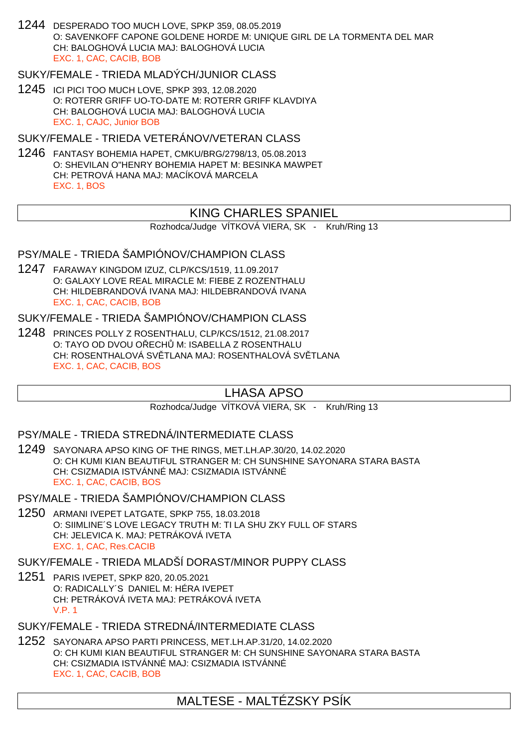1244 DESPERADO TOO MUCH LOVE, SPKP 359, 08.05.2019 O: SAVENKOFF CAPONE GOLDENE HORDE M: UNIQUE GIRL DE LA TORMENTA DEL MAR CH: BALOGHOVÁ LUCIA MAJ: BALOGHOVÁ LUCIA EXC. 1, CAC, CACIB, BOB

### SUKY/FEMALE - TRIEDA MLADÝCH/JUNIOR CLASS

1245 ICI PICI TOO MUCH LOVE, SPKP 393, 12.08.2020 O: ROTERR GRIFF UO-TO-DATE M: ROTERR GRIFF KLAVDIYA CH: BALOGHOVÁ LUCIA MAJ: BALOGHOVÁ LUCIA EXC. 1, CAJC, Junior BOB

SUKY/FEMALE - TRIEDA VETERÁNOV/VETERAN CLASS

1246 FANTASY BOHEMIA HAPET, CMKU/BRG/2798/13, 05.08.2013 O: SHEVILAN O"HENRY BOHEMIA HAPET M: BESINKA MAWPET CH: PETROVÁ HANA MAJ: MACÍKOVÁ MARCELA EXC. 1, BOS

# KING CHARLES SPANIEL

Rozhodca/Judge VÍTKOVÁ VIERA, SK - Kruh/Ring 13

### PSY/MALE - TRIEDA ŠAMPIÓNOV/CHAMPION CLASS

1247 FARAWAY KINGDOM IZUZ, CLP/KCS/1519, 11.09.2017 O: GALAXY LOVE REAL MIRACLE M: FIEBE Z ROZENTHALU CH: HILDEBRANDOVÁ IVANA MAJ: HILDEBRANDOVÁ IVANA EXC. 1, CAC, CACIB, BOB

SUKY/FEMALE - TRIEDA ŠAMPIÓNOV/CHAMPION CLASS

1248 PRINCES POLLY Z ROSENTHALU, CLP/KCS/1512, 21.08.2017 O: TAYO OD DVOU OŘECHŮ M: ISABELLA Z ROSENTHALU CH: ROSENTHALOVÁ SV TLANA MAJ: ROSENTHALOVÁ SV TLANA EXC. 1, CAC, CACIB, BOS

# LHASA APSO

Rozhodca/Judge VÍTKOVÁ VIERA, SK - Kruh/Ring 13

PSY/MALE - TRIEDA STREDNÁ/INTERMEDIATE CLASS

1249 SAYONARA APSO KING OF THE RINGS, MET.LH.AP.30/20, 14.02.2020 O: CH KUMI KIAN BEAUTIFUL STRANGER M: CH SUNSHINE SAYONARA STARA BASTA CH: CSIZMADIA ISTVÁNNÉ MAJ: CSIZMADIA ISTVÁNNÉ EXC. 1, CAC, CACIB, BOS

PSY/MALE - TRIEDA ŠAMPIÓNOV/CHAMPION CLASS

1250 ARMANI IVEPET LATGATE, SPKP 755, 18.03.2018 O: SIIMLINE´S LOVE LEGACY TRUTH M: TI LA SHU ZKY FULL OF STARS CH: JELEVICA K. MAJ: PETRÁKOVÁ IVETA EXC. 1, CAC, Res.CACIB

SUKY/FEMALE - TRIEDA MLADŠÍ DORAST/MINOR PUPPY CLASS

1251 PARIS IVEPET, SPKP 820, 20.05.2021 O: RADICALLY´S DANIEL M: HÉRA IVEPET CH: PETRÁKOVÁ IVETA MAJ: PETRÁKOVÁ IVETA V.P. 1

SUKY/FEMALE - TRIEDA STREDNÁ/INTERMEDIATE CLASS

1252 SAYONARA APSO PARTI PRINCESS, MET.LH.AP.31/20, 14.02.2020 O: CH KUMI KIAN BEAUTIFUL STRANGER M: CH SUNSHINE SAYONARA STARA BASTA CH: CSIZMADIA ISTVÁNNÉ MAJ: CSIZMADIA ISTVÁNNÉ EXC. 1, CAC, CACIB, BOB

# MALTESE - MALTÉZSKY PSÍK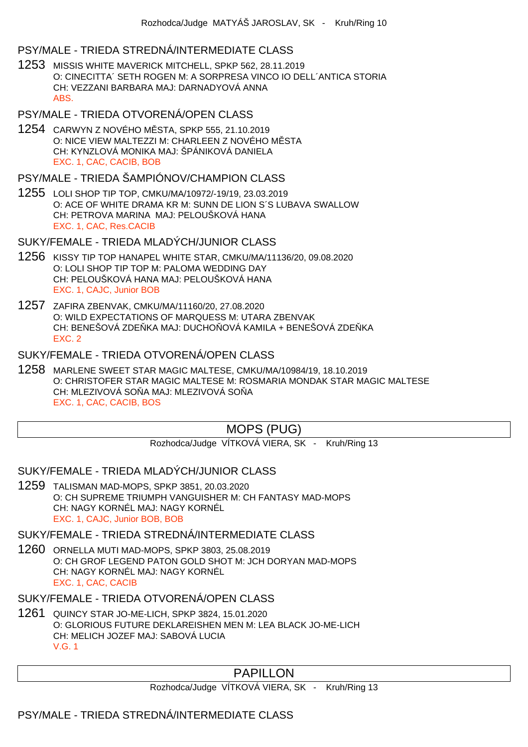### PSY/MALE - TRIEDA STREDNÁ/INTERMEDIATE CLASS

- 1253 MISSIS WHITE MAVERICK MITCHELL, SPKP 562, 28.11.2019 O: CINECITTA´ SETH ROGEN M: A SORPRESA VINCO IO DELL´ANTICA STORIA CH: VEZZANI BARBARA MAJ: DARNADYOVÁ ANNA ABS.
- PSY/MALE TRIEDA OTVORENÁ/OPEN CLASS
- 1254 CARWYN Z NOVÉHO M STA, SPKP 555, 21.10.2019 O: NICE VIEW MALTEZZI M: CHARLEEN Z NOVÉHO M STA CH: KYNZLOVÁ MONIKA MAJ: ŠPÁNIKOVÁ DANIELA EXC. 1, CAC, CACIB, BOB

#### PSY/MALE - TRIEDA ŠAMPIÓNOV/CHAMPION CLASS

1255 LOLI SHOP TIP TOP, CMKU/MA/10972/-19/19, 23.03.2019 O: ACE OF WHITE DRAMA KR M: SUNN DE LION S´S LUBAVA SWALLOW CH: PETROVA MARINA MAJ: PELOUŠKOVÁ HANA EXC. 1, CAC, Res.CACIB

SUKY/FEMALE - TRIEDA MLADÝCH/JUNIOR CLASS

- 1256 KISSY TIP TOP HANAPEL WHITE STAR, CMKU/MA/11136/20, 09.08.2020 O: LOLI SHOP TIP TOP M: PALOMA WEDDING DAY CH: PELOUŠKOVÁ HANA MAJ: PELOUŠKOVÁ HANA EXC. 1, CAJC, Junior BOB
- 1257 ZAFIRA ZBENVAK, CMKU/MA/11160/20, 27.08.2020 O: WILD EXPECTATIONS OF MARQUESS M: UTARA ZBENVAK CH: BENEŠOVÁ ZDE KA MAJ: DUCHO OVÁ KAMILA + BENEŠOVÁ ZDE KA EXC. 2

### SUKY/FEMALE - TRIEDA OTVORENÁ/OPEN CLASS

1258 MARLENE SWEET STAR MAGIC MALTESE, CMKU/MA/10984/19, 18.10.2019 O: CHRISTOFER STAR MAGIC MALTESE M: ROSMARIA MONDAK STAR MAGIC MALTESE CH: MLEZIVOVÁ SO A MAJ: MLEZIVOVÁ SO A EXC. 1, CAC, CACIB, BOS

# MOPS (PUG)

Rozhodca/Judge VÍTKOVÁ VIERA, SK - Kruh/Ring 13

SUKY/FEMALE - TRIEDA MLADÝCH/JUNIOR CLASS

1259 TALISMAN MAD-MOPS, SPKP 3851, 20.03.2020 O: CH SUPREME TRIUMPH VANGUISHER M: CH FANTASY MAD-MOPS CH: NAGY KORNÉL MAJ: NAGY KORNÉL EXC. 1, CAJC, Junior BOB, BOB

SUKY/FEMALE - TRIEDA STREDNÁ/INTERMEDIATE CLASS

1260 ORNELLA MUTI MAD-MOPS, SPKP 3803, 25.08.2019 O: CH GROF LEGEND PATON GOLD SHOT M: JCH DORYAN MAD-MOPS CH: NAGY KORNÉL MAJ: NAGY KORNÉL EXC. 1, CAC, CACIB

SUKY/FEMALE - TRIEDA OTVORENÁ/OPEN CLASS

1261 QUINCY STAR JO-ME-LICH, SPKP 3824, 15.01.2020 O: GLORIOUS FUTURE DEKLAREISHEN MEN M: LEA BLACK JO-ME-LICH CH: MELICH JOZEF MAJ: SABOVÁ LUCIA V.G. 1

# PAPILLON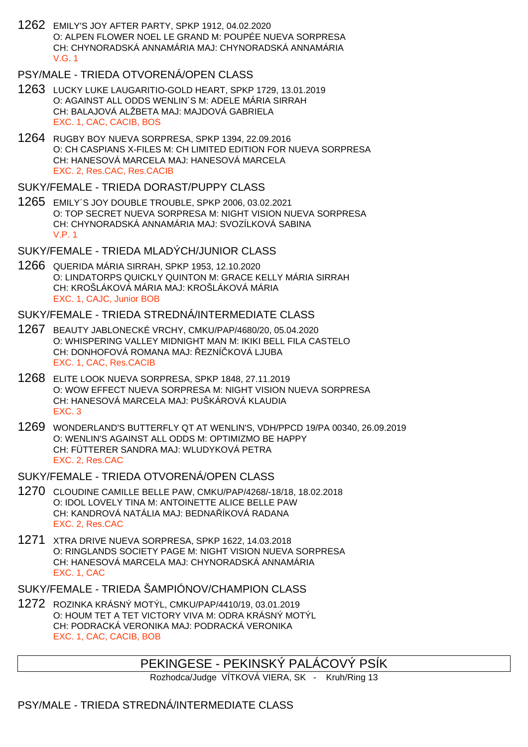1262 EMILY'S JOY AFTER PARTY, SPKP 1912, 04.02.2020 O: ALPEN FLOWER NOEL LE GRAND M: POUPÉE NUEVA SORPRESA CH: CHYNORADSKÁ ANNAMÁRIA MAJ: CHYNORADSKÁ ANNAMÁRIA V.G. 1

### PSY/MALE - TRIEDA OTVORENÁ/OPEN CLASS

- 1263 LUCKY LUKE LAUGARITIO-GOLD HEART, SPKP 1729, 13.01.2019 O: AGAINST ALL ODDS WENLIN´S M: ADELE MÁRIA SIRRAH CH: BALAJOVÁ ALŽBETA MAJ: MAJDOVÁ GABRIELA EXC. 1, CAC, CACIB, BOS
- 1264 RUGBY BOY NUEVA SORPRESA, SPKP 1394, 22.09.2016 O: CH CASPIANS X-FILES M: CH LIMITED EDITION FOR NUEVA SORPRESA CH: HANESOVÁ MARCELA MAJ: HANESOVÁ MARCELA EXC. 2, Res.CAC, Res.CACIB

### SUKY/FEMALE - TRIEDA DORAST/PUPPY CLASS

1265 EMILY´S JOY DOUBLE TROUBLE, SPKP 2006, 03.02.2021 O: TOP SECRET NUEVA SORPRESA M: NIGHT VISION NUEVA SORPRESA CH: CHYNORADSKÁ ANNAMÁRIA MAJ: SVOZÍLKOVÁ SABINA V.P. 1

# SUKY/FEMALE - TRIEDA MLADÝCH/JUNIOR CLASS

1266 QUERIDA MÁRIA SIRRAH, SPKP 1953, 12.10.2020 O: LINDATORPS QUICKLY QUINTON M: GRACE KELLY MÁRIA SIRRAH CH: KROŠLÁKOVÁ MÁRIA MAJ: KROŠLÁKOVÁ MÁRIA EXC. 1, CAJC, Junior BOB

# SUKY/FEMALE - TRIEDA STREDNÁ/INTERMEDIATE CLASS

- 1267 BEAUTY JABLONECKÉ VRCHY, CMKU/PAP/4680/20, 05.04.2020 O: WHISPERING VALLEY MIDNIGHT MAN M: IKIKI BELL FILA CASTELO CH: DONHOFOVÁ ROMANA MAJ: EZNÍ KOVÁ LJUBA EXC. 1, CAC, Res.CACIB
- 1268 ELITE LOOK NUEVA SORPRESA, SPKP 1848, 27.11.2019 O: WOW EFFECT NUEVA SORPRESA M: NIGHT VISION NUEVA SORPRESA CH: HANESOVÁ MARCELA MAJ: PUŠKÁROVÁ KLAUDIA EXC. 3
- 1269 WONDERLAND'S BUTTERFLY QT AT WENLIN'S, VDH/PPCD 19/PA 00340, 26.09.2019 O: WENLIN'S AGAINST ALL ODDS M: OPTIMIZMO BE HAPPY CH: FÜTTERER SANDRA MAJ: WLUDYKOVÁ PETRA EXC. 2, Res.CAC

# SUKY/FEMALE - TRIEDA OTVORENÁ/OPEN CLASS

- 1270 CLOUDINE CAMILLE BELLE PAW, CMKU/PAP/4268/-18/18, 18.02.2018 O: IDOL LOVELY TINA M: ANTOINETTE ALICE BELLE PAW CH: KANDROVÁ NATÁLIA MAJ: BEDNA ÍKOVÁ RADANA EXC. 2, Res.CAC
- 1271 XTRA DRIVE NUEVA SORPRESA, SPKP 1622, 14.03.2018 O: RINGLANDS SOCIETY PAGE M: NIGHT VISION NUEVA SORPRESA CH: HANESOVÁ MARCELA MAJ: CHYNORADSKÁ ANNAMÁRIA EXC. 1, CAC

# SUKY/FEMALE - TRIEDA ŠAMPIÓNOV/CHAMPION CLASS

1272 ROZINKA KRÁSNÝ MOTÝL, CMKU/PAP/4410/19, 03.01.2019 O: HOUM TET A TET VICTORY VIVA M: ODRA KRÁSNÝ MOTÝL CH: PODRACKÁ VERONIKA MAJ: PODRACKÁ VERONIKA EXC. 1, CAC, CACIB, BOB

# PEKINGESE - PEKINSKÝ PALÁCOVÝ PSÍK

Rozhodca/Judge VÍTKOVÁ VIERA, SK - Kruh/Ring 13

# PSY/MALE - TRIEDA STREDNÁ/INTERMEDIATE CLASS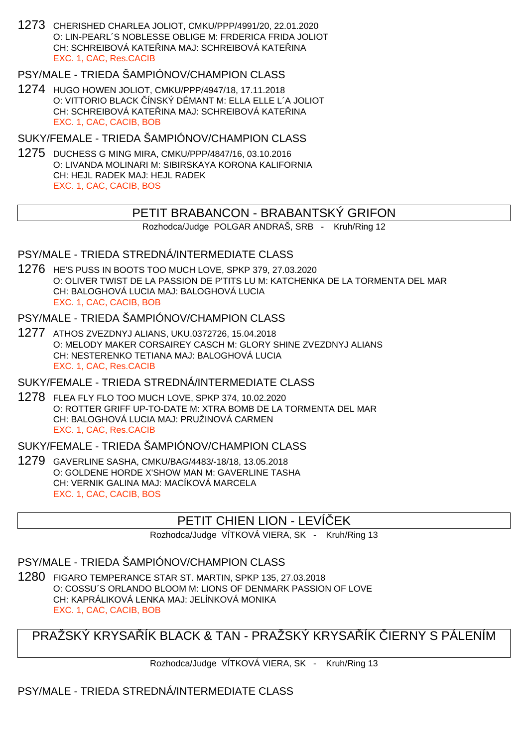1273 CHERISHED CHARLEA JOLIOT, CMKU/PPP/4991/20, 22.01.2020 O: LIN-PEARL´S NOBLESSE OBLIGE M: FRDERICA FRIDA JOLIOT CH: SCHREIBOVÁ KATE<sub>LINA</sub> MAJ: SCHREIBOVÁ KATELINA EXC. 1, CAC, Res.CACIB

# PSY/MALE - TRIEDA ŠAMPIÓNOV/CHAMPION CLASS

1274 HUGO HOWEN JOLIOT, CMKU/PPP/4947/18, 17.11.2018 O: VITTORIO BLACK ČÍNSKÝ DÉMANT M: ELLA ELLE L´A JOLIOT CH: SCHREIBOVÁ KATE INA MAJ: SCHREIBOVÁ KATE INA EXC. 1, CAC, CACIB, BOB

SUKY/FEMALE - TRIEDA ŠAMPIÓNOV/CHAMPION CLASS

1275 DUCHESS G MING MIRA, CMKU/PPP/4847/16, 03.10.2016 O: LIVANDA MOLINARI M: SIBIRSKAYA KORONA KALIFORNIA CH: HEJL RADEK MAJ: HEJL RADEK EXC. 1, CAC, CACIB, BOS

### PETIT BRABANCON - BRABANTSKY GRIFON

Rozhodca/Judge POLGAR ANDRAŠ, SRB - Kruh/Ring 12

#### PSY/MALE - TRIEDA STREDNÁ/INTERMEDIATE CLASS

1276 HE'S PUSS IN BOOTS TOO MUCH LOVE, SPKP 379, 27.03.2020 O: OLIVER TWIST DE LA PASSION DE P'TITS LU M: KATCHENKA DE LA TORMENTA DEL MAR CH: BALOGHOVÁ LUCIA MAJ: BALOGHOVÁ LUCIA EXC. 1, CAC, CACIB, BOB

#### PSY/MALE - TRIEDA ŠAMPIÓNOV/CHAMPION CLASS

1277 ATHOS ZVEZDNYJ ALIANS, UKU.0372726, 15.04.2018 O: MELODY MAKER CORSAIREY CASCH M: GLORY SHINE ZVEZDNYJ ALIANS CH: NESTERENKO TETIANA MAJ: BALOGHOVÁ LUCIA EXC. 1, CAC, Res.CACIB

#### SUKY/FEMALE - TRIEDA STREDNÁ/INTERMEDIATE CLASS

1278 FLEA FLY FLO TOO MUCH LOVE, SPKP 374, 10.02.2020 O: ROTTER GRIFF UP-TO-DATE M: XTRA BOMB DE LA TORMENTA DEL MAR CH: BALOGHOVÁ LUCIA MAJ: PRUŽINOVÁ CARMEN EXC. 1, CAC, Res.CACIB

### SUKY/FEMALE - TRIEDA ŠAMPIÓNOV/CHAMPION CLASS

1279 GAVERLINE SASHA, CMKU/BAG/4483/-18/18, 13.05.2018 O: GOLDENE HORDE X'SHOW MAN M: GAVERLINE TASHA CH: VERNIK GALINA MAJ: MACÍKOVÁ MARCELA EXC. 1, CAC, CACIB, BOS

# PETIT CHIEN LION - LEVÍ EK

Rozhodca/Judge VÍTKOVÁ VIERA, SK - Kruh/Ring 13

# PSY/MALE - TRIEDA ŠAMPIÓNOV/CHAMPION CLASS

1280 FIGARO TEMPERANCE STAR ST. MARTIN, SPKP 135, 27.03.2018 O: COSSU´S ORLANDO BLOOM M: LIONS OF DENMARK PASSION OF LOVE CH: KAPRÁLIKOVÁ LENKA MAJ: JELÍNKOVÁ MONIKA EXC. 1, CAC, CACIB, BOB

# PRAŽSKÝ KRYSA ÍK BLACK & TAN - PRAŽSKÝ KRYSA ÍK LERNY S PÁLENÍM

Rozhodca/Judge VÍTKOVÁ VIERA, SK - Kruh/Ring 13

# PSY/MALE - TRIEDA STREDNÁ/INTERMEDIATE CLASS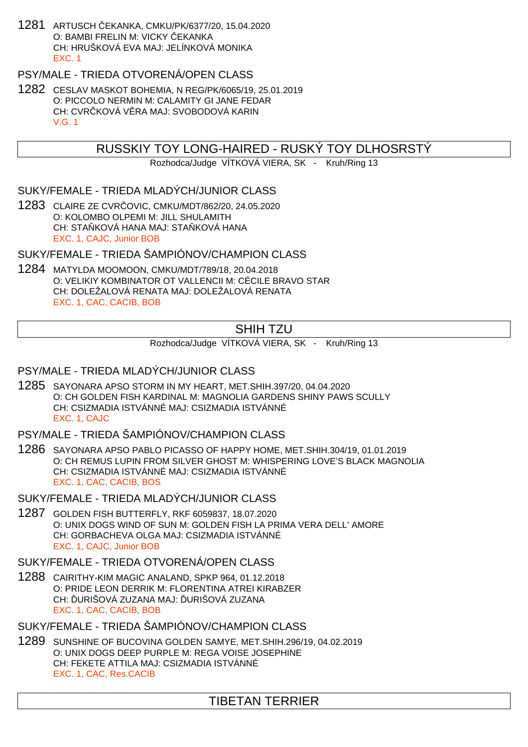1281 ARTUSCH ČEKANKA, CMKU/PK/6377/20, 15.04.2020 O: BAMBI FRELIN M: VICKY EKANKA CH: HRUŠKOVÁ EVA MAJ: JELÍNKOVÁ MONIKA EXC. 1

### PSY/MALE - TRIEDA OTVORENÁ/OPEN CLASS

1282 CESLAV MASKOT BOHEMIA, N REG/PK/6065/19, 25.01.2019 O: PICCOLO NERMIN M: CALAMITY GI JANE FEDAR CH: CVR KOVÁ V RA MAJ: SVOBODOVÁ KARIN V.G. 1

### RUSSKIY TOY LONG-HAIRED - RUSKÝ TOY DLHOSRSTÝ

Rozhodca/Judge VÍTKOVÁ VIERA, SK - Kruh/Ring 13

### SUKY/FEMALE - TRIEDA MLADÝCH/JUNIOR CLASS

1283 CLAIRE ZE CVRČOVIC, CMKU/MDT/862/20, 24.05.2020 O: KOLOMBO OLPEMI M: JILL SHULAMITH CH: STA KOVÁ HANA MAJ: STA KOVÁ HANA EXC. 1, CAJC, Junior BOB

SUKY/FEMALE - TRIEDA ŠAMPIÓNOV/CHAMPION CLASS

1284 MATYLDA MOOMOON, CMKU/MDT/789/18, 20.04.2018 O: VELIKIY KOMBINATOR OT VALLENCII M: CÉCILE BRAVO STAR CH: DOLEŽALOVÁ RENATA MAJ: DOLEŽALOVÁ RENATA EXC. 1, CAC, CACIB, BOB

# SHIH TZU

Rozhodca/Judge VÍTKOVÁ VIERA, SK - Kruh/Ring 13

#### PSY/MALE - TRIEDA MLADÝCH/JUNIOR CLASS

1285 SAYONARA APSO STORM IN MY HEART, MET.SHIH.397/20, 04.04.2020 O: CH GOLDEN FISH KARDINAL M: MAGNOLIA GARDENS SHINY PAWS SCULLY CH: CSIZMADIA ISTVÁNNÉ MAJ: CSIZMADIA ISTVÁNNÉ EXC. 1, CAJC

### PSY/MALE - TRIEDA ŠAMPIÓNOV/CHAMPION CLASS

1286 SAYONARA APSO PABLO PICASSO OF HAPPY HOME, MET.SHIH.304/19, 01.01.2019 O: CH REMUS LUPIN FROM SILVER GHOST M: WHISPERING LOVE'S BLACK MAGNOLIA CH: CSIZMADIA ISTVÁNNÉ MAJ: CSIZMADIA ISTVÁNNÉ EXC. 1, CAC, CACIB, BOS

SUKY/FEMALE - TRIEDA MLADÝCH/JUNIOR CLASS

1287 GOLDEN FISH BUTTERFLY, RKF 6059837, 18.07.2020 O: UNIX DOGS WIND OF SUN M: GOLDEN FISH LA PRIMA VERA DELL' AMORE CH: GORBACHEVA OLGA MAJ: CSIZMADIA ISTVÁNNÉ EXC. 1, CAJC, Junior BOB

### SUKY/FEMALE - TRIEDA OTVORENÁ/OPEN CLASS

1288 CAIRITHY-KIM MAGIC ANALAND, SPKP 964, 01.12.2018 O: PRIDE LEON DERRIK M: FLORENTINA ATREI KIRABZER CH: URIŠOVÁ ZUZANA MAJ: URIŠOVÁ ZUZANA EXC. 1, CAC, CACIB, BOB

#### SUKY/FEMALE - TRIEDA ŠAMPIÓNOV/CHAMPION CLASS

1289 SUNSHINE OF BUCOVINA GOLDEN SAMYE, MET.SHIH.296/19, 04.02.2019 O: UNIX DOGS DEEP PURPLE M: REGA VOISE JOSEPHINE CH: FEKETE ATTILA MAJ: CSIZMADIA ISTVÁNNÉ EXC. 1, CAC, Res.CACIB

# TIBETAN TERRIER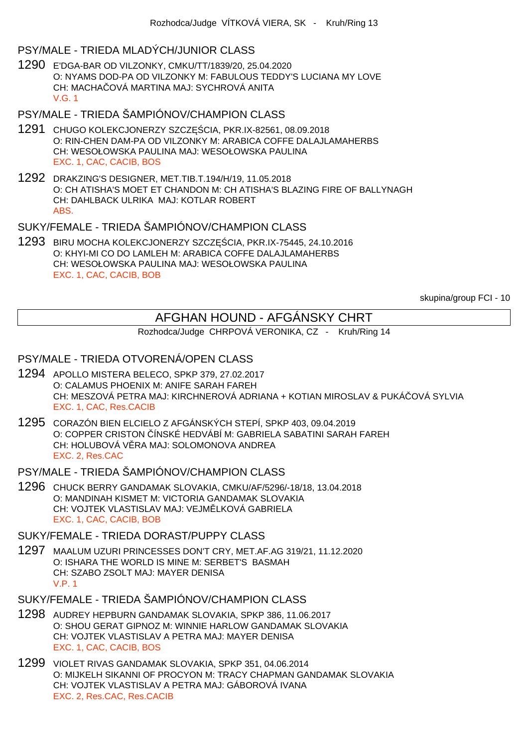# PSY/MALE - TRIEDA MLADÝCH/JUNIOR CLASS

1290 E'DGA-BAR OD VILZONKY, CMKU/TT/1839/20, 25.04.2020 O: NYAMS DOD-PA OD VILZONKY M: FABULOUS TEDDY'S LUCIANA MY LOVE CH: MACHA QVÁ MARTINA MAJ: SYCHROVÁ ANITA V.G. 1

PSY/MALE - TRIEDA ŠAMPIÓNOV/CHAMPION CLASS

- 1291 CHUGO KOLEKCJONERZY SZCZ CIA, PKR.IX-82561, 08.09.2018 O: RIN-CHEN DAM-PA OD VILZONKY M: ARABICA COFFE DALAJLAMAHERBS CH: WESOŁOWSKA PAULINA MAJ: WESOŁOWSKA PAULINA EXC. 1, CAC, CACIB, BOS
- 1292 DRAKZING'S DESIGNER, MET.TIB.T.194/H/19, 11.05.2018 O: CH ATISHA'S MOET ET CHANDON M: CH ATISHA'S BLAZING FIRE OF BALLYNAGH CH: DAHLBACK ULRIKA MAJ: KOTLAR ROBERT ABS.

# SUKY/FEMALE - TRIEDA ŠAMPIÓNOV/CHAMPION CLASS

1293 BIRU MOCHA KOLEKCJONERZY SZCZĘŚCIA, PKR.IX-75445, 24.10.2016 O: KHYI-MI CO DO LAMLEH M: ARABICA COFFE DALAJLAMAHERBS CH: WESOŁOWSKA PAULINA MAJ: WESOŁOWSKA PAULINA EXC. 1, CAC, CACIB, BOB

skupina/group FCI - 10

# AFGHAN HOUND - AFGÁNSKY CHRT

Rozhodca/Judge CHRPOVÁ VERONIKA, CZ - Kruh/Ring 14

#### PSY/MALE - TRIEDA OTVORENÁ/OPEN CLASS

- 1294 APOLLO MISTERA BELECO, SPKP 379, 27.02.2017 O: CALAMUS PHOENIX M: ANIFE SARAH FAREH CH: MESZOVÁ PETRA MAJ: KIRCHNEROVÁ ADRIANA + KOTIAN MIROSLAV & PUKÁ OVÁ SYLVIA EXC. 1, CAC, Res.CACIB
- 1295 CORAZÓN BIEN ELCIELO Z AFGÁNSKÝCH STEPÍ, SPKP 403, 09.04.2019 O: COPPER CRISTON ČÍNSKÉ HEDVÁBÍ M: GABRIELA SABATINI SARAH FAREH CH: HOLUBOVÁ V RA MAJ: SOLOMONOVA ANDREA EXC. 2, Res.CAC

PSY/MALE - TRIEDA ŠAMPIÓNOV/CHAMPION CLASS

1296 CHUCK BERRY GANDAMAK SLOVAKIA, CMKU/AF/5296/-18/18, 13.04.2018 O: MANDINAH KISMET M: VICTORIA GANDAMAK SLOVAKIA CH: VOJTEK VLASTISLAV MAJ: VEJM LKOVÁ GABRIELA EXC. 1, CAC, CACIB, BOB

#### SUKY/FEMALE - TRIEDA DORAST/PUPPY CLASS

1297 MAALUM UZURI PRINCESSES DON'T CRY, MET.AF.AG 319/21, 11.12.2020 O: ISHARA THE WORLD IS MINE M: SERBET'S BASMAH CH: SZABO ZSOLT MAJ: MAYER DENISA V.P. 1

SUKY/FEMALE - TRIEDA ŠAMPIÓNOV/CHAMPION CLASS

- 1298 AUDREY HEPBURN GANDAMAK SLOVAKIA, SPKP 386, 11.06.2017 O: SHOU GERAT GIPNOZ M: WINNIE HARLOW GANDAMAK SLOVAKIA CH: VOJTEK VLASTISLAV A PETRA MAJ: MAYER DENISA EXC. 1, CAC, CACIB, BOS
- 1299 VIOLET RIVAS GANDAMAK SLOVAKIA, SPKP 351, 04.06.2014 O: MIJKELH SIKANNI OF PROCYON M: TRACY CHAPMAN GANDAMAK SLOVAKIA CH: VOJTEK VLASTISLAV A PETRA MAJ: GÁBOROVÁ IVANA EXC. 2, Res.CAC, Res.CACIB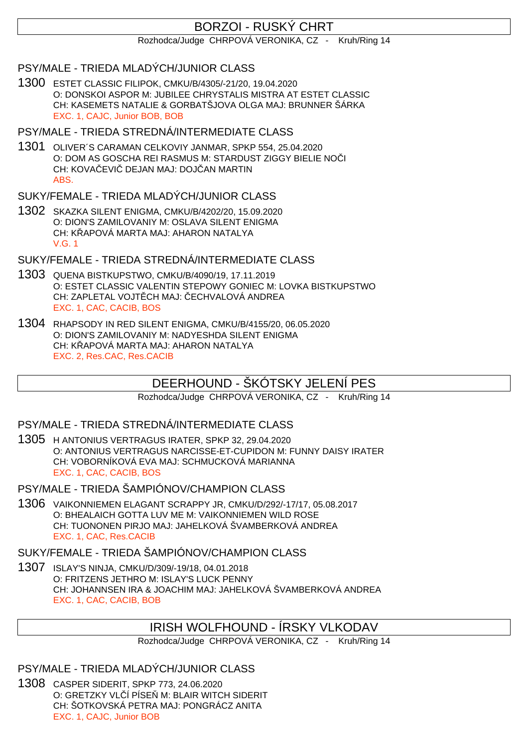# BORZOI - RUSKÝ CHRT

Rozhodca/Judge CHRPOVÁ VERONIKA, CZ - Kruh/Ring 14

PSY/MALE - TRIEDA MLADÝCH/JUNIOR CLASS

1300 ESTET CLASSIC FILIPOK, CMKU/B/4305/-21/20, 19.04.2020 O: DONSKOI ASPOR M: JUBILEE CHRYSTALIS MISTRA AT ESTET CLASSIC CH: KASEMETS NATALIE & GORBATŠJOVA OLGA MAJ: BRUNNER ŠÁRKA EXC. 1, CAJC, Junior BOB, BOB

PSY/MALE - TRIEDA STREDNÁ/INTERMEDIATE CLASS

1301 OLIVER´S CARAMAN CELKOVIY JANMAR, SPKP 554, 25.04.2020 O: DOM AS GOSCHA REI RASMUS M: STARDUST ZIGGY BIELIE NO I CH: KOVAČEVIČ DEJAN MAJ: DOJČAN MARTIN ABS.

SUKY/FEMALE - TRIEDA MLADÝCH/JUNIOR CLASS

1302 SKAZKA SILENT ENIGMA, CMKU/B/4202/20, 15.09.2020 O: DION'S ZAMILOVANIY M: OSLAVA SILENT ENIGMA CH: KAPOVÁ MARTA MAJ: AHARON NATALYA V.G. 1

SUKY/FEMALE - TRIEDA STREDNÁ/INTERMEDIATE CLASS

- 1303 QUENA BISTKUPSTWO, CMKU/B/4090/19, 17.11.2019 O: ESTET CLASSIC VALENTIN STEPOWY GONIEC M: LOVKA BISTKUPSTWO CH: ZAPLETAL VOJT CH MAJ: ECHVALOVÁ ANDREA EXC. 1, CAC, CACIB, BOS
- 1304 RHAPSODY IN RED SILENT ENIGMA, CMKU/B/4155/20, 06.05.2020 O: DION'S ZAMILOVANIY M: NADYESHDA SILENT ENIGMA CH: KAPOVÁ MARTA MAJ: AHARON NATALYA EXC. 2, Res.CAC, Res.CACIB

# DEERHOUND - ŠKÓTSKY JELENÍ PES

Rozhodca/Judge CHRPOVÁ VERONIKA, CZ - Kruh/Ring 14

PSY/MALE - TRIEDA STREDNÁ/INTERMEDIATE CLASS

1305 H ANTONIUS VERTRAGUS IRATER, SPKP 32, 29.04.2020 O: ANTONIUS VERTRAGUS NARCISSE-ET-CUPIDON M: FUNNY DAISY IRATER CH: VOBORNÍKOVÁ EVA MAJ: SCHMUCKOVÁ MARIANNA EXC. 1, CAC, CACIB, BOS

PSY/MALE - TRIEDA ŠAMPIÓNOV/CHAMPION CLASS

1306 VAIKONNIEMEN ELAGANT SCRAPPY JR, CMKU/D/292/-17/17, 05.08.2017 O: BHEALAICH GOTTA LUV ME M: VAIKONNIEMEN WILD ROSE CH: TUONONEN PIRJO MAJ: JAHELKOVÁ ŠVAMBERKOVÁ ANDREA EXC. 1, CAC, Res.CACIB

SUKY/FEMALE - TRIEDA ŠAMPIÓNOV/CHAMPION CLASS

1307 ISLAY'S NINJA, CMKU/D/309/-19/18, 04.01.2018 O: FRITZENS JETHRO M: ISLAY'S LUCK PENNY CH: JOHANNSEN IRA & JOACHIM MAJ: JAHELKOVÁ ŠVAMBERKOVÁ ANDREA EXC. 1, CAC, CACIB, BOB

# IRISH WOLFHOUND - ÍRSKY VLKODAV

Rozhodca/Judge CHRPOVÁ VERONIKA, CZ - Kruh/Ring 14

PSY/MALE - TRIEDA MLADÝCH/JUNIOR CLASS

1308 CASPER SIDERIT, SPKP 773, 24.06.2020 O: GRETZKY VLÍ PÍSE M: BLAIR WITCH SIDERIT CH: ŠOTKOVSKÁ PETRA MAJ: PONGRÁCZ ANITA EXC. 1, CAJC, Junior BOB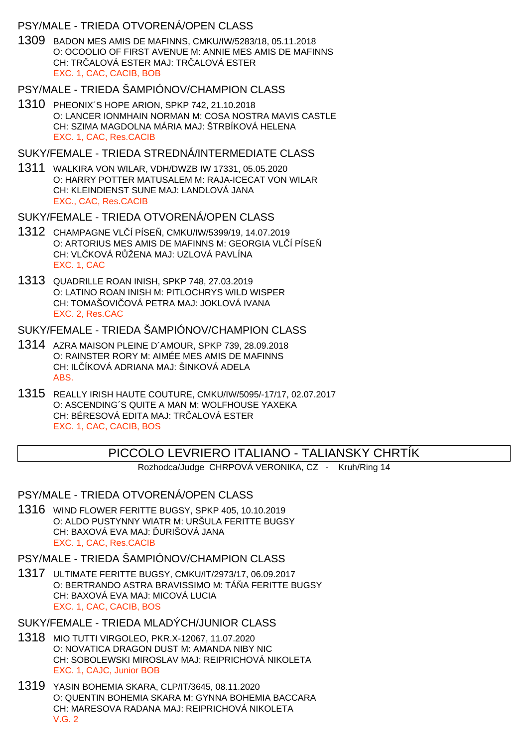### PSY/MALE - TRIEDA OTVORENÁ/OPEN CLASS

1309 BADON MES AMIS DE MAFINNS, CMKU/IW/5283/18, 05.11.2018 O: OCOOLIO OF FIRST AVENUE M: ANNIE MES AMIS DE MAFINNS CH: TR ALOVÁ ESTER MAJ: TR ALOVÁ ESTER EXC. 1, CAC, CACIB, BOB

#### PSY/MALE - TRIEDA ŠAMPIÓNOV/CHAMPION CLASS

- 1310 PHEONIX´S HOPE ARION, SPKP 742, 21.10.2018 O: LANCER IONMHAIN NORMAN M: COSA NOSTRA MAVIS CASTLE CH: SZIMA MAGDOLNA MÁRIA MAJ: ŠTRBÍKOVÁ HELENA EXC. 1, CAC, Res.CACIB
- SUKY/FEMALE TRIEDA STREDNÁ/INTERMEDIATE CLASS
- 1311 WALKIRA VON WILAR, VDH/DWZB IW 17331, 05.05.2020 O: HARRY POTTER MATUSALEM M: RAJA-ICECAT VON WILAR CH: KLEINDIENST SUNE MAJ: LANDLOVÁ JANA EXC., CAC, Res.CACIB
- SUKY/FEMALE TRIEDA OTVORENÁ/OPEN CLASS
- 1312 CHAMPAGNE VL Í PÍSE, CMKU/IW/5399/19, 14.07.2019 O: ARTORIUS MES AMIS DE MAFINNS M: GEORGIA VL Í PÍSE CH: VL KOVÁ R ŽENA MAJ: UZLOVÁ PAVLÍNA EXC. 1, CAC
- 1313 QUADRILLE ROAN INISH, SPKP 748, 27.03.2019 O: LATINO ROAN INISH M: PITLOCHRYS WILD WISPER CH: TOMAŠOVI OVÁ PETRA MAJ: JOKLOVÁ IVANA EXC. 2, Res.CAC

SUKY/FEMALE - TRIEDA ŠAMPIÓNOV/CHAMPION CLASS

- 1314 AZRA MAISON PLEINE D´AMOUR, SPKP 739, 28.09.2018 O: RAINSTER RORY M: AIMÉE MES AMIS DE MAFINNS CH: IL ÍKOVÁ ADRIANA MAJ: ŠINKOVÁ ADELA ABS.
- 1315 REALLY IRISH HAUTE COUTURE, CMKU/IW/5095/-17/17, 02.07.2017 O: ASCENDING´S QUITE A MAN M: WOLFHOUSE YAXEKA CH: BÉRESOVÁ EDITA MAJ: TR ALOVÁ ESTER EXC. 1, CAC, CACIB, BOS

### PICCOLO LEVRIERO ITALIANO - TALIANSKY CHRTÍK

Rozhodca/Judge CHRPOVÁ VERONIKA, CZ - Kruh/Ring 14

### PSY/MALE - TRIEDA OTVORENÁ/OPEN CLASS

1316 WIND FLOWER FERITTE BUGSY, SPKP 405, 10.10.2019 O: ALDO PUSTYNNY WIATR M: URŠULA FERITTE BUGSY CH: BAXOVÁ EVA MAJ: URIŠOVÁ JANA EXC. 1, CAC, Res.CACIB

### PSY/MALE - TRIEDA ŠAMPIÓNOV/CHAMPION CLASS

1317 ULTIMATE FERITTE BUGSY, CMKU/IT/2973/17, 06.09.2017 O: BERTRANDO ASTRA BRAVISSIMO M: TÁ A FERITTE BUGSY CH: BAXOVÁ EVA MAJ: MICOVÁ LUCIA EXC. 1, CAC, CACIB, BOS

SUKY/FEMALE - TRIEDA MLADÝCH/JUNIOR CLASS

- 1318 MIO TUTTI VIRGOLEO, PKR.X-12067, 11.07.2020 O: NOVATICA DRAGON DUST M: AMANDA NIBY NIC CH: SOBOLEWSKI MIROSLAV MAJ: REIPRICHOVÁ NIKOLETA EXC. 1, CAJC, Junior BOB
- 1319 YASIN BOHEMIA SKARA, CLP/IT/3645, 08.11.2020 O: QUENTIN BOHEMIA SKARA M: GYNNA BOHEMIA BACCARA CH: MARESOVA RADANA MAJ: REIPRICHOVÁ NIKOLETA V.G. 2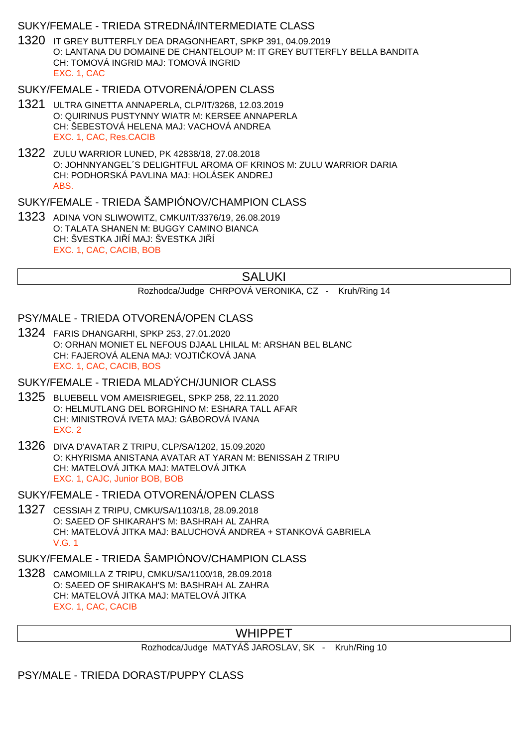### SUKY/FEMALE - TRIEDA STREDNÁ/INTERMEDIATE CLASS

1320 IT GREY BUTTERFLY DEA DRAGONHEART, SPKP 391, 04.09.2019 O: LANTANA DU DOMAINE DE CHANTELOUP M: IT GREY BUTTERFLY BELLA BANDITA CH: TOMOVÁ INGRID MAJ: TOMOVÁ INGRID EXC. 1, CAC

### SUKY/FEMALE - TRIEDA OTVORENÁ/OPEN CLASS

- 1321 ULTRA GINETTA ANNAPERLA, CLP/IT/3268, 12.03.2019 O: QUIRINUS PUSTYNNY WIATR M: KERSEE ANNAPERLA CH: ŠEBESTOVÁ HELENA MAJ: VACHOVÁ ANDREA EXC. 1, CAC, Res.CACIB
- 1322 ZULU WARRIOR LUNED, PK 42838/18, 27.08.2018 O: JOHNNYANGEL´S DELIGHTFUL AROMA OF KRINOS M: ZULU WARRIOR DARIA CH: PODHORSKÁ PAVLINA MAJ: HOLÁSEK ANDREJ ABS.

### SUKY/FEMALE - TRIEDA ŠAMPIÓNOV/CHAMPION CLASS

1323 ADINA VON SLIWOWITZ, CMKU/IT/3376/19, 26.08.2019 O: TALATA SHANEN M: BUGGY CAMINO BIANCA CH: ŠVESTKA JILÍ MAJ: ŠVESTKA JILÍ EXC. 1, CAC, CACIB, BOB

### SALUKI

Rozhodca/Judge CHRPOVÁ VERONIKA, CZ - Kruh/Ring 14

### PSY/MALE - TRIEDA OTVORENÁ/OPEN CLASS

1324 FARIS DHANGARHI, SPKP 253, 27.01.2020 O: ORHAN MONIET EL NEFOUS DJAAL LHILAL M: ARSHAN BEL BLANC CH: FAJEROVÁ ALENA MAJ: VOJTI KOVÁ JANA EXC. 1, CAC, CACIB, BOS

#### SUKY/FEMALE - TRIEDA MLADÝCH/JUNIOR CLASS

- 1325 BLUEBELL VOM AMEISRIEGEL, SPKP 258, 22.11.2020 O: HELMUTLANG DEL BORGHINO M: ESHARA TALL AFAR CH: MINISTROVÁ IVETA MAJ: GÁBOROVÁ IVANA EXC. 2
- 1326 DIVA D'AVATAR Z TRIPU, CLP/SA/1202, 15.09.2020 O: KHYRISMA ANISTANA AVATAR AT YARAN M: BENISSAH Z TRIPU CH: MATELOVÁ JITKA MAJ: MATELOVÁ JITKA EXC. 1, CAJC, Junior BOB, BOB
- SUKY/FEMALE TRIEDA OTVORENÁ/OPEN CLASS
- 1327 CESSIAH Z TRIPU, CMKU/SA/1103/18, 28.09.2018 O: SAEED OF SHIKARAH'S M: BASHRAH AL ZAHRA CH: MATELOVÁ JITKA MAJ: BALUCHOVÁ ANDREA + STANKOVÁ GABRIELA V.G. 1

#### SUKY/FEMALE - TRIEDA ŠAMPIÓNOV/CHAMPION CLASS

1328 CAMOMILLA Z TRIPU, CMKU/SA/1100/18, 28.09.2018 O: SAEED OF SHIRAKAH'S M: BASHRAH AL ZAHRA CH: MATELOVÁ JITKA MAJ: MATELOVÁ JITKA EXC. 1, CAC, CACIB

# WHIPPET

Rozhodca/Judge MATYÁŠ JAROSLAV, SK - Kruh/Ring 10

PSY/MALE - TRIEDA DORAST/PUPPY CLASS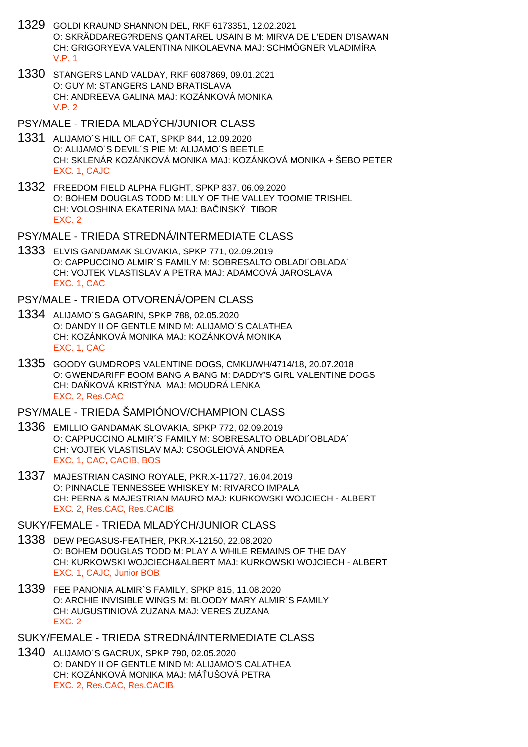- 1329 GOLDI KRAUND SHANNON DEL, RKF 6173351, 12.02.2021 O: SKRÄDDAREG?RDENS QANTAREL USAIN B M: MIRVA DE L'EDEN D'ISAWAN CH: GRIGORYEVA VALENTINA NIKOLAEVNA MAJ: SCHMÖGNER VLADIMÍRA V.P. 1
- 1330 STANGERS LAND VALDAY, RKF 6087869, 09.01.2021 O: GUY M: STANGERS LAND BRATISLAVA CH: ANDREEVA GALINA MAJ: KOZÁNKOVÁ MONIKA  $V.P. 2$
- PSY/MALE TRIEDA MLADÝCH/JUNIOR CLASS
- 1331 ALIJAMO´S HILL OF CAT, SPKP 844, 12.09.2020 O: ALIJAMO´S DEVIL´S PIE M: ALIJAMO´S BEETLE CH: SKLENÁR KOZÁNKOVÁ MONIKA MAJ: KOZÁNKOVÁ MONIKA + ŠEBO PETER EXC. 1, CAJC
- 1332 FREEDOM FIELD ALPHA FLIGHT, SPKP 837, 06.09.2020 O: BOHEM DOUGLAS TODD M: LILY OF THE VALLEY TOOMIE TRISHEL CH: VOLOSHINA EKATERINA MAJ: BA INSKÝ TIBOR EXC. 2
- PSY/MALE TRIEDA STREDNÁ/INTERMEDIATE CLASS
- 1333 ELVIS GANDAMAK SLOVAKIA, SPKP 771, 02.09.2019 O: CAPPUCCINO ALMIR´S FAMILY M: SOBRESALTO OBLADI´OBLADA´ CH: VOJTEK VLASTISLAV A PETRA MAJ: ADAMCOVÁ JAROSLAVA EXC. 1, CAC

PSY/MALE - TRIEDA OTVORENÁ/OPEN CLASS

- 1334 ALIJAMO´S GAGARIN, SPKP 788, 02.05.2020 O: DANDY II OF GENTLE MIND M: ALIJAMO´S CALATHEA CH: KOZÁNKOVÁ MONIKA MAJ: KOZÁNKOVÁ MONIKA EXC. 1, CAC
- 1335 GOODY GUMDROPS VALENTINE DOGS, CMKU/WH/4714/18, 20.07.2018 O: GWENDARIFF BOOM BANG A BANG M: DADDY'S GIRL VALENTINE DOGS CH: DA KOVÁ KRISTÝNA MAJ: MOUDRÁ LENKA EXC. 2, Res.CAC

PSY/MALE - TRIEDA ŠAMPIÓNOV/CHAMPION CLASS

- 1336 EMILLIO GANDAMAK SLOVAKIA, SPKP 772, 02.09.2019 O: CAPPUCCINO ALMIR´S FAMILY M: SOBRESALTO OBLADI´OBLADA´ CH: VOJTEK VLASTISLAV MAJ: CSOGLEIOVÁ ANDREA EXC. 1, CAC, CACIB, BOS
- 1337 MAJESTRIAN CASINO ROYALE, PKR.X-11727, 16.04.2019 O: PINNACLE TENNESSEE WHISKEY M: RIVARCO IMPALA CH: PERNA & MAJESTRIAN MAURO MAJ: KURKOWSKI WOJCIECH - ALBERT EXC. 2, Res.CAC, Res.CACIB

SUKY/FEMALE - TRIEDA MLADÝCH/JUNIOR CLASS

- 1338 DEW PEGASUS-FEATHER, PKR.X-12150, 22.08.2020 O: BOHEM DOUGLAS TODD M: PLAY A WHILE REMAINS OF THE DAY CH: KURKOWSKI WOJCIECH&ALBERT MAJ: KURKOWSKI WOJCIECH - ALBERT EXC. 1, CAJC, Junior BOB
- 1339 FEE PANONIA ALMIR`S FAMILY, SPKP 815, 11.08.2020 O: ARCHIE INVISIBLE WINGS M: BLOODY MARY ALMIR`S FAMILY CH: AUGUSTINIOVÁ ZUZANA MAJ: VERES ZUZANA EXC. 2

SUKY/FEMALE - TRIEDA STREDNÁ/INTERMEDIATE CLASS

1340 ALIJAMO´S GACRUX, SPKP 790, 02.05.2020 O: DANDY II OF GENTLE MIND M: ALIJAMO'S CALATHEA CH: KOZÁNKOVÁ MONIKA MAJ: MÁ UŠOVÁ PETRA EXC. 2, Res.CAC, Res.CACIB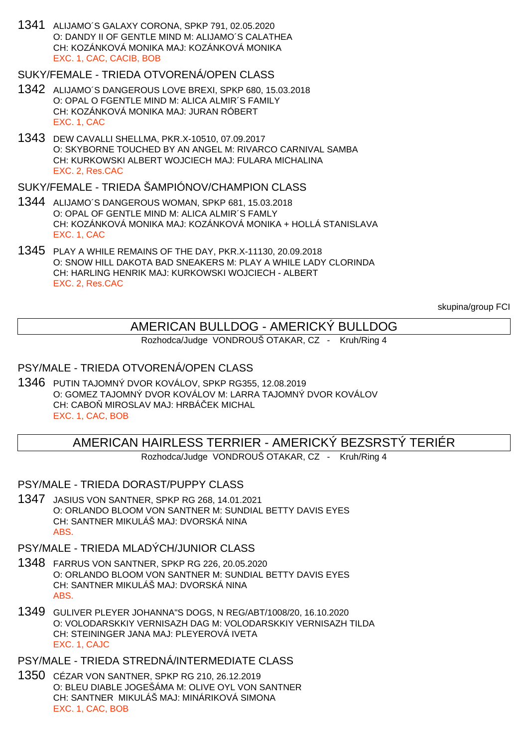1341 ALIJAMO´S GALAXY CORONA, SPKP 791, 02.05.2020 O: DANDY II OF GENTLE MIND M: ALIJAMO´S CALATHEA CH: KOZÁNKOVÁ MONIKA MAJ: KOZÁNKOVÁ MONIKA EXC. 1, CAC, CACIB, BOB

# SUKY/FEMALE - TRIEDA OTVORENÁ/OPEN CLASS

- 1342 ALIJAMO´S DANGEROUS LOVE BREXI, SPKP 680, 15.03.2018 O: OPAL O FGENTLE MIND M: ALICA ALMIR´S FAMILY CH: KOZÁNKOVÁ MONIKA MAJ: JURAN RÓBERT EXC. 1, CAC
- 1343 DEW CAVALLI SHELLMA, PKR.X-10510, 07.09.2017 O: SKYBORNE TOUCHED BY AN ANGEL M: RIVARCO CARNIVAL SAMBA CH: KURKOWSKI ALBERT WOJCIECH MAJ: FULARA MICHALINA EXC. 2, Res.CAC

# SUKY/FEMALE - TRIEDA ŠAMPIÓNOV/CHAMPION CLASS

- 1344 ALIJAMO´S DANGEROUS WOMAN, SPKP 681, 15.03.2018 O: OPAL OF GENTLE MIND M: ALICA ALMIR´S FAMLY CH: KOZÁNKOVÁ MONIKA MAJ: KOZÁNKOVÁ MONIKA + HOLLÁ STANISLAVA EXC. 1, CAC
- 1345 PLAY A WHILE REMAINS OF THE DAY, PKR.X-11130, 20.09.2018 O: SNOW HILL DAKOTA BAD SNEAKERS M: PLAY A WHILE LADY CLORINDA CH: HARLING HENRIK MAJ: KURKOWSKI WOJCIECH - ALBERT EXC. 2, Res.CAC

skupina/group FCI

# AMERICAN BULLDOG - AMERICKÝ BULLDOG

Rozhodca/Judge VONDROUŠ OTAKAR, CZ - Kruh/Ring 4

# PSY/MALE - TRIEDA OTVORENÁ/OPEN CLASS

1346 PUTIN TAJOMNÝ DVOR KOVÁLOV, SPKP RG355, 12.08.2019 O: GOMEZ TAJOMNÝ DVOR KOVÁLOV M: LARRA TAJOMNÝ DVOR KOVÁLOV CH: CABO MIROSLAV MAJ: HRBÁ EK MICHAL EXC. 1, CAC, BOB

# AMERICAN HAIRLESS TERRIER - AMERICKÝ BEZSRSTÝ TERIÉR

Rozhodca/Judge VONDROUŠ OTAKAR, CZ - Kruh/Ring 4

PSY/MALE - TRIEDA DORAST/PUPPY CLASS

1347 JASIUS VON SANTNER, SPKP RG 268, 14.01.2021 O: ORLANDO BLOOM VON SANTNER M: SUNDIAL BETTY DAVIS EYES CH: SANTNER MIKULÁŠ MAJ: DVORSKÁ NINA ABS.

# PSY/MALE - TRIEDA MLADÝCH/JUNIOR CLASS

- 1348 FARRUS VON SANTNER, SPKP RG 226, 20.05.2020 O: ORLANDO BLOOM VON SANTNER M: SUNDIAL BETTY DAVIS EYES CH: SANTNER MIKULÁŠ MAJ: DVORSKÁ NINA ABS.
- 1349 GULIVER PLEYER JOHANNA"S DOGS, N REG/ABT/1008/20, 16.10.2020 O: VOLODARSKKIY VERNISAZH DAG M: VOLODARSKKIY VERNISAZH TILDA CH: STEININGER JANA MAJ: PLEYEROVÁ IVETA EXC. 1, CAJC

# PSY/MALE - TRIEDA STREDNÁ/INTERMEDIATE CLASS

1350 CÉZAR VON SANTNER, SPKP RG 210, 26.12.2019 O: BLEU DIABLE JOGEŠÁMA M: OLIVE OYL VON SANTNER CH: SANTNER MIKULÁŠ MAJ: MINÁRIKOVÁ SIMONA EXC. 1, CAC, BOB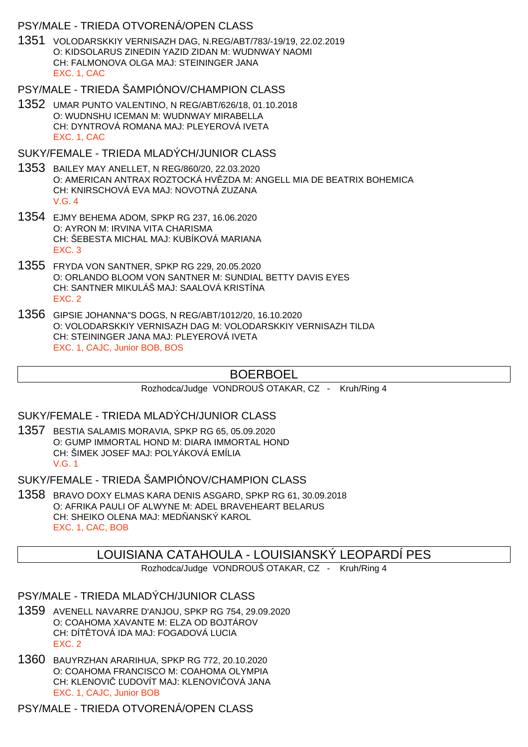#### PSY/MALE - TRIEDA OTVORENÁ/OPEN CLASS

- 1351 VOLODARSKKIY VERNISAZH DAG, N.REG/ABT/783/-19/19, 22.02.2019 O: KIDSOLARUS ZINEDIN YAZID ZIDAN M: WUDNWAY NAOMI CH: FALMONOVA OLGA MAJ: STEININGER JANA EXC. 1, CAC
- PSY/MALE TRIEDA ŠAMPIÓNOV/CHAMPION CLASS
- 1352 UMAR PUNTO VALENTINO, N REG/ABT/626/18, 01.10.2018 O: WUDNSHU ICEMAN M: WUDNWAY MIRABELLA CH: DYNTROVÁ ROMANA MAJ: PLEYEROVÁ IVETA EXC. 1, CAC
- SUKY/FEMALE TRIEDA MLADÝCH/JUNIOR CLASS
- 1353 BAILEY MAY ANELLET, N REG/860/20, 22.03.2020 O: AMERICAN ANTRAX ROZTOCKÁ HV ZDA M: ANGELL MIA DE BEATRIX BOHEMICA CH: KNIRSCHOVÁ EVA MAJ: NOVOTNÁ ZUZANA V.G. 4
- 1354 EJMY BEHEMA ADOM, SPKP RG 237, 16.06.2020 O: AYRON M: IRVINA VITA CHARISMA CH: ŠEBESTA MICHAL MAJ: KUBÍKOVÁ MARIANA EXC. 3
- 1355 FRYDA VON SANTNER, SPKP RG 229, 20.05.2020 O: ORLANDO BLOOM VON SANTNER M: SUNDIAL BETTY DAVIS EYES CH: SANTNER MIKULÁŠ MAJ: SAALOVÁ KRISTÍNA EXC. 2
- 1356 GIPSIE JOHANNA"S DOGS, N REG/ABT/1012/20, 16.10.2020 O: VOLODARSKKIY VERNISAZH DAG M: VOLODARSKKIY VERNISAZH TILDA CH: STEININGER JANA MAJ: PLEYEROVÁ IVETA EXC. 1, CAJC, Junior BOB, BOS

# BOERBOEL

Rozhodca/Judge VONDROUŠ OTAKAR, CZ - Kruh/Ring 4

SUKY/FEMALE - TRIEDA MLADÝCH/JUNIOR CLASS

1357 BESTIA SALAMIS MORAVIA, SPKP RG 65, 05.09.2020 O: GUMP IMMORTAL HOND M: DIARA IMMORTAL HOND CH: ŠIMEK JOSEF MAJ: POLYÁKOVÁ EMÍLIA V.G. 1

SUKY/FEMALE - TRIEDA ŠAMPIÓNOV/CHAMPION CLASS

1358 BRAVO DOXY ELMAS KARA DENIS ASGARD, SPKP RG 61, 30.09.2018 O: AFRIKA PAULI OF ALWYNE M: ADEL BRAVEHEART BELARUS CH: SHEIKO OLENA MAJ: MED ANSKÝ KAROL EXC. 1, CAC, BOB

### LOUISIANA CATAHOULA - LOUISIANSKÝ LEOPARDÍ PES

Rozhodca/Judge VONDROUŠ OTAKAR, CZ - Kruh/Ring 4

#### PSY/MALE - TRIEDA MLADÝCH/JUNIOR CLASS

- 1359 AVENELL NAVARRE D'ANJOU, SPKP RG 754, 29.09.2020 O: COAHOMA XAVANTE M: ELZA OD BOJTÁROV CH: DÍT TOVÁ IDA MAJ: FOGADOVÁ LUCIA EXC. 2
- 1360 BAUYRZHAN ARARIHUA, SPKP RG 772, 20.10.2020 O: COAHOMA FRANCISCO M: COAHOMA OLYMPIA CH: KLENOVI UDOVÍT MAJ: KLENOVI OVÁ JANA EXC. 1, CAJC, Junior BOB

PSY/MALE - TRIEDA OTVORENÁ/OPEN CLASS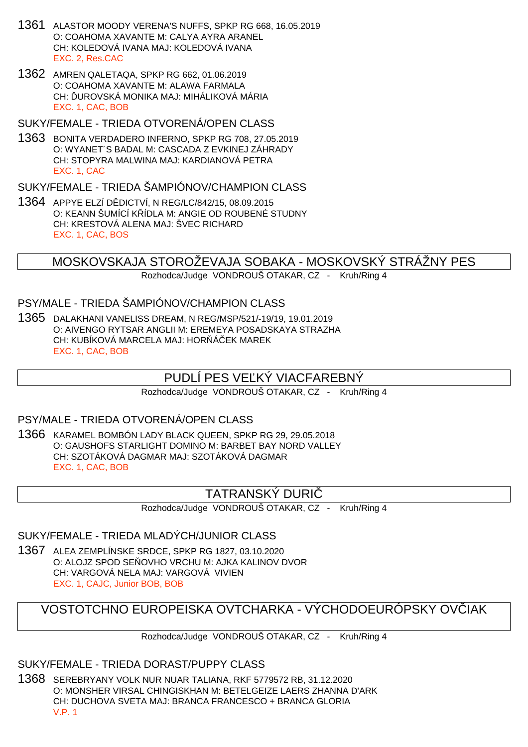- 1361 ALASTOR MOODY VERENA'S NUFFS, SPKP RG 668, 16.05.2019 O: COAHOMA XAVANTE M: CALYA AYRA ARANEL CH: KOLEDOVÁ IVANA MAJ: KOLEDOVÁ IVANA EXC. 2, Res.CAC
- 1362 AMREN QALETAQA, SPKP RG 662, 01.06.2019 O: COAHOMA XAVANTE M: ALAWA FARMALA CH: UROVSKÁ MONIKA MAJ: MIHÁLIKOVÁ MÁRIA EXC. 1, CAC, BOB
- SUKY/FEMALE TRIEDA OTVORENÁ/OPEN CLASS
- 1363 BONITA VERDADERO INFERNO, SPKP RG 708, 27.05.2019 O: WYANET´S BADAL M: CASCADA Z EVKINEJ ZÁHRADY CH: STOPYRA MALWINA MAJ: KARDIANOVÁ PETRA EXC. 1, CAC

SUKY/FEMALE - TRIEDA ŠAMPIÓNOV/CHAMPION CLASS

1364 APPYE ELZÍ D DICTVÍ, N REG/LC/842/15, 08.09.2015 O: KEANN ŠUMÍCÍ K ÍDLA M: ANGIE OD ROUBENÉ STUDNY CH: KRESTOVÁ ALENA MAJ: ŠVEC RICHARD EXC. 1, CAC, BOS

MOSKOVSKAJA STOROŽEVAJA SOBAKA - MOSKOVSKÝ STRÁŽNY PES

Rozhodca/Judge VONDROUŠ OTAKAR, CZ - Kruh/Ring 4

### PSY/MALE - TRIEDA ŠAMPIÓNOV/CHAMPION CLASS

1365 DALAKHANI VANELISS DREAM, N REG/MSP/521/-19/19, 19.01.2019 O: AIVENGO RYTSAR ANGLII M: EREMEYA POSADSKAYA STRAZHA CH: KUBÍKOVÁ MARCELA MAJ: HOR Á EK MAREK EXC. 1, CAC, BOB

# PUDLÍ PES VE KÝ VIACFAREBNÝ

Rozhodca/Judge VONDROUŠ OTAKAR, CZ - Kruh/Ring 4

### PSY/MALE - TRIEDA OTVORENÁ/OPEN CLASS

1366 KARAMEL BOMBÓN LADY BLACK QUEEN, SPKP RG 29, 29.05.2018 O: GAUSHOFS STARLIGHT DOMINO M: BARBET BAY NORD VALLEY CH: SZOTÁKOVÁ DAGMAR MAJ: SZOTÁKOVÁ DAGMAR EXC. 1, CAC, BOB

# TATRANSKÝ DURIČ

Rozhodca/Judge VONDROUŠ OTAKAR, CZ - Kruh/Ring 4

#### SUKY/FEMALE - TRIEDA MLADÝCH/JUNIOR CLASS

1367 ALEA ZEMPLÍNSKE SRDCE, SPKP RG 1827, 03.10.2020 O: ALOJZ SPOD SE OVHO VRCHU M: AJKA KALINOV DVOR CH: VARGOVÁ NELA MAJ: VARGOVÁ VIVIEN EXC. 1, CAJC, Junior BOB, BOB

# VOSTOTCHNO EUROPEISKA OVTCHARKA - VÝCHODOEURÓPSKY OVČIAK

Rozhodca/Judge VONDROUŠ OTAKAR, CZ - Kruh/Ring 4

SUKY/FEMALE - TRIEDA DORAST/PUPPY CLASS

1368 SEREBRYANY VOLK NUR NUAR TALIANA, RKF 5779572 RB, 31.12.2020 O: MONSHER VIRSAL CHINGISKHAN M: BETELGEIZE LAERS ZHANNA D'ARK CH: DUCHOVA SVETA MAJ: BRANCA FRANCESCO + BRANCA GLORIA V.P. 1